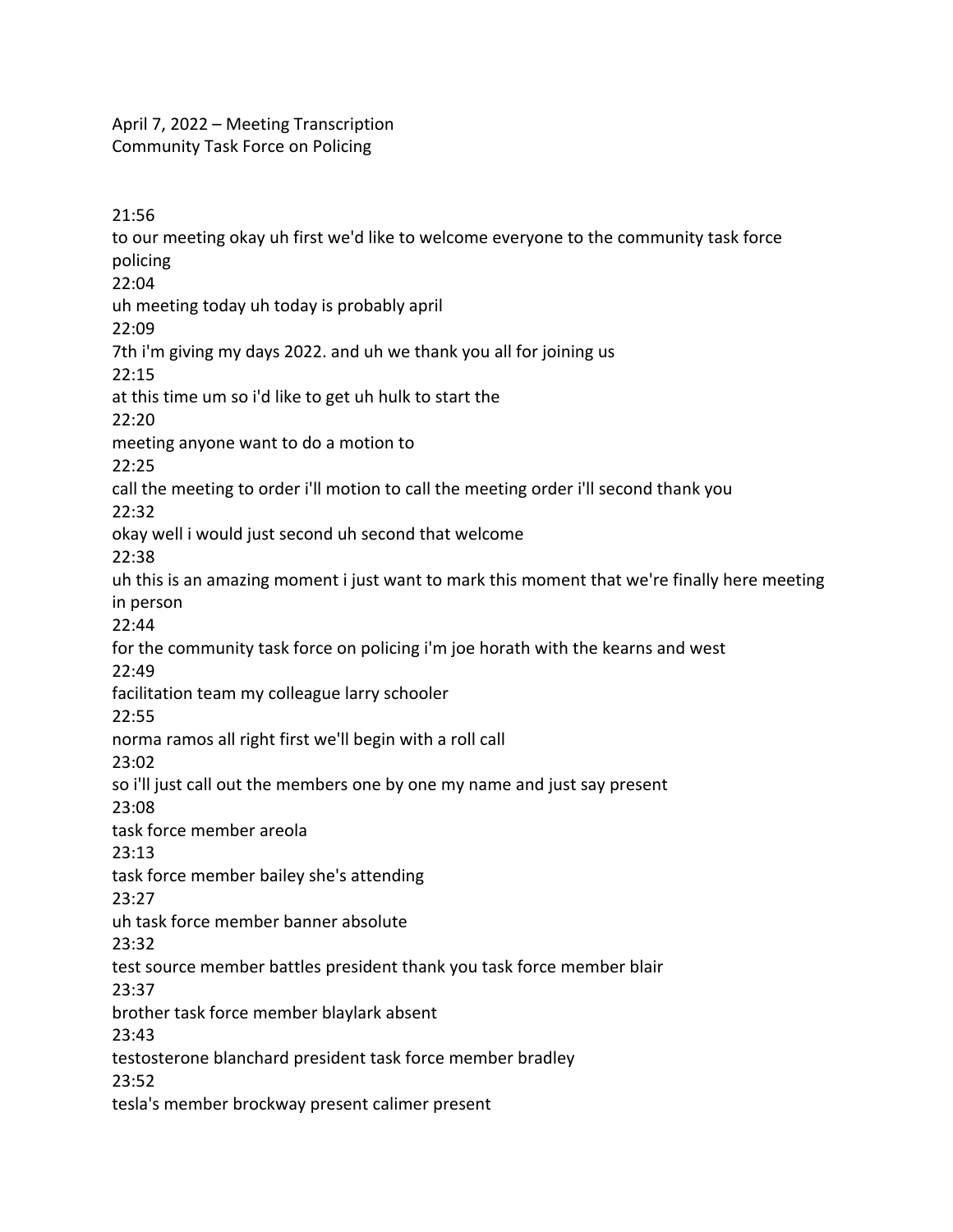April 7, 2022 – Meeting Transcription Community Task Force on Policing

21:56 to our meeting okay uh first we'd like to welcome everyone to the community task force policing 22:04 uh meeting today uh today is probably april 22:09 7th i'm giving my days 2022. and uh we thank you all for joining us 22:15 at this time um so i'd like to get uh hulk to start the 22:20 meeting anyone want to do a motion to 22:25 call the meeting to order i'll motion to call the meeting order i'll second thank you 22:32 okay well i would just second uh second that welcome 22:38 uh this is an amazing moment i just want to mark this moment that we're finally here meeting in person 22:44 for the community task force on policing i'm joe horath with the kearns and west 22:49 facilitation team my colleague larry schooler 22:55 norma ramos all right first we'll begin with a roll call 23:02 so i'll just call out the members one by one my name and just say present 23:08 task force member areola 23:13 task force member bailey she's attending 23:27 uh task force member banner absolute 23:32 test source member battles president thank you task force member blair 23:37 brother task force member blaylark absent 23:43 testosterone blanchard president task force member bradley 23:52 tesla's member brockway present calimer present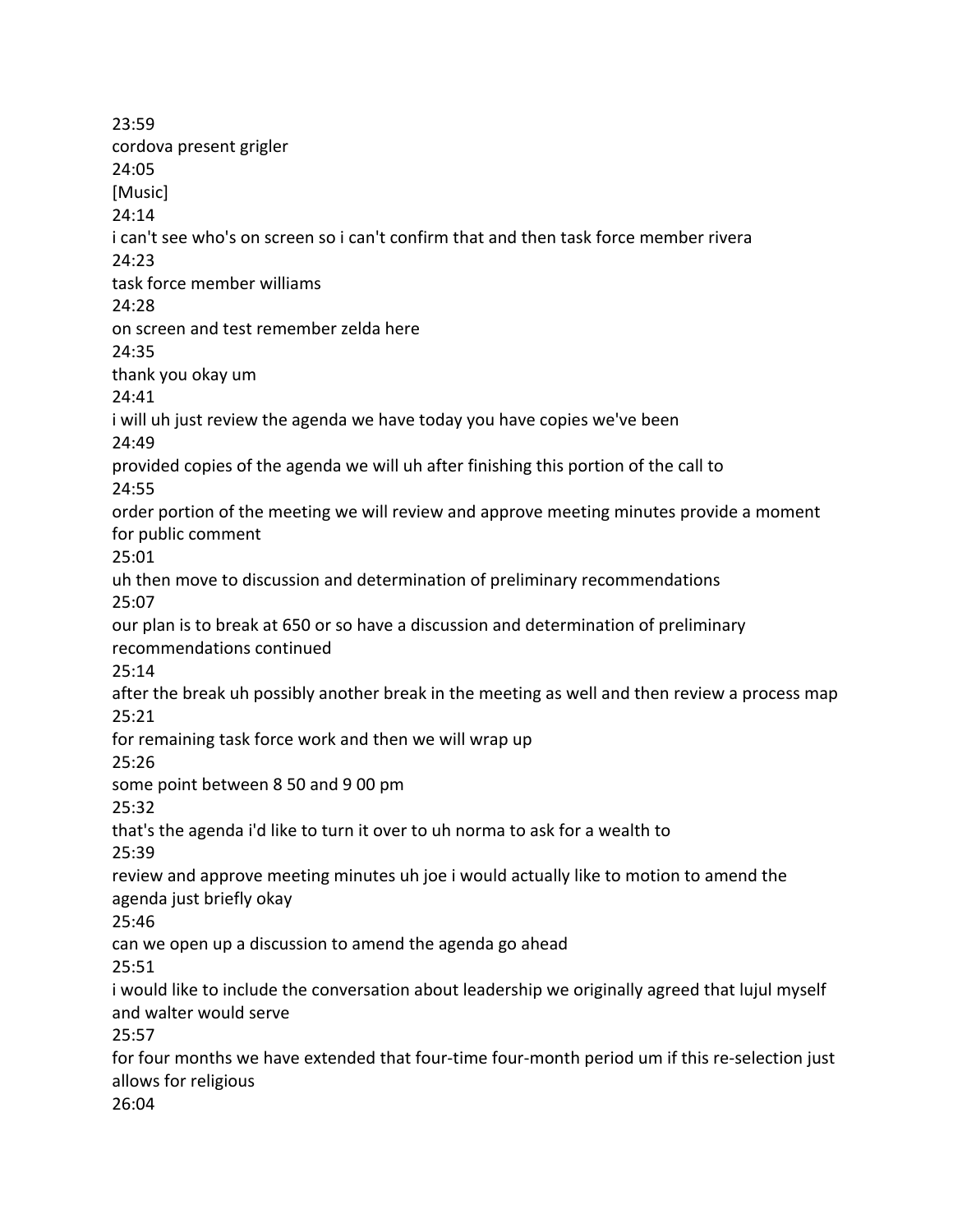23:59 cordova present grigler 24:05 [Music] 24:14 i can't see who's on screen so i can't confirm that and then task force member rivera 24:23 task force member williams 24:28 on screen and test remember zelda here 24:35 thank you okay um 24:41 i will uh just review the agenda we have today you have copies we've been 24:49 provided copies of the agenda we will uh after finishing this portion of the call to 24:55 order portion of the meeting we will review and approve meeting minutes provide a moment for public comment 25:01 uh then move to discussion and determination of preliminary recommendations 25:07 our plan is to break at 650 or so have a discussion and determination of preliminary recommendations continued 25:14 after the break uh possibly another break in the meeting as well and then review a process map 25:21 for remaining task force work and then we will wrap up 25:26 some point between 8 50 and 9 00 pm 25:32 that's the agenda i'd like to turn it over to uh norma to ask for a wealth to 25:39 review and approve meeting minutes uh joe i would actually like to motion to amend the agenda just briefly okay 25:46 can we open up a discussion to amend the agenda go ahead 25:51 i would like to include the conversation about leadership we originally agreed that lujul myself and walter would serve 25:57 for four months we have extended that four-time four-month period um if this re-selection just allows for religious 26:04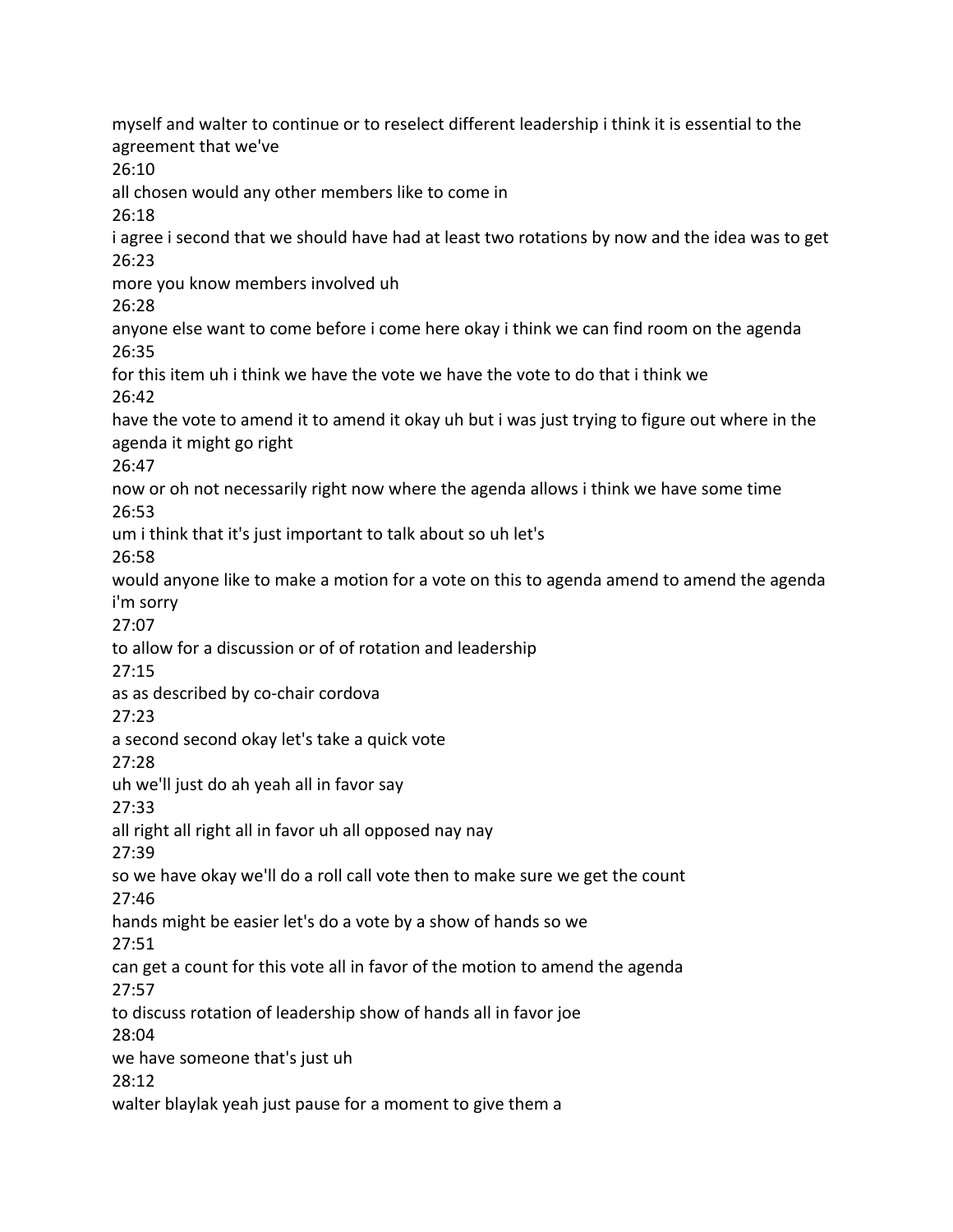myself and walter to continue or to reselect different leadership i think it is essential to the agreement that we've 26:10 all chosen would any other members like to come in 26:18 i agree i second that we should have had at least two rotations by now and the idea was to get 26:23 more you know members involved uh 26:28 anyone else want to come before i come here okay i think we can find room on the agenda 26:35 for this item uh i think we have the vote we have the vote to do that i think we 26:42 have the vote to amend it to amend it okay uh but i was just trying to figure out where in the agenda it might go right 26:47 now or oh not necessarily right now where the agenda allows i think we have some time 26:53 um i think that it's just important to talk about so uh let's 26:58 would anyone like to make a motion for a vote on this to agenda amend to amend the agenda i'm sorry 27:07 to allow for a discussion or of of rotation and leadership 27:15 as as described by co-chair cordova 27:23 a second second okay let's take a quick vote 27:28 uh we'll just do ah yeah all in favor say 27:33 all right all right all in favor uh all opposed nay nay 27:39 so we have okay we'll do a roll call vote then to make sure we get the count 27:46 hands might be easier let's do a vote by a show of hands so we 27:51 can get a count for this vote all in favor of the motion to amend the agenda 27:57 to discuss rotation of leadership show of hands all in favor joe 28:04 we have someone that's just uh 28:12 walter blaylak yeah just pause for a moment to give them a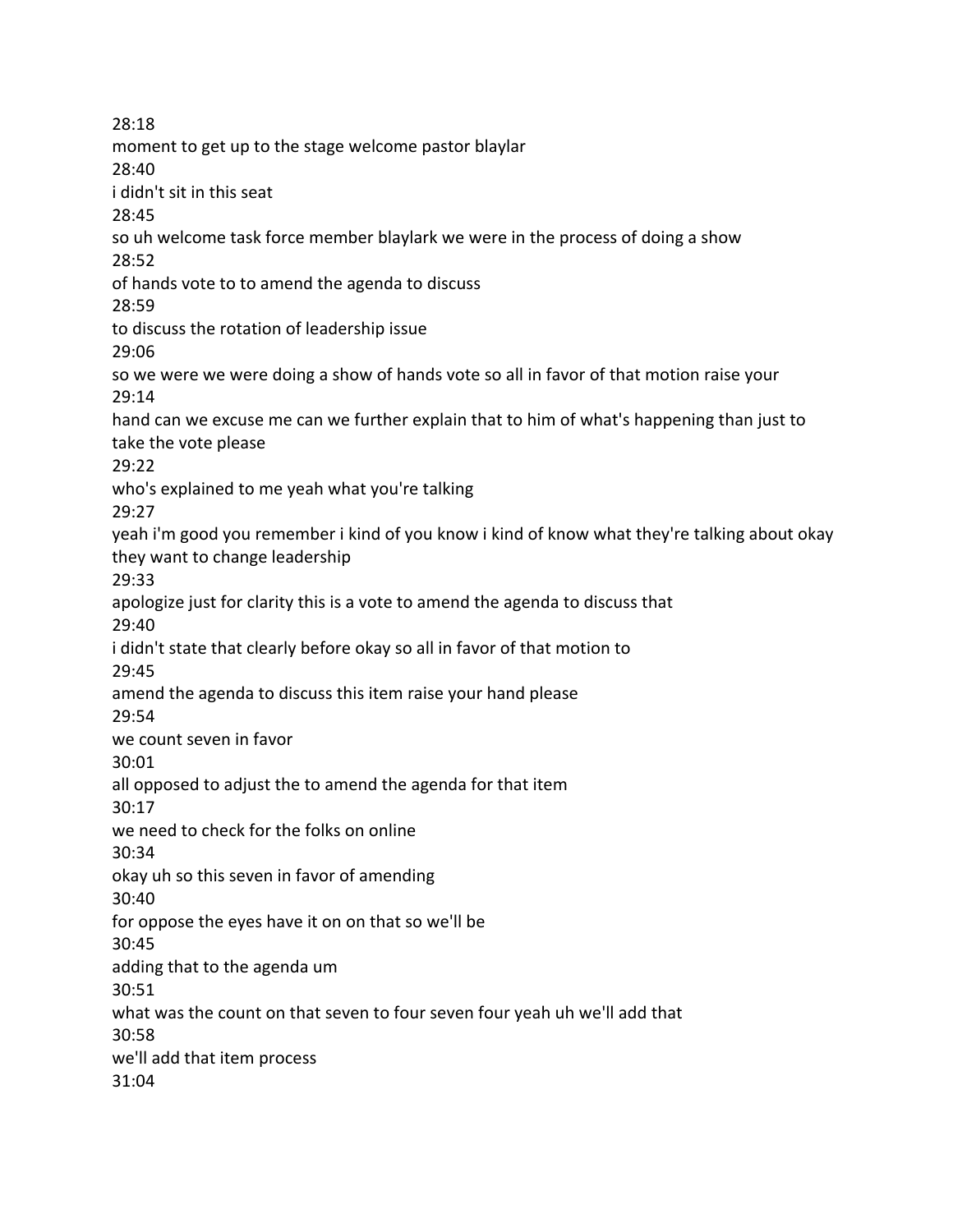28:18 moment to get up to the stage welcome pastor blaylar 28:40 i didn't sit in this seat 28:45 so uh welcome task force member blaylark we were in the process of doing a show 28:52 of hands vote to to amend the agenda to discuss 28:59 to discuss the rotation of leadership issue 29:06 so we were we were doing a show of hands vote so all in favor of that motion raise your 29:14 hand can we excuse me can we further explain that to him of what's happening than just to take the vote please 29:22 who's explained to me yeah what you're talking 29:27 yeah i'm good you remember i kind of you know i kind of know what they're talking about okay they want to change leadership 29:33 apologize just for clarity this is a vote to amend the agenda to discuss that 29:40 i didn't state that clearly before okay so all in favor of that motion to 29:45 amend the agenda to discuss this item raise your hand please 29:54 we count seven in favor 30:01 all opposed to adjust the to amend the agenda for that item 30:17 we need to check for the folks on online 30:34 okay uh so this seven in favor of amending 30:40 for oppose the eyes have it on on that so we'll be 30:45 adding that to the agenda um 30:51 what was the count on that seven to four seven four yeah uh we'll add that 30:58 we'll add that item process 31:04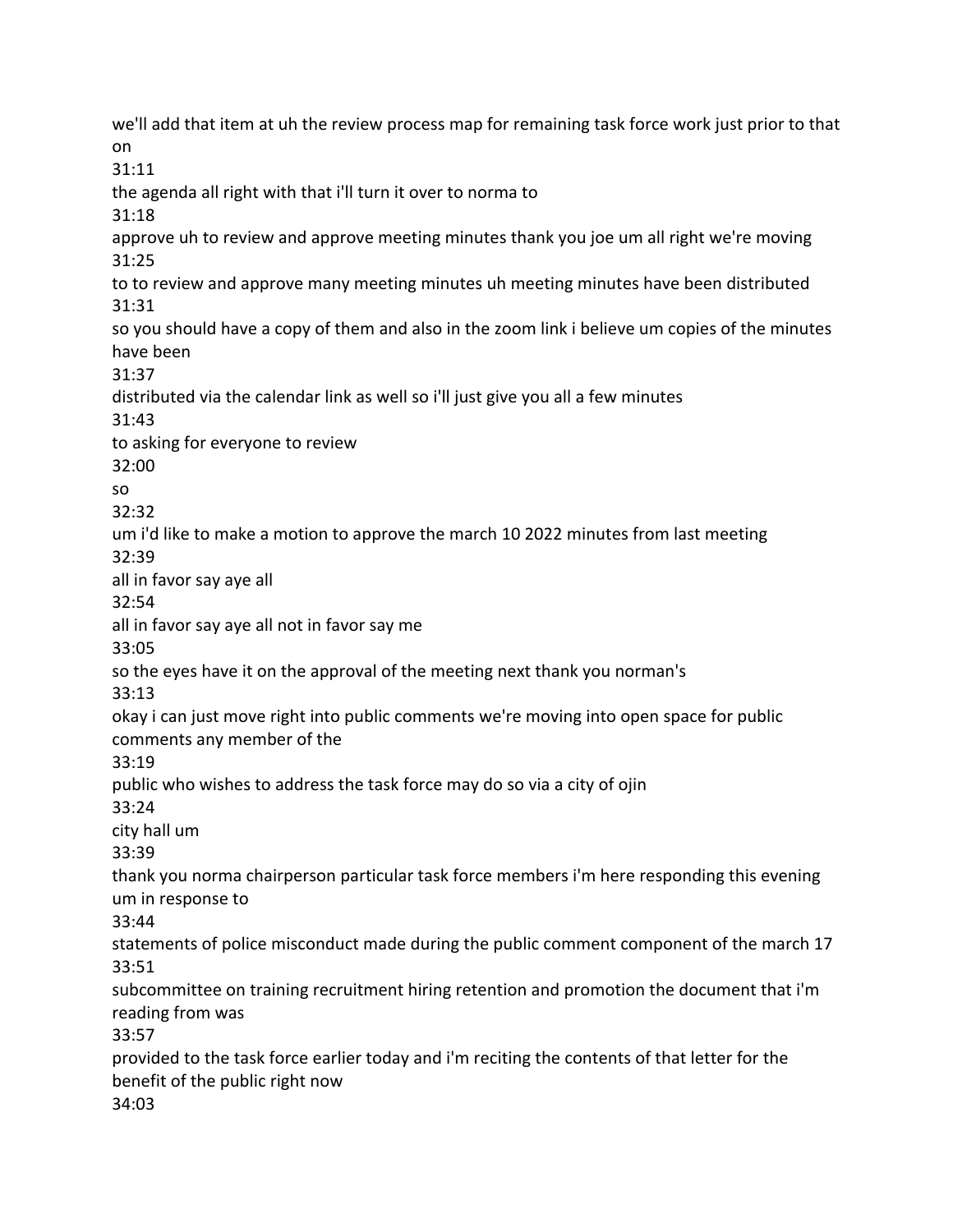we'll add that item at uh the review process map for remaining task force work just prior to that on 31:11 the agenda all right with that i'll turn it over to norma to 31:18 approve uh to review and approve meeting minutes thank you joe um all right we're moving 31:25 to to review and approve many meeting minutes uh meeting minutes have been distributed 31:31 so you should have a copy of them and also in the zoom link i believe um copies of the minutes have been 31:37 distributed via the calendar link as well so i'll just give you all a few minutes 31:43 to asking for everyone to review 32:00 so 32:32 um i'd like to make a motion to approve the march 10 2022 minutes from last meeting 32:39 all in favor say aye all 32:54 all in favor say aye all not in favor say me 33:05 so the eyes have it on the approval of the meeting next thank you norman's 33:13 okay i can just move right into public comments we're moving into open space for public comments any member of the 33:19 public who wishes to address the task force may do so via a city of ojin 33:24 city hall um 33:39 thank you norma chairperson particular task force members i'm here responding this evening um in response to 33:44 statements of police misconduct made during the public comment component of the march 17 33:51 subcommittee on training recruitment hiring retention and promotion the document that i'm reading from was 33:57 provided to the task force earlier today and i'm reciting the contents of that letter for the benefit of the public right now 34:03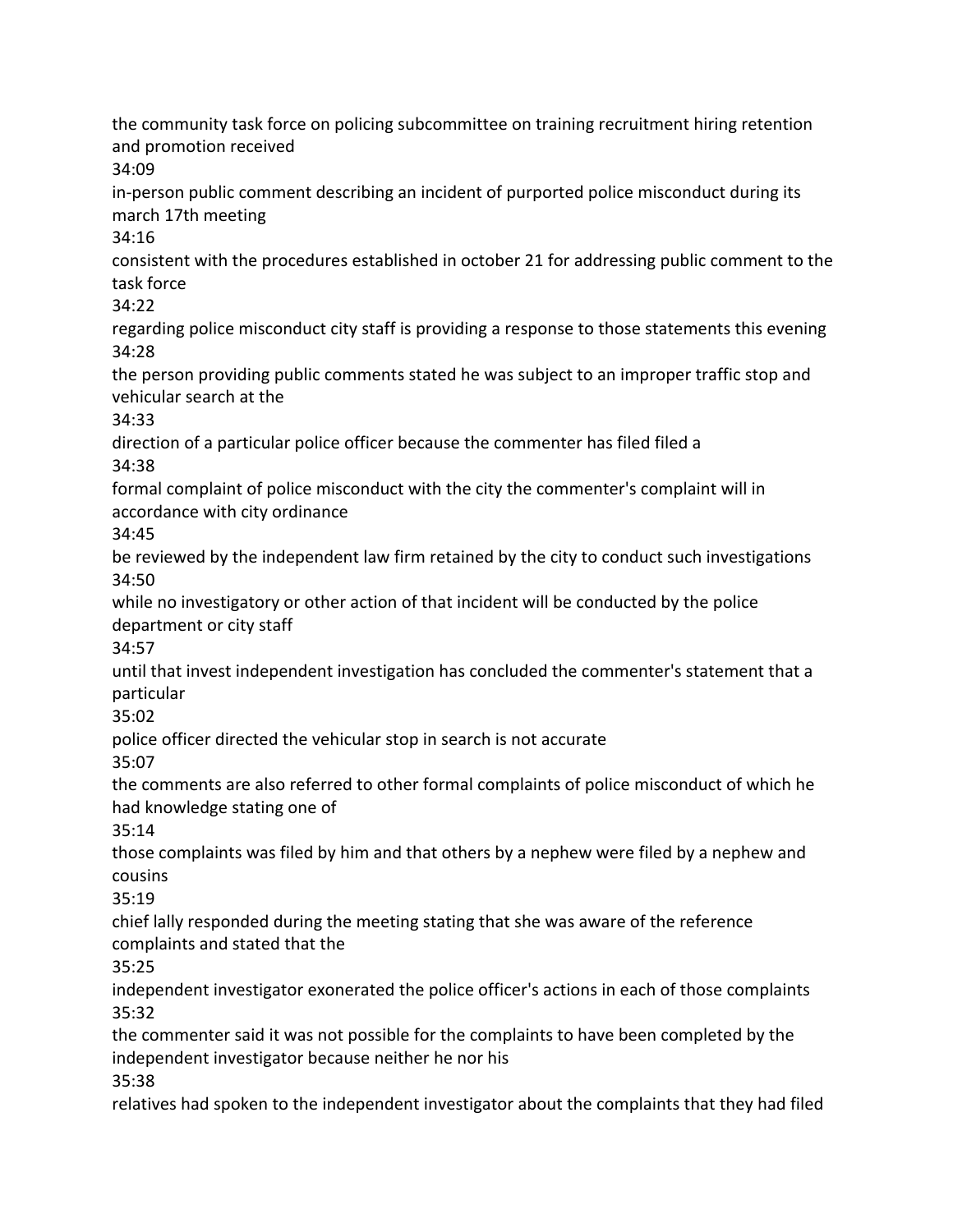the community task force on policing subcommittee on training recruitment hiring retention and promotion received 34:09 in-person public comment describing an incident of purported police misconduct during its march 17th meeting 34:16 consistent with the procedures established in october 21 for addressing public comment to the task force 34:22 regarding police misconduct city staff is providing a response to those statements this evening 34:28 the person providing public comments stated he was subject to an improper traffic stop and vehicular search at the 34:33 direction of a particular police officer because the commenter has filed filed a 34:38 formal complaint of police misconduct with the city the commenter's complaint will in accordance with city ordinance 34:45 be reviewed by the independent law firm retained by the city to conduct such investigations 34:50 while no investigatory or other action of that incident will be conducted by the police department or city staff 34:57 until that invest independent investigation has concluded the commenter's statement that a particular 35:02 police officer directed the vehicular stop in search is not accurate 35:07 the comments are also referred to other formal complaints of police misconduct of which he had knowledge stating one of 35:14 those complaints was filed by him and that others by a nephew were filed by a nephew and cousins 35:19 chief lally responded during the meeting stating that she was aware of the reference complaints and stated that the 35:25 independent investigator exonerated the police officer's actions in each of those complaints 35:32 the commenter said it was not possible for the complaints to have been completed by the independent investigator because neither he nor his 35:38 relatives had spoken to the independent investigator about the complaints that they had filed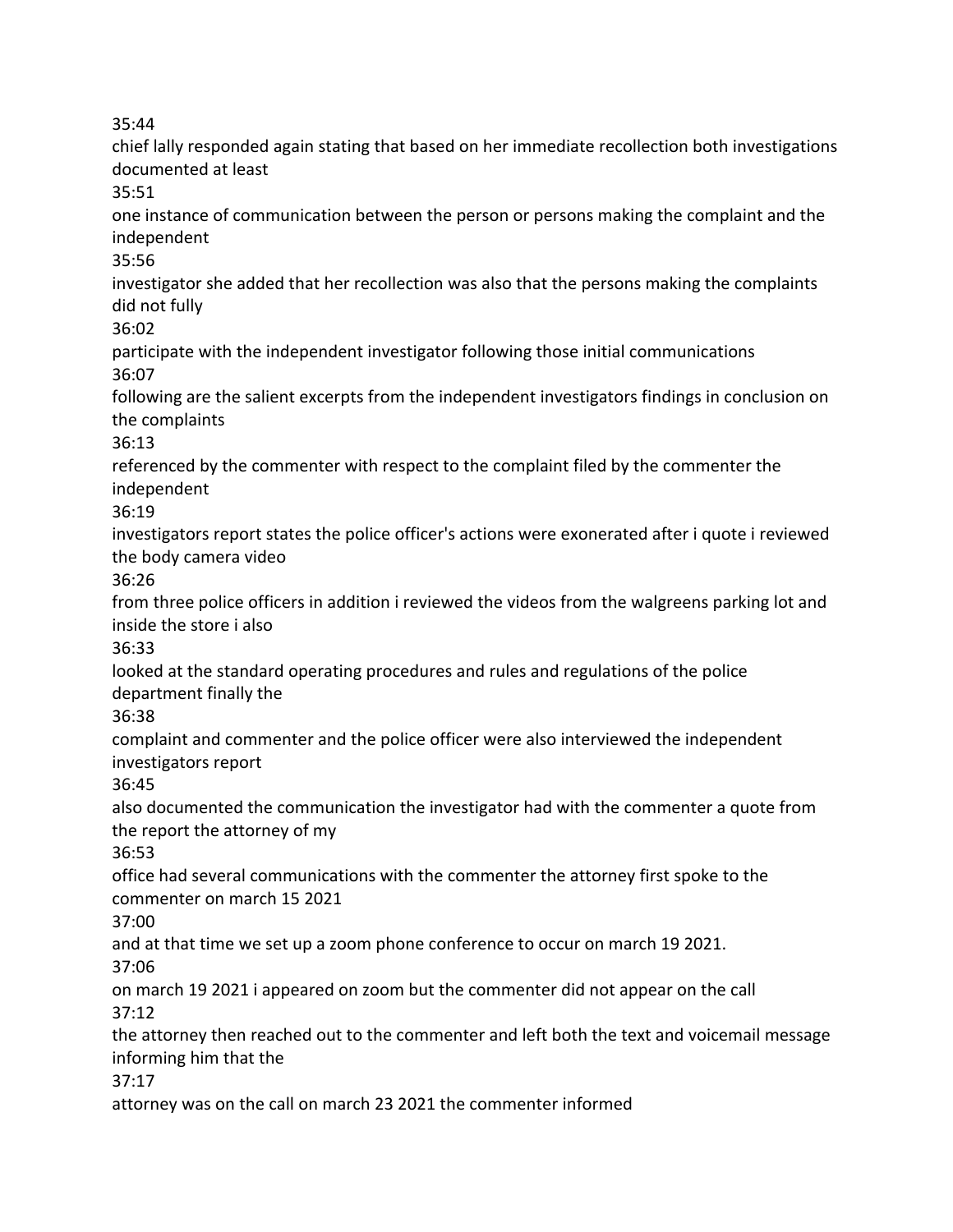35:44

chief lally responded again stating that based on her immediate recollection both investigations documented at least 35:51 one instance of communication between the person or persons making the complaint and the independent 35:56 investigator she added that her recollection was also that the persons making the complaints did not fully 36:02 participate with the independent investigator following those initial communications 36:07 following are the salient excerpts from the independent investigators findings in conclusion on the complaints 36:13 referenced by the commenter with respect to the complaint filed by the commenter the independent 36:19 investigators report states the police officer's actions were exonerated after i quote i reviewed the body camera video 36:26 from three police officers in addition i reviewed the videos from the walgreens parking lot and inside the store i also 36:33 looked at the standard operating procedures and rules and regulations of the police department finally the 36:38 complaint and commenter and the police officer were also interviewed the independent

investigators report

36:45

also documented the communication the investigator had with the commenter a quote from the report the attorney of my

36:53

office had several communications with the commenter the attorney first spoke to the commenter on march 15 2021

37:00

and at that time we set up a zoom phone conference to occur on march 19 2021.

37:06

on march 19 2021 i appeared on zoom but the commenter did not appear on the call 37:12

the attorney then reached out to the commenter and left both the text and voicemail message informing him that the

37:17

attorney was on the call on march 23 2021 the commenter informed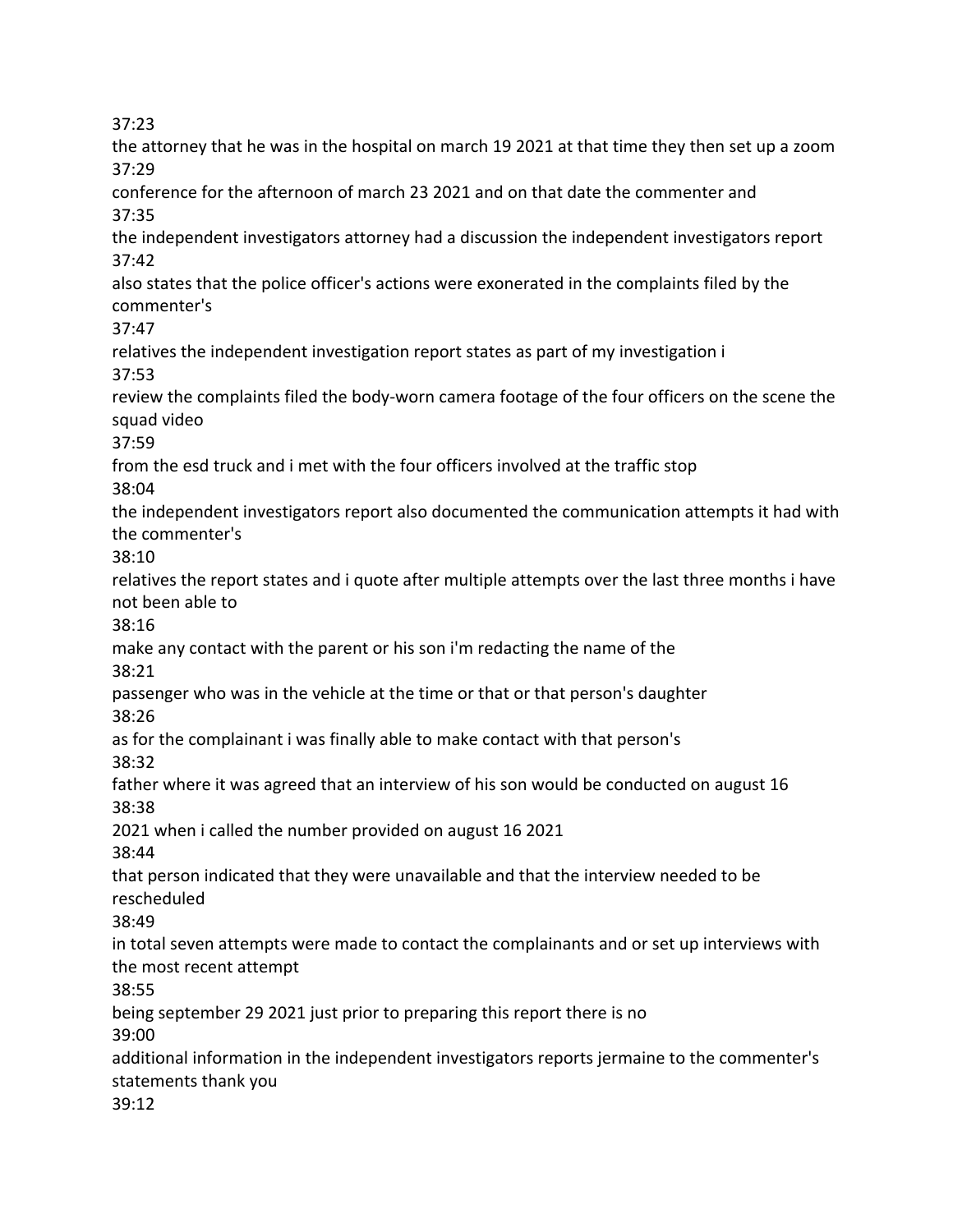37:23

the attorney that he was in the hospital on march 19 2021 at that time they then set up a zoom 37:29 conference for the afternoon of march 23 2021 and on that date the commenter and 37:35 the independent investigators attorney had a discussion the independent investigators report 37:42 also states that the police officer's actions were exonerated in the complaints filed by the commenter's 37:47 relatives the independent investigation report states as part of my investigation i 37:53 review the complaints filed the body-worn camera footage of the four officers on the scene the squad video 37:59 from the esd truck and i met with the four officers involved at the traffic stop 38:04 the independent investigators report also documented the communication attempts it had with the commenter's 38:10 relatives the report states and i quote after multiple attempts over the last three months i have not been able to 38:16 make any contact with the parent or his son i'm redacting the name of the 38:21 passenger who was in the vehicle at the time or that or that person's daughter 38:26 as for the complainant i was finally able to make contact with that person's 38:32 father where it was agreed that an interview of his son would be conducted on august 16 38:38 2021 when i called the number provided on august 16 2021 38:44 that person indicated that they were unavailable and that the interview needed to be rescheduled 38:49 in total seven attempts were made to contact the complainants and or set up interviews with the most recent attempt 38:55 being september 29 2021 just prior to preparing this report there is no 39:00 additional information in the independent investigators reports jermaine to the commenter's statements thank you 39:12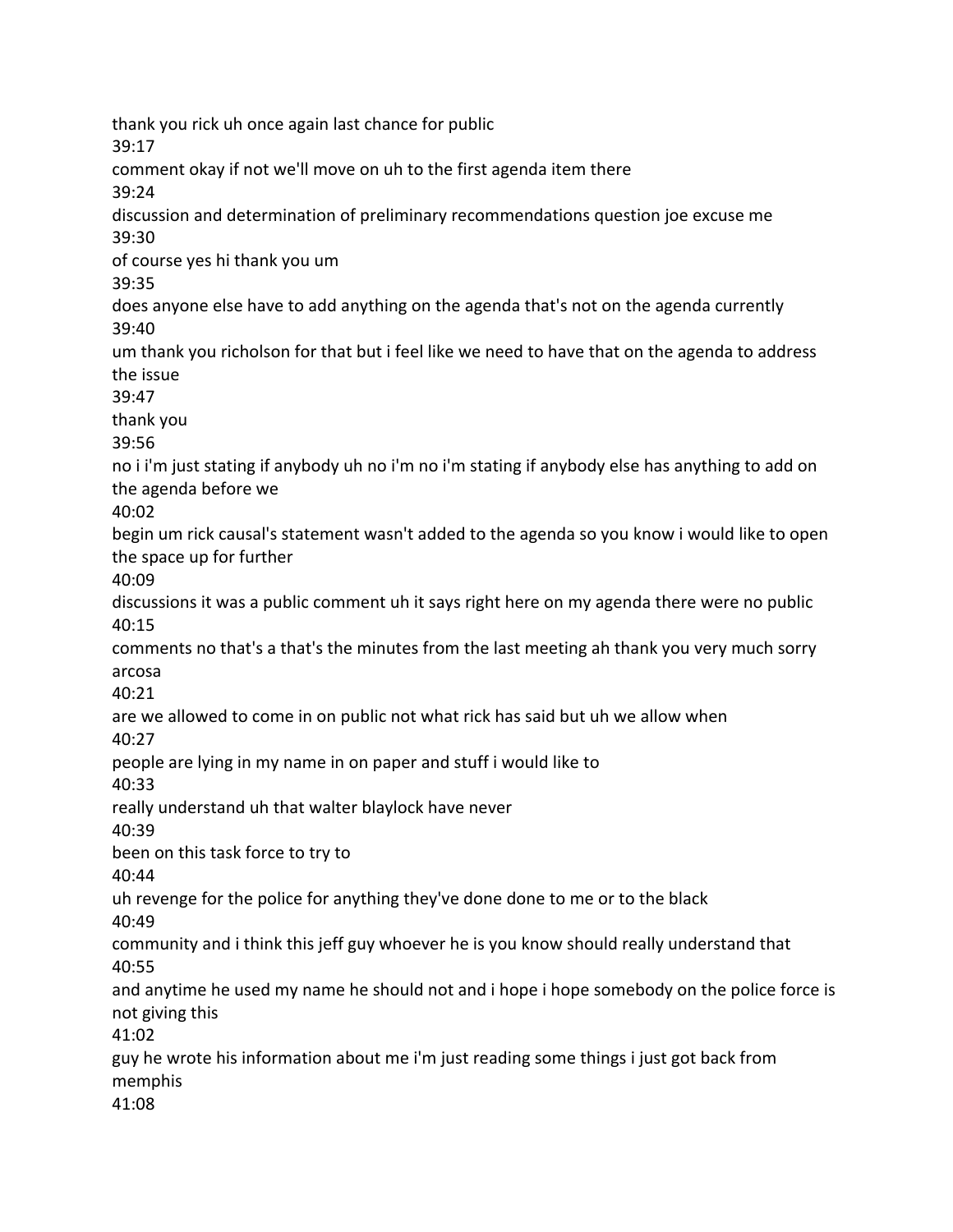thank you rick uh once again last chance for public 39:17 comment okay if not we'll move on uh to the first agenda item there 39:24 discussion and determination of preliminary recommendations question joe excuse me 39:30 of course yes hi thank you um 39:35 does anyone else have to add anything on the agenda that's not on the agenda currently 39:40 um thank you richolson for that but i feel like we need to have that on the agenda to address the issue 39:47 thank you 39:56 no i i'm just stating if anybody uh no i'm no i'm stating if anybody else has anything to add on the agenda before we 40:02 begin um rick causal's statement wasn't added to the agenda so you know i would like to open the space up for further 40:09 discussions it was a public comment uh it says right here on my agenda there were no public 40:15 comments no that's a that's the minutes from the last meeting ah thank you very much sorry arcosa 40:21 are we allowed to come in on public not what rick has said but uh we allow when 40:27 people are lying in my name in on paper and stuff i would like to 40:33 really understand uh that walter blaylock have never 40:39 been on this task force to try to 40:44 uh revenge for the police for anything they've done done to me or to the black 40:49 community and i think this jeff guy whoever he is you know should really understand that 40:55 and anytime he used my name he should not and i hope i hope somebody on the police force is not giving this 41:02 guy he wrote his information about me i'm just reading some things i just got back from memphis 41:08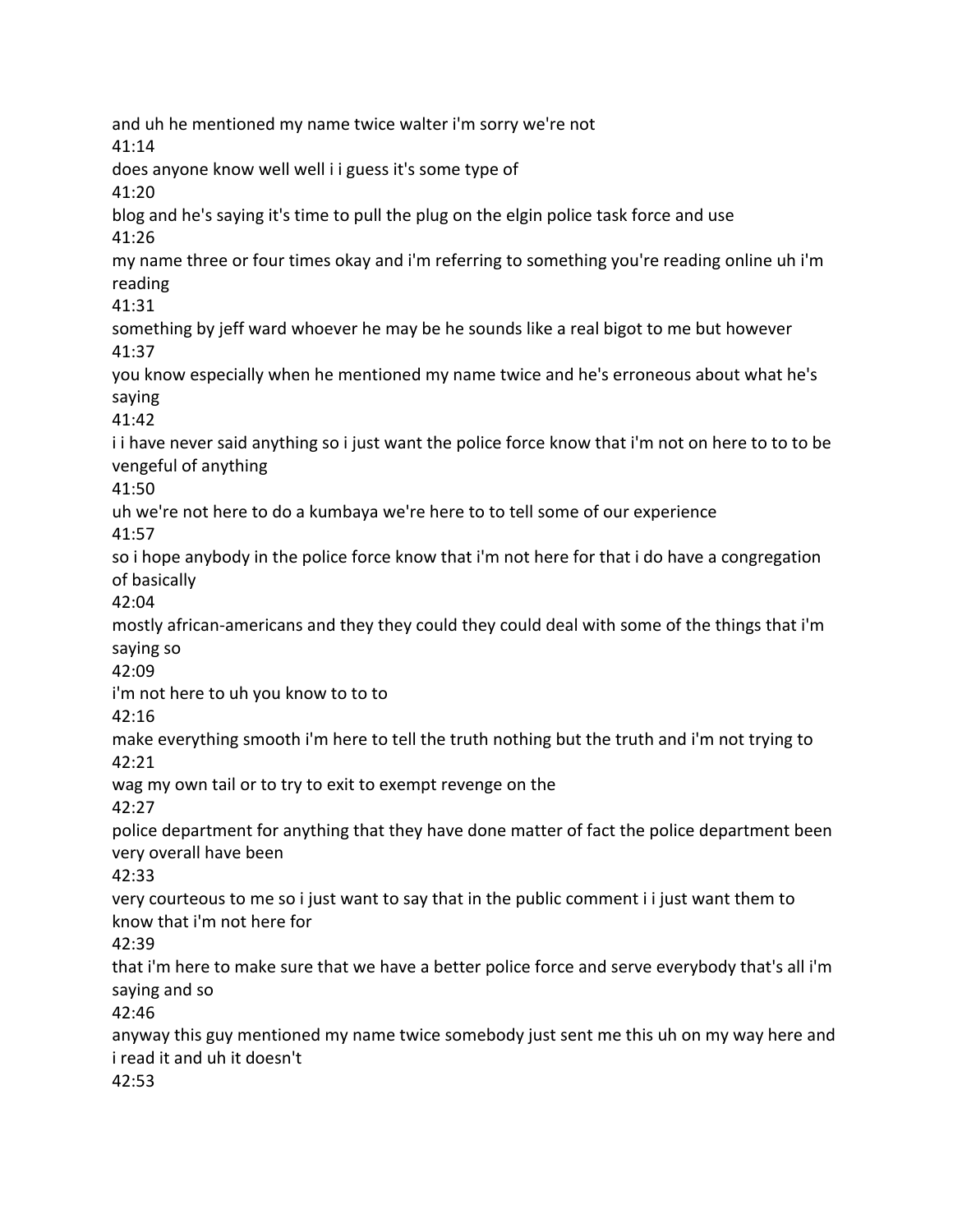and uh he mentioned my name twice walter i'm sorry we're not 41:14 does anyone know well well i i guess it's some type of 41:20 blog and he's saying it's time to pull the plug on the elgin police task force and use 41:26 my name three or four times okay and i'm referring to something you're reading online uh i'm reading 41:31 something by jeff ward whoever he may be he sounds like a real bigot to me but however 41:37 you know especially when he mentioned my name twice and he's erroneous about what he's saying 41:42 i i have never said anything so i just want the police force know that i'm not on here to to to be vengeful of anything 41:50 uh we're not here to do a kumbaya we're here to to tell some of our experience 41:57 so i hope anybody in the police force know that i'm not here for that i do have a congregation of basically 42:04 mostly african-americans and they they could they could deal with some of the things that i'm saying so 42:09 i'm not here to uh you know to to to 42:16 make everything smooth i'm here to tell the truth nothing but the truth and i'm not trying to 42:21 wag my own tail or to try to exit to exempt revenge on the 42:27 police department for anything that they have done matter of fact the police department been very overall have been 42:33 very courteous to me so i just want to say that in the public comment i i just want them to know that i'm not here for 42:39 that i'm here to make sure that we have a better police force and serve everybody that's all i'm saying and so 42:46 anyway this guy mentioned my name twice somebody just sent me this uh on my way here and i read it and uh it doesn't 42:53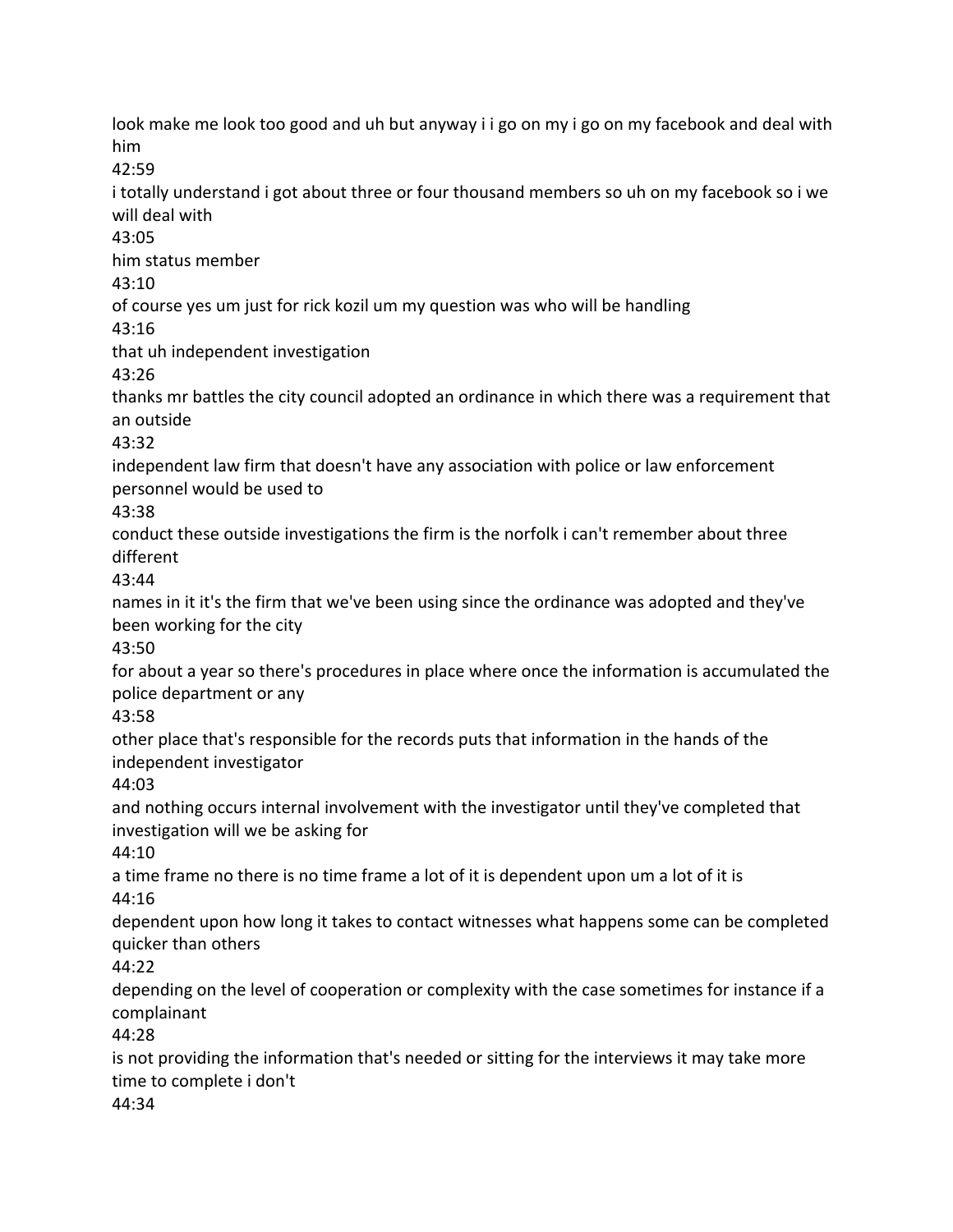look make me look too good and uh but anyway i i go on my i go on my facebook and deal with him 42:59 i totally understand i got about three or four thousand members so uh on my facebook so i we will deal with 43:05 him status member 43:10 of course yes um just for rick kozil um my question was who will be handling

43:16

that uh independent investigation

43:26

thanks mr battles the city council adopted an ordinance in which there was a requirement that an outside

43:32

independent law firm that doesn't have any association with police or law enforcement personnel would be used to

43:38

conduct these outside investigations the firm is the norfolk i can't remember about three different

43:44

names in it it's the firm that we've been using since the ordinance was adopted and they've been working for the city

43:50

for about a year so there's procedures in place where once the information is accumulated the police department or any

43:58

other place that's responsible for the records puts that information in the hands of the independent investigator

44:03

and nothing occurs internal involvement with the investigator until they've completed that investigation will we be asking for

44:10

a time frame no there is no time frame a lot of it is dependent upon um a lot of it is 44:16

dependent upon how long it takes to contact witnesses what happens some can be completed quicker than others

44:22

depending on the level of cooperation or complexity with the case sometimes for instance if a complainant

44:28

is not providing the information that's needed or sitting for the interviews it may take more time to complete i don't 44:34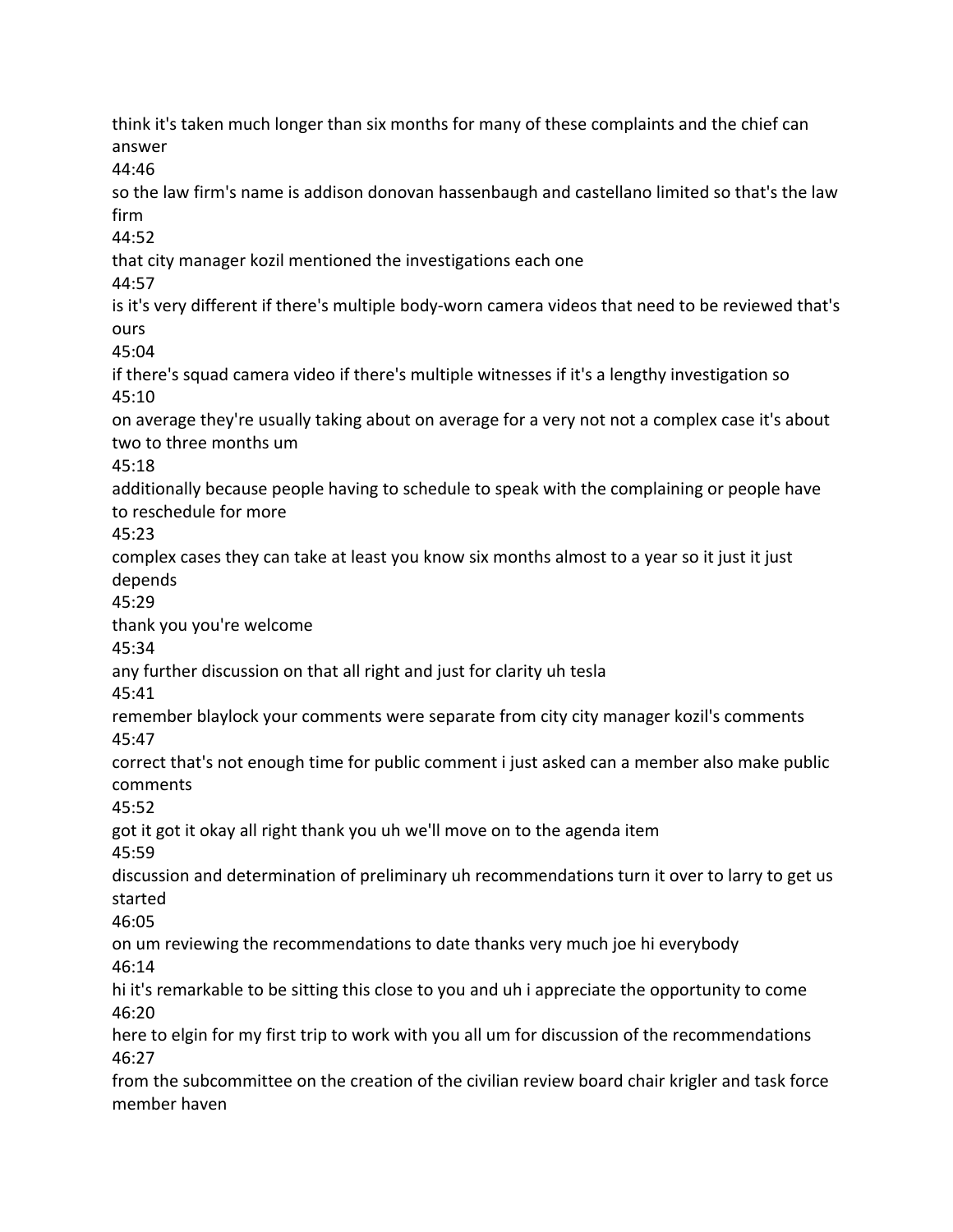think it's taken much longer than six months for many of these complaints and the chief can answer 44:46 so the law firm's name is addison donovan hassenbaugh and castellano limited so that's the law firm 44:52 that city manager kozil mentioned the investigations each one 44:57 is it's very different if there's multiple body-worn camera videos that need to be reviewed that's ours 45:04 if there's squad camera video if there's multiple witnesses if it's a lengthy investigation so 45:10 on average they're usually taking about on average for a very not not a complex case it's about two to three months um 45:18 additionally because people having to schedule to speak with the complaining or people have to reschedule for more 45:23 complex cases they can take at least you know six months almost to a year so it just it just depends 45:29 thank you you're welcome 45:34 any further discussion on that all right and just for clarity uh tesla 45:41 remember blaylock your comments were separate from city city manager kozil's comments 45:47 correct that's not enough time for public comment i just asked can a member also make public comments 45:52 got it got it okay all right thank you uh we'll move on to the agenda item 45:59 discussion and determination of preliminary uh recommendations turn it over to larry to get us started 46:05 on um reviewing the recommendations to date thanks very much joe hi everybody 46:14 hi it's remarkable to be sitting this close to you and uh i appreciate the opportunity to come 46:20 here to elgin for my first trip to work with you all um for discussion of the recommendations 46:27 from the subcommittee on the creation of the civilian review board chair krigler and task force member haven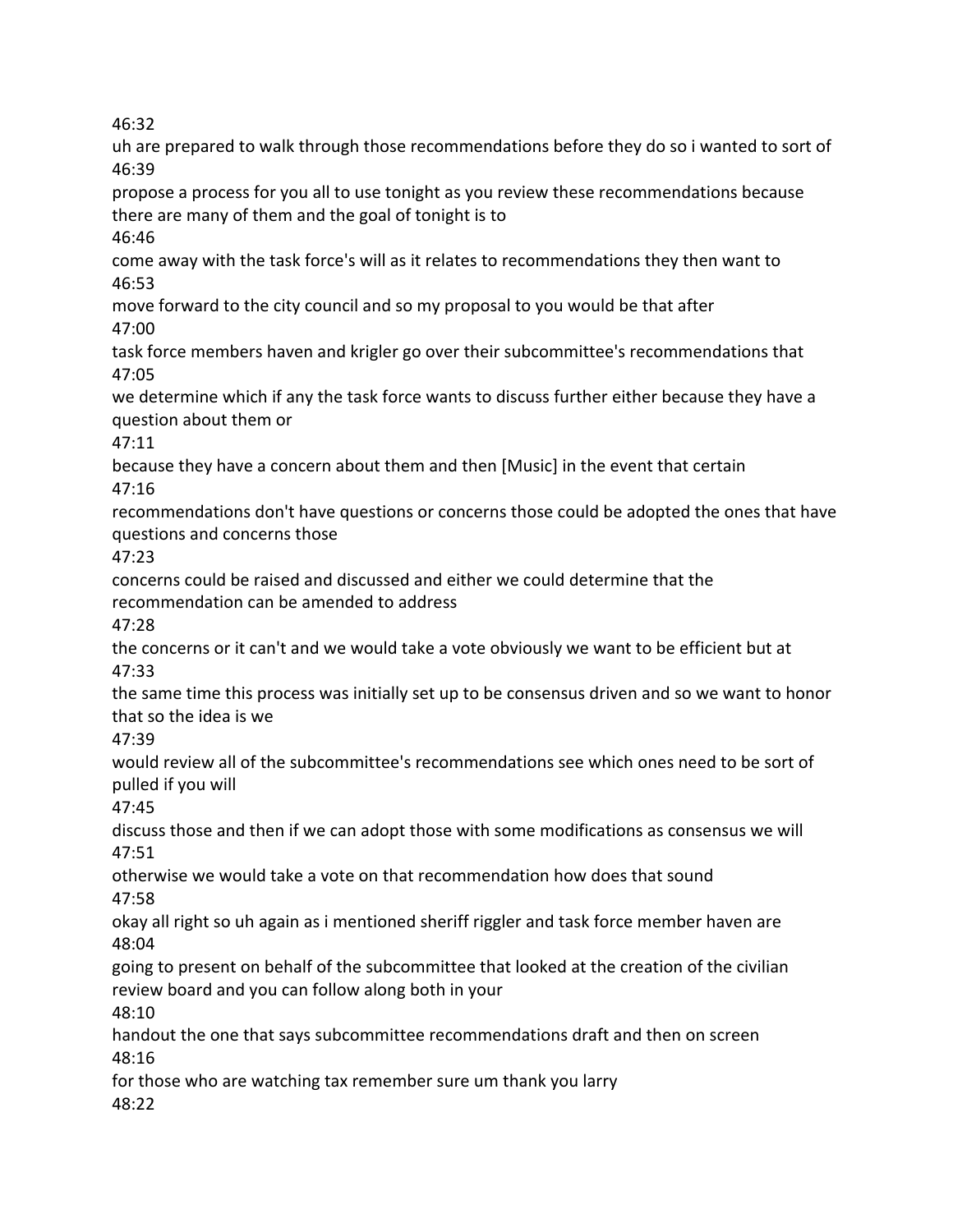46:32

uh are prepared to walk through those recommendations before they do so i wanted to sort of 46:39

propose a process for you all to use tonight as you review these recommendations because there are many of them and the goal of tonight is to

46:46

come away with the task force's will as it relates to recommendations they then want to 46:53

move forward to the city council and so my proposal to you would be that after 47:00

task force members haven and krigler go over their subcommittee's recommendations that 47:05

we determine which if any the task force wants to discuss further either because they have a question about them or

47:11

because they have a concern about them and then [Music] in the event that certain 47:16

recommendations don't have questions or concerns those could be adopted the ones that have questions and concerns those

47:23

concerns could be raised and discussed and either we could determine that the recommendation can be amended to address

47:28

the concerns or it can't and we would take a vote obviously we want to be efficient but at 47:33

the same time this process was initially set up to be consensus driven and so we want to honor that so the idea is we

47:39

would review all of the subcommittee's recommendations see which ones need to be sort of pulled if you will

47:45

discuss those and then if we can adopt those with some modifications as consensus we will 47:51

otherwise we would take a vote on that recommendation how does that sound 47:58

okay all right so uh again as i mentioned sheriff riggler and task force member haven are 48:04

going to present on behalf of the subcommittee that looked at the creation of the civilian review board and you can follow along both in your

48:10

handout the one that says subcommittee recommendations draft and then on screen 48:16

for those who are watching tax remember sure um thank you larry 48:22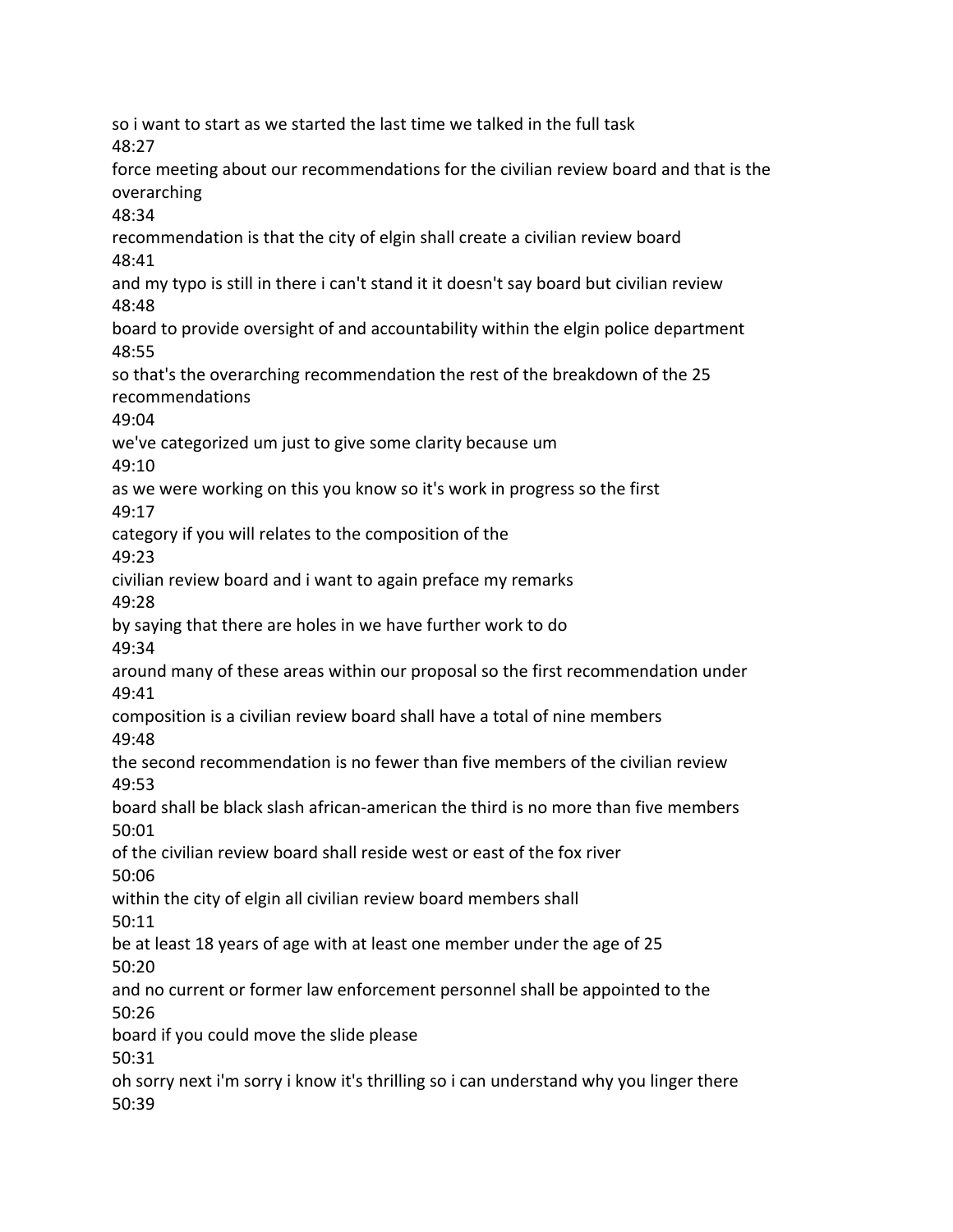so i want to start as we started the last time we talked in the full task 48:27 force meeting about our recommendations for the civilian review board and that is the overarching 48:34 recommendation is that the city of elgin shall create a civilian review board 48:41 and my typo is still in there i can't stand it it doesn't say board but civilian review 48:48 board to provide oversight of and accountability within the elgin police department 48:55 so that's the overarching recommendation the rest of the breakdown of the 25 recommendations 49:04 we've categorized um just to give some clarity because um 49:10 as we were working on this you know so it's work in progress so the first 49:17 category if you will relates to the composition of the 49:23 civilian review board and i want to again preface my remarks 49:28 by saying that there are holes in we have further work to do 49:34 around many of these areas within our proposal so the first recommendation under 49:41 composition is a civilian review board shall have a total of nine members 49:48 the second recommendation is no fewer than five members of the civilian review 49:53 board shall be black slash african-american the third is no more than five members 50:01 of the civilian review board shall reside west or east of the fox river 50:06 within the city of elgin all civilian review board members shall 50:11 be at least 18 years of age with at least one member under the age of 25 50:20 and no current or former law enforcement personnel shall be appointed to the 50:26 board if you could move the slide please 50:31 oh sorry next i'm sorry i know it's thrilling so i can understand why you linger there 50:39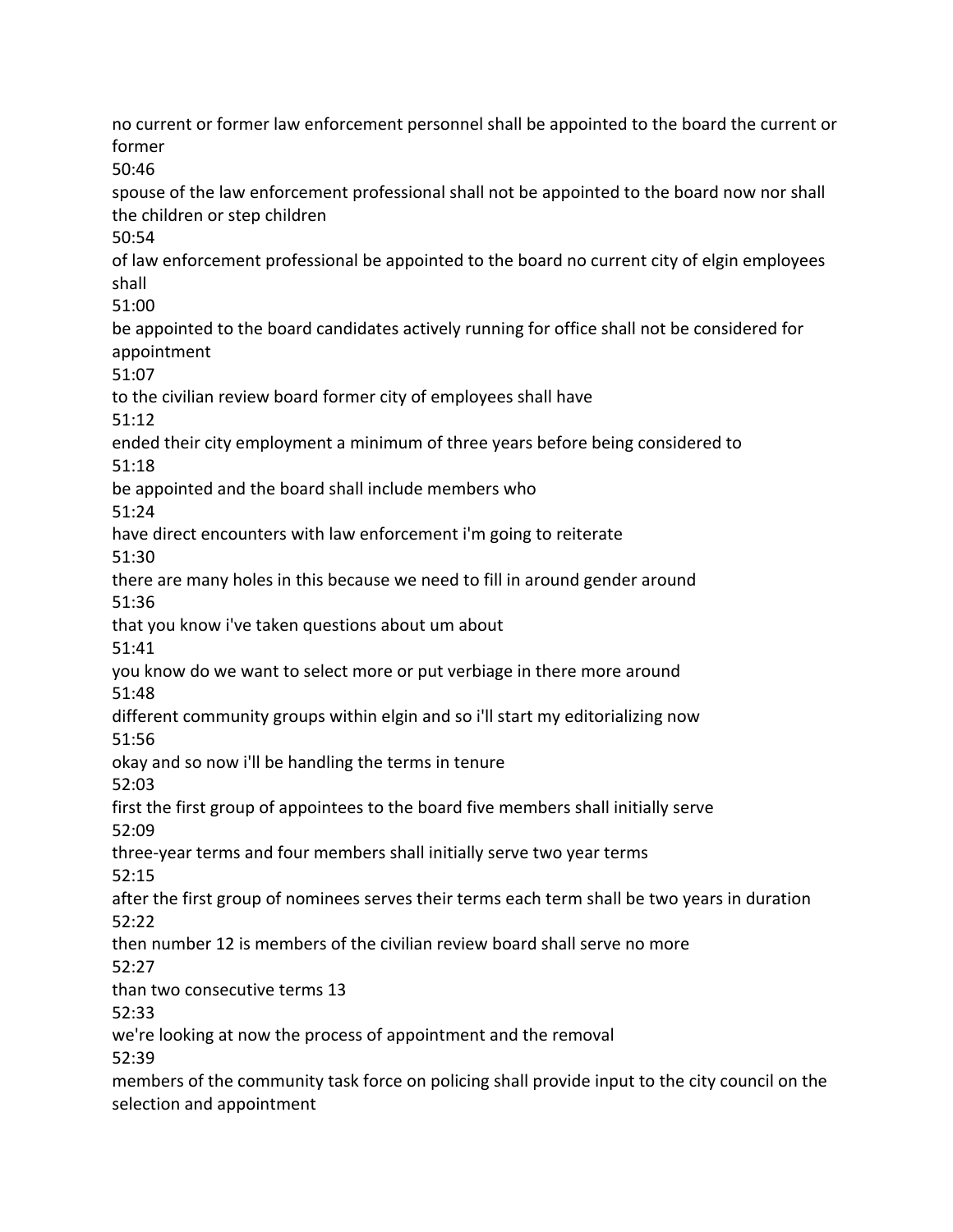no current or former law enforcement personnel shall be appointed to the board the current or former 50:46 spouse of the law enforcement professional shall not be appointed to the board now nor shall the children or step children 50:54 of law enforcement professional be appointed to the board no current city of elgin employees shall 51:00 be appointed to the board candidates actively running for office shall not be considered for appointment 51:07 to the civilian review board former city of employees shall have 51:12 ended their city employment a minimum of three years before being considered to 51:18 be appointed and the board shall include members who 51:24 have direct encounters with law enforcement i'm going to reiterate 51:30 there are many holes in this because we need to fill in around gender around 51:36 that you know i've taken questions about um about 51:41 you know do we want to select more or put verbiage in there more around 51:48 different community groups within elgin and so i'll start my editorializing now 51:56 okay and so now i'll be handling the terms in tenure 52:03 first the first group of appointees to the board five members shall initially serve 52:09 three-year terms and four members shall initially serve two year terms 52:15 after the first group of nominees serves their terms each term shall be two years in duration 52:22 then number 12 is members of the civilian review board shall serve no more  $52.27$ than two consecutive terms 13 52:33 we're looking at now the process of appointment and the removal 52:39 members of the community task force on policing shall provide input to the city council on the selection and appointment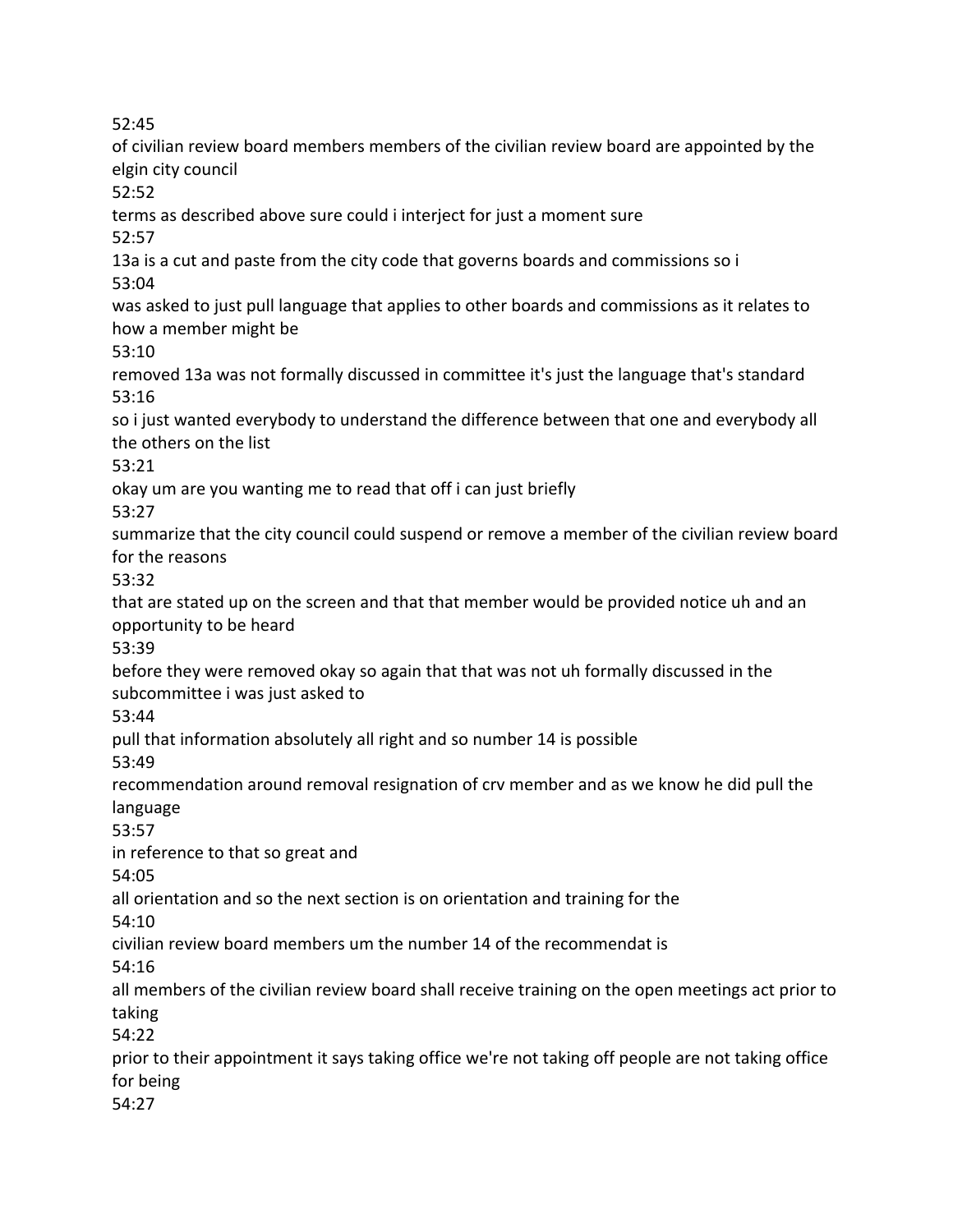52:45

of civilian review board members members of the civilian review board are appointed by the elgin city council 52:52 terms as described above sure could i interject for just a moment sure 52:57 13a is a cut and paste from the city code that governs boards and commissions so i 53:04 was asked to just pull language that applies to other boards and commissions as it relates to how a member might be 53:10 removed 13a was not formally discussed in committee it's just the language that's standard 53:16 so i just wanted everybody to understand the difference between that one and everybody all the others on the list 53:21 okay um are you wanting me to read that off i can just briefly 53:27 summarize that the city council could suspend or remove a member of the civilian review board for the reasons 53:32 that are stated up on the screen and that that member would be provided notice uh and an opportunity to be heard 53:39 before they were removed okay so again that that was not uh formally discussed in the subcommittee i was just asked to 53:44 pull that information absolutely all right and so number 14 is possible 53:49 recommendation around removal resignation of crv member and as we know he did pull the language 53:57 in reference to that so great and 54:05 all orientation and so the next section is on orientation and training for the 54:10 civilian review board members um the number 14 of the recommendat is 54:16 all members of the civilian review board shall receive training on the open meetings act prior to taking 54:22 prior to their appointment it says taking office we're not taking off people are not taking office for being 54:27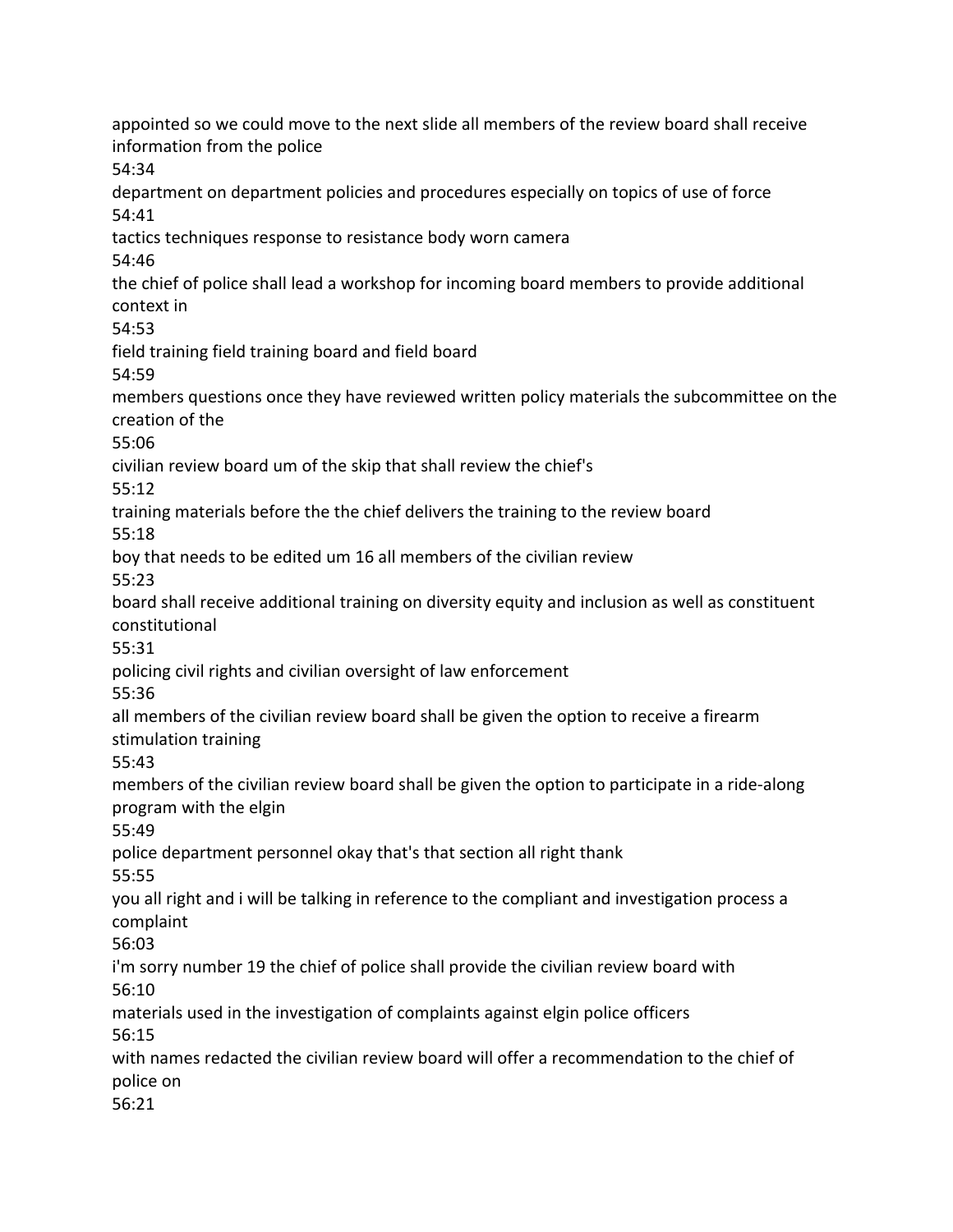appointed so we could move to the next slide all members of the review board shall receive information from the police 54:34 department on department policies and procedures especially on topics of use of force 54:41 tactics techniques response to resistance body worn camera 54:46 the chief of police shall lead a workshop for incoming board members to provide additional context in 54:53 field training field training board and field board 54:59 members questions once they have reviewed written policy materials the subcommittee on the creation of the 55:06 civilian review board um of the skip that shall review the chief's 55:12 training materials before the the chief delivers the training to the review board 55:18 boy that needs to be edited um 16 all members of the civilian review 55:23 board shall receive additional training on diversity equity and inclusion as well as constituent constitutional 55:31 policing civil rights and civilian oversight of law enforcement 55:36 all members of the civilian review board shall be given the option to receive a firearm stimulation training 55:43 members of the civilian review board shall be given the option to participate in a ride-along program with the elgin 55:49 police department personnel okay that's that section all right thank 55:55 you all right and i will be talking in reference to the compliant and investigation process a complaint 56:03 i'm sorry number 19 the chief of police shall provide the civilian review board with 56:10 materials used in the investigation of complaints against elgin police officers 56:15 with names redacted the civilian review board will offer a recommendation to the chief of police on 56:21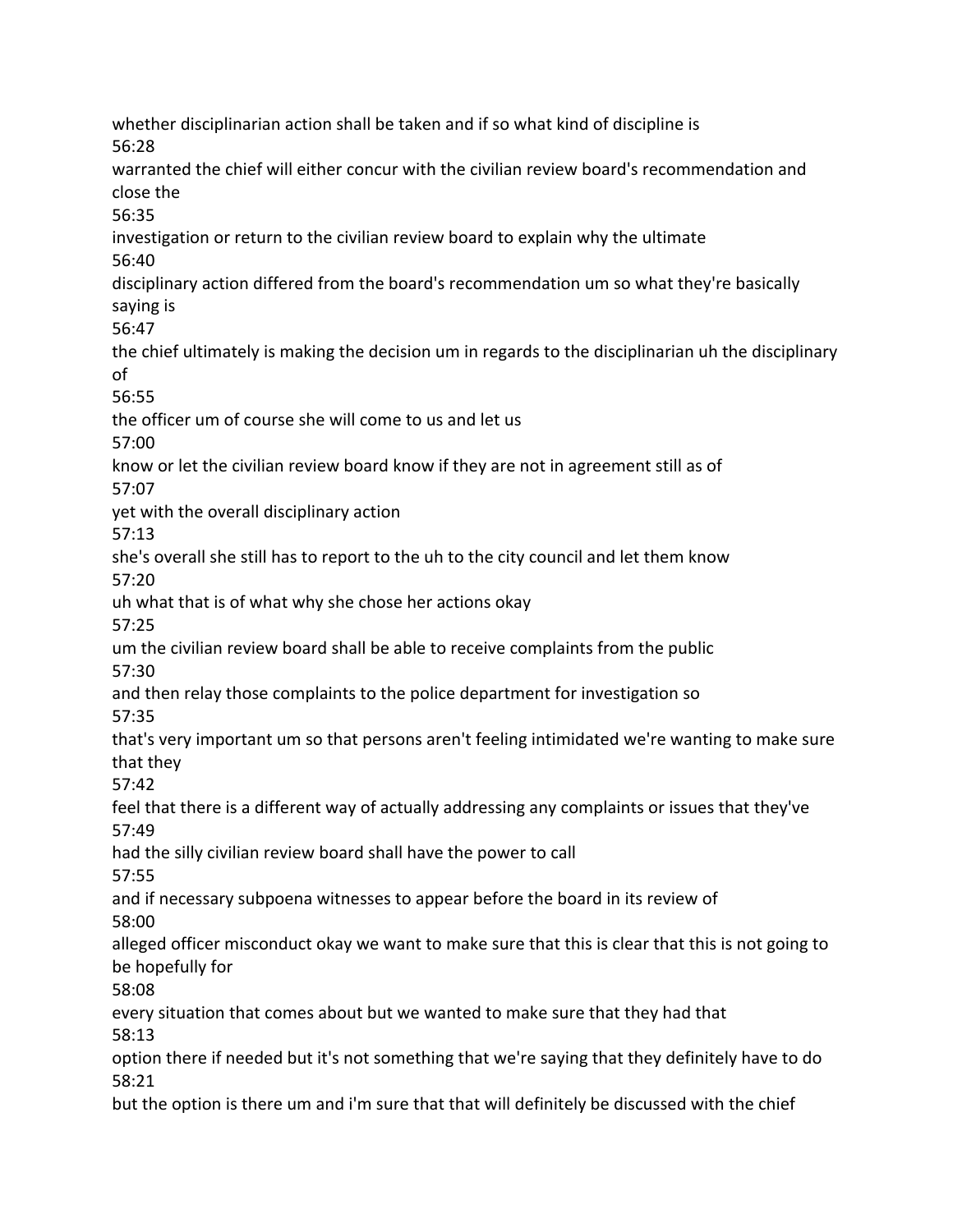whether disciplinarian action shall be taken and if so what kind of discipline is 56:28 warranted the chief will either concur with the civilian review board's recommendation and close the 56:35 investigation or return to the civilian review board to explain why the ultimate 56:40 disciplinary action differed from the board's recommendation um so what they're basically saying is 56:47 the chief ultimately is making the decision um in regards to the disciplinarian uh the disciplinary of 56:55 the officer um of course she will come to us and let us 57:00 know or let the civilian review board know if they are not in agreement still as of 57:07 yet with the overall disciplinary action 57:13 she's overall she still has to report to the uh to the city council and let them know 57:20 uh what that is of what why she chose her actions okay 57:25 um the civilian review board shall be able to receive complaints from the public 57:30 and then relay those complaints to the police department for investigation so 57:35 that's very important um so that persons aren't feeling intimidated we're wanting to make sure that they 57:42 feel that there is a different way of actually addressing any complaints or issues that they've 57:49 had the silly civilian review board shall have the power to call 57:55 and if necessary subpoena witnesses to appear before the board in its review of 58:00 alleged officer misconduct okay we want to make sure that this is clear that this is not going to be hopefully for 58:08 every situation that comes about but we wanted to make sure that they had that 58:13 option there if needed but it's not something that we're saying that they definitely have to do 58:21 but the option is there um and i'm sure that that will definitely be discussed with the chief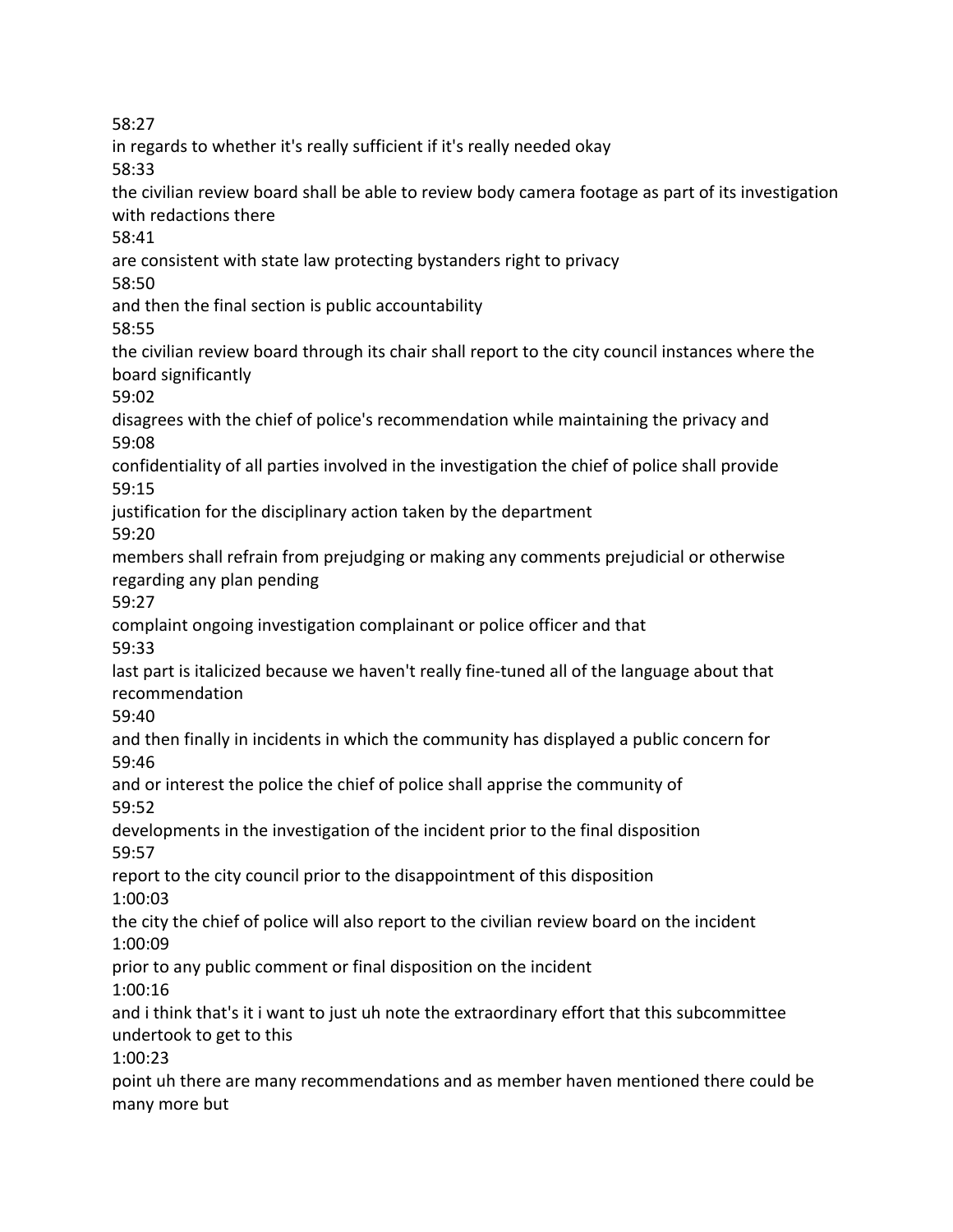58:27

in regards to whether it's really sufficient if it's really needed okay 58:33 the civilian review board shall be able to review body camera footage as part of its investigation with redactions there 58:41 are consistent with state law protecting bystanders right to privacy 58:50 and then the final section is public accountability 58:55 the civilian review board through its chair shall report to the city council instances where the board significantly 59:02 disagrees with the chief of police's recommendation while maintaining the privacy and 59:08 confidentiality of all parties involved in the investigation the chief of police shall provide 59:15 justification for the disciplinary action taken by the department 59:20 members shall refrain from prejudging or making any comments prejudicial or otherwise regarding any plan pending 59:27 complaint ongoing investigation complainant or police officer and that 59:33 last part is italicized because we haven't really fine-tuned all of the language about that recommendation 59:40 and then finally in incidents in which the community has displayed a public concern for 59:46 and or interest the police the chief of police shall apprise the community of 59:52 developments in the investigation of the incident prior to the final disposition 59:57 report to the city council prior to the disappointment of this disposition 1:00:03 the city the chief of police will also report to the civilian review board on the incident 1:00:09 prior to any public comment or final disposition on the incident 1:00:16 and i think that's it i want to just uh note the extraordinary effort that this subcommittee undertook to get to this 1:00:23 point uh there are many recommendations and as member haven mentioned there could be many more but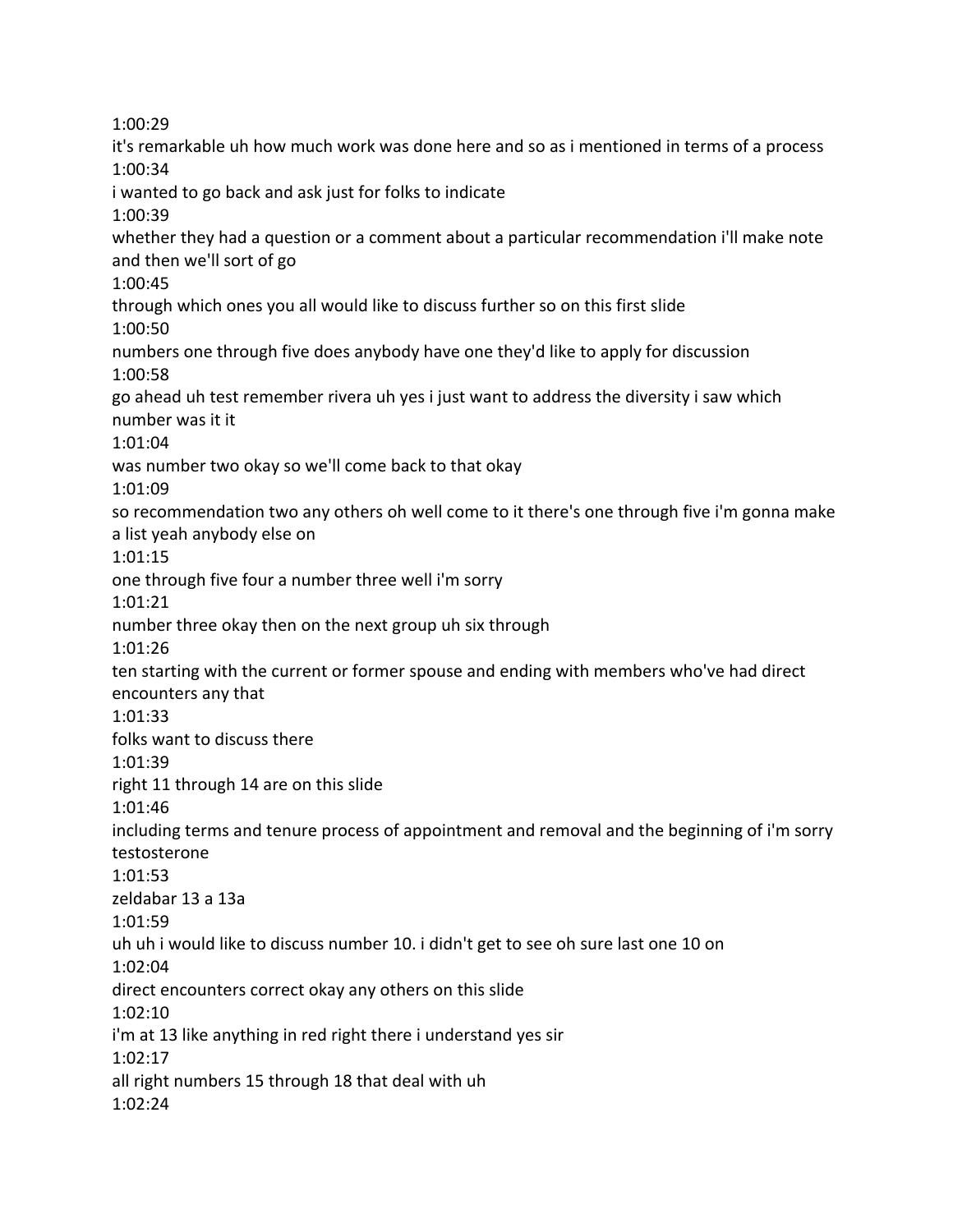1:00:29 it's remarkable uh how much work was done here and so as i mentioned in terms of a process 1:00:34 i wanted to go back and ask just for folks to indicate 1:00:39 whether they had a question or a comment about a particular recommendation i'll make note and then we'll sort of go 1:00:45 through which ones you all would like to discuss further so on this first slide 1:00:50 numbers one through five does anybody have one they'd like to apply for discussion 1:00:58 go ahead uh test remember rivera uh yes i just want to address the diversity i saw which number was it it 1:01:04 was number two okay so we'll come back to that okay 1:01:09 so recommendation two any others oh well come to it there's one through five i'm gonna make a list yeah anybody else on 1:01:15 one through five four a number three well i'm sorry 1:01:21 number three okay then on the next group uh six through 1:01:26 ten starting with the current or former spouse and ending with members who've had direct encounters any that 1:01:33 folks want to discuss there 1:01:39 right 11 through 14 are on this slide 1:01:46 including terms and tenure process of appointment and removal and the beginning of i'm sorry testosterone 1:01:53 zeldabar 13 a 13a 1:01:59 uh uh i would like to discuss number 10. i didn't get to see oh sure last one 10 on 1:02:04 direct encounters correct okay any others on this slide 1:02:10 i'm at 13 like anything in red right there i understand yes sir 1:02:17 all right numbers 15 through 18 that deal with uh 1:02:24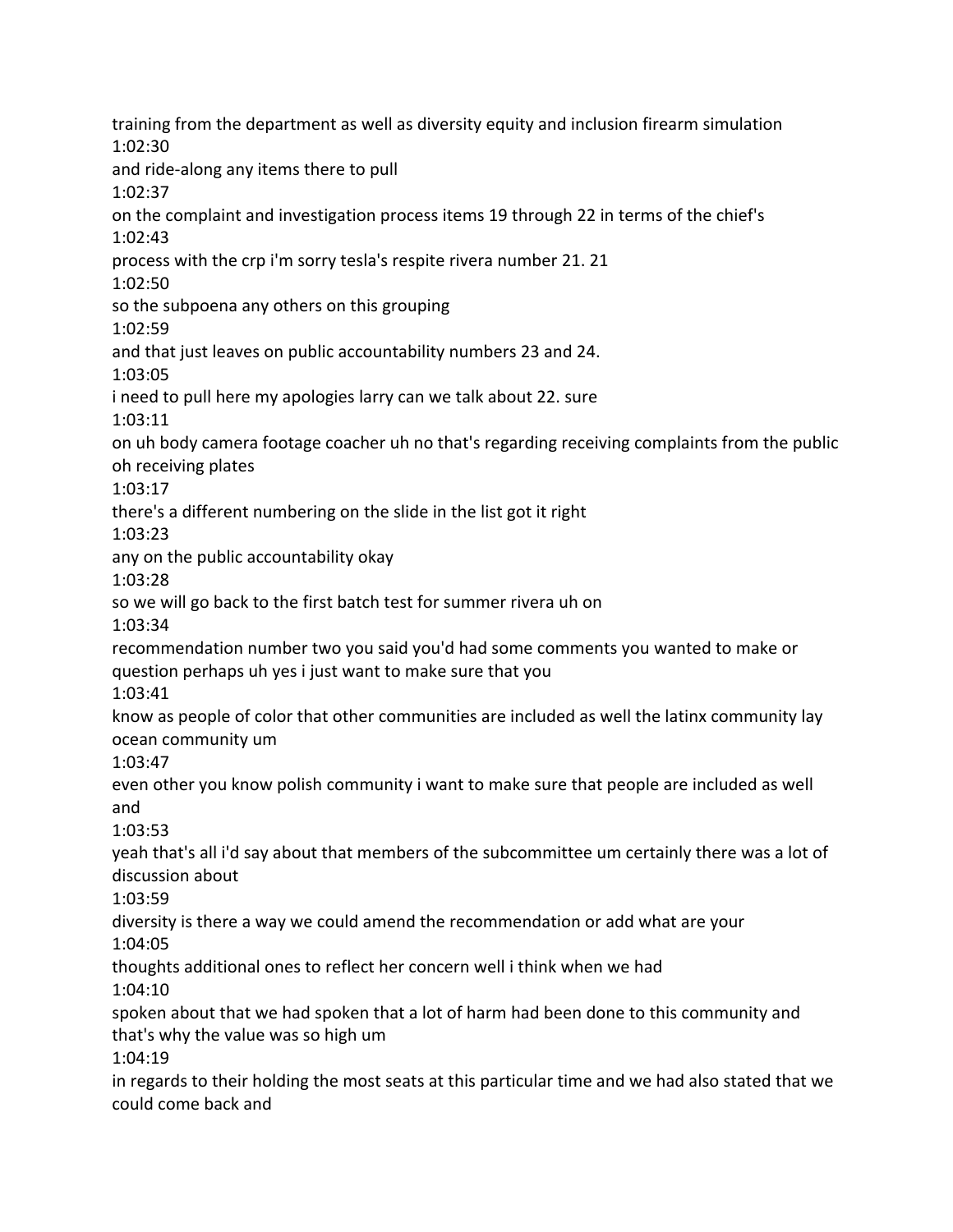training from the department as well as diversity equity and inclusion firearm simulation 1:02:30 and ride-along any items there to pull 1:02:37 on the complaint and investigation process items 19 through 22 in terms of the chief's 1:02:43 process with the crp i'm sorry tesla's respite rivera number 21. 21 1:02:50 so the subpoena any others on this grouping 1:02:59 and that just leaves on public accountability numbers 23 and 24. 1:03:05 i need to pull here my apologies larry can we talk about 22. sure 1:03:11 on uh body camera footage coacher uh no that's regarding receiving complaints from the public oh receiving plates 1:03:17 there's a different numbering on the slide in the list got it right 1:03:23 any on the public accountability okay 1:03:28 so we will go back to the first batch test for summer rivera uh on 1:03:34 recommendation number two you said you'd had some comments you wanted to make or question perhaps uh yes i just want to make sure that you 1:03:41 know as people of color that other communities are included as well the latinx community lay ocean community um 1:03:47 even other you know polish community i want to make sure that people are included as well and 1:03:53 yeah that's all i'd say about that members of the subcommittee um certainly there was a lot of discussion about 1:03:59 diversity is there a way we could amend the recommendation or add what are your 1:04:05 thoughts additional ones to reflect her concern well i think when we had 1:04:10 spoken about that we had spoken that a lot of harm had been done to this community and that's why the value was so high um 1:04:19 in regards to their holding the most seats at this particular time and we had also stated that we could come back and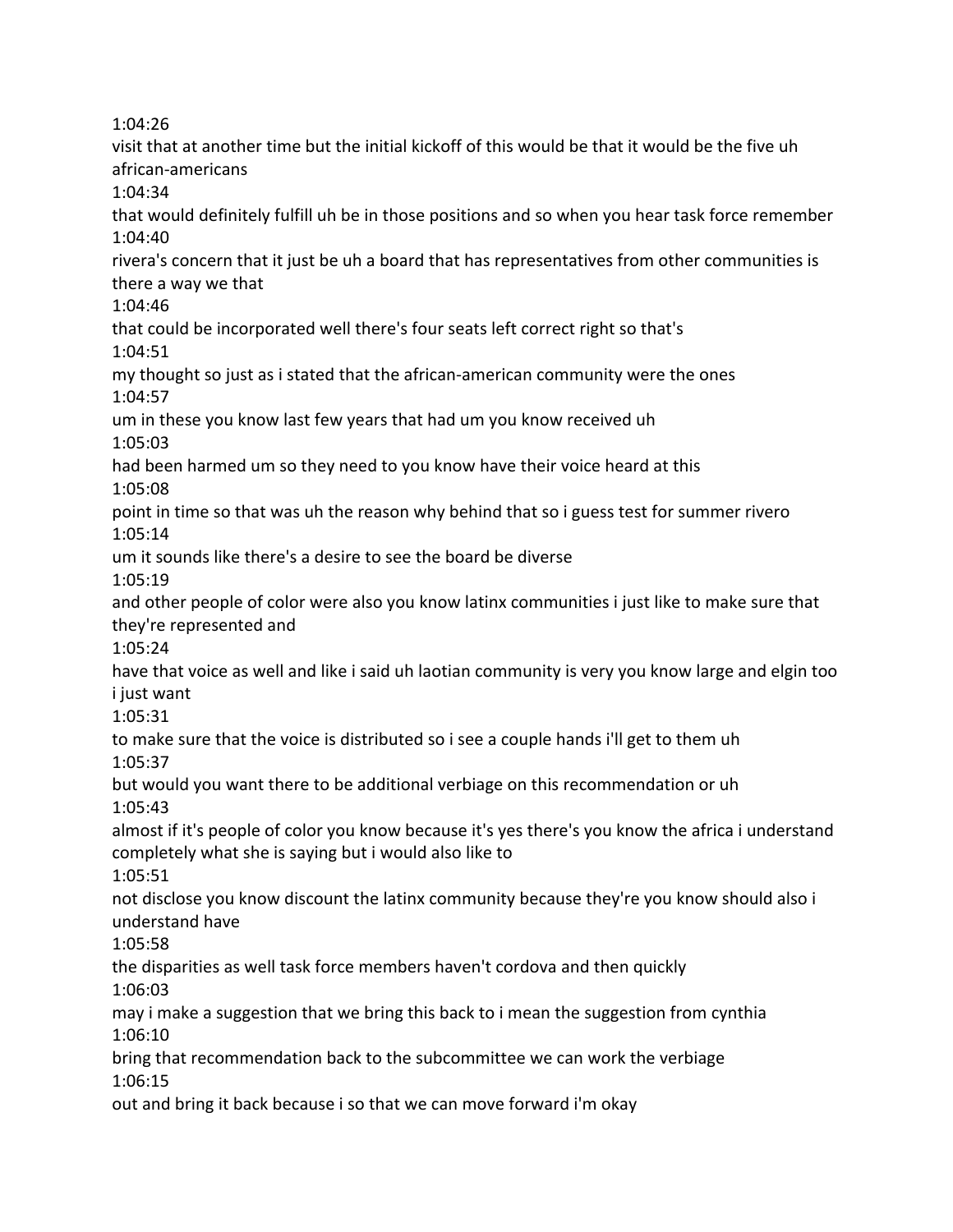1:04:26

visit that at another time but the initial kickoff of this would be that it would be the five uh african-americans 1:04:34 that would definitely fulfill uh be in those positions and so when you hear task force remember 1:04:40 rivera's concern that it just be uh a board that has representatives from other communities is there a way we that 1:04:46 that could be incorporated well there's four seats left correct right so that's 1:04:51 my thought so just as i stated that the african-american community were the ones 1:04:57 um in these you know last few years that had um you know received uh 1:05:03 had been harmed um so they need to you know have their voice heard at this 1:05:08 point in time so that was uh the reason why behind that so i guess test for summer rivero 1:05:14 um it sounds like there's a desire to see the board be diverse 1:05:19 and other people of color were also you know latinx communities i just like to make sure that they're represented and 1:05:24 have that voice as well and like i said uh laotian community is very you know large and elgin too i just want 1:05:31 to make sure that the voice is distributed so i see a couple hands i'll get to them uh 1:05:37 but would you want there to be additional verbiage on this recommendation or uh 1:05:43 almost if it's people of color you know because it's yes there's you know the africa i understand completely what she is saying but i would also like to 1:05:51 not disclose you know discount the latinx community because they're you know should also i understand have 1:05:58 the disparities as well task force members haven't cordova and then quickly 1:06:03 may i make a suggestion that we bring this back to i mean the suggestion from cynthia 1:06:10 bring that recommendation back to the subcommittee we can work the verbiage 1:06:15 out and bring it back because i so that we can move forward i'm okay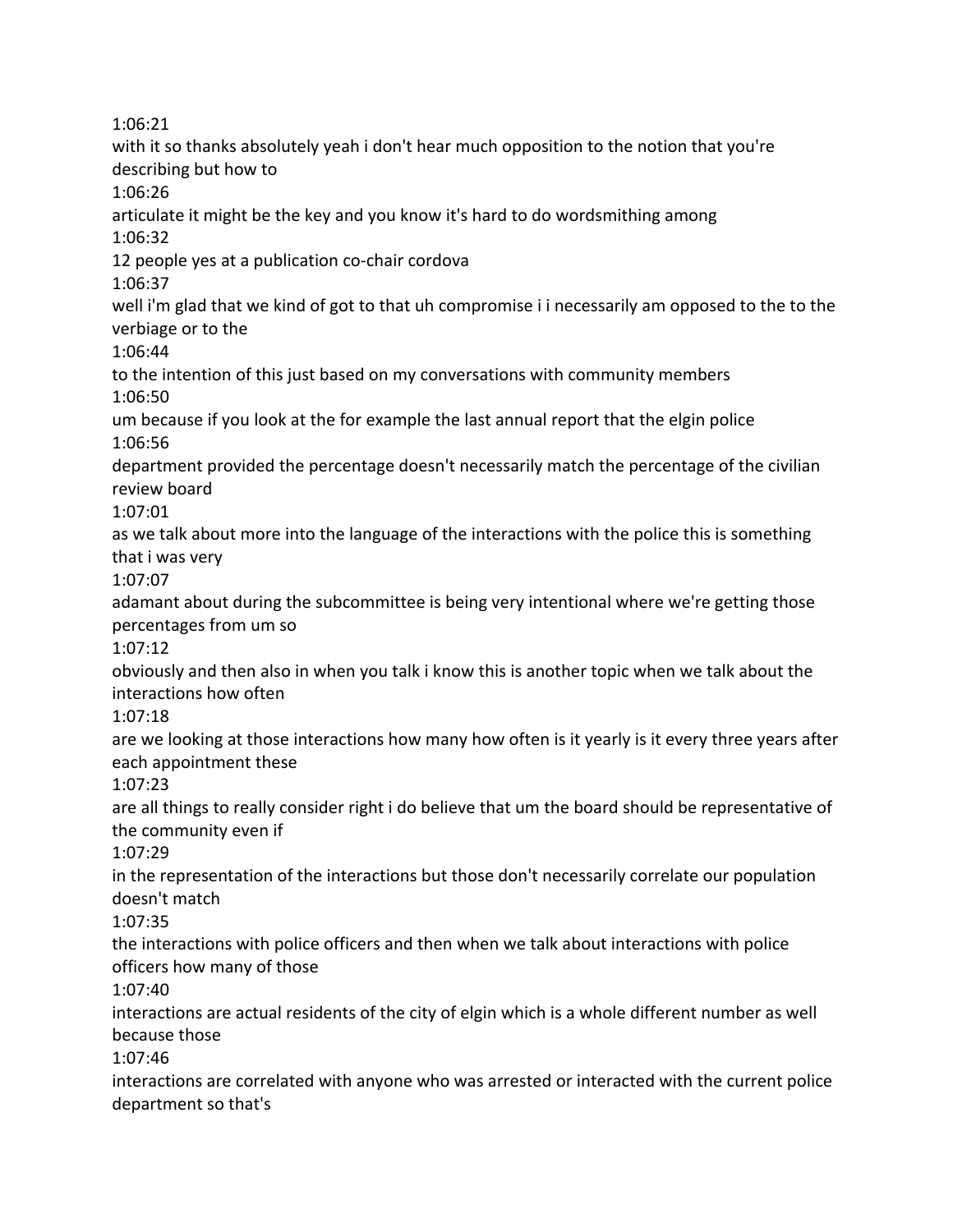1:06:21 with it so thanks absolutely yeah i don't hear much opposition to the notion that you're describing but how to 1:06:26 articulate it might be the key and you know it's hard to do wordsmithing among 1:06:32 12 people yes at a publication co-chair cordova 1:06:37 well i'm glad that we kind of got to that uh compromise i i necessarily am opposed to the to the verbiage or to the 1:06:44 to the intention of this just based on my conversations with community members 1:06:50 um because if you look at the for example the last annual report that the elgin police 1:06:56 department provided the percentage doesn't necessarily match the percentage of the civilian review board 1:07:01 as we talk about more into the language of the interactions with the police this is something that i was very 1:07:07 adamant about during the subcommittee is being very intentional where we're getting those percentages from um so 1:07:12 obviously and then also in when you talk i know this is another topic when we talk about the interactions how often 1:07:18 are we looking at those interactions how many how often is it yearly is it every three years after each appointment these 1:07:23 are all things to really consider right i do believe that um the board should be representative of the community even if 1:07:29 in the representation of the interactions but those don't necessarily correlate our population doesn't match 1:07:35 the interactions with police officers and then when we talk about interactions with police officers how many of those 1:07:40 interactions are actual residents of the city of elgin which is a whole different number as well because those 1:07:46 interactions are correlated with anyone who was arrested or interacted with the current police department so that's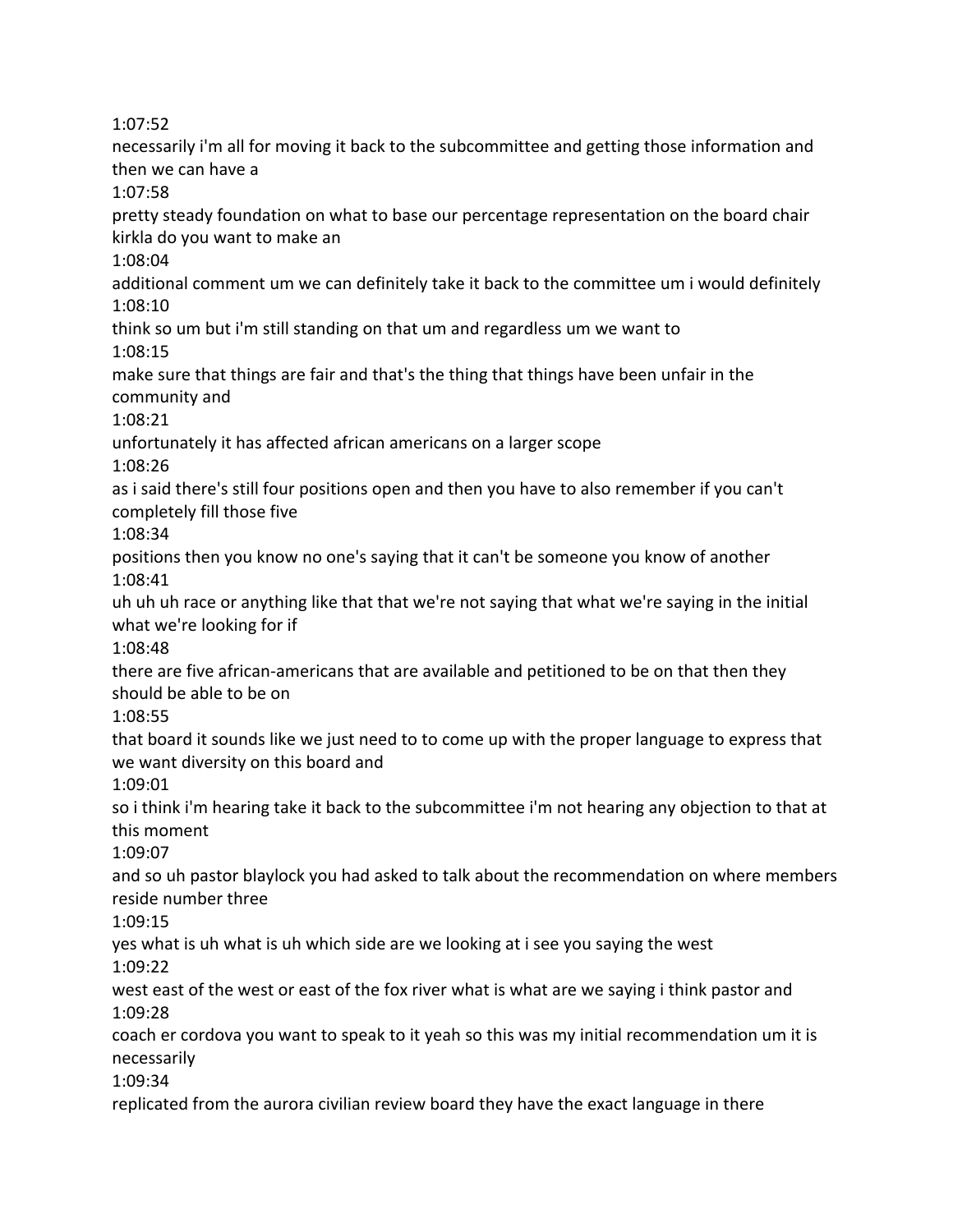1:07:52

necessarily i'm all for moving it back to the subcommittee and getting those information and then we can have a

1:07:58

pretty steady foundation on what to base our percentage representation on the board chair kirkla do you want to make an

1:08:04

additional comment um we can definitely take it back to the committee um i would definitely 1:08:10

think so um but i'm still standing on that um and regardless um we want to 1:08:15

make sure that things are fair and that's the thing that things have been unfair in the community and

1:08:21

unfortunately it has affected african americans on a larger scope

1:08:26

as i said there's still four positions open and then you have to also remember if you can't completely fill those five

1:08:34

positions then you know no one's saying that it can't be someone you know of another 1:08:41

uh uh uh race or anything like that that we're not saying that what we're saying in the initial what we're looking for if

1:08:48

there are five african-americans that are available and petitioned to be on that then they should be able to be on

1:08:55

that board it sounds like we just need to to come up with the proper language to express that we want diversity on this board and

1:09:01

so i think i'm hearing take it back to the subcommittee i'm not hearing any objection to that at this moment

1:09:07

and so uh pastor blaylock you had asked to talk about the recommendation on where members reside number three

1:09:15

yes what is uh what is uh which side are we looking at i see you saying the west

1:09:22

west east of the west or east of the fox river what is what are we saying i think pastor and 1:09:28

coach er cordova you want to speak to it yeah so this was my initial recommendation um it is necessarily

1:09:34

replicated from the aurora civilian review board they have the exact language in there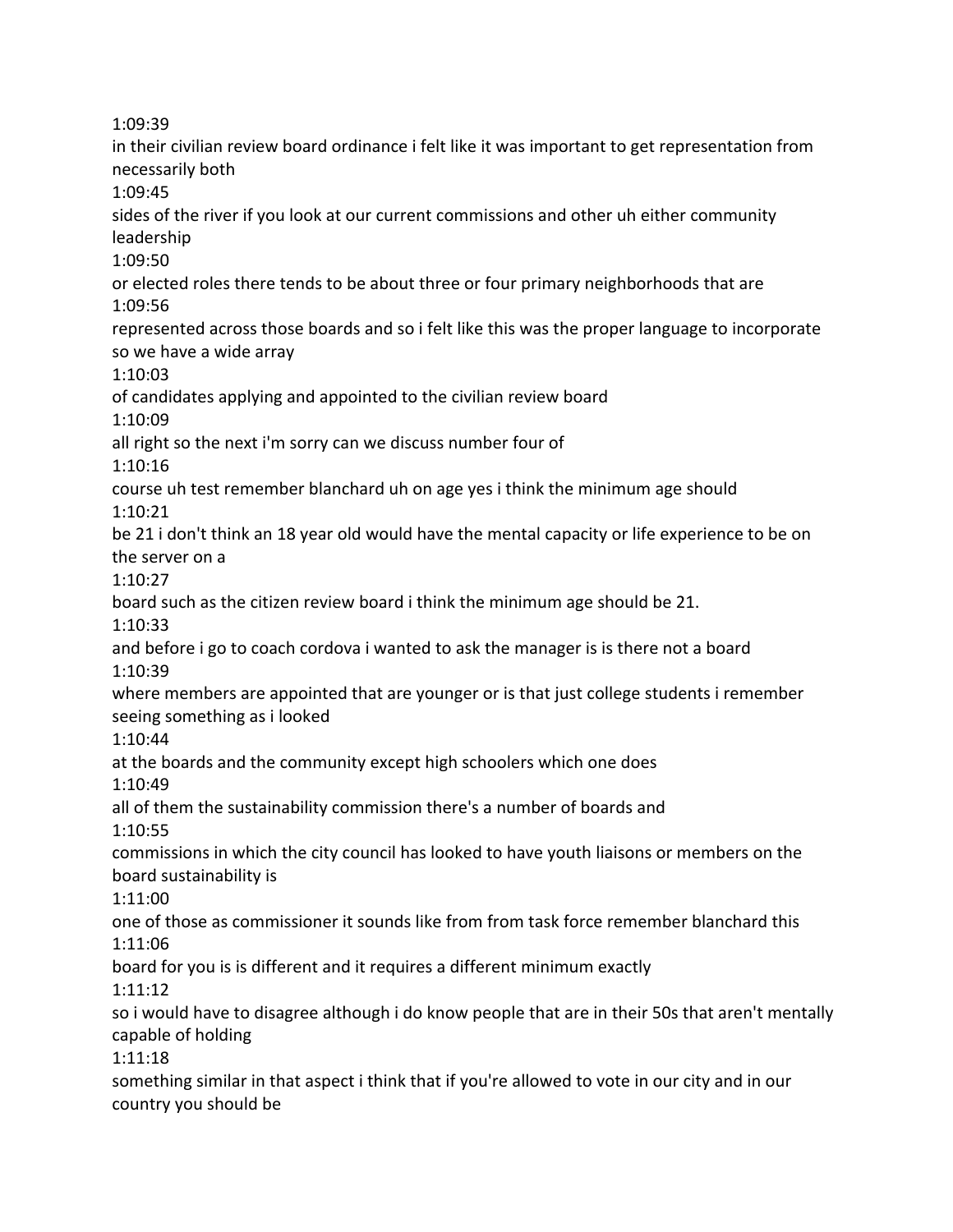1:09:39

in their civilian review board ordinance i felt like it was important to get representation from necessarily both 1:09:45 sides of the river if you look at our current commissions and other uh either community leadership 1:09:50 or elected roles there tends to be about three or four primary neighborhoods that are 1:09:56 represented across those boards and so i felt like this was the proper language to incorporate so we have a wide array 1:10:03 of candidates applying and appointed to the civilian review board 1:10:09 all right so the next i'm sorry can we discuss number four of 1:10:16 course uh test remember blanchard uh on age yes i think the minimum age should 1:10:21 be 21 i don't think an 18 year old would have the mental capacity or life experience to be on the server on a 1:10:27 board such as the citizen review board i think the minimum age should be 21. 1:10:33 and before i go to coach cordova i wanted to ask the manager is is there not a board 1:10:39 where members are appointed that are younger or is that just college students i remember seeing something as i looked 1:10:44 at the boards and the community except high schoolers which one does 1:10:49 all of them the sustainability commission there's a number of boards and 1:10:55 commissions in which the city council has looked to have youth liaisons or members on the board sustainability is 1:11:00 one of those as commissioner it sounds like from from task force remember blanchard this 1:11:06 board for you is is different and it requires a different minimum exactly 1:11:12 so i would have to disagree although i do know people that are in their 50s that aren't mentally capable of holding 1:11:18 something similar in that aspect i think that if you're allowed to vote in our city and in our country you should be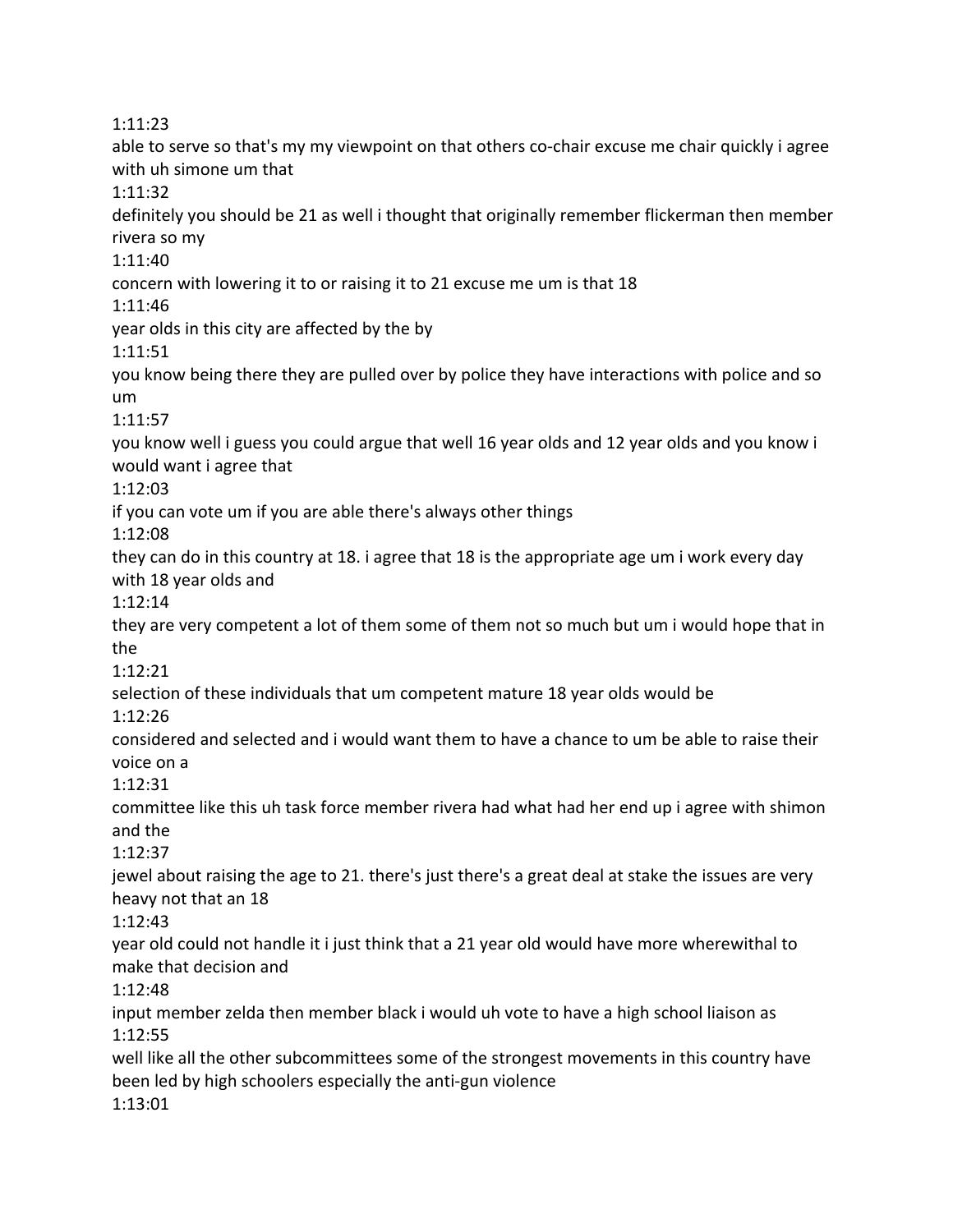1:11:23 able to serve so that's my my viewpoint on that others co-chair excuse me chair quickly i agree with uh simone um that 1:11:32 definitely you should be 21 as well i thought that originally remember flickerman then member rivera so my 1:11:40 concern with lowering it to or raising it to 21 excuse me um is that 18 1:11:46 year olds in this city are affected by the by 1:11:51 you know being there they are pulled over by police they have interactions with police and so um 1:11:57 you know well i guess you could argue that well 16 year olds and 12 year olds and you know i would want i agree that 1:12:03 if you can vote um if you are able there's always other things 1:12:08 they can do in this country at 18. i agree that 18 is the appropriate age um i work every day with 18 year olds and 1:12:14 they are very competent a lot of them some of them not so much but um i would hope that in the 1:12:21 selection of these individuals that um competent mature 18 year olds would be 1:12:26 considered and selected and i would want them to have a chance to um be able to raise their voice on a 1:12:31 committee like this uh task force member rivera had what had her end up i agree with shimon and the 1:12:37 jewel about raising the age to 21. there's just there's a great deal at stake the issues are very heavy not that an 18 1:12:43 year old could not handle it i just think that a 21 year old would have more wherewithal to make that decision and 1:12:48 input member zelda then member black i would uh vote to have a high school liaison as 1:12:55 well like all the other subcommittees some of the strongest movements in this country have been led by high schoolers especially the anti-gun violence 1:13:01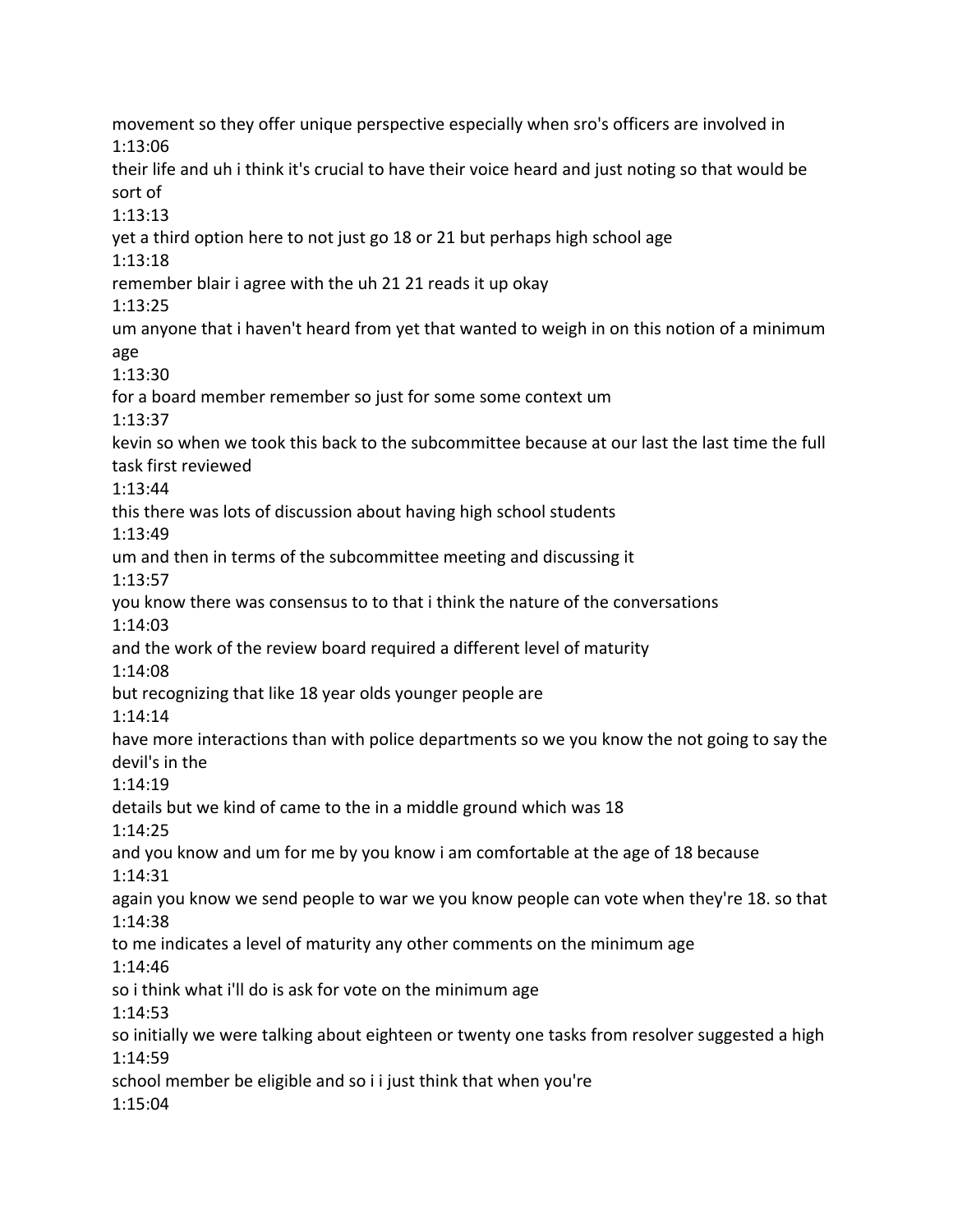movement so they offer unique perspective especially when sro's officers are involved in 1:13:06 their life and uh i think it's crucial to have their voice heard and just noting so that would be sort of 1:13:13 yet a third option here to not just go 18 or 21 but perhaps high school age 1:13:18 remember blair i agree with the uh 21 21 reads it up okay 1:13:25 um anyone that i haven't heard from yet that wanted to weigh in on this notion of a minimum age 1:13:30 for a board member remember so just for some some context um 1:13:37 kevin so when we took this back to the subcommittee because at our last the last time the full task first reviewed 1:13:44 this there was lots of discussion about having high school students 1:13:49 um and then in terms of the subcommittee meeting and discussing it 1:13:57 you know there was consensus to to that i think the nature of the conversations 1:14:03 and the work of the review board required a different level of maturity 1:14:08 but recognizing that like 18 year olds younger people are 1:14:14 have more interactions than with police departments so we you know the not going to say the devil's in the 1:14:19 details but we kind of came to the in a middle ground which was 18 1:14:25 and you know and um for me by you know i am comfortable at the age of 18 because 1:14:31 again you know we send people to war we you know people can vote when they're 18. so that 1:14:38 to me indicates a level of maturity any other comments on the minimum age 1:14:46 so i think what i'll do is ask for vote on the minimum age 1:14:53 so initially we were talking about eighteen or twenty one tasks from resolver suggested a high 1:14:59 school member be eligible and so i i just think that when you're 1:15:04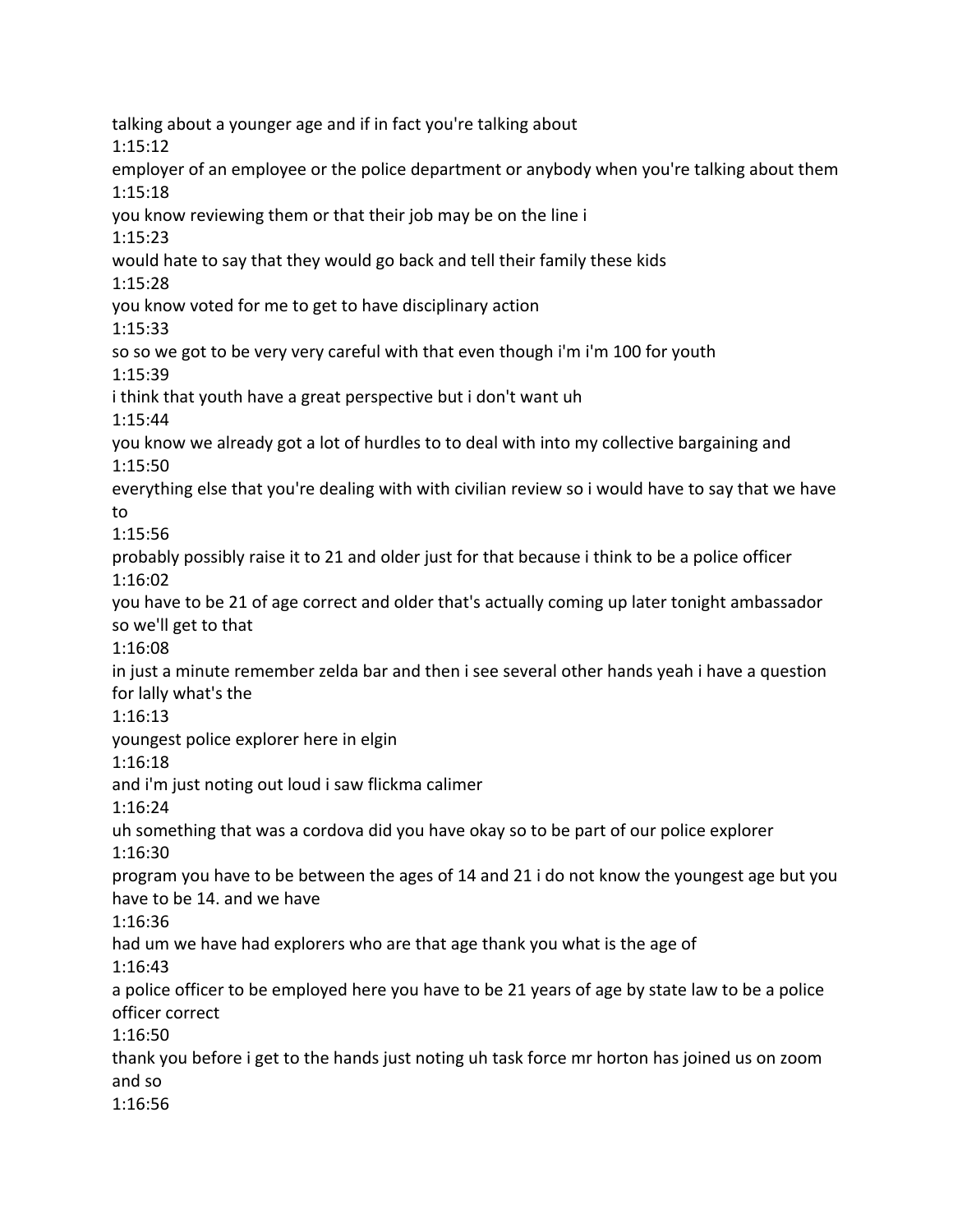talking about a younger age and if in fact you're talking about 1:15:12 employer of an employee or the police department or anybody when you're talking about them 1:15:18 you know reviewing them or that their job may be on the line i 1:15:23 would hate to say that they would go back and tell their family these kids 1:15:28 you know voted for me to get to have disciplinary action 1:15:33 so so we got to be very very careful with that even though i'm i'm 100 for youth 1:15:39 i think that youth have a great perspective but i don't want uh 1:15:44 you know we already got a lot of hurdles to to deal with into my collective bargaining and 1:15:50 everything else that you're dealing with with civilian review so i would have to say that we have to 1:15:56 probably possibly raise it to 21 and older just for that because i think to be a police officer 1:16:02 you have to be 21 of age correct and older that's actually coming up later tonight ambassador so we'll get to that 1:16:08 in just a minute remember zelda bar and then i see several other hands yeah i have a question for lally what's the 1:16:13 youngest police explorer here in elgin 1:16:18 and i'm just noting out loud i saw flickma calimer 1:16:24 uh something that was a cordova did you have okay so to be part of our police explorer 1:16:30 program you have to be between the ages of 14 and 21 i do not know the youngest age but you have to be 14. and we have 1:16:36 had um we have had explorers who are that age thank you what is the age of 1:16:43 a police officer to be employed here you have to be 21 years of age by state law to be a police officer correct 1:16:50 thank you before i get to the hands just noting uh task force mr horton has joined us on zoom and so 1:16:56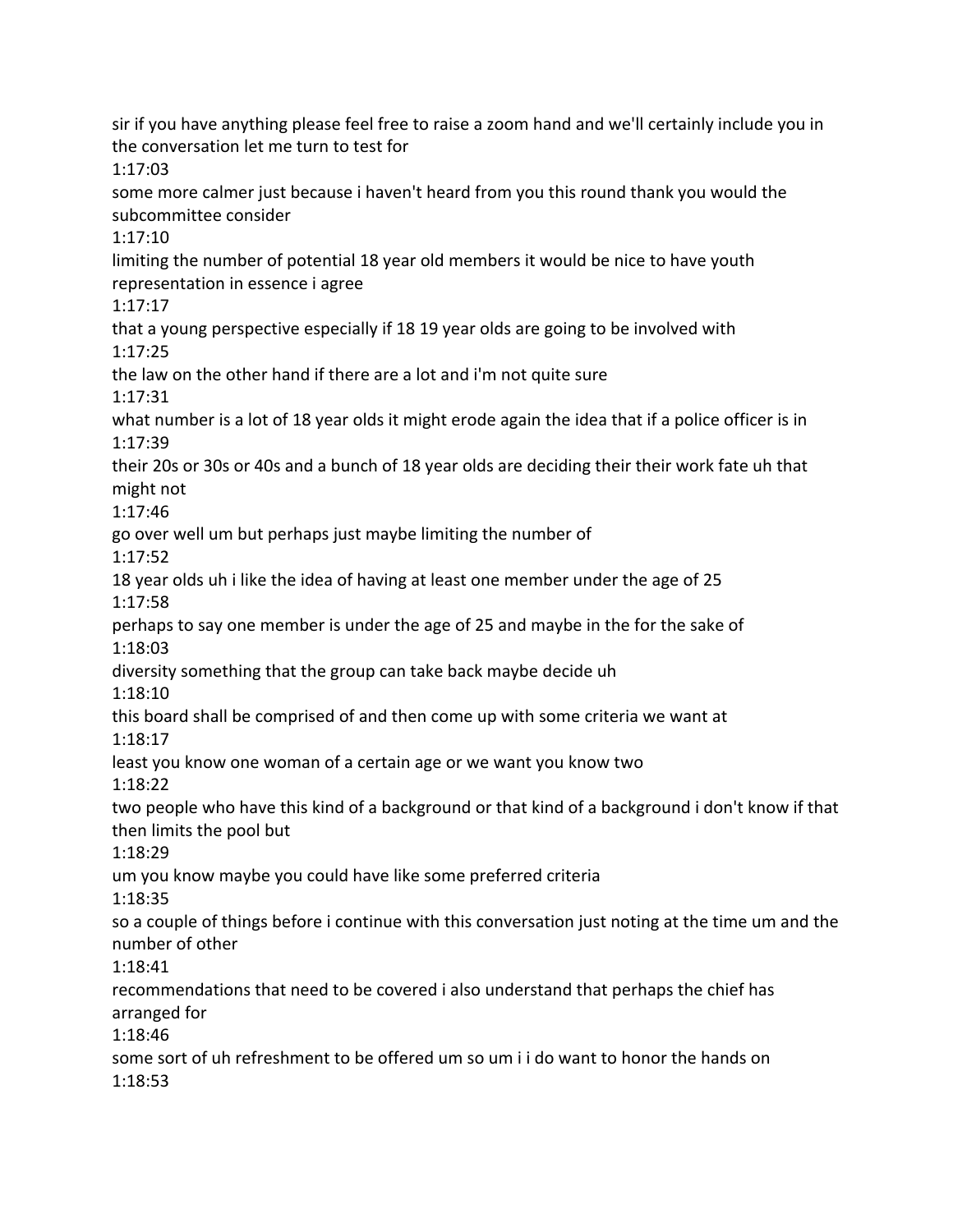sir if you have anything please feel free to raise a zoom hand and we'll certainly include you in the conversation let me turn to test for 1:17:03 some more calmer just because i haven't heard from you this round thank you would the subcommittee consider 1:17:10 limiting the number of potential 18 year old members it would be nice to have youth representation in essence i agree 1:17:17 that a young perspective especially if 18 19 year olds are going to be involved with 1:17:25 the law on the other hand if there are a lot and i'm not quite sure 1:17:31 what number is a lot of 18 year olds it might erode again the idea that if a police officer is in 1:17:39 their 20s or 30s or 40s and a bunch of 18 year olds are deciding their their work fate uh that might not 1:17:46 go over well um but perhaps just maybe limiting the number of 1:17:52 18 year olds uh i like the idea of having at least one member under the age of 25 1:17:58 perhaps to say one member is under the age of 25 and maybe in the for the sake of 1:18:03 diversity something that the group can take back maybe decide uh 1:18:10 this board shall be comprised of and then come up with some criteria we want at 1:18:17 least you know one woman of a certain age or we want you know two 1:18:22 two people who have this kind of a background or that kind of a background i don't know if that then limits the pool but 1:18:29 um you know maybe you could have like some preferred criteria 1:18:35 so a couple of things before i continue with this conversation just noting at the time um and the number of other 1:18:41 recommendations that need to be covered i also understand that perhaps the chief has arranged for 1:18:46 some sort of uh refreshment to be offered um so um i i do want to honor the hands on 1:18:53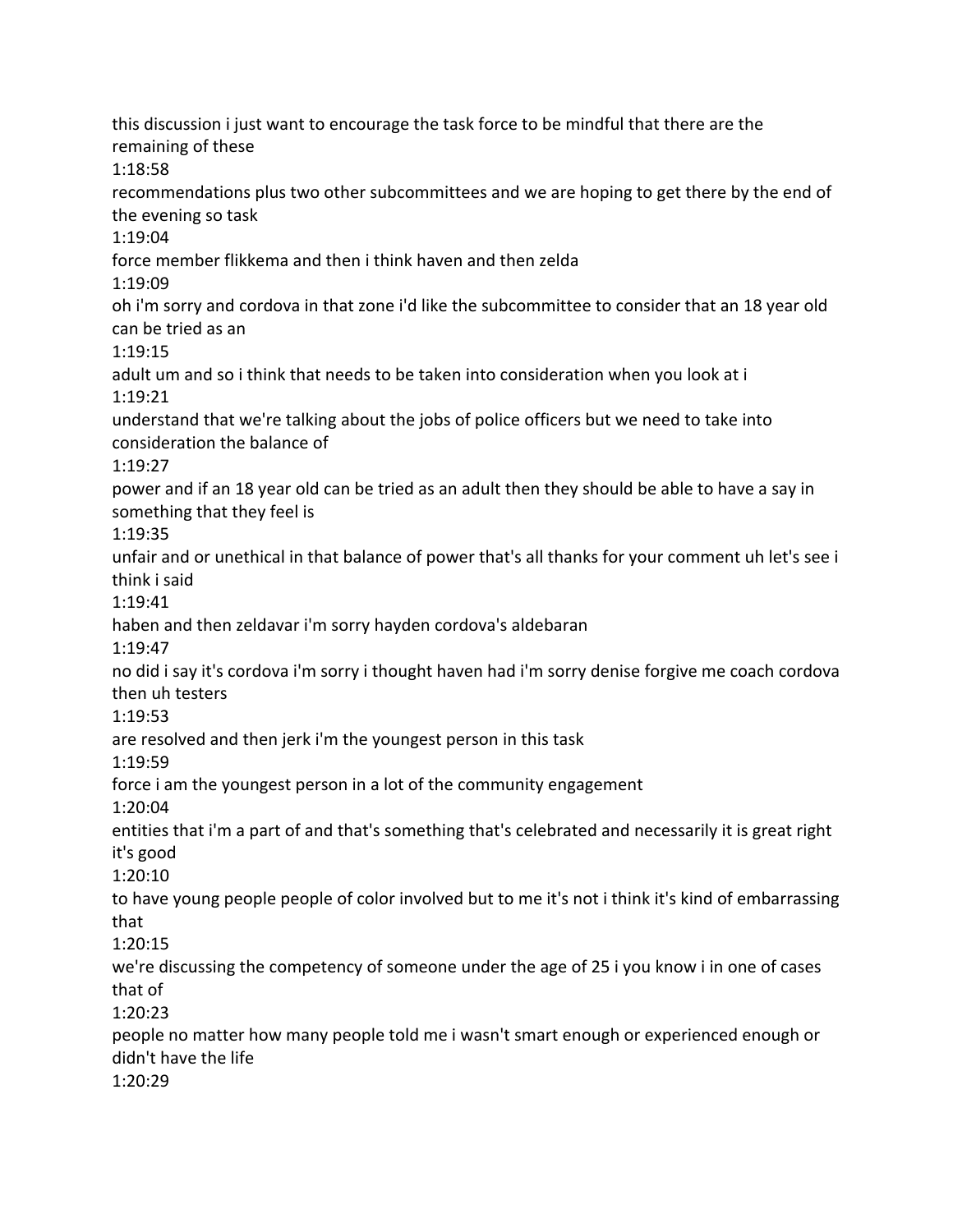this discussion i just want to encourage the task force to be mindful that there are the remaining of these 1:18:58 recommendations plus two other subcommittees and we are hoping to get there by the end of the evening so task 1:19:04 force member flikkema and then i think haven and then zelda 1:19:09 oh i'm sorry and cordova in that zone i'd like the subcommittee to consider that an 18 year old can be tried as an 1:19:15 adult um and so i think that needs to be taken into consideration when you look at i 1:19:21 understand that we're talking about the jobs of police officers but we need to take into consideration the balance of 1:19:27 power and if an 18 year old can be tried as an adult then they should be able to have a say in something that they feel is 1:19:35 unfair and or unethical in that balance of power that's all thanks for your comment uh let's see i think i said 1:19:41 haben and then zeldavar i'm sorry hayden cordova's aldebaran 1:19:47 no did i say it's cordova i'm sorry i thought haven had i'm sorry denise forgive me coach cordova then uh testers 1:19:53 are resolved and then jerk i'm the youngest person in this task 1:19:59 force i am the youngest person in a lot of the community engagement 1:20:04 entities that i'm a part of and that's something that's celebrated and necessarily it is great right it's good 1:20:10 to have young people people of color involved but to me it's not i think it's kind of embarrassing that 1:20:15 we're discussing the competency of someone under the age of 25 i you know i in one of cases that of 1:20:23 people no matter how many people told me i wasn't smart enough or experienced enough or didn't have the life 1:20:29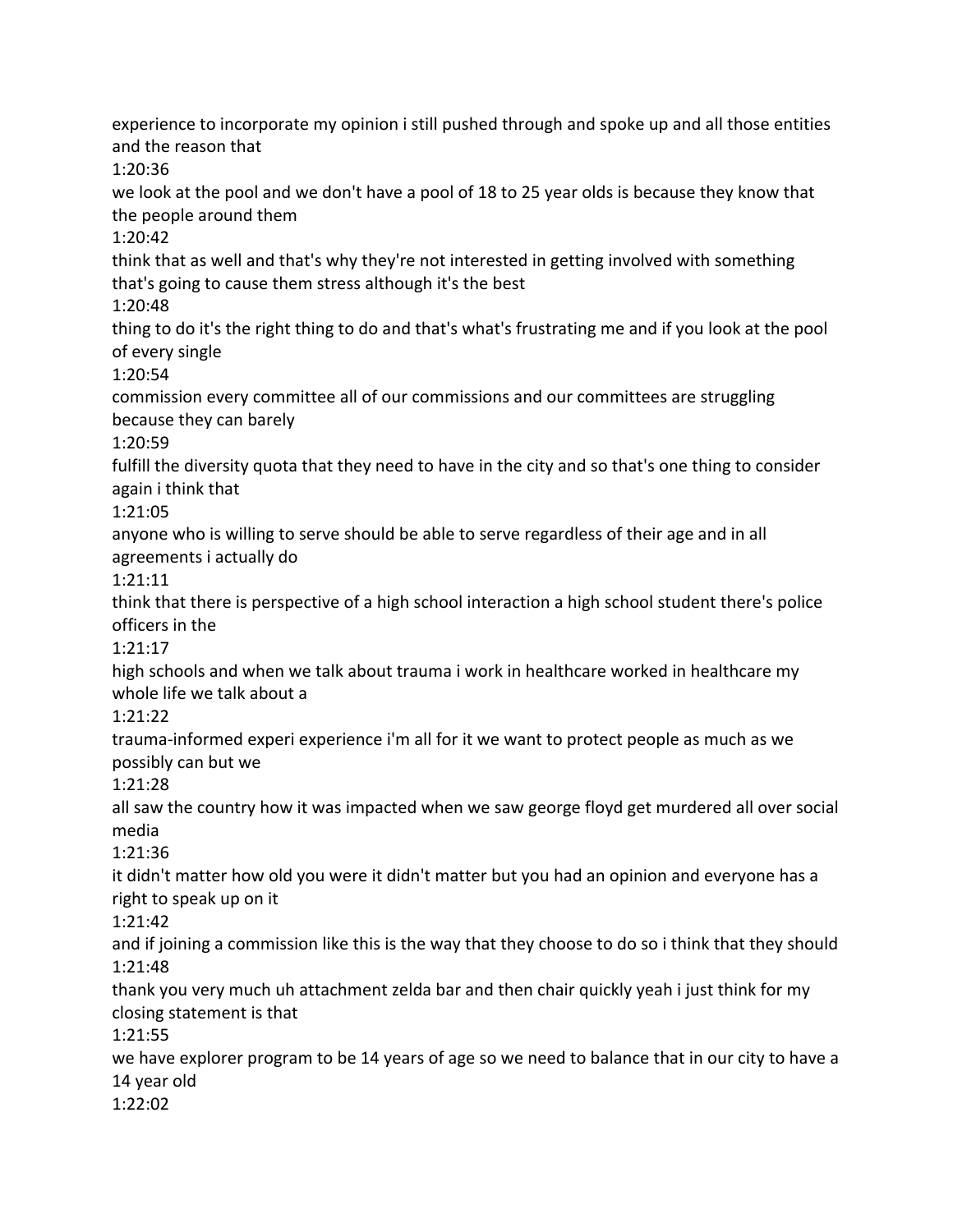experience to incorporate my opinion i still pushed through and spoke up and all those entities and the reason that

1:20:36

we look at the pool and we don't have a pool of 18 to 25 year olds is because they know that the people around them

1:20:42

think that as well and that's why they're not interested in getting involved with something that's going to cause them stress although it's the best

1:20:48

thing to do it's the right thing to do and that's what's frustrating me and if you look at the pool of every single

1:20:54

commission every committee all of our commissions and our committees are struggling because they can barely

1:20:59

fulfill the diversity quota that they need to have in the city and so that's one thing to consider again i think that

1:21:05

anyone who is willing to serve should be able to serve regardless of their age and in all agreements i actually do

1:21:11

think that there is perspective of a high school interaction a high school student there's police officers in the

1:21:17

high schools and when we talk about trauma i work in healthcare worked in healthcare my whole life we talk about a

1:21:22

trauma-informed experi experience i'm all for it we want to protect people as much as we possibly can but we

1:21:28

all saw the country how it was impacted when we saw george floyd get murdered all over social media

1:21:36

it didn't matter how old you were it didn't matter but you had an opinion and everyone has a right to speak up on it

1:21:42

and if joining a commission like this is the way that they choose to do so i think that they should 1:21:48

thank you very much uh attachment zelda bar and then chair quickly yeah i just think for my closing statement is that

1:21:55

we have explorer program to be 14 years of age so we need to balance that in our city to have a 14 year old

1:22:02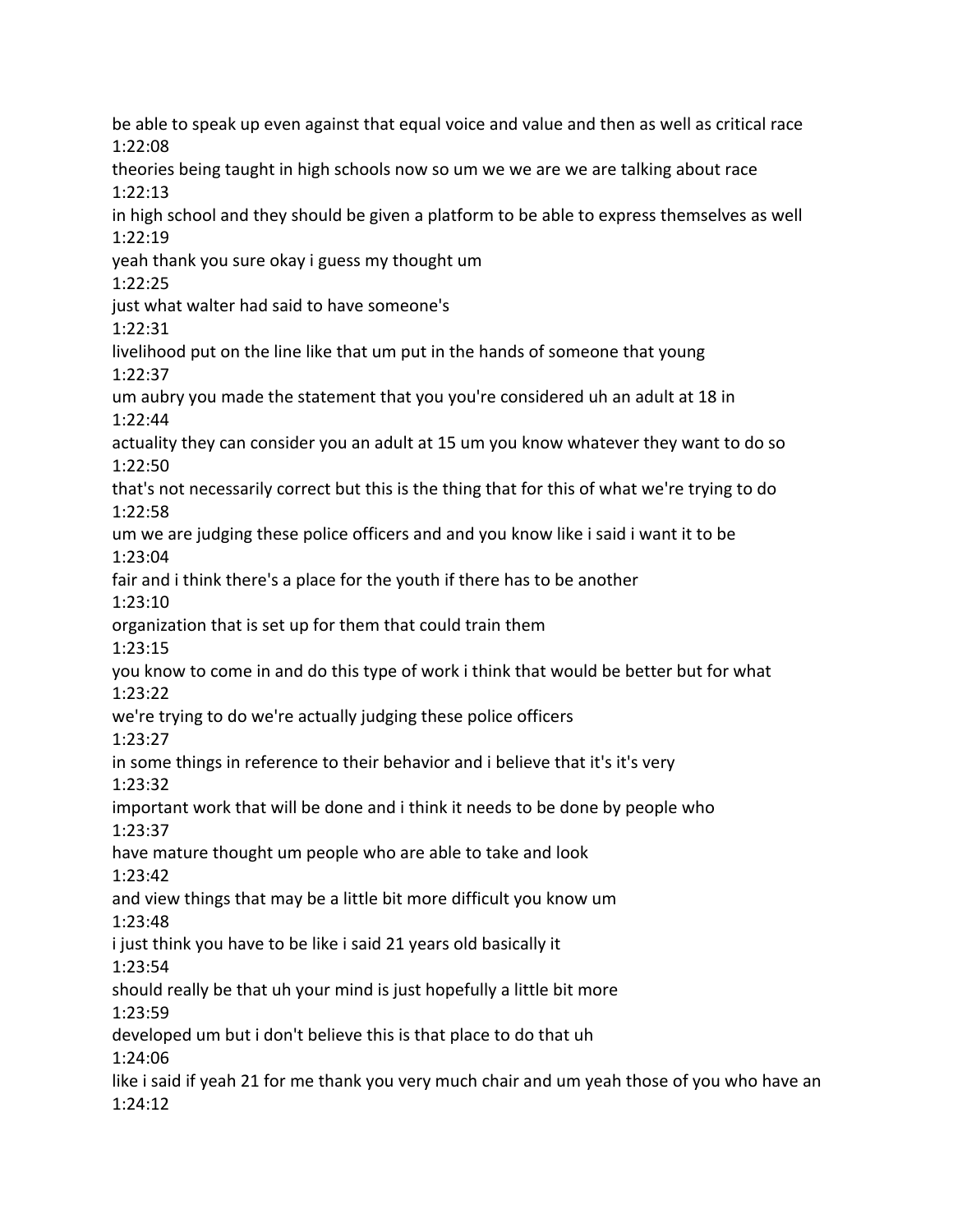be able to speak up even against that equal voice and value and then as well as critical race 1:22:08 theories being taught in high schools now so um we we are we are talking about race 1:22:13 in high school and they should be given a platform to be able to express themselves as well 1:22:19 yeah thank you sure okay i guess my thought um 1:22:25 just what walter had said to have someone's 1:22:31 livelihood put on the line like that um put in the hands of someone that young 1:22:37 um aubry you made the statement that you you're considered uh an adult at 18 in 1:22:44 actuality they can consider you an adult at 15 um you know whatever they want to do so 1:22:50 that's not necessarily correct but this is the thing that for this of what we're trying to do 1:22:58 um we are judging these police officers and and you know like i said i want it to be 1:23:04 fair and i think there's a place for the youth if there has to be another 1:23:10 organization that is set up for them that could train them 1:23:15 you know to come in and do this type of work i think that would be better but for what 1:23:22 we're trying to do we're actually judging these police officers 1:23:27 in some things in reference to their behavior and i believe that it's it's very 1:23:32 important work that will be done and i think it needs to be done by people who 1:23:37 have mature thought um people who are able to take and look 1:23:42 and view things that may be a little bit more difficult you know um 1:23:48 i just think you have to be like i said 21 years old basically it 1:23:54 should really be that uh your mind is just hopefully a little bit more 1:23:59 developed um but i don't believe this is that place to do that uh 1:24:06 like i said if yeah 21 for me thank you very much chair and um yeah those of you who have an 1:24:12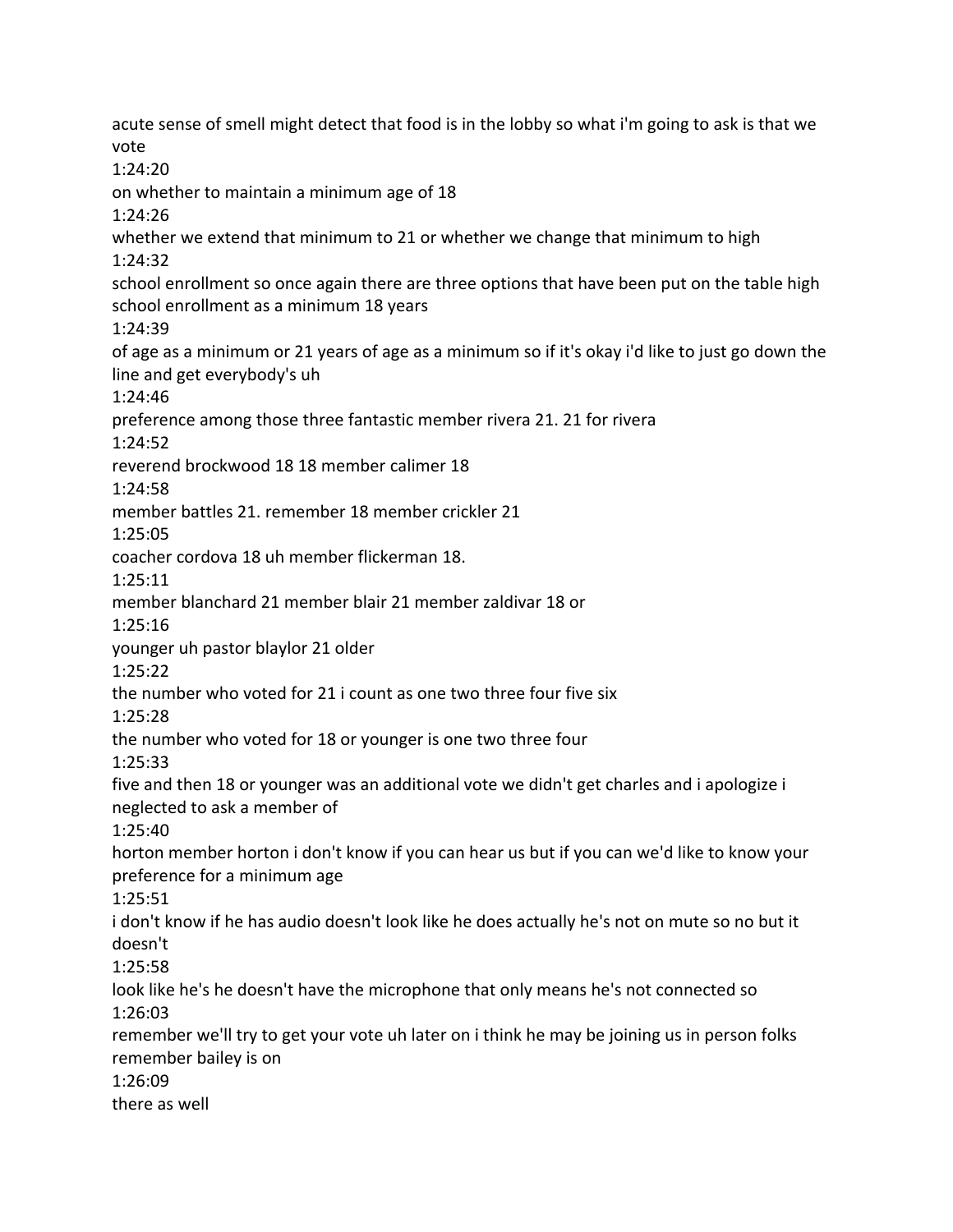acute sense of smell might detect that food is in the lobby so what i'm going to ask is that we vote 1:24:20 on whether to maintain a minimum age of 18 1:24:26 whether we extend that minimum to 21 or whether we change that minimum to high 1:24:32 school enrollment so once again there are three options that have been put on the table high school enrollment as a minimum 18 years 1:24:39 of age as a minimum or 21 years of age as a minimum so if it's okay i'd like to just go down the line and get everybody's uh 1:24:46 preference among those three fantastic member rivera 21. 21 for rivera 1:24:52 reverend brockwood 18 18 member calimer 18 1:24:58 member battles 21. remember 18 member crickler 21 1:25:05 coacher cordova 18 uh member flickerman 18. 1:25:11 member blanchard 21 member blair 21 member zaldivar 18 or 1:25:16 younger uh pastor blaylor 21 older 1:25:22 the number who voted for 21 i count as one two three four five six 1:25:28 the number who voted for 18 or younger is one two three four 1:25:33 five and then 18 or younger was an additional vote we didn't get charles and i apologize i neglected to ask a member of 1:25:40 horton member horton i don't know if you can hear us but if you can we'd like to know your preference for a minimum age 1:25:51 i don't know if he has audio doesn't look like he does actually he's not on mute so no but it doesn't 1:25:58 look like he's he doesn't have the microphone that only means he's not connected so 1:26:03 remember we'll try to get your vote uh later on i think he may be joining us in person folks remember bailey is on 1:26:09 there as well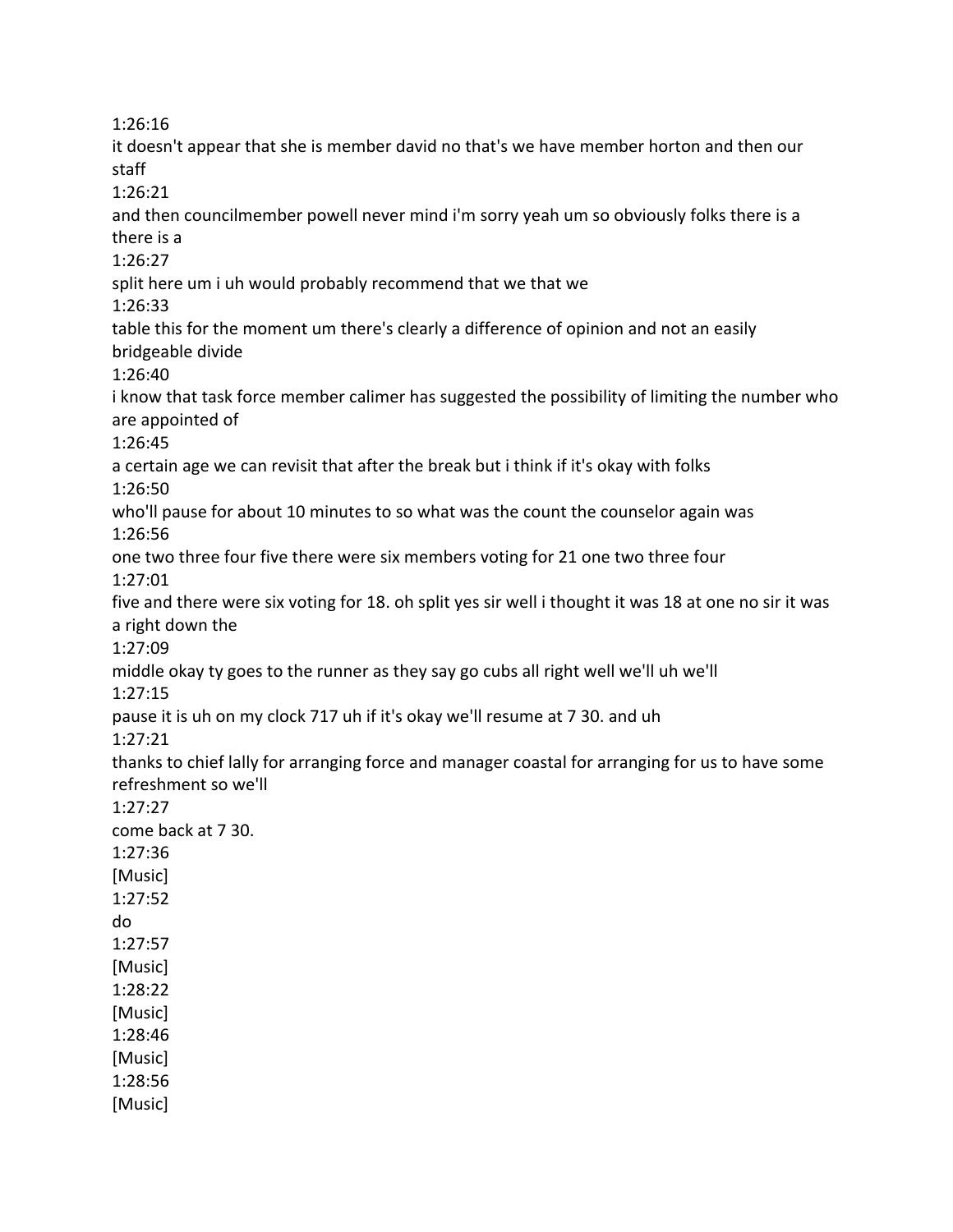1:26:16 it doesn't appear that she is member david no that's we have member horton and then our staff 1:26:21 and then councilmember powell never mind i'm sorry yeah um so obviously folks there is a there is a 1:26:27 split here um i uh would probably recommend that we that we 1:26:33 table this for the moment um there's clearly a difference of opinion and not an easily bridgeable divide 1:26:40 i know that task force member calimer has suggested the possibility of limiting the number who are appointed of 1:26:45 a certain age we can revisit that after the break but i think if it's okay with folks 1:26:50 who'll pause for about 10 minutes to so what was the count the counselor again was 1:26:56 one two three four five there were six members voting for 21 one two three four 1:27:01 five and there were six voting for 18. oh split yes sir well i thought it was 18 at one no sir it was a right down the 1:27:09 middle okay ty goes to the runner as they say go cubs all right well we'll uh we'll 1:27:15 pause it is uh on my clock 717 uh if it's okay we'll resume at 7 30. and uh 1:27:21 thanks to chief lally for arranging force and manager coastal for arranging for us to have some refreshment so we'll 1:27:27 come back at 7 30. 1:27:36 [Music] 1:27:52 do

1:27:57 [Music] 1:28:22 [Music]

1:28:46 [Music] 1:28:56 [Music]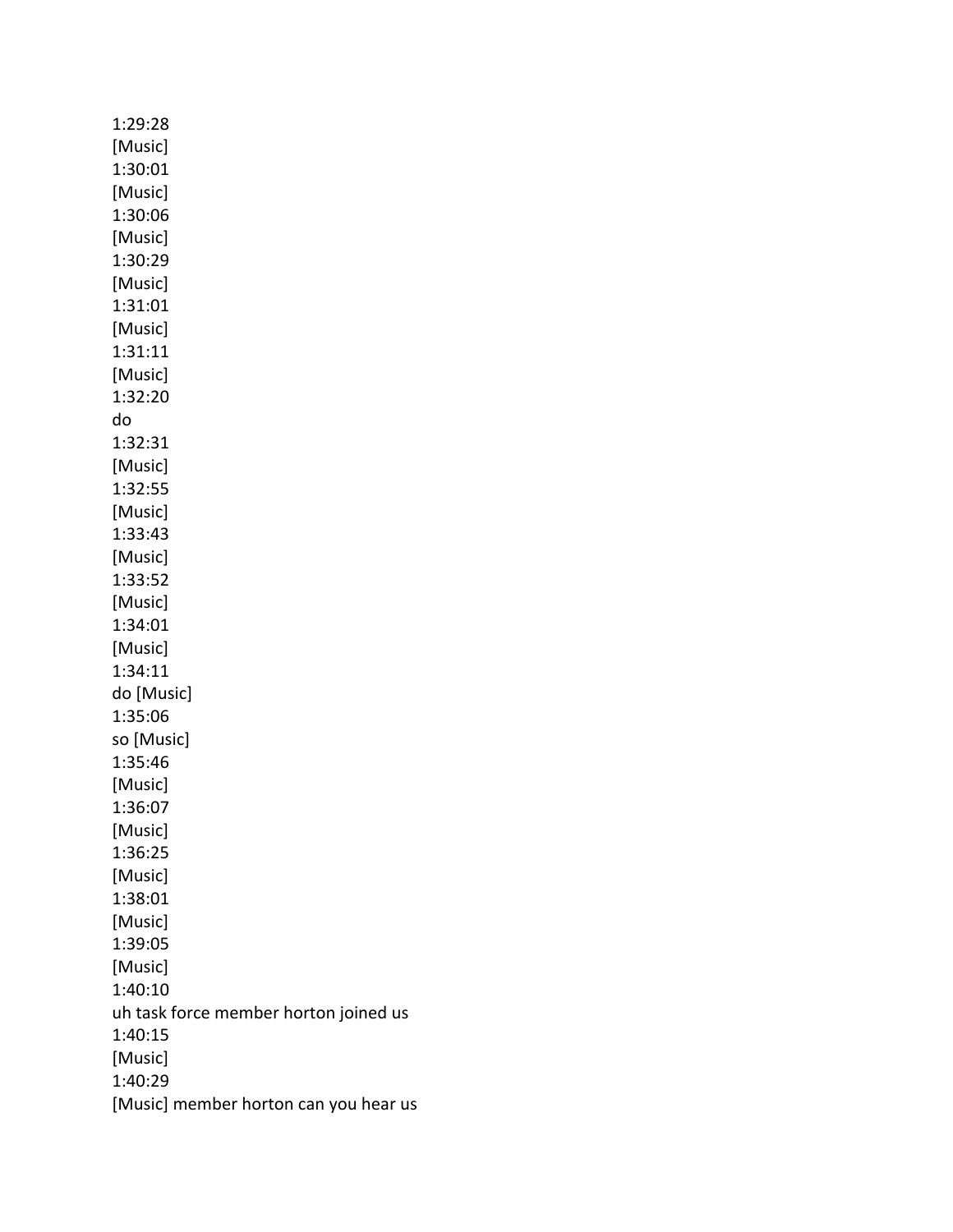1:29:28 [Music] 1:30:01 [Music] 1:30:06 [Music] 1:30:29 [Music] 1:31:01 [Music] 1:31:11 [Music] 1:32:20 do 1:32:31 [Music] 1:32:55 [Music] 1:33:43 [Music] 1:33:52 [Music] 1:34:01 [Music] 1:34:11 do [Music] 1:35:06 so [Music] 1:35:46 [Music] 1:36:07 [Music] 1:36:25 [Music] 1:38:01 [Music] 1:39:05 [Music] 1:40:10 uh task force member horton joined us 1:40:15 [Music] 1:40:29 [Music] member horton can you hear us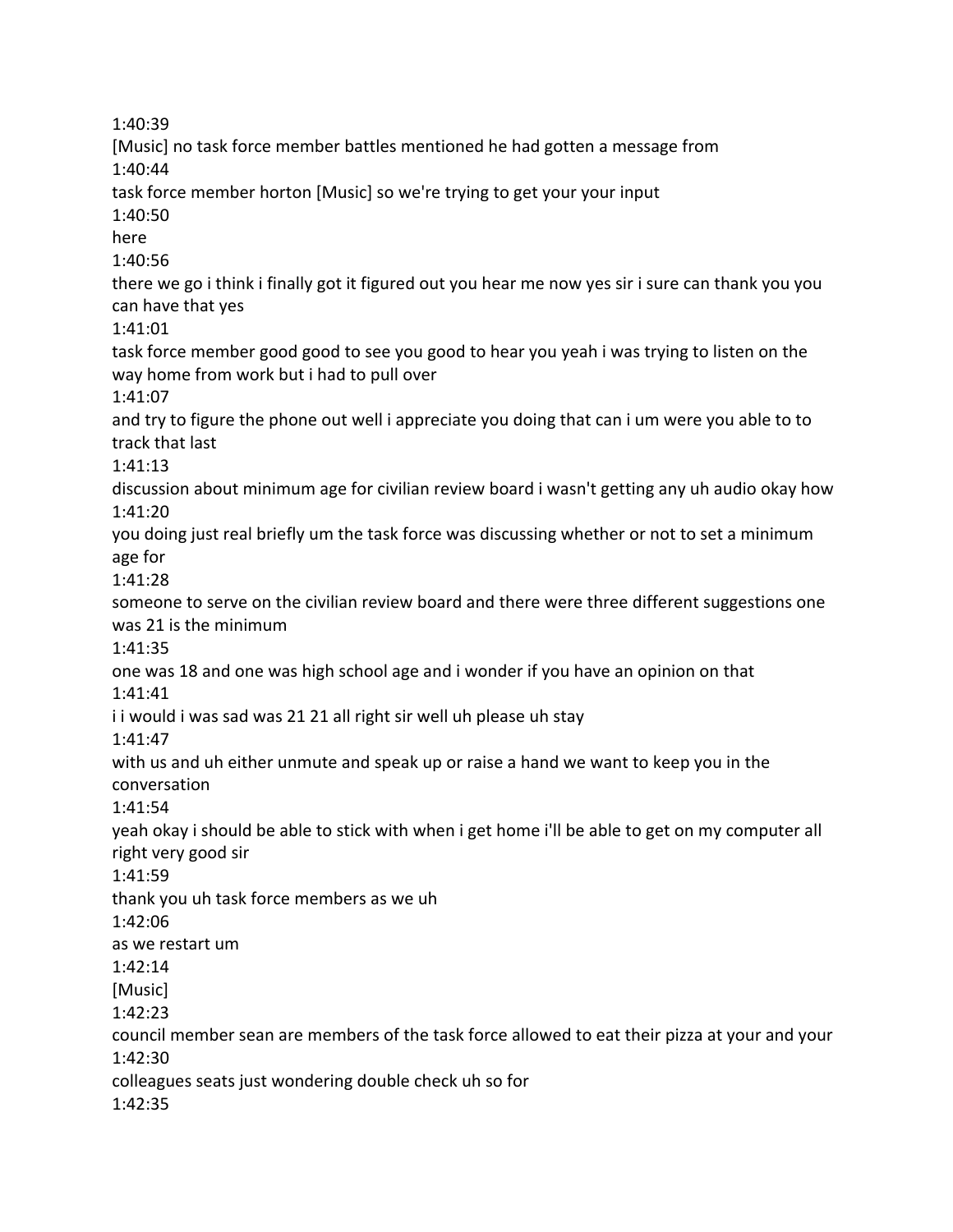1:40:39 [Music] no task force member battles mentioned he had gotten a message from 1:40:44 task force member horton [Music] so we're trying to get your your input 1:40:50 here 1:40:56 there we go i think i finally got it figured out you hear me now yes sir i sure can thank you you can have that yes 1:41:01 task force member good good to see you good to hear you yeah i was trying to listen on the way home from work but i had to pull over 1:41:07 and try to figure the phone out well i appreciate you doing that can i um were you able to to track that last 1:41:13 discussion about minimum age for civilian review board i wasn't getting any uh audio okay how 1:41:20 you doing just real briefly um the task force was discussing whether or not to set a minimum age for 1:41:28 someone to serve on the civilian review board and there were three different suggestions one was 21 is the minimum 1:41:35 one was 18 and one was high school age and i wonder if you have an opinion on that 1:41:41 i i would i was sad was 21 21 all right sir well uh please uh stay 1:41:47 with us and uh either unmute and speak up or raise a hand we want to keep you in the conversation 1:41:54 yeah okay i should be able to stick with when i get home i'll be able to get on my computer all right very good sir 1:41:59 thank you uh task force members as we uh 1:42:06 as we restart um 1:42:14 [Music] 1:42:23 council member sean are members of the task force allowed to eat their pizza at your and your 1:42:30 colleagues seats just wondering double check uh so for 1:42:35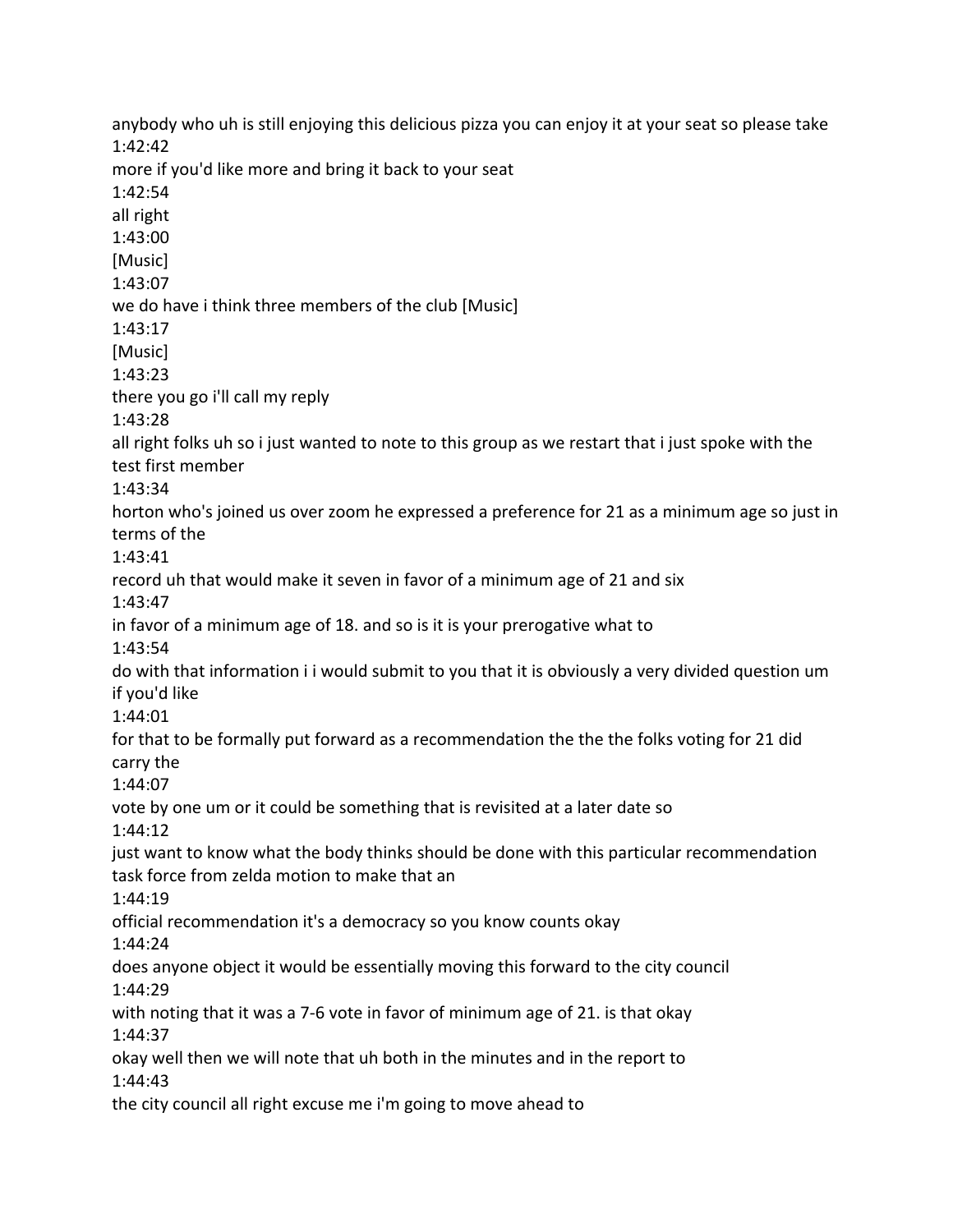anybody who uh is still enjoying this delicious pizza you can enjoy it at your seat so please take 1:42:42 more if you'd like more and bring it back to your seat 1:42:54 all right 1:43:00 [Music] 1:43:07 we do have i think three members of the club [Music] 1:43:17 [Music] 1:43:23 there you go i'll call my reply 1:43:28 all right folks uh so i just wanted to note to this group as we restart that i just spoke with the test first member 1:43:34 horton who's joined us over zoom he expressed a preference for 21 as a minimum age so just in terms of the 1:43:41 record uh that would make it seven in favor of a minimum age of 21 and six 1:43:47 in favor of a minimum age of 18. and so is it is your prerogative what to 1:43:54 do with that information i i would submit to you that it is obviously a very divided question um if you'd like 1:44:01 for that to be formally put forward as a recommendation the the the folks voting for 21 did carry the 1:44:07 vote by one um or it could be something that is revisited at a later date so 1:44:12 just want to know what the body thinks should be done with this particular recommendation task force from zelda motion to make that an 1:44:19 official recommendation it's a democracy so you know counts okay 1:44:24 does anyone object it would be essentially moving this forward to the city council 1:44:29 with noting that it was a 7-6 vote in favor of minimum age of 21. is that okay 1:44:37 okay well then we will note that uh both in the minutes and in the report to 1:44:43 the city council all right excuse me i'm going to move ahead to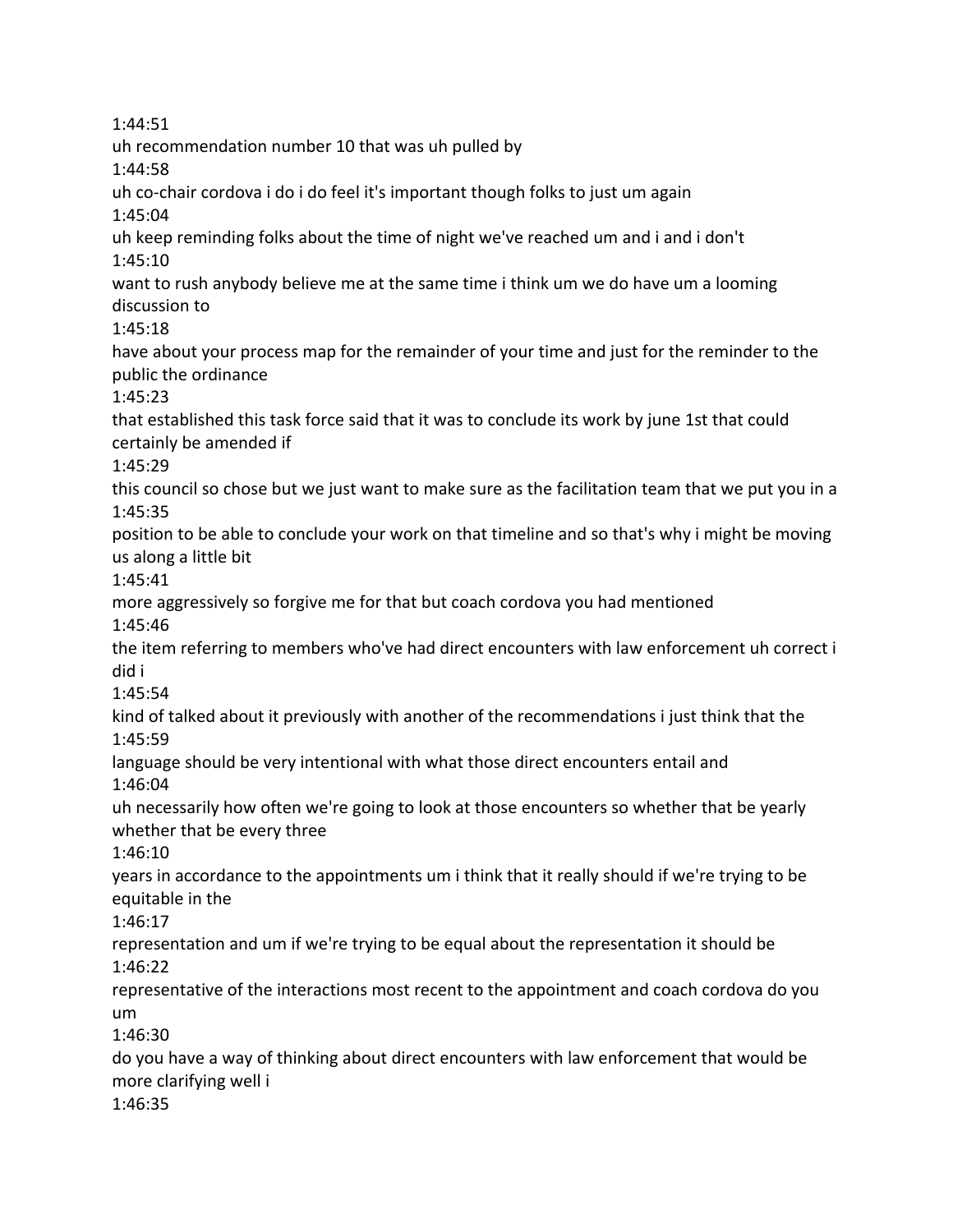1:44:51 uh recommendation number 10 that was uh pulled by 1:44:58 uh co-chair cordova i do i do feel it's important though folks to just um again 1:45:04 uh keep reminding folks about the time of night we've reached um and i and i don't 1:45:10 want to rush anybody believe me at the same time i think um we do have um a looming discussion to 1:45:18 have about your process map for the remainder of your time and just for the reminder to the public the ordinance 1:45:23 that established this task force said that it was to conclude its work by june 1st that could certainly be amended if 1:45:29 this council so chose but we just want to make sure as the facilitation team that we put you in a 1:45:35 position to be able to conclude your work on that timeline and so that's why i might be moving us along a little bit 1:45:41 more aggressively so forgive me for that but coach cordova you had mentioned 1:45:46 the item referring to members who've had direct encounters with law enforcement uh correct i did i 1:45:54 kind of talked about it previously with another of the recommendations i just think that the 1:45:59 language should be very intentional with what those direct encounters entail and 1:46:04 uh necessarily how often we're going to look at those encounters so whether that be yearly whether that be every three 1:46:10 years in accordance to the appointments um i think that it really should if we're trying to be equitable in the 1:46:17 representation and um if we're trying to be equal about the representation it should be 1:46:22 representative of the interactions most recent to the appointment and coach cordova do you um 1:46:30 do you have a way of thinking about direct encounters with law enforcement that would be more clarifying well i 1:46:35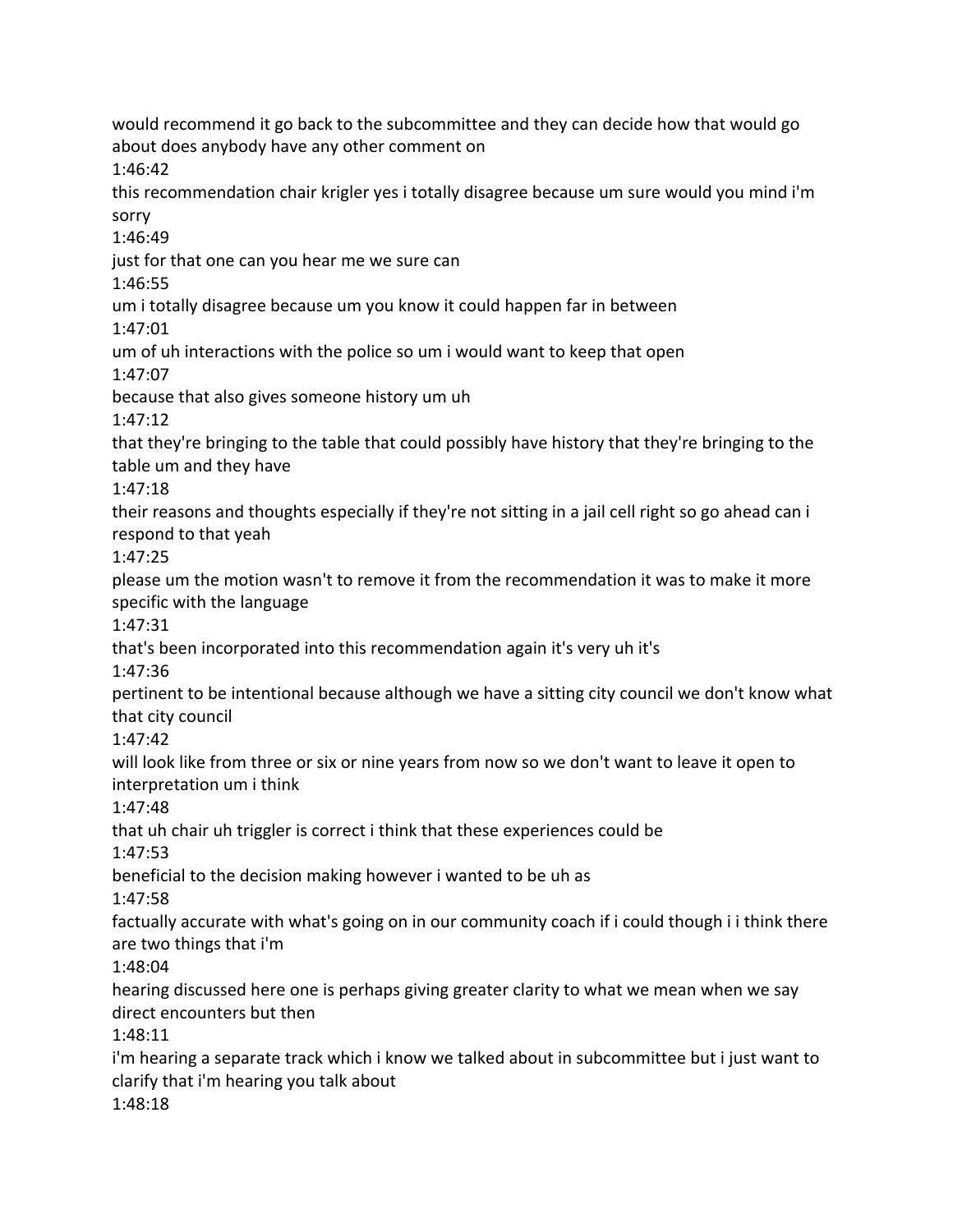would recommend it go back to the subcommittee and they can decide how that would go about does anybody have any other comment on 1:46:42 this recommendation chair krigler yes i totally disagree because um sure would you mind i'm sorry 1:46:49 just for that one can you hear me we sure can 1:46:55 um i totally disagree because um you know it could happen far in between 1:47:01 um of uh interactions with the police so um i would want to keep that open 1:47:07 because that also gives someone history um uh 1:47:12 that they're bringing to the table that could possibly have history that they're bringing to the table um and they have 1:47:18 their reasons and thoughts especially if they're not sitting in a jail cell right so go ahead can i respond to that yeah 1:47:25 please um the motion wasn't to remove it from the recommendation it was to make it more specific with the language 1:47:31 that's been incorporated into this recommendation again it's very uh it's 1:47:36 pertinent to be intentional because although we have a sitting city council we don't know what that city council 1:47:42 will look like from three or six or nine years from now so we don't want to leave it open to interpretation um i think 1:47:48 that uh chair uh triggler is correct i think that these experiences could be 1:47:53 beneficial to the decision making however i wanted to be uh as 1:47:58 factually accurate with what's going on in our community coach if i could though i i think there are two things that i'm 1:48:04 hearing discussed here one is perhaps giving greater clarity to what we mean when we say direct encounters but then 1:48:11 i'm hearing a separate track which i know we talked about in subcommittee but i just want to clarify that i'm hearing you talk about 1:48:18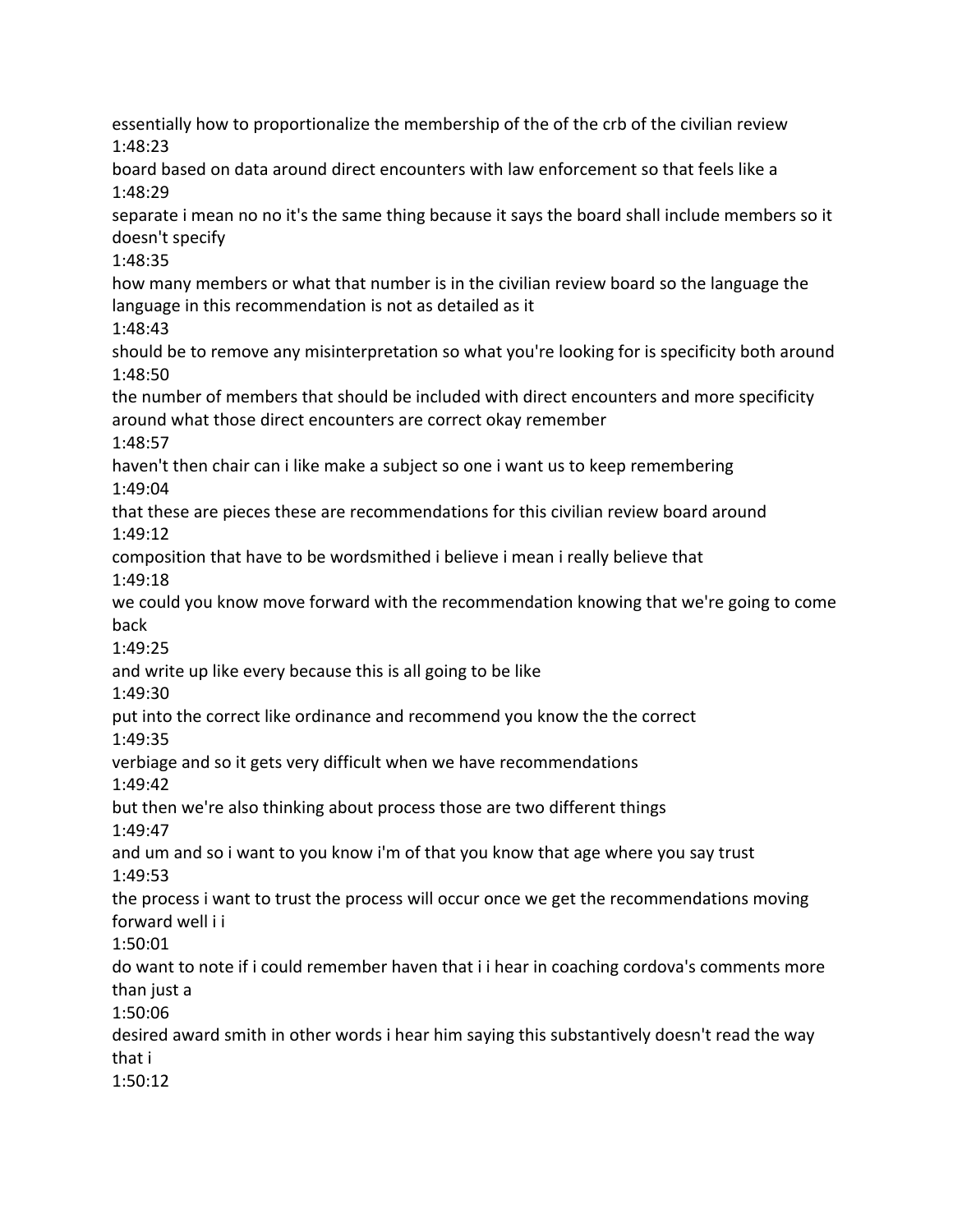essentially how to proportionalize the membership of the of the crb of the civilian review 1:48:23 board based on data around direct encounters with law enforcement so that feels like a 1:48:29 separate i mean no no it's the same thing because it says the board shall include members so it doesn't specify 1:48:35 how many members or what that number is in the civilian review board so the language the language in this recommendation is not as detailed as it 1:48:43 should be to remove any misinterpretation so what you're looking for is specificity both around 1:48:50 the number of members that should be included with direct encounters and more specificity around what those direct encounters are correct okay remember 1:48:57 haven't then chair can i like make a subject so one i want us to keep remembering 1:49:04 that these are pieces these are recommendations for this civilian review board around 1:49:12 composition that have to be wordsmithed i believe i mean i really believe that 1:49:18 we could you know move forward with the recommendation knowing that we're going to come back 1:49:25 and write up like every because this is all going to be like 1:49:30 put into the correct like ordinance and recommend you know the the correct 1:49:35 verbiage and so it gets very difficult when we have recommendations 1:49:42 but then we're also thinking about process those are two different things 1:49:47 and um and so i want to you know i'm of that you know that age where you say trust 1:49:53 the process i want to trust the process will occur once we get the recommendations moving forward well i i 1:50:01 do want to note if i could remember haven that i i hear in coaching cordova's comments more than just a 1:50:06 desired award smith in other words i hear him saying this substantively doesn't read the way that i 1:50:12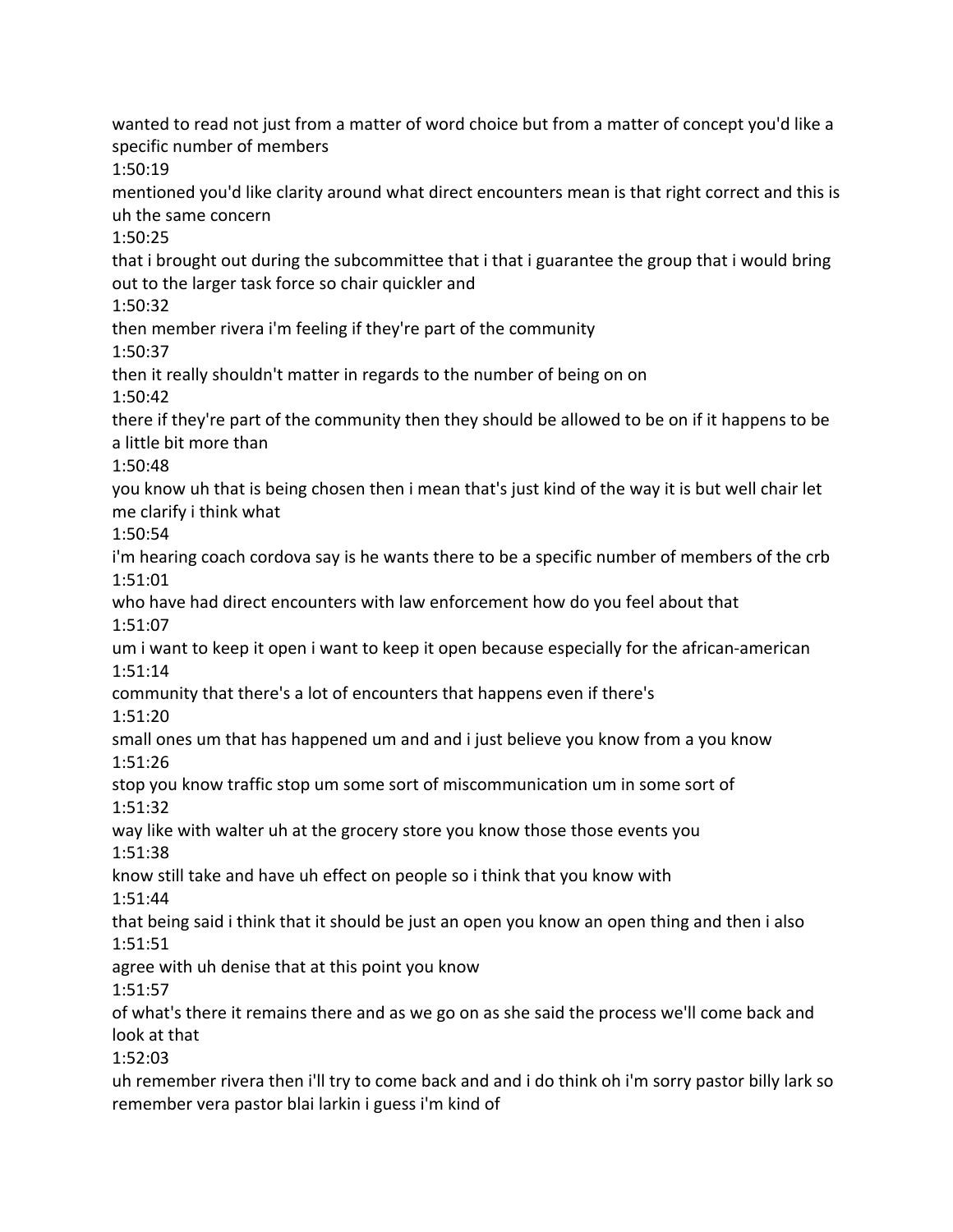wanted to read not just from a matter of word choice but from a matter of concept you'd like a specific number of members 1:50:19 mentioned you'd like clarity around what direct encounters mean is that right correct and this is uh the same concern 1:50:25 that i brought out during the subcommittee that i that i guarantee the group that i would bring out to the larger task force so chair quickler and 1:50:32 then member rivera i'm feeling if they're part of the community 1:50:37 then it really shouldn't matter in regards to the number of being on on 1:50:42 there if they're part of the community then they should be allowed to be on if it happens to be a little bit more than 1:50:48 you know uh that is being chosen then i mean that's just kind of the way it is but well chair let me clarify i think what 1:50:54 i'm hearing coach cordova say is he wants there to be a specific number of members of the crb 1:51:01 who have had direct encounters with law enforcement how do you feel about that 1:51:07 um i want to keep it open i want to keep it open because especially for the african-american 1:51:14 community that there's a lot of encounters that happens even if there's 1:51:20 small ones um that has happened um and and i just believe you know from a you know 1:51:26 stop you know traffic stop um some sort of miscommunication um in some sort of 1:51:32 way like with walter uh at the grocery store you know those those events you 1:51:38 know still take and have uh effect on people so i think that you know with 1:51:44 that being said i think that it should be just an open you know an open thing and then i also 1:51:51 agree with uh denise that at this point you know 1:51:57 of what's there it remains there and as we go on as she said the process we'll come back and look at that 1:52:03 uh remember rivera then i'll try to come back and and i do think oh i'm sorry pastor billy lark so remember vera pastor blai larkin i guess i'm kind of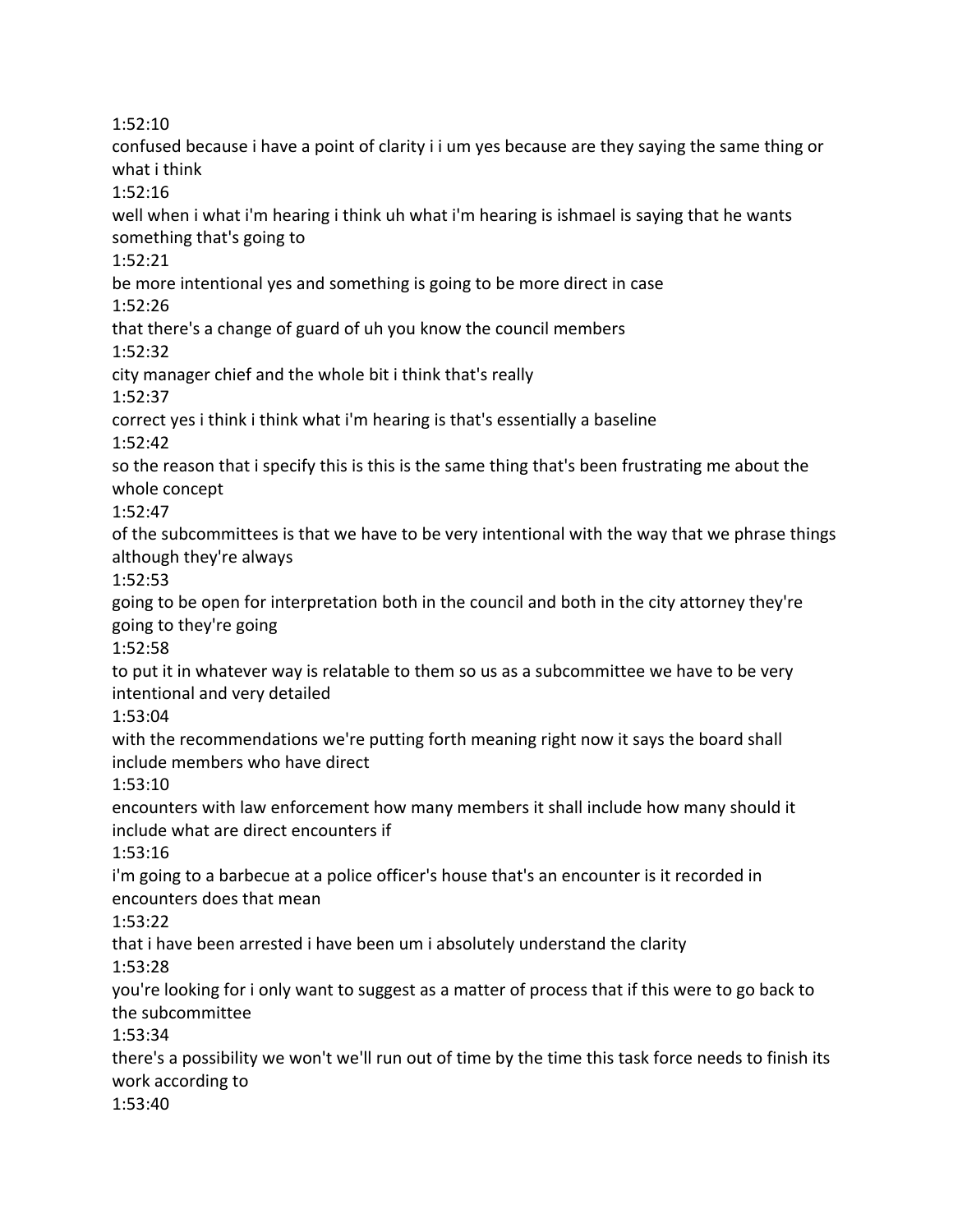1:52:10

confused because i have a point of clarity i i um yes because are they saying the same thing or what i think 1:52:16 well when i what i'm hearing i think uh what i'm hearing is ishmael is saying that he wants something that's going to 1:52:21 be more intentional yes and something is going to be more direct in case 1:52:26 that there's a change of guard of uh you know the council members 1:52:32 city manager chief and the whole bit i think that's really 1:52:37 correct yes i think i think what i'm hearing is that's essentially a baseline 1:52:42 so the reason that i specify this is this is the same thing that's been frustrating me about the whole concept 1:52:47 of the subcommittees is that we have to be very intentional with the way that we phrase things although they're always 1:52:53 going to be open for interpretation both in the council and both in the city attorney they're going to they're going 1:52:58 to put it in whatever way is relatable to them so us as a subcommittee we have to be very intentional and very detailed 1:53:04 with the recommendations we're putting forth meaning right now it says the board shall include members who have direct 1:53:10 encounters with law enforcement how many members it shall include how many should it include what are direct encounters if 1:53:16 i'm going to a barbecue at a police officer's house that's an encounter is it recorded in encounters does that mean 1:53:22 that i have been arrested i have been um i absolutely understand the clarity 1:53:28 you're looking for i only want to suggest as a matter of process that if this were to go back to the subcommittee 1:53:34 there's a possibility we won't we'll run out of time by the time this task force needs to finish its work according to 1:53:40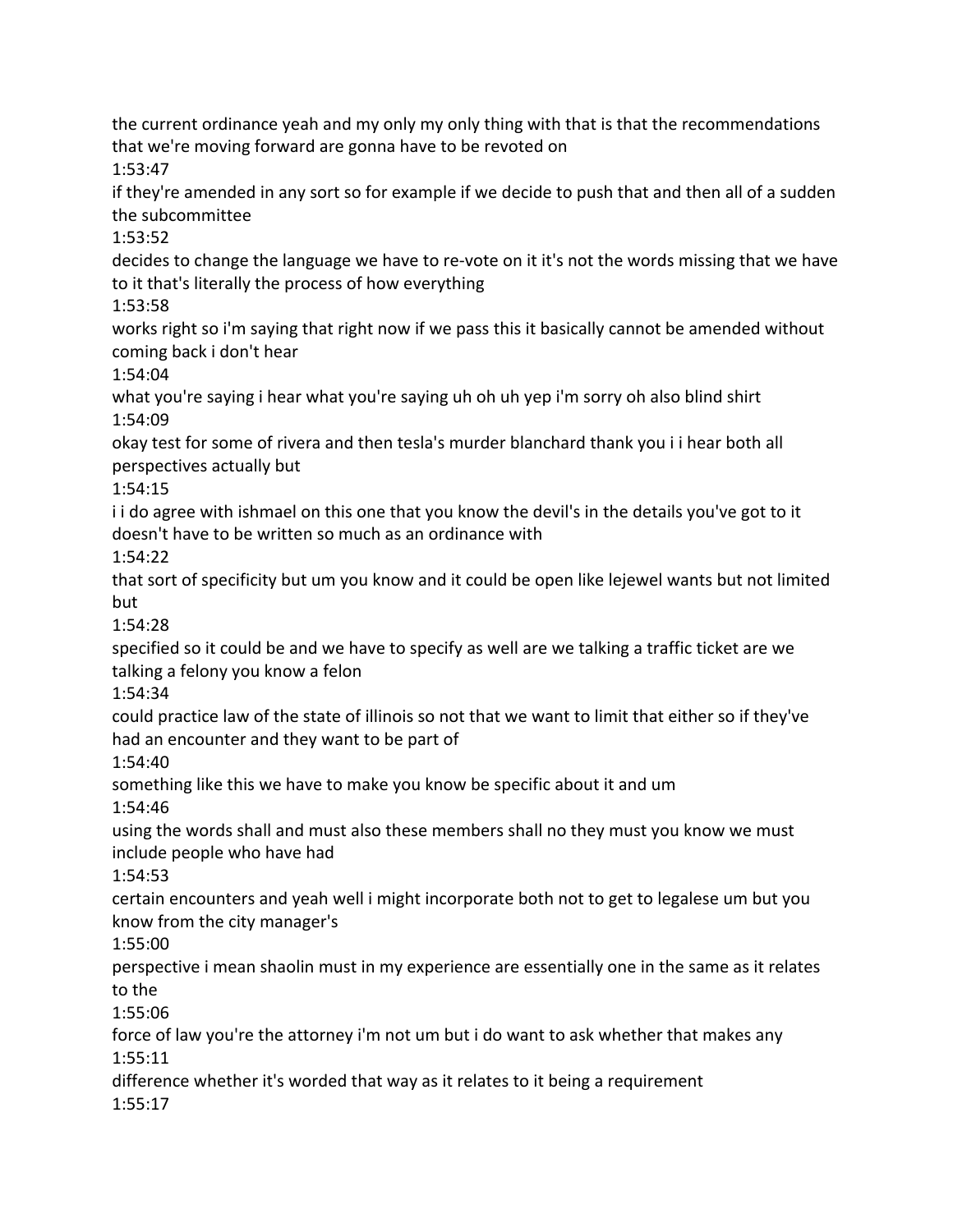the current ordinance yeah and my only my only thing with that is that the recommendations that we're moving forward are gonna have to be revoted on

1:53:47

if they're amended in any sort so for example if we decide to push that and then all of a sudden the subcommittee

1:53:52

decides to change the language we have to re-vote on it it's not the words missing that we have to it that's literally the process of how everything

1:53:58

works right so i'm saying that right now if we pass this it basically cannot be amended without coming back i don't hear

1:54:04

what you're saying i hear what you're saying uh oh uh yep i'm sorry oh also blind shirt 1:54:09

okay test for some of rivera and then tesla's murder blanchard thank you i i hear both all perspectives actually but

1:54:15

i i do agree with ishmael on this one that you know the devil's in the details you've got to it doesn't have to be written so much as an ordinance with

1:54:22

that sort of specificity but um you know and it could be open like lejewel wants but not limited but

1:54:28

specified so it could be and we have to specify as well are we talking a traffic ticket are we talking a felony you know a felon

1:54:34

could practice law of the state of illinois so not that we want to limit that either so if they've had an encounter and they want to be part of

1:54:40

something like this we have to make you know be specific about it and um 1:54:46

using the words shall and must also these members shall no they must you know we must include people who have had

1:54:53

certain encounters and yeah well i might incorporate both not to get to legalese um but you know from the city manager's

1:55:00

perspective i mean shaolin must in my experience are essentially one in the same as it relates to the

1:55:06

force of law you're the attorney i'm not um but i do want to ask whether that makes any 1:55:11

difference whether it's worded that way as it relates to it being a requirement 1:55:17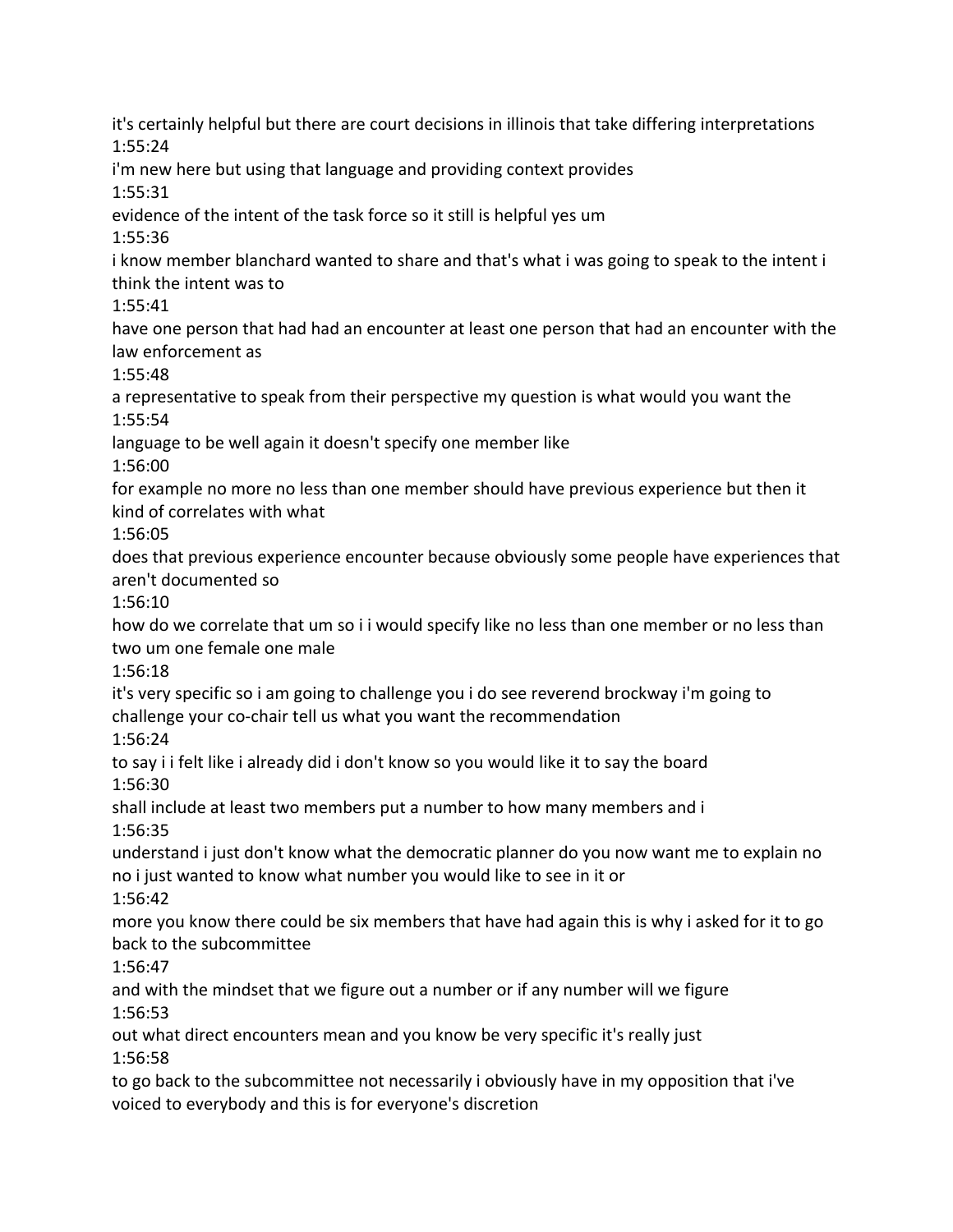it's certainly helpful but there are court decisions in illinois that take differing interpretations 1:55:24 i'm new here but using that language and providing context provides 1:55:31 evidence of the intent of the task force so it still is helpful yes um 1:55:36 i know member blanchard wanted to share and that's what i was going to speak to the intent i think the intent was to 1:55:41 have one person that had had an encounter at least one person that had an encounter with the law enforcement as 1:55:48 a representative to speak from their perspective my question is what would you want the 1:55:54 language to be well again it doesn't specify one member like 1:56:00 for example no more no less than one member should have previous experience but then it kind of correlates with what 1:56:05 does that previous experience encounter because obviously some people have experiences that aren't documented so 1:56:10 how do we correlate that um so i i would specify like no less than one member or no less than two um one female one male 1:56:18 it's very specific so i am going to challenge you i do see reverend brockway i'm going to challenge your co-chair tell us what you want the recommendation 1:56:24 to say i i felt like i already did i don't know so you would like it to say the board 1:56:30 shall include at least two members put a number to how many members and i 1:56:35 understand i just don't know what the democratic planner do you now want me to explain no no i just wanted to know what number you would like to see in it or 1:56:42 more you know there could be six members that have had again this is why i asked for it to go back to the subcommittee 1:56:47 and with the mindset that we figure out a number or if any number will we figure 1:56:53 out what direct encounters mean and you know be very specific it's really just 1:56:58 to go back to the subcommittee not necessarily i obviously have in my opposition that i've voiced to everybody and this is for everyone's discretion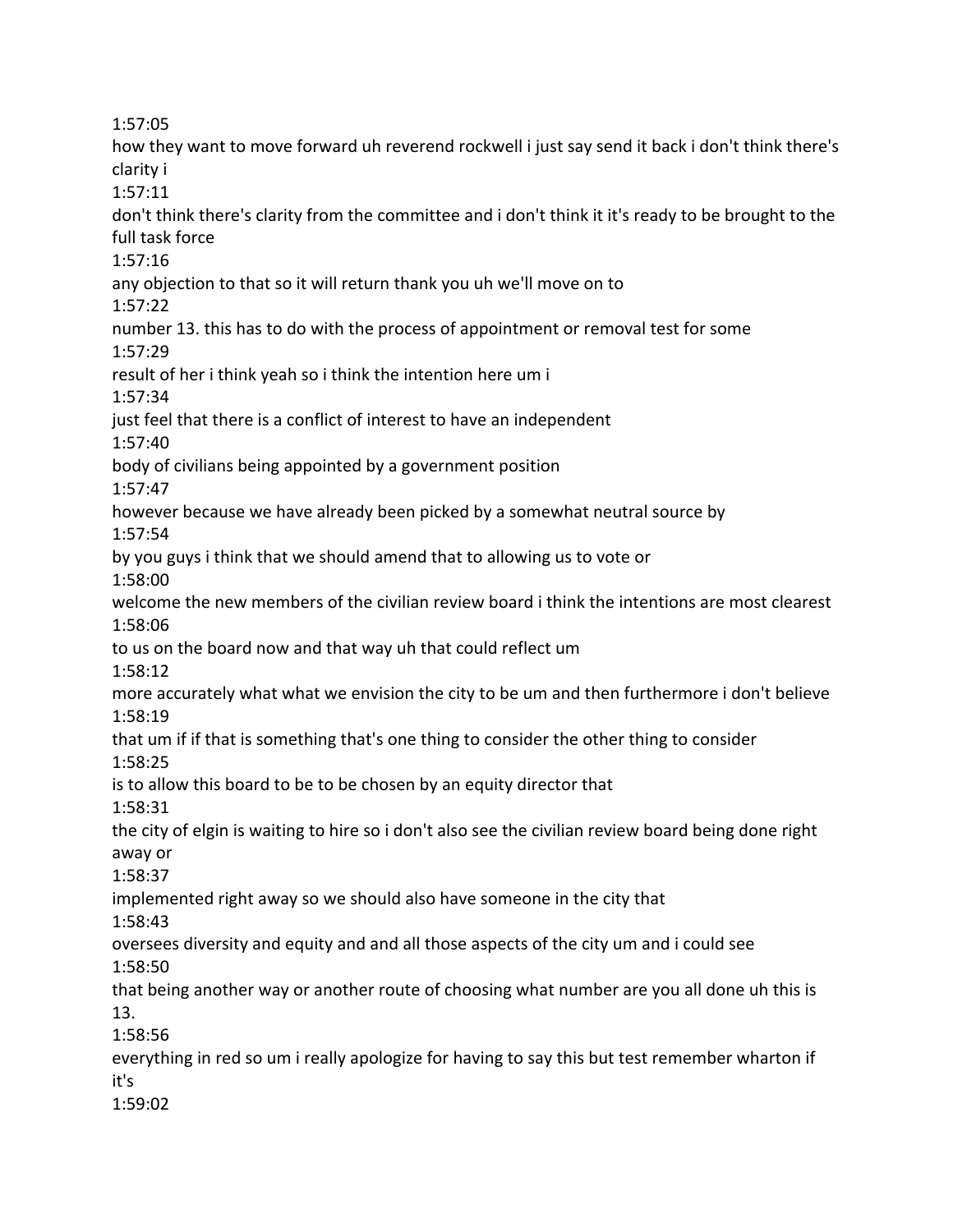1:57:05

how they want to move forward uh reverend rockwell i just say send it back i don't think there's clarity i 1:57:11 don't think there's clarity from the committee and i don't think it it's ready to be brought to the full task force 1:57:16 any objection to that so it will return thank you uh we'll move on to 1:57:22 number 13. this has to do with the process of appointment or removal test for some 1:57:29 result of her i think yeah so i think the intention here um i 1:57:34 just feel that there is a conflict of interest to have an independent 1:57:40 body of civilians being appointed by a government position 1:57:47 however because we have already been picked by a somewhat neutral source by 1:57:54 by you guys i think that we should amend that to allowing us to vote or 1:58:00 welcome the new members of the civilian review board i think the intentions are most clearest 1:58:06 to us on the board now and that way uh that could reflect um 1:58:12 more accurately what what we envision the city to be um and then furthermore i don't believe 1:58:19 that um if if that is something that's one thing to consider the other thing to consider 1:58:25 is to allow this board to be to be chosen by an equity director that 1:58:31 the city of elgin is waiting to hire so i don't also see the civilian review board being done right away or 1:58:37 implemented right away so we should also have someone in the city that 1:58:43 oversees diversity and equity and and all those aspects of the city um and i could see 1:58:50 that being another way or another route of choosing what number are you all done uh this is 13. 1:58:56 everything in red so um i really apologize for having to say this but test remember wharton if it's 1:59:02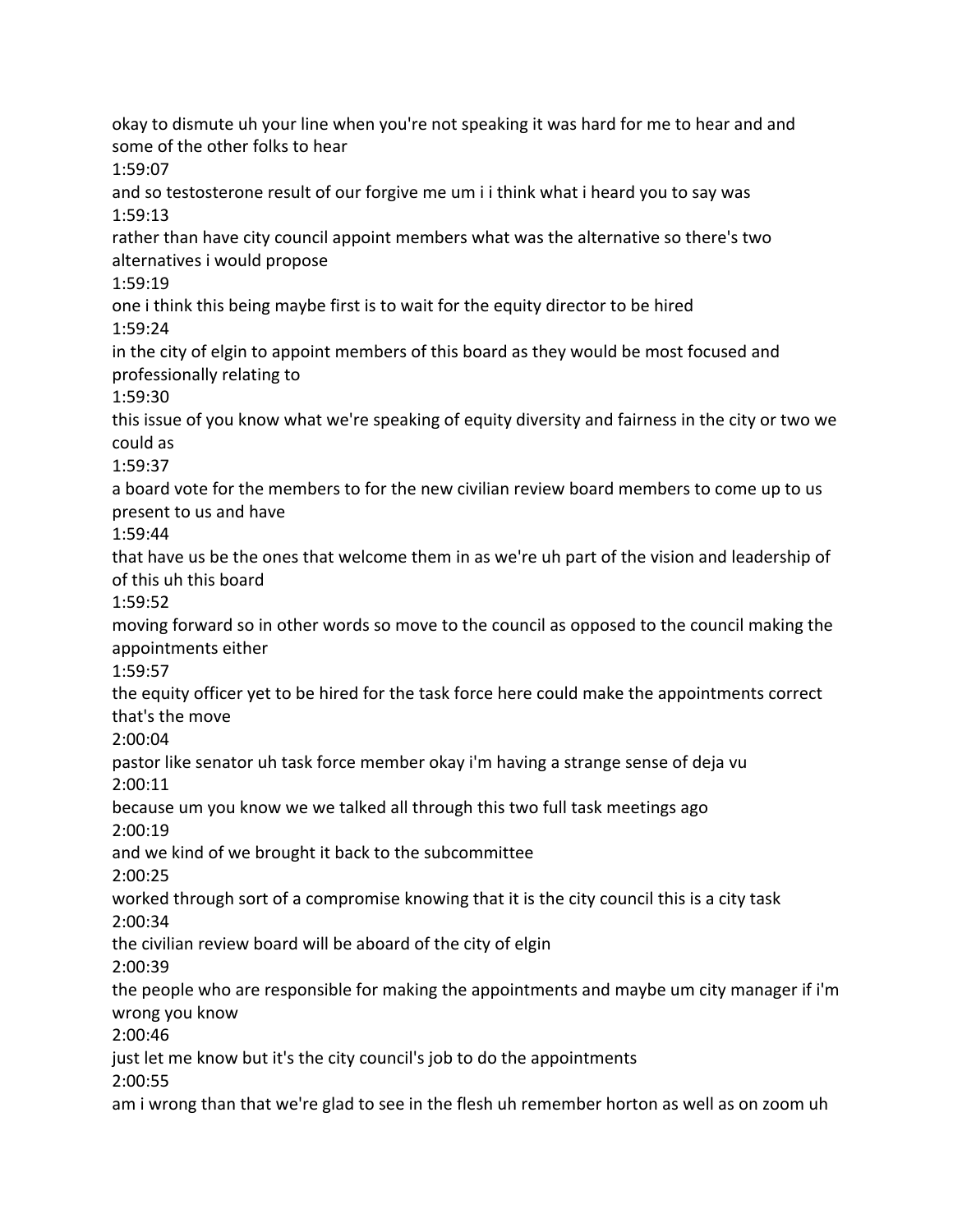okay to dismute uh your line when you're not speaking it was hard for me to hear and and some of the other folks to hear 1:59:07 and so testosterone result of our forgive me um i i think what i heard you to say was 1:59:13 rather than have city council appoint members what was the alternative so there's two alternatives i would propose 1:59:19 one i think this being maybe first is to wait for the equity director to be hired 1:59:24 in the city of elgin to appoint members of this board as they would be most focused and professionally relating to 1:59:30 this issue of you know what we're speaking of equity diversity and fairness in the city or two we could as 1:59:37 a board vote for the members to for the new civilian review board members to come up to us present to us and have 1:59:44 that have us be the ones that welcome them in as we're uh part of the vision and leadership of of this uh this board 1:59:52 moving forward so in other words so move to the council as opposed to the council making the appointments either 1:59:57 the equity officer yet to be hired for the task force here could make the appointments correct that's the move 2:00:04 pastor like senator uh task force member okay i'm having a strange sense of deja vu 2:00:11 because um you know we we talked all through this two full task meetings ago 2:00:19 and we kind of we brought it back to the subcommittee 2:00:25 worked through sort of a compromise knowing that it is the city council this is a city task 2:00:34 the civilian review board will be aboard of the city of elgin 2:00:39 the people who are responsible for making the appointments and maybe um city manager if i'm wrong you know 2:00:46 just let me know but it's the city council's job to do the appointments 2:00:55 am i wrong than that we're glad to see in the flesh uh remember horton as well as on zoom uh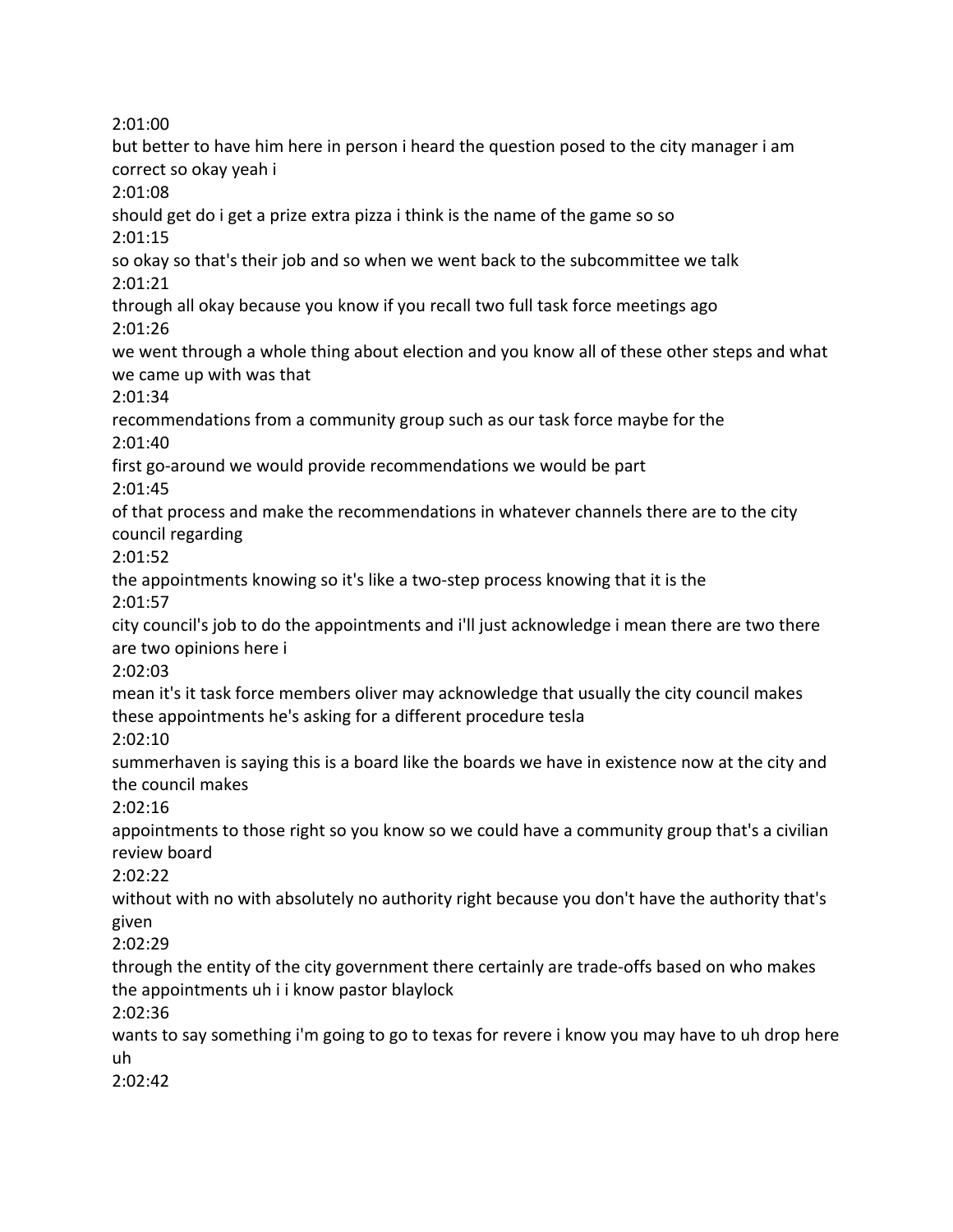2:01:00

but better to have him here in person i heard the question posed to the city manager i am correct so okay yeah i 2:01:08 should get do i get a prize extra pizza i think is the name of the game so so 2:01:15 so okay so that's their job and so when we went back to the subcommittee we talk 2:01:21 through all okay because you know if you recall two full task force meetings ago 2:01:26 we went through a whole thing about election and you know all of these other steps and what we came up with was that 2:01:34 recommendations from a community group such as our task force maybe for the 2:01:40 first go-around we would provide recommendations we would be part 2:01:45 of that process and make the recommendations in whatever channels there are to the city council regarding 2:01:52 the appointments knowing so it's like a two-step process knowing that it is the 2:01:57 city council's job to do the appointments and i'll just acknowledge i mean there are two there are two opinions here i 2:02:03 mean it's it task force members oliver may acknowledge that usually the city council makes these appointments he's asking for a different procedure tesla 2:02:10 summerhaven is saying this is a board like the boards we have in existence now at the city and the council makes 2:02:16 appointments to those right so you know so we could have a community group that's a civilian review board 2:02:22 without with no with absolutely no authority right because you don't have the authority that's given 2:02:29 through the entity of the city government there certainly are trade-offs based on who makes the appointments uh i i know pastor blaylock 2:02:36 wants to say something i'm going to go to texas for revere i know you may have to uh drop here uh 2:02:42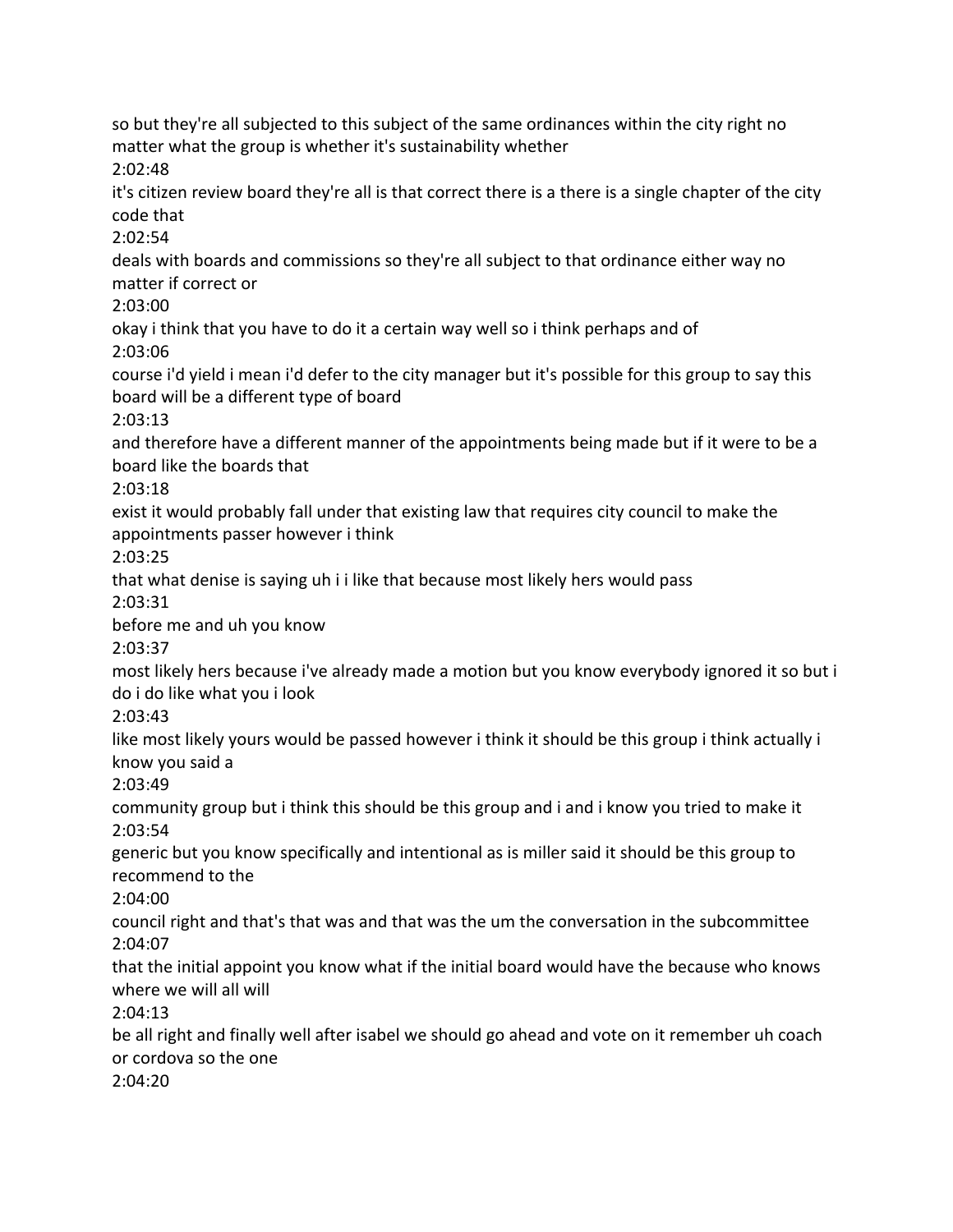so but they're all subjected to this subject of the same ordinances within the city right no matter what the group is whether it's sustainability whether 2:02:48 it's citizen review board they're all is that correct there is a there is a single chapter of the city code that 2:02:54 deals with boards and commissions so they're all subject to that ordinance either way no matter if correct or 2:03:00 okay i think that you have to do it a certain way well so i think perhaps and of 2:03:06 course i'd yield i mean i'd defer to the city manager but it's possible for this group to say this board will be a different type of board 2:03:13 and therefore have a different manner of the appointments being made but if it were to be a board like the boards that 2:03:18 exist it would probably fall under that existing law that requires city council to make the appointments passer however i think 2:03:25 that what denise is saying uh i i like that because most likely hers would pass 2:03:31 before me and uh you know 2:03:37 most likely hers because i've already made a motion but you know everybody ignored it so but i do i do like what you i look 2:03:43 like most likely yours would be passed however i think it should be this group i think actually i know you said a 2:03:49 community group but i think this should be this group and i and i know you tried to make it 2:03:54 generic but you know specifically and intentional as is miller said it should be this group to recommend to the 2:04:00 council right and that's that was and that was the um the conversation in the subcommittee 2:04:07 that the initial appoint you know what if the initial board would have the because who knows where we will all will 2:04:13 be all right and finally well after isabel we should go ahead and vote on it remember uh coach or cordova so the one 2:04:20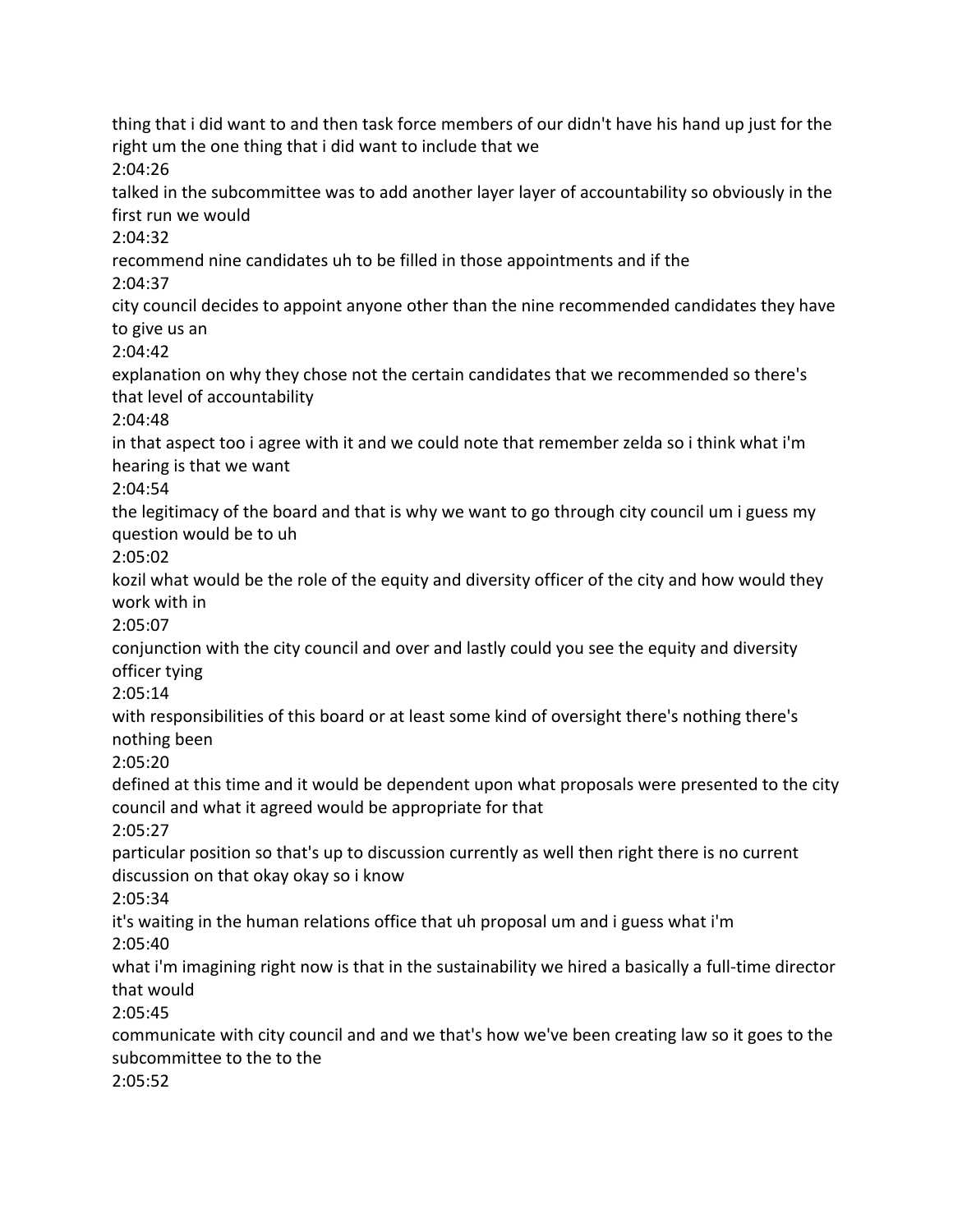thing that i did want to and then task force members of our didn't have his hand up just for the right um the one thing that i did want to include that we 2:04:26 talked in the subcommittee was to add another layer layer of accountability so obviously in the first run we would 2:04:32 recommend nine candidates uh to be filled in those appointments and if the 2:04:37 city council decides to appoint anyone other than the nine recommended candidates they have to give us an 2:04:42 explanation on why they chose not the certain candidates that we recommended so there's that level of accountability 2:04:48 in that aspect too i agree with it and we could note that remember zelda so i think what i'm hearing is that we want 2:04:54 the legitimacy of the board and that is why we want to go through city council um i guess my question would be to uh 2:05:02 kozil what would be the role of the equity and diversity officer of the city and how would they work with in 2:05:07 conjunction with the city council and over and lastly could you see the equity and diversity officer tying 2:05:14 with responsibilities of this board or at least some kind of oversight there's nothing there's nothing been 2:05:20 defined at this time and it would be dependent upon what proposals were presented to the city council and what it agreed would be appropriate for that 2:05:27 particular position so that's up to discussion currently as well then right there is no current discussion on that okay okay so i know 2:05:34 it's waiting in the human relations office that uh proposal um and i guess what i'm 2:05:40 what i'm imagining right now is that in the sustainability we hired a basically a full-time director that would 2:05:45 communicate with city council and and we that's how we've been creating law so it goes to the subcommittee to the to the 2:05:52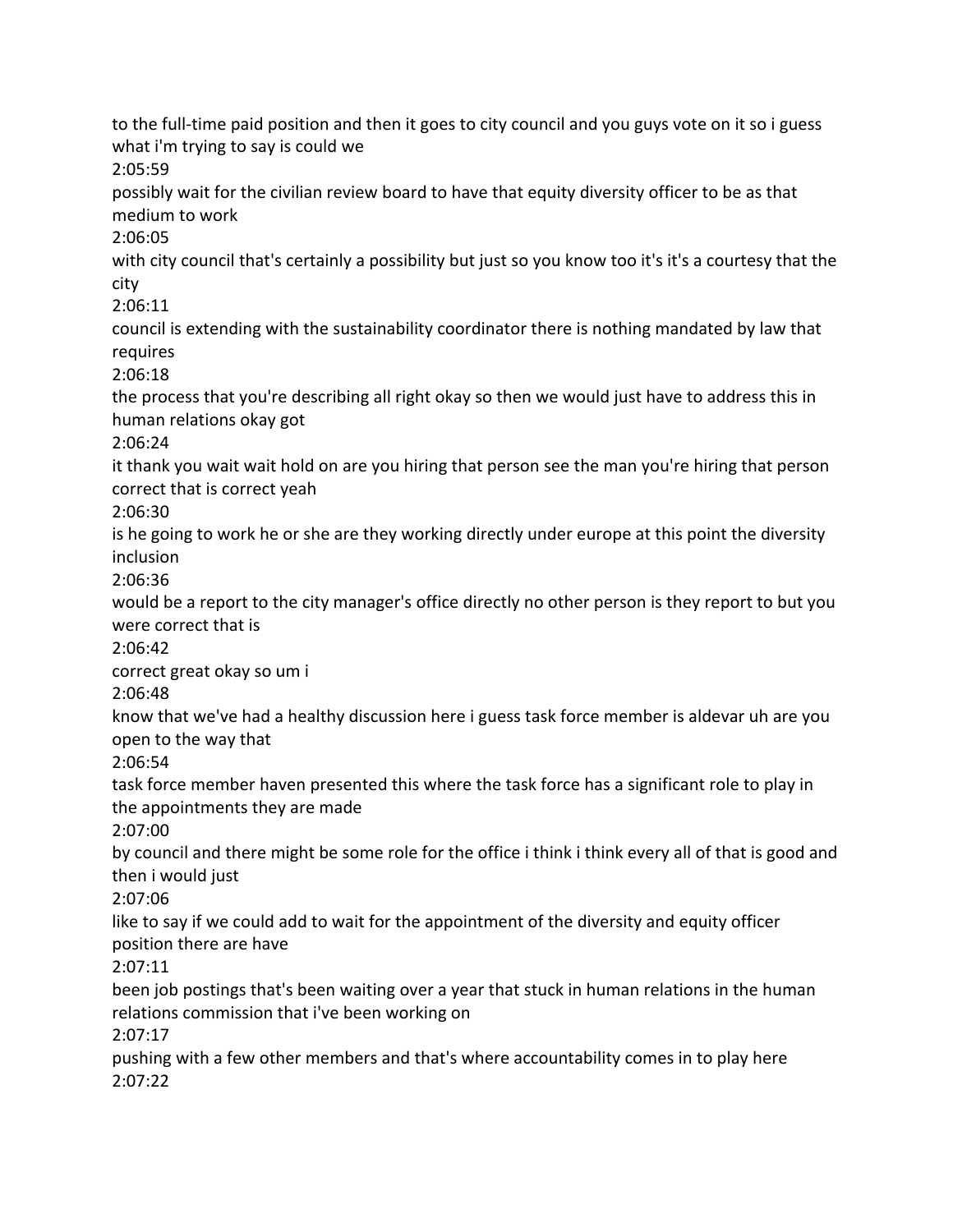to the full-time paid position and then it goes to city council and you guys vote on it so i guess what i'm trying to say is could we 2:05:59 possibly wait for the civilian review board to have that equity diversity officer to be as that medium to work 2:06:05 with city council that's certainly a possibility but just so you know too it's it's a courtesy that the city 2:06:11 council is extending with the sustainability coordinator there is nothing mandated by law that requires 2:06:18 the process that you're describing all right okay so then we would just have to address this in human relations okay got 2:06:24 it thank you wait wait hold on are you hiring that person see the man you're hiring that person correct that is correct yeah 2:06:30 is he going to work he or she are they working directly under europe at this point the diversity inclusion 2:06:36 would be a report to the city manager's office directly no other person is they report to but you were correct that is 2:06:42 correct great okay so um i 2:06:48 know that we've had a healthy discussion here i guess task force member is aldevar uh are you open to the way that 2:06:54 task force member haven presented this where the task force has a significant role to play in the appointments they are made 2:07:00 by council and there might be some role for the office i think i think every all of that is good and then i would just 2:07:06 like to say if we could add to wait for the appointment of the diversity and equity officer position there are have 2:07:11 been job postings that's been waiting over a year that stuck in human relations in the human relations commission that i've been working on 2:07:17 pushing with a few other members and that's where accountability comes in to play here 2:07:22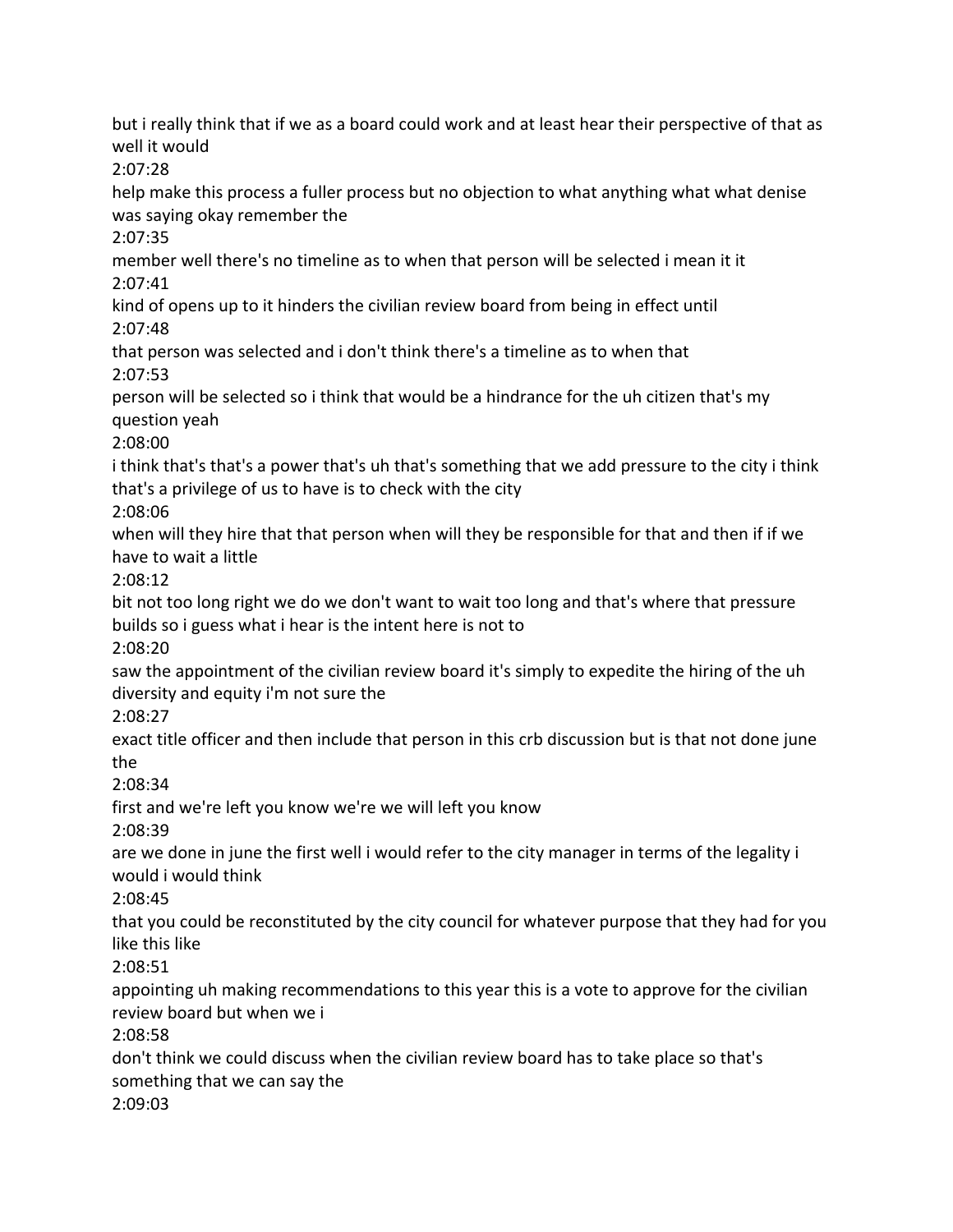but i really think that if we as a board could work and at least hear their perspective of that as well it would 2:07:28 help make this process a fuller process but no objection to what anything what what denise was saying okay remember the 2:07:35 member well there's no timeline as to when that person will be selected i mean it it 2:07:41 kind of opens up to it hinders the civilian review board from being in effect until 2:07:48 that person was selected and i don't think there's a timeline as to when that 2:07:53 person will be selected so i think that would be a hindrance for the uh citizen that's my question yeah 2:08:00 i think that's that's a power that's uh that's something that we add pressure to the city i think that's a privilege of us to have is to check with the city 2:08:06 when will they hire that that person when will they be responsible for that and then if if we have to wait a little 2:08:12 bit not too long right we do we don't want to wait too long and that's where that pressure builds so i guess what i hear is the intent here is not to 2:08:20 saw the appointment of the civilian review board it's simply to expedite the hiring of the uh diversity and equity i'm not sure the 2:08:27 exact title officer and then include that person in this crb discussion but is that not done june the 2:08:34 first and we're left you know we're we will left you know 2:08:39 are we done in june the first well i would refer to the city manager in terms of the legality i would i would think 2:08:45 that you could be reconstituted by the city council for whatever purpose that they had for you like this like 2:08:51 appointing uh making recommendations to this year this is a vote to approve for the civilian review board but when we i 2:08:58 don't think we could discuss when the civilian review board has to take place so that's something that we can say the 2:09:03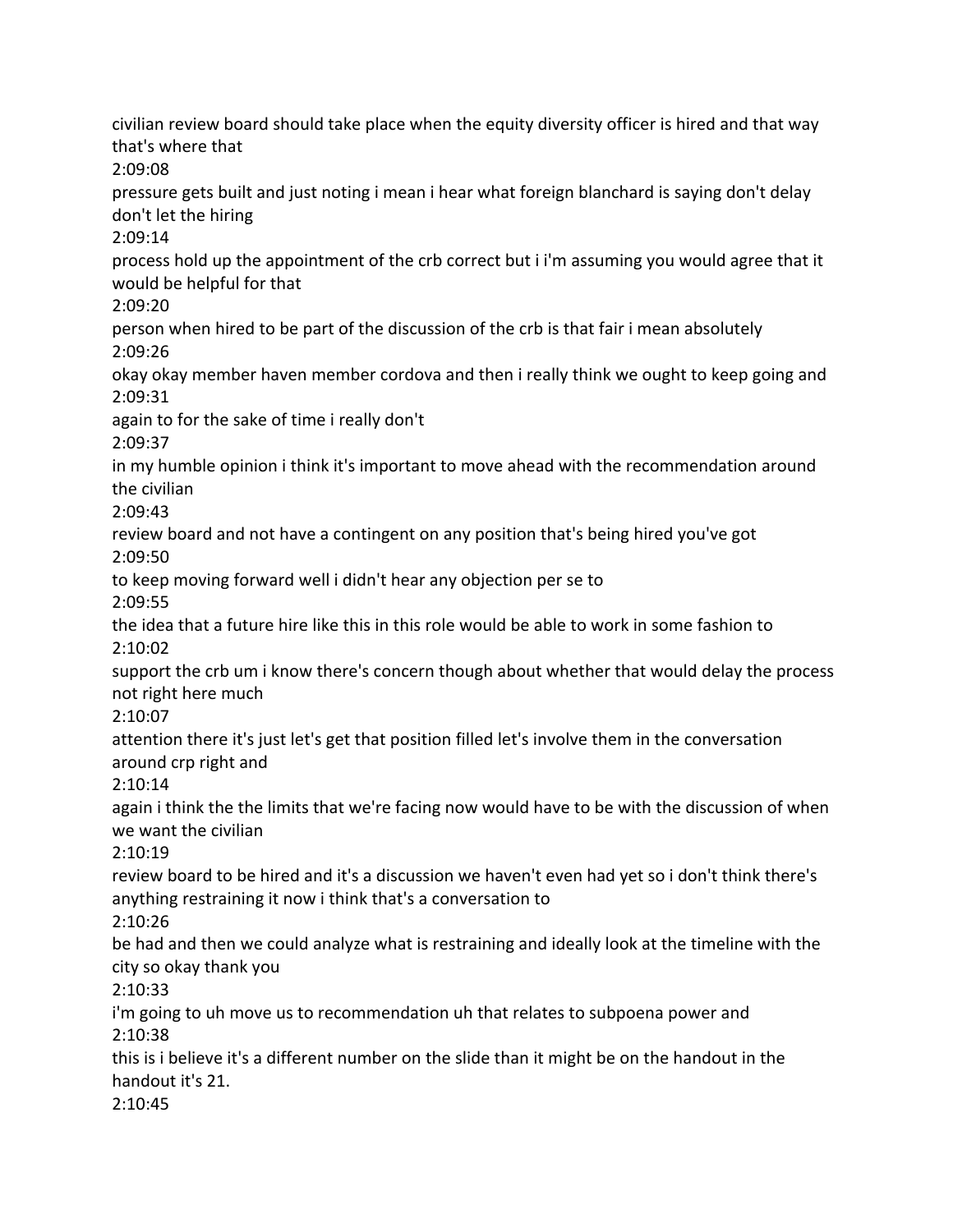civilian review board should take place when the equity diversity officer is hired and that way that's where that 2:09:08 pressure gets built and just noting i mean i hear what foreign blanchard is saying don't delay don't let the hiring 2:09:14 process hold up the appointment of the crb correct but i i'm assuming you would agree that it would be helpful for that 2:09:20 person when hired to be part of the discussion of the crb is that fair i mean absolutely 2:09:26 okay okay member haven member cordova and then i really think we ought to keep going and 2:09:31 again to for the sake of time i really don't 2:09:37 in my humble opinion i think it's important to move ahead with the recommendation around the civilian 2:09:43 review board and not have a contingent on any position that's being hired you've got 2:09:50 to keep moving forward well i didn't hear any objection per se to 2:09:55 the idea that a future hire like this in this role would be able to work in some fashion to 2:10:02 support the crb um i know there's concern though about whether that would delay the process not right here much 2:10:07 attention there it's just let's get that position filled let's involve them in the conversation around crp right and 2:10:14 again i think the the limits that we're facing now would have to be with the discussion of when we want the civilian 2:10:19 review board to be hired and it's a discussion we haven't even had yet so i don't think there's anything restraining it now i think that's a conversation to 2:10:26 be had and then we could analyze what is restraining and ideally look at the timeline with the city so okay thank you 2:10:33 i'm going to uh move us to recommendation uh that relates to subpoena power and 2:10:38 this is i believe it's a different number on the slide than it might be on the handout in the handout it's 21. 2:10:45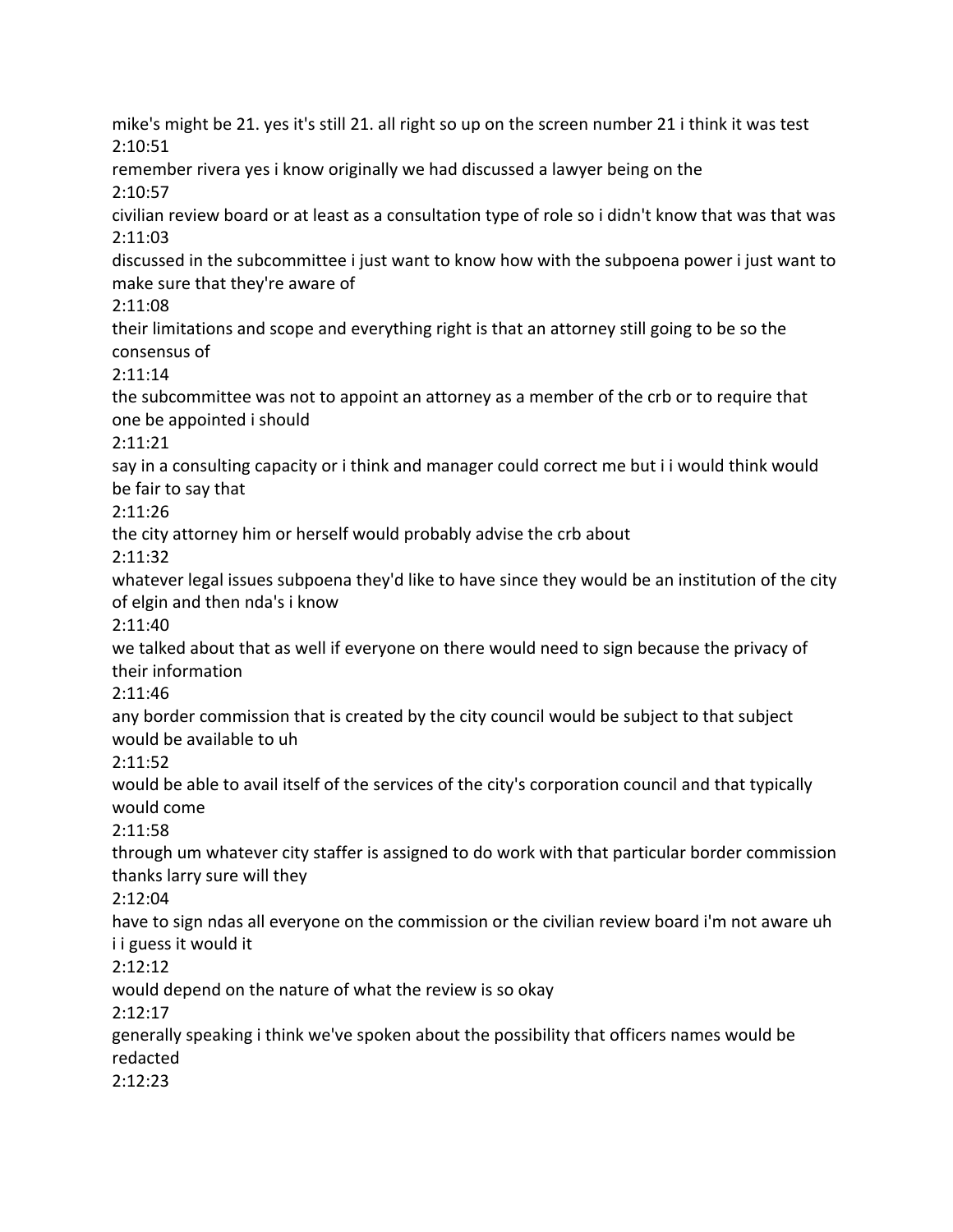mike's might be 21. yes it's still 21. all right so up on the screen number 21 i think it was test 2:10:51 remember rivera yes i know originally we had discussed a lawyer being on the 2:10:57 civilian review board or at least as a consultation type of role so i didn't know that was that was 2:11:03 discussed in the subcommittee i just want to know how with the subpoena power i just want to make sure that they're aware of 2:11:08 their limitations and scope and everything right is that an attorney still going to be so the consensus of 2:11:14 the subcommittee was not to appoint an attorney as a member of the crb or to require that one be appointed i should 2:11:21 say in a consulting capacity or i think and manager could correct me but i i would think would be fair to say that 2:11:26 the city attorney him or herself would probably advise the crb about 2:11:32 whatever legal issues subpoena they'd like to have since they would be an institution of the city of elgin and then nda's i know 2:11:40 we talked about that as well if everyone on there would need to sign because the privacy of their information 2:11:46 any border commission that is created by the city council would be subject to that subject would be available to uh 2:11:52 would be able to avail itself of the services of the city's corporation council and that typically would come 2:11:58 through um whatever city staffer is assigned to do work with that particular border commission thanks larry sure will they 2:12:04 have to sign ndas all everyone on the commission or the civilian review board i'm not aware uh i i guess it would it 2:12:12 would depend on the nature of what the review is so okay 2:12:17 generally speaking i think we've spoken about the possibility that officers names would be redacted 2:12:23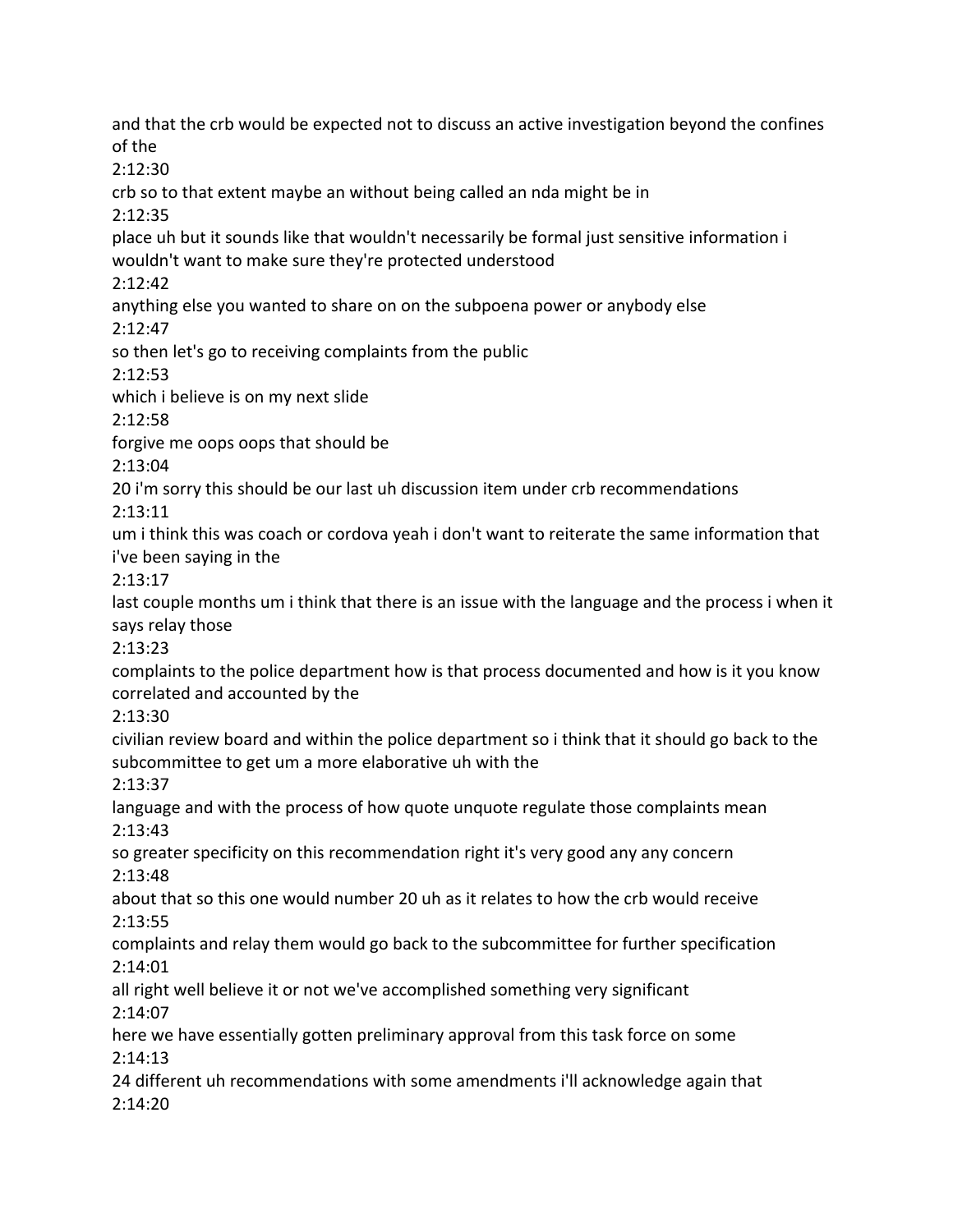and that the crb would be expected not to discuss an active investigation beyond the confines of the 2:12:30 crb so to that extent maybe an without being called an nda might be in 2:12:35 place uh but it sounds like that wouldn't necessarily be formal just sensitive information i wouldn't want to make sure they're protected understood 2:12:42 anything else you wanted to share on on the subpoena power or anybody else 2:12:47 so then let's go to receiving complaints from the public 2:12:53 which i believe is on my next slide 2:12:58 forgive me oops oops that should be 2:13:04 20 i'm sorry this should be our last uh discussion item under crb recommendations 2:13:11 um i think this was coach or cordova yeah i don't want to reiterate the same information that i've been saying in the 2:13:17 last couple months um i think that there is an issue with the language and the process i when it says relay those 2:13:23 complaints to the police department how is that process documented and how is it you know correlated and accounted by the 2:13:30 civilian review board and within the police department so i think that it should go back to the subcommittee to get um a more elaborative uh with the 2:13:37 language and with the process of how quote unquote regulate those complaints mean 2:13:43 so greater specificity on this recommendation right it's very good any any concern 2:13:48 about that so this one would number 20 uh as it relates to how the crb would receive 2:13:55 complaints and relay them would go back to the subcommittee for further specification 2:14:01 all right well believe it or not we've accomplished something very significant 2:14:07 here we have essentially gotten preliminary approval from this task force on some 2:14:13 24 different uh recommendations with some amendments i'll acknowledge again that 2:14:20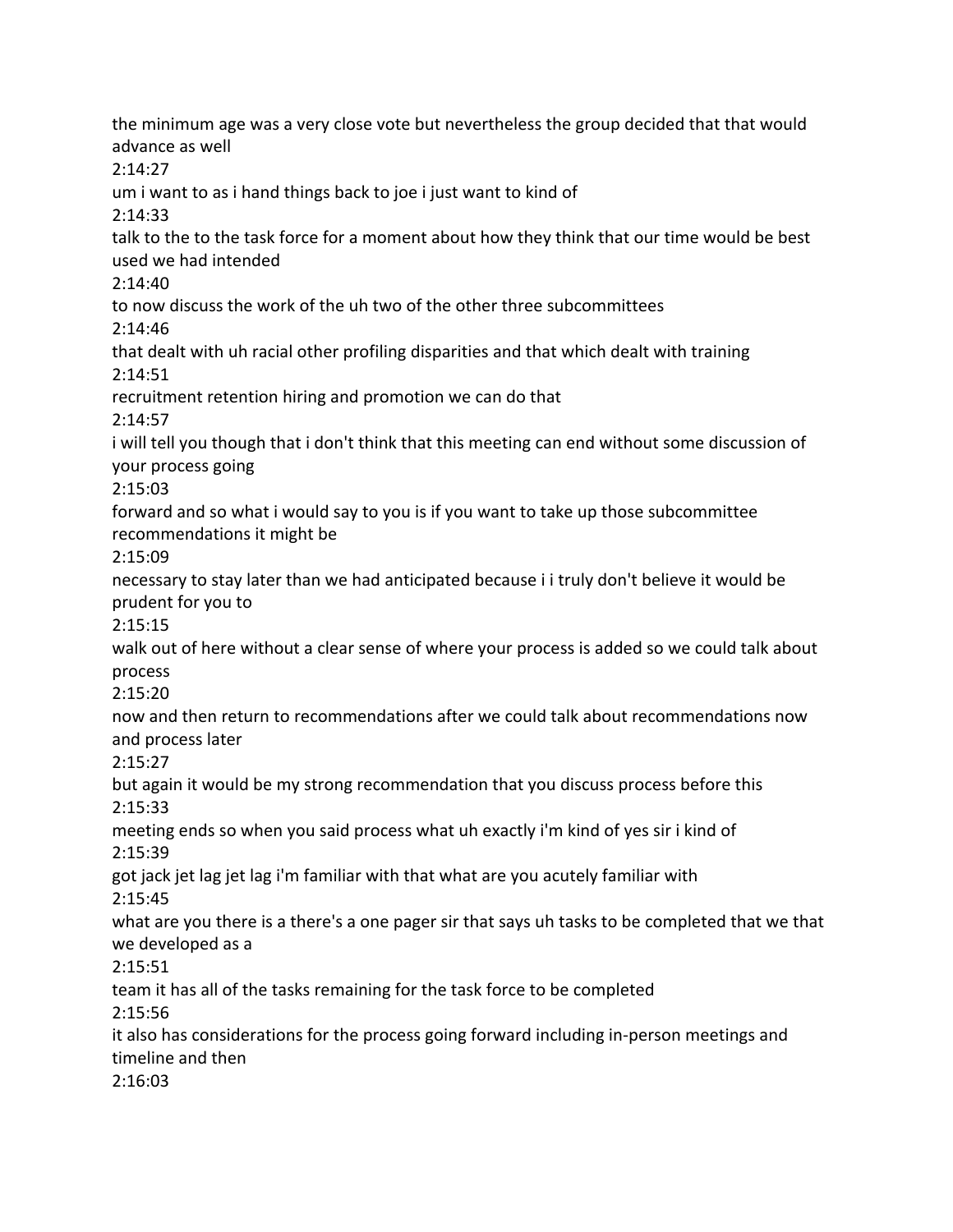the minimum age was a very close vote but nevertheless the group decided that that would advance as well 2:14:27 um i want to as i hand things back to joe i just want to kind of 2:14:33 talk to the to the task force for a moment about how they think that our time would be best used we had intended 2:14:40 to now discuss the work of the uh two of the other three subcommittees 2:14:46 that dealt with uh racial other profiling disparities and that which dealt with training 2:14:51 recruitment retention hiring and promotion we can do that 2:14:57 i will tell you though that i don't think that this meeting can end without some discussion of your process going 2:15:03 forward and so what i would say to you is if you want to take up those subcommittee recommendations it might be 2:15:09 necessary to stay later than we had anticipated because i i truly don't believe it would be prudent for you to 2:15:15 walk out of here without a clear sense of where your process is added so we could talk about process 2:15:20 now and then return to recommendations after we could talk about recommendations now and process later 2:15:27 but again it would be my strong recommendation that you discuss process before this 2:15:33 meeting ends so when you said process what uh exactly i'm kind of yes sir i kind of 2:15:39 got jack jet lag jet lag i'm familiar with that what are you acutely familiar with 2:15:45 what are you there is a there's a one pager sir that says uh tasks to be completed that we that we developed as a 2:15:51 team it has all of the tasks remaining for the task force to be completed 2:15:56 it also has considerations for the process going forward including in-person meetings and timeline and then 2:16:03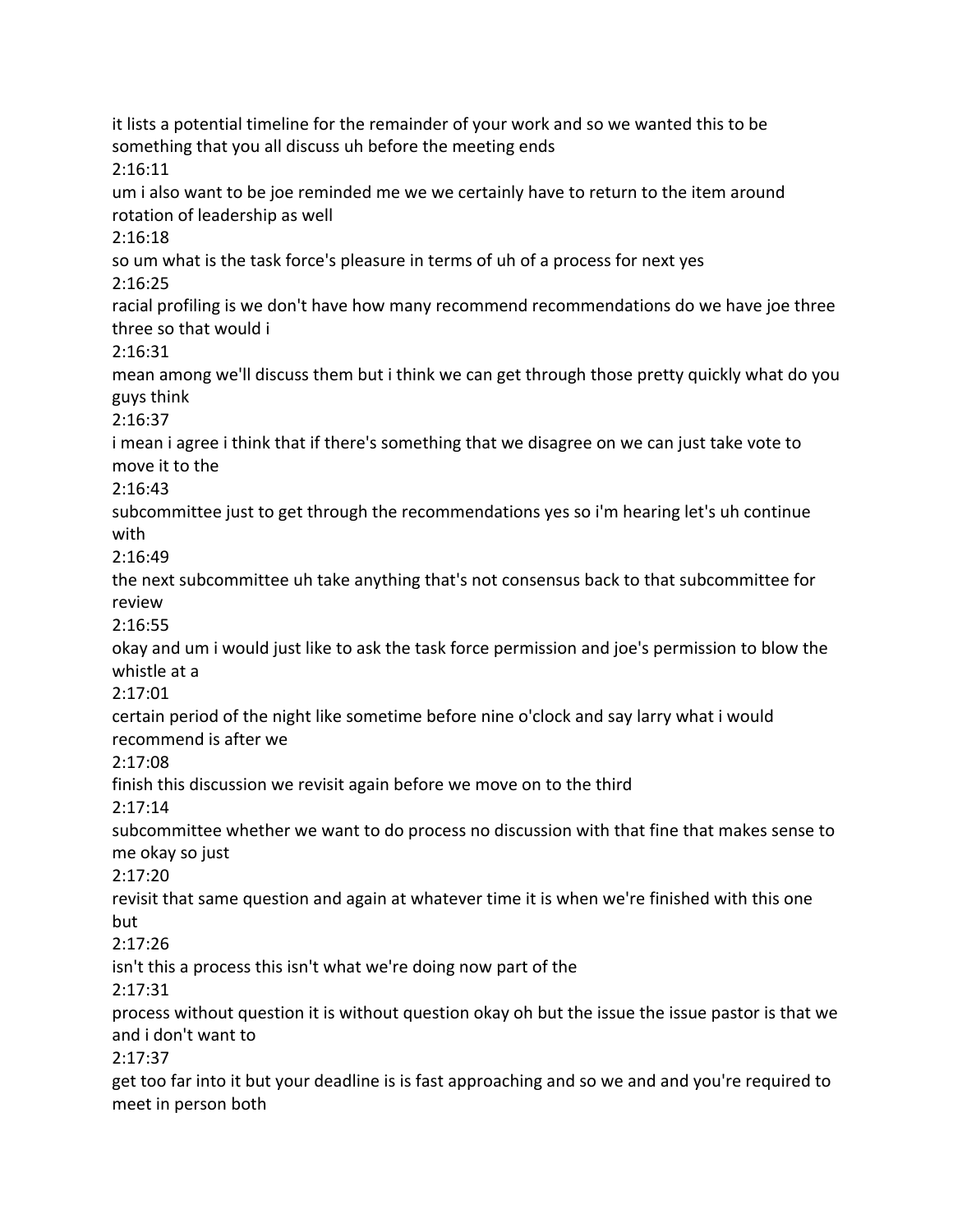it lists a potential timeline for the remainder of your work and so we wanted this to be something that you all discuss uh before the meeting ends 2:16:11 um i also want to be joe reminded me we we certainly have to return to the item around rotation of leadership as well 2:16:18 so um what is the task force's pleasure in terms of uh of a process for next yes 2:16:25 racial profiling is we don't have how many recommend recommendations do we have joe three three so that would i 2:16:31 mean among we'll discuss them but i think we can get through those pretty quickly what do you guys think 2:16:37 i mean i agree i think that if there's something that we disagree on we can just take vote to move it to the 2:16:43 subcommittee just to get through the recommendations yes so i'm hearing let's uh continue with 2:16:49 the next subcommittee uh take anything that's not consensus back to that subcommittee for review 2:16:55 okay and um i would just like to ask the task force permission and joe's permission to blow the whistle at a 2:17:01 certain period of the night like sometime before nine o'clock and say larry what i would recommend is after we 2:17:08 finish this discussion we revisit again before we move on to the third 2:17:14 subcommittee whether we want to do process no discussion with that fine that makes sense to me okay so just 2:17:20 revisit that same question and again at whatever time it is when we're finished with this one but 2:17:26 isn't this a process this isn't what we're doing now part of the 2:17:31 process without question it is without question okay oh but the issue the issue pastor is that we and i don't want to 2:17:37 get too far into it but your deadline is is fast approaching and so we and and you're required to meet in person both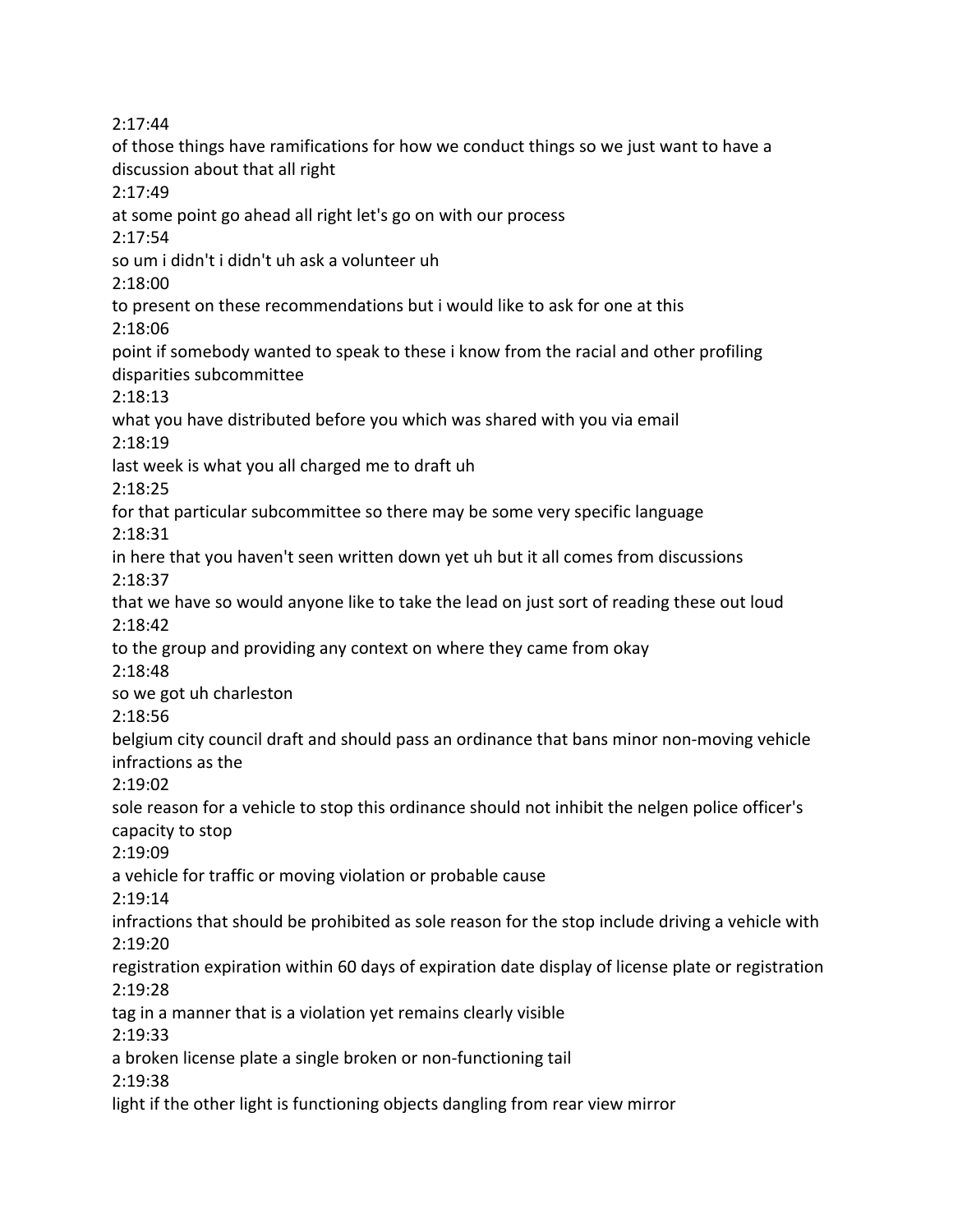2:17:44 of those things have ramifications for how we conduct things so we just want to have a discussion about that all right 2:17:49 at some point go ahead all right let's go on with our process 2:17:54 so um i didn't i didn't uh ask a volunteer uh 2:18:00 to present on these recommendations but i would like to ask for one at this 2:18:06 point if somebody wanted to speak to these i know from the racial and other profiling disparities subcommittee 2:18:13 what you have distributed before you which was shared with you via email 2:18:19 last week is what you all charged me to draft uh 2:18:25 for that particular subcommittee so there may be some very specific language 2:18:31 in here that you haven't seen written down yet uh but it all comes from discussions 2:18:37 that we have so would anyone like to take the lead on just sort of reading these out loud 2:18:42 to the group and providing any context on where they came from okay 2:18:48 so we got uh charleston 2:18:56 belgium city council draft and should pass an ordinance that bans minor non-moving vehicle infractions as the 2:19:02 sole reason for a vehicle to stop this ordinance should not inhibit the nelgen police officer's capacity to stop 2:19:09 a vehicle for traffic or moving violation or probable cause 2:19:14 infractions that should be prohibited as sole reason for the stop include driving a vehicle with 2:19:20 registration expiration within 60 days of expiration date display of license plate or registration 2:19:28 tag in a manner that is a violation yet remains clearly visible 2:19:33 a broken license plate a single broken or non-functioning tail 2:19:38 light if the other light is functioning objects dangling from rear view mirror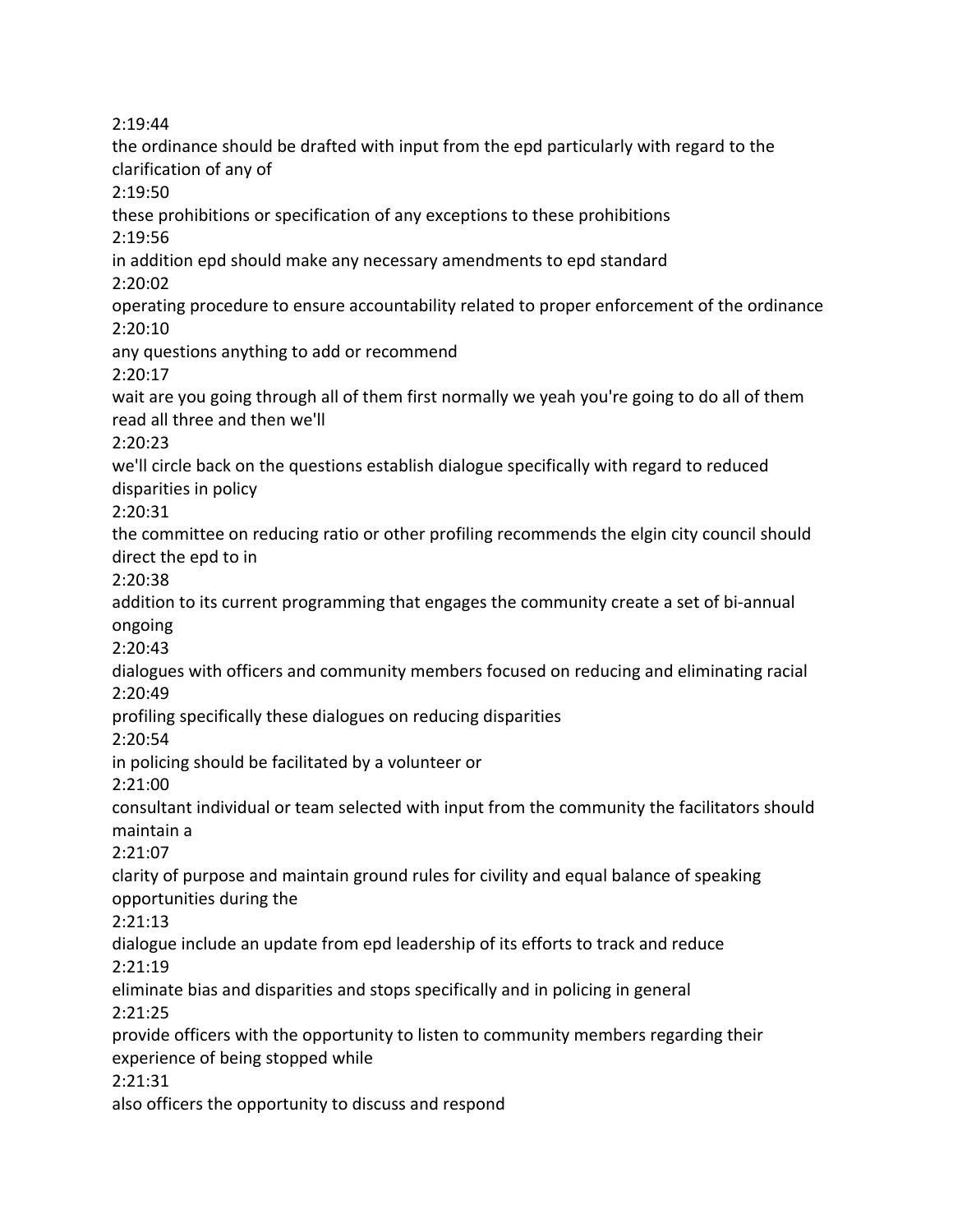2:19:44 the ordinance should be drafted with input from the epd particularly with regard to the clarification of any of 2:19:50 these prohibitions or specification of any exceptions to these prohibitions 2:19:56 in addition epd should make any necessary amendments to epd standard 2:20:02 operating procedure to ensure accountability related to proper enforcement of the ordinance 2:20:10 any questions anything to add or recommend 2:20:17 wait are you going through all of them first normally we yeah you're going to do all of them read all three and then we'll 2:20:23 we'll circle back on the questions establish dialogue specifically with regard to reduced disparities in policy 2:20:31 the committee on reducing ratio or other profiling recommends the elgin city council should direct the epd to in 2:20:38 addition to its current programming that engages the community create a set of bi-annual ongoing 2:20:43 dialogues with officers and community members focused on reducing and eliminating racial 2:20:49 profiling specifically these dialogues on reducing disparities 2:20:54 in policing should be facilitated by a volunteer or 2:21:00 consultant individual or team selected with input from the community the facilitators should maintain a 2:21:07 clarity of purpose and maintain ground rules for civility and equal balance of speaking opportunities during the 2:21:13 dialogue include an update from epd leadership of its efforts to track and reduce 2:21:19 eliminate bias and disparities and stops specifically and in policing in general 2:21:25 provide officers with the opportunity to listen to community members regarding their experience of being stopped while 2:21:31 also officers the opportunity to discuss and respond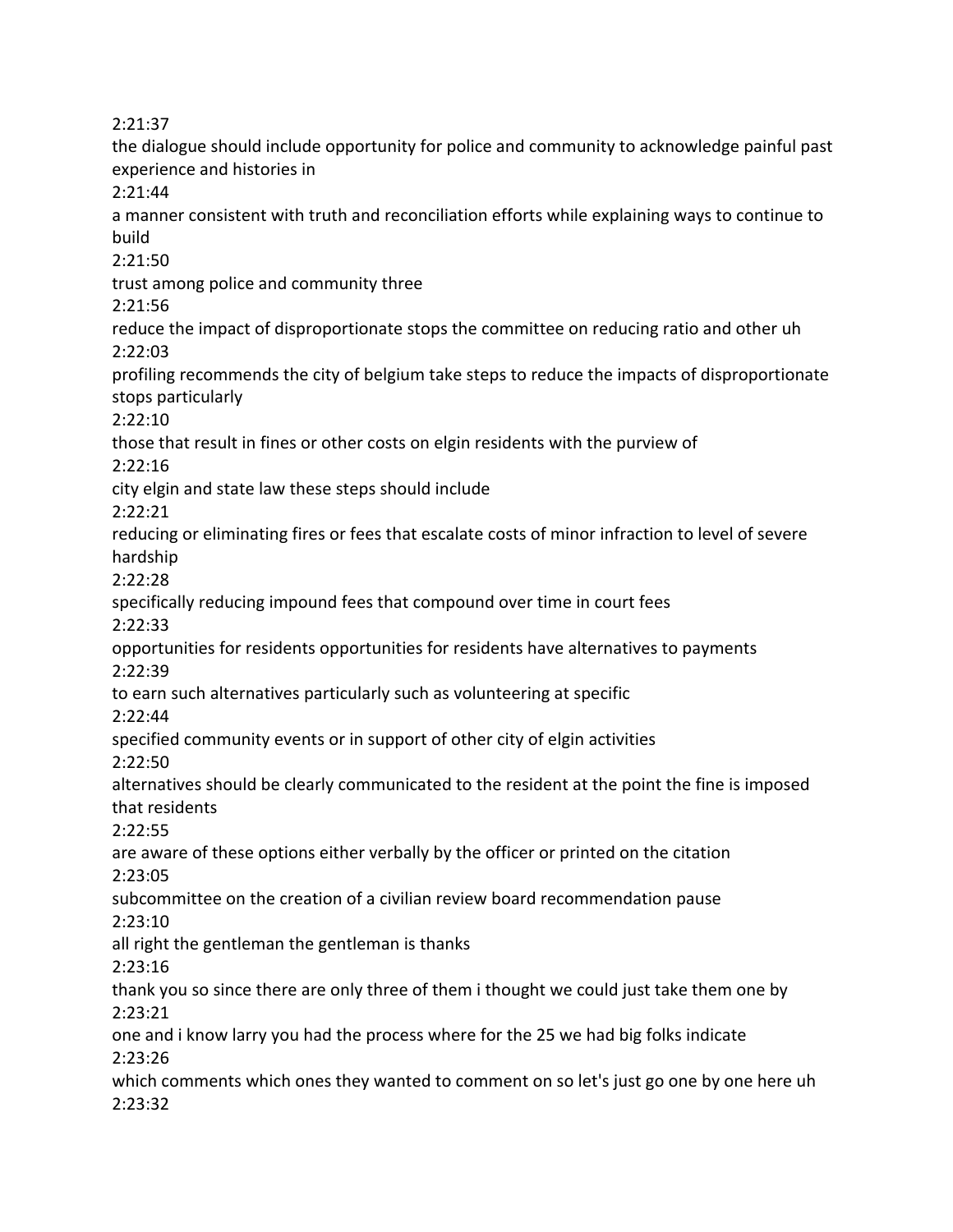2:21:37

the dialogue should include opportunity for police and community to acknowledge painful past experience and histories in

2:21:44

a manner consistent with truth and reconciliation efforts while explaining ways to continue to build

2:21:50

trust among police and community three

2:21:56

reduce the impact of disproportionate stops the committee on reducing ratio and other uh 2:22:03

profiling recommends the city of belgium take steps to reduce the impacts of disproportionate stops particularly

2:22:10

those that result in fines or other costs on elgin residents with the purview of 2:22:16

city elgin and state law these steps should include

2:22:21

reducing or eliminating fires or fees that escalate costs of minor infraction to level of severe hardship

2:22:28

specifically reducing impound fees that compound over time in court fees

2:22:33

opportunities for residents opportunities for residents have alternatives to payments 2:22:39

to earn such alternatives particularly such as volunteering at specific

2:22:44

specified community events or in support of other city of elgin activities

2:22:50

alternatives should be clearly communicated to the resident at the point the fine is imposed that residents

2:22:55

are aware of these options either verbally by the officer or printed on the citation 2:23:05

subcommittee on the creation of a civilian review board recommendation pause

2:23:10

all right the gentleman the gentleman is thanks

2:23:16

thank you so since there are only three of them i thought we could just take them one by 2:23:21

one and i know larry you had the process where for the 25 we had big folks indicate 2:23:26

which comments which ones they wanted to comment on so let's just go one by one here uh 2:23:32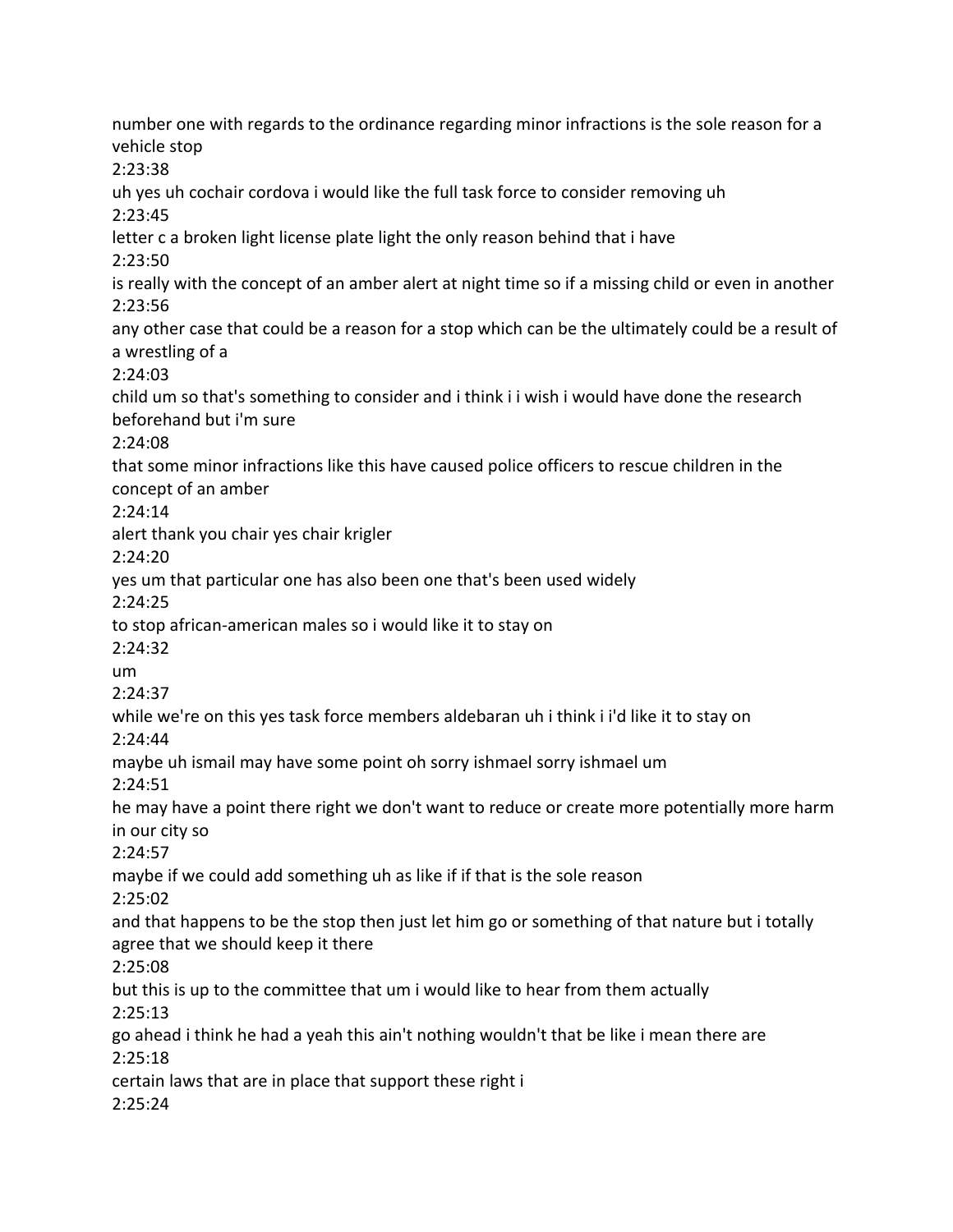number one with regards to the ordinance regarding minor infractions is the sole reason for a vehicle stop 2:23:38 uh yes uh cochair cordova i would like the full task force to consider removing uh 2:23:45 letter c a broken light license plate light the only reason behind that i have 2:23:50 is really with the concept of an amber alert at night time so if a missing child or even in another 2:23:56 any other case that could be a reason for a stop which can be the ultimately could be a result of a wrestling of a 2:24:03 child um so that's something to consider and i think i i wish i would have done the research beforehand but i'm sure 2:24:08 that some minor infractions like this have caused police officers to rescue children in the concept of an amber 2:24:14 alert thank you chair yes chair krigler 2:24:20 yes um that particular one has also been one that's been used widely 2:24:25 to stop african-american males so i would like it to stay on 2:24:32 um 2:24:37 while we're on this yes task force members aldebaran uh i think i i'd like it to stay on 2:24:44 maybe uh ismail may have some point oh sorry ishmael sorry ishmael um 2:24:51 he may have a point there right we don't want to reduce or create more potentially more harm in our city so 2:24:57 maybe if we could add something uh as like if if that is the sole reason 2:25:02 and that happens to be the stop then just let him go or something of that nature but i totally agree that we should keep it there 2:25:08 but this is up to the committee that um i would like to hear from them actually 2:25:13 go ahead i think he had a yeah this ain't nothing wouldn't that be like i mean there are 2:25:18 certain laws that are in place that support these right i 2:25:24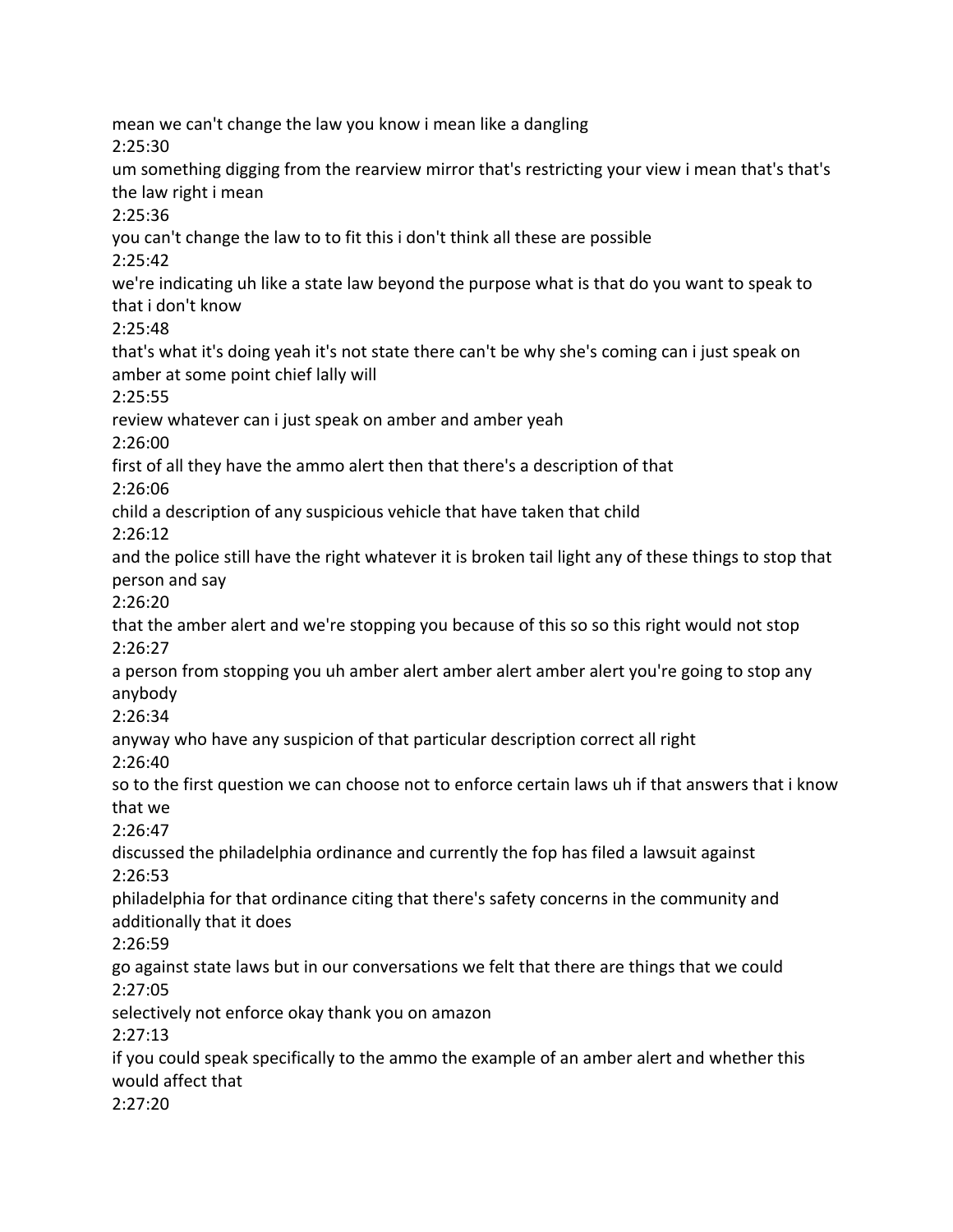mean we can't change the law you know i mean like a dangling 2:25:30 um something digging from the rearview mirror that's restricting your view i mean that's that's the law right i mean 2:25:36 you can't change the law to to fit this i don't think all these are possible 2:25:42 we're indicating uh like a state law beyond the purpose what is that do you want to speak to that i don't know 2:25:48 that's what it's doing yeah it's not state there can't be why she's coming can i just speak on amber at some point chief lally will 2:25:55 review whatever can i just speak on amber and amber yeah 2:26:00 first of all they have the ammo alert then that there's a description of that 2:26:06 child a description of any suspicious vehicle that have taken that child 2:26:12 and the police still have the right whatever it is broken tail light any of these things to stop that person and say 2:26:20 that the amber alert and we're stopping you because of this so so this right would not stop 2:26:27 a person from stopping you uh amber alert amber alert amber alert you're going to stop any anybody 2:26:34 anyway who have any suspicion of that particular description correct all right 2:26:40 so to the first question we can choose not to enforce certain laws uh if that answers that i know that we 2:26:47 discussed the philadelphia ordinance and currently the fop has filed a lawsuit against 2:26:53 philadelphia for that ordinance citing that there's safety concerns in the community and additionally that it does 2:26:59 go against state laws but in our conversations we felt that there are things that we could 2:27:05 selectively not enforce okay thank you on amazon 2:27:13 if you could speak specifically to the ammo the example of an amber alert and whether this would affect that 2:27:20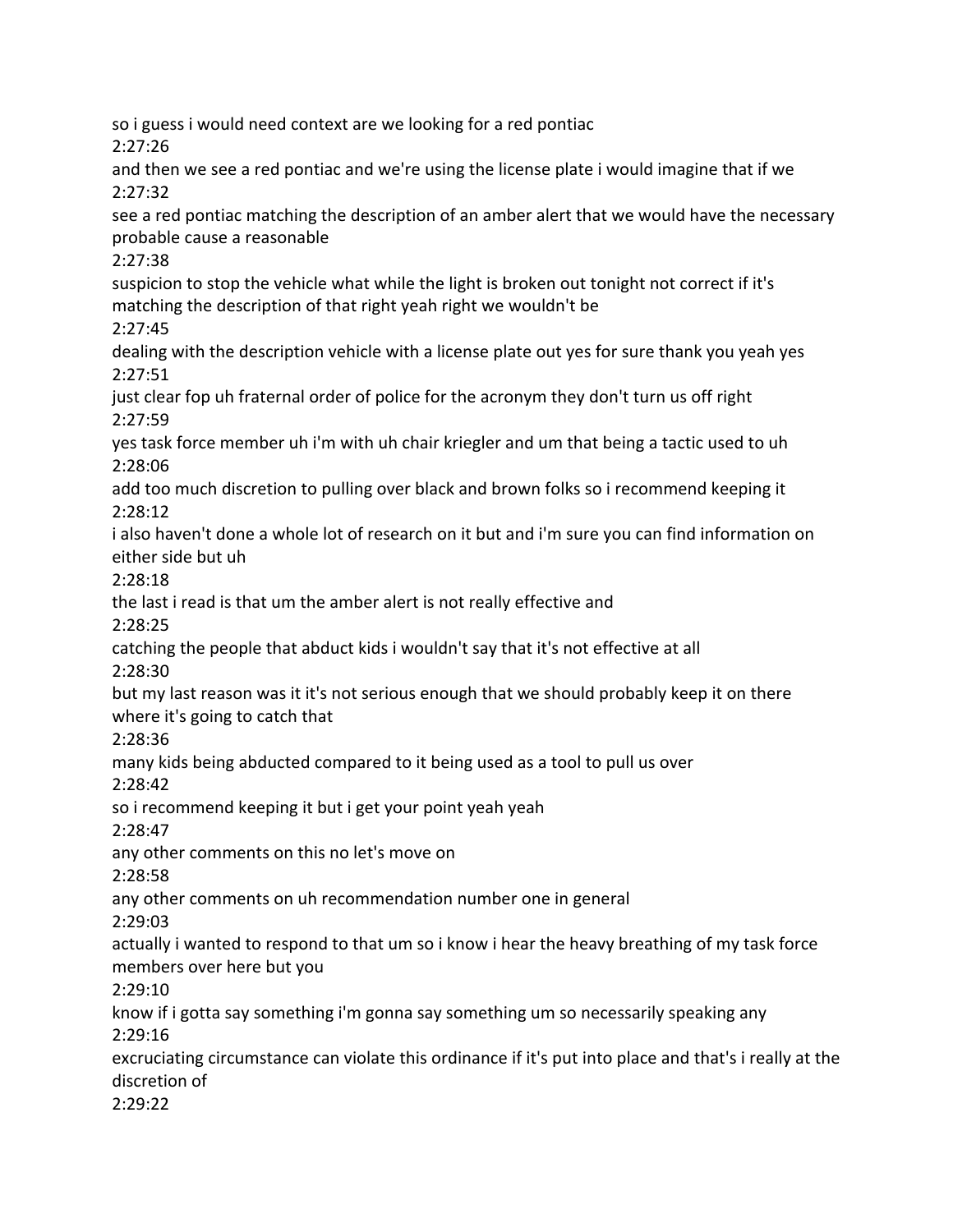so i guess i would need context are we looking for a red pontiac 2:27:26 and then we see a red pontiac and we're using the license plate i would imagine that if we 2:27:32 see a red pontiac matching the description of an amber alert that we would have the necessary probable cause a reasonable 2:27:38 suspicion to stop the vehicle what while the light is broken out tonight not correct if it's matching the description of that right yeah right we wouldn't be 2:27:45 dealing with the description vehicle with a license plate out yes for sure thank you yeah yes 2:27:51 just clear fop uh fraternal order of police for the acronym they don't turn us off right 2:27:59 yes task force member uh i'm with uh chair kriegler and um that being a tactic used to uh 2:28:06 add too much discretion to pulling over black and brown folks so i recommend keeping it 2:28:12 i also haven't done a whole lot of research on it but and i'm sure you can find information on either side but uh 2:28:18 the last i read is that um the amber alert is not really effective and 2:28:25 catching the people that abduct kids i wouldn't say that it's not effective at all 2:28:30 but my last reason was it it's not serious enough that we should probably keep it on there where it's going to catch that 2:28:36 many kids being abducted compared to it being used as a tool to pull us over 2:28:42 so i recommend keeping it but i get your point yeah yeah 2:28:47 any other comments on this no let's move on 2:28:58 any other comments on uh recommendation number one in general 2:29:03 actually i wanted to respond to that um so i know i hear the heavy breathing of my task force members over here but you 2:29:10 know if i gotta say something i'm gonna say something um so necessarily speaking any 2:29:16 excruciating circumstance can violate this ordinance if it's put into place and that's i really at the discretion of 2:29:22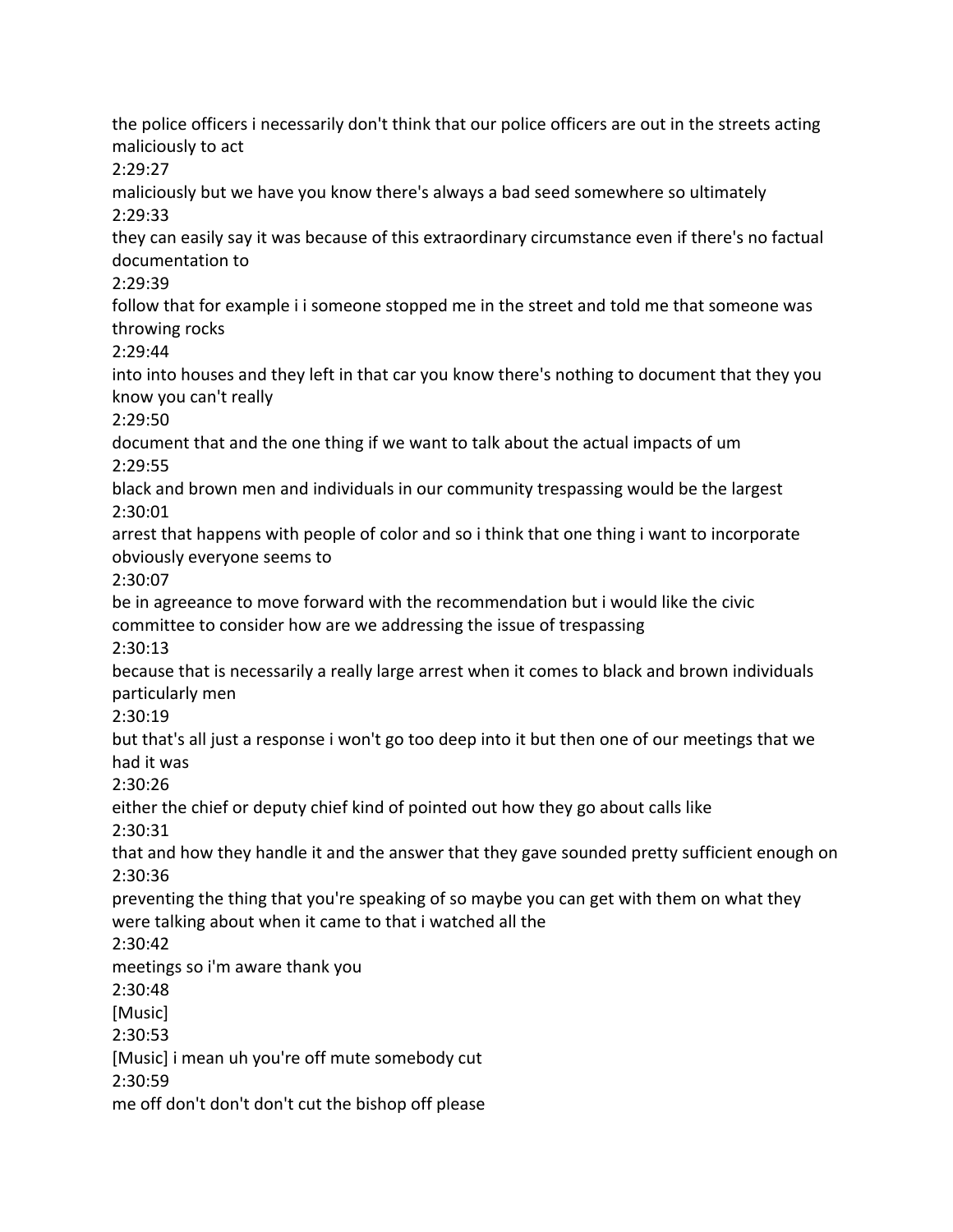the police officers i necessarily don't think that our police officers are out in the streets acting maliciously to act 2:29:27 maliciously but we have you know there's always a bad seed somewhere so ultimately 2:29:33 they can easily say it was because of this extraordinary circumstance even if there's no factual documentation to 2:29:39 follow that for example i i someone stopped me in the street and told me that someone was throwing rocks 2:29:44 into into houses and they left in that car you know there's nothing to document that they you know you can't really 2:29:50 document that and the one thing if we want to talk about the actual impacts of um 2:29:55 black and brown men and individuals in our community trespassing would be the largest 2:30:01 arrest that happens with people of color and so i think that one thing i want to incorporate obviously everyone seems to 2:30:07 be in agreeance to move forward with the recommendation but i would like the civic committee to consider how are we addressing the issue of trespassing 2:30:13 because that is necessarily a really large arrest when it comes to black and brown individuals particularly men 2:30:19 but that's all just a response i won't go too deep into it but then one of our meetings that we had it was 2:30:26 either the chief or deputy chief kind of pointed out how they go about calls like 2:30:31 that and how they handle it and the answer that they gave sounded pretty sufficient enough on 2:30:36 preventing the thing that you're speaking of so maybe you can get with them on what they were talking about when it came to that i watched all the 2:30:42 meetings so i'm aware thank you 2:30:48 [Music] 2:30:53 [Music] i mean uh you're off mute somebody cut 2:30:59 me off don't don't don't cut the bishop off please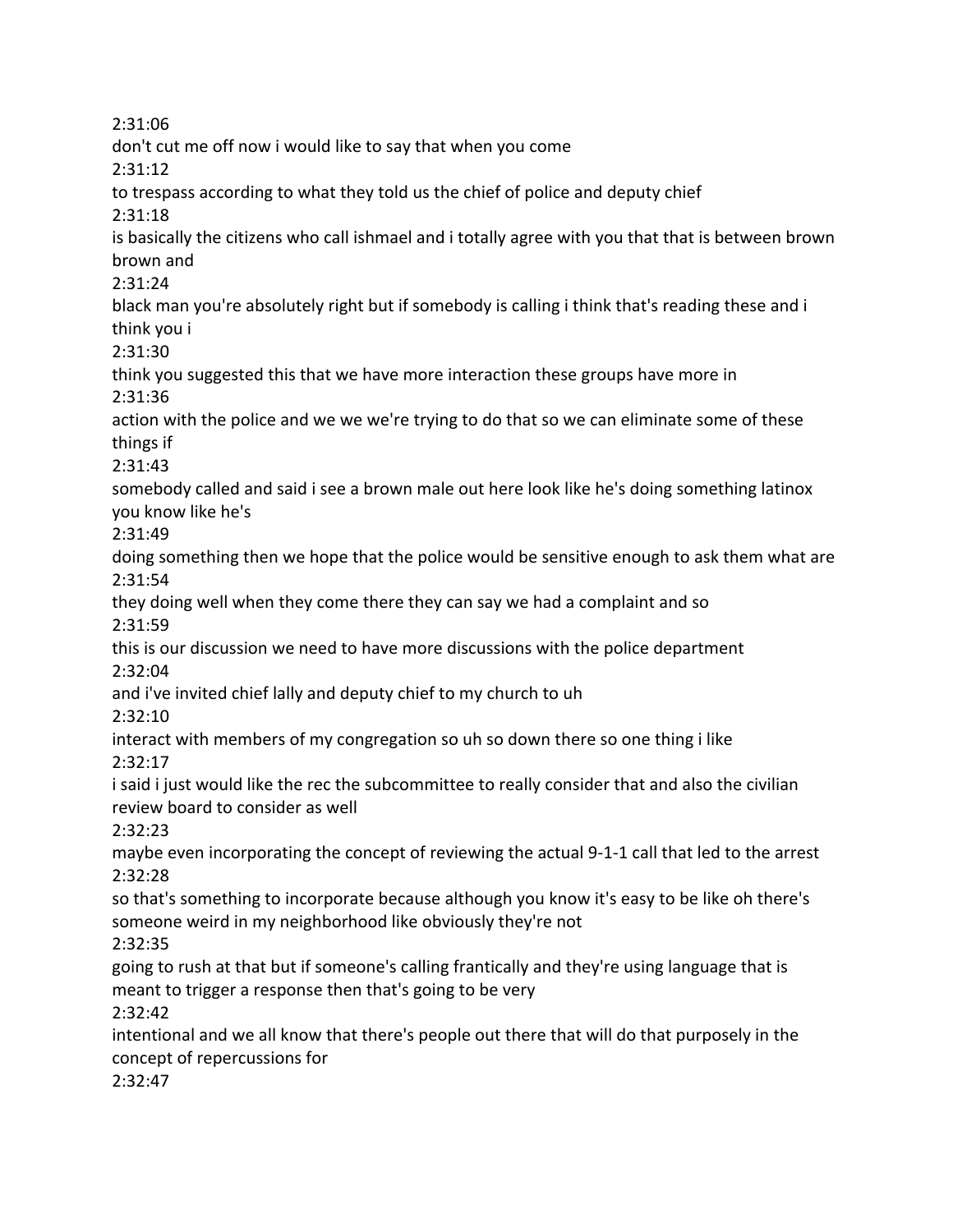2:31:06 don't cut me off now i would like to say that when you come 2:31:12 to trespass according to what they told us the chief of police and deputy chief 2:31:18 is basically the citizens who call ishmael and i totally agree with you that that is between brown brown and 2:31:24 black man you're absolutely right but if somebody is calling i think that's reading these and i think you i 2:31:30 think you suggested this that we have more interaction these groups have more in 2:31:36 action with the police and we we we're trying to do that so we can eliminate some of these things if 2:31:43 somebody called and said i see a brown male out here look like he's doing something latinox you know like he's 2:31:49 doing something then we hope that the police would be sensitive enough to ask them what are 2:31:54 they doing well when they come there they can say we had a complaint and so 2:31:59 this is our discussion we need to have more discussions with the police department 2:32:04 and i've invited chief lally and deputy chief to my church to uh 2:32:10 interact with members of my congregation so uh so down there so one thing i like 2:32:17 i said i just would like the rec the subcommittee to really consider that and also the civilian review board to consider as well 2:32:23 maybe even incorporating the concept of reviewing the actual 9-1-1 call that led to the arrest 2:32:28 so that's something to incorporate because although you know it's easy to be like oh there's someone weird in my neighborhood like obviously they're not 2:32:35 going to rush at that but if someone's calling frantically and they're using language that is meant to trigger a response then that's going to be very 2:32:42 intentional and we all know that there's people out there that will do that purposely in the concept of repercussions for 2:32:47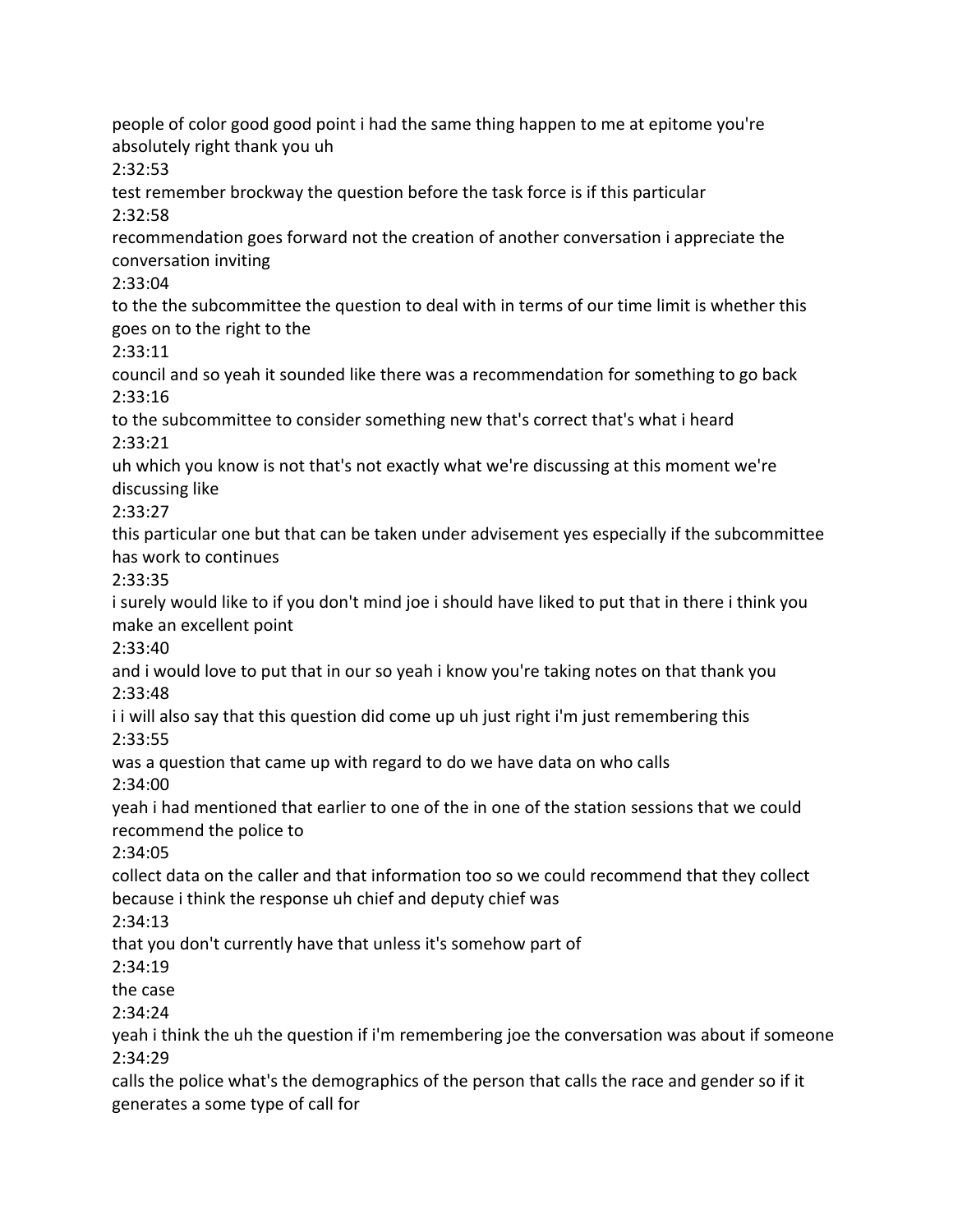people of color good good point i had the same thing happen to me at epitome you're absolutely right thank you uh 2:32:53 test remember brockway the question before the task force is if this particular 2:32:58 recommendation goes forward not the creation of another conversation i appreciate the conversation inviting 2:33:04 to the the subcommittee the question to deal with in terms of our time limit is whether this goes on to the right to the 2:33:11 council and so yeah it sounded like there was a recommendation for something to go back 2:33:16 to the subcommittee to consider something new that's correct that's what i heard 2:33:21 uh which you know is not that's not exactly what we're discussing at this moment we're discussing like 2:33:27 this particular one but that can be taken under advisement yes especially if the subcommittee has work to continues 2:33:35 i surely would like to if you don't mind joe i should have liked to put that in there i think you make an excellent point 2:33:40 and i would love to put that in our so yeah i know you're taking notes on that thank you 2:33:48 i i will also say that this question did come up uh just right i'm just remembering this 2:33:55 was a question that came up with regard to do we have data on who calls 2:34:00 yeah i had mentioned that earlier to one of the in one of the station sessions that we could recommend the police to 2:34:05 collect data on the caller and that information too so we could recommend that they collect because i think the response uh chief and deputy chief was 2:34:13 that you don't currently have that unless it's somehow part of 2:34:19 the case 2:34:24 yeah i think the uh the question if i'm remembering joe the conversation was about if someone 2:34:29 calls the police what's the demographics of the person that calls the race and gender so if it

generates a some type of call for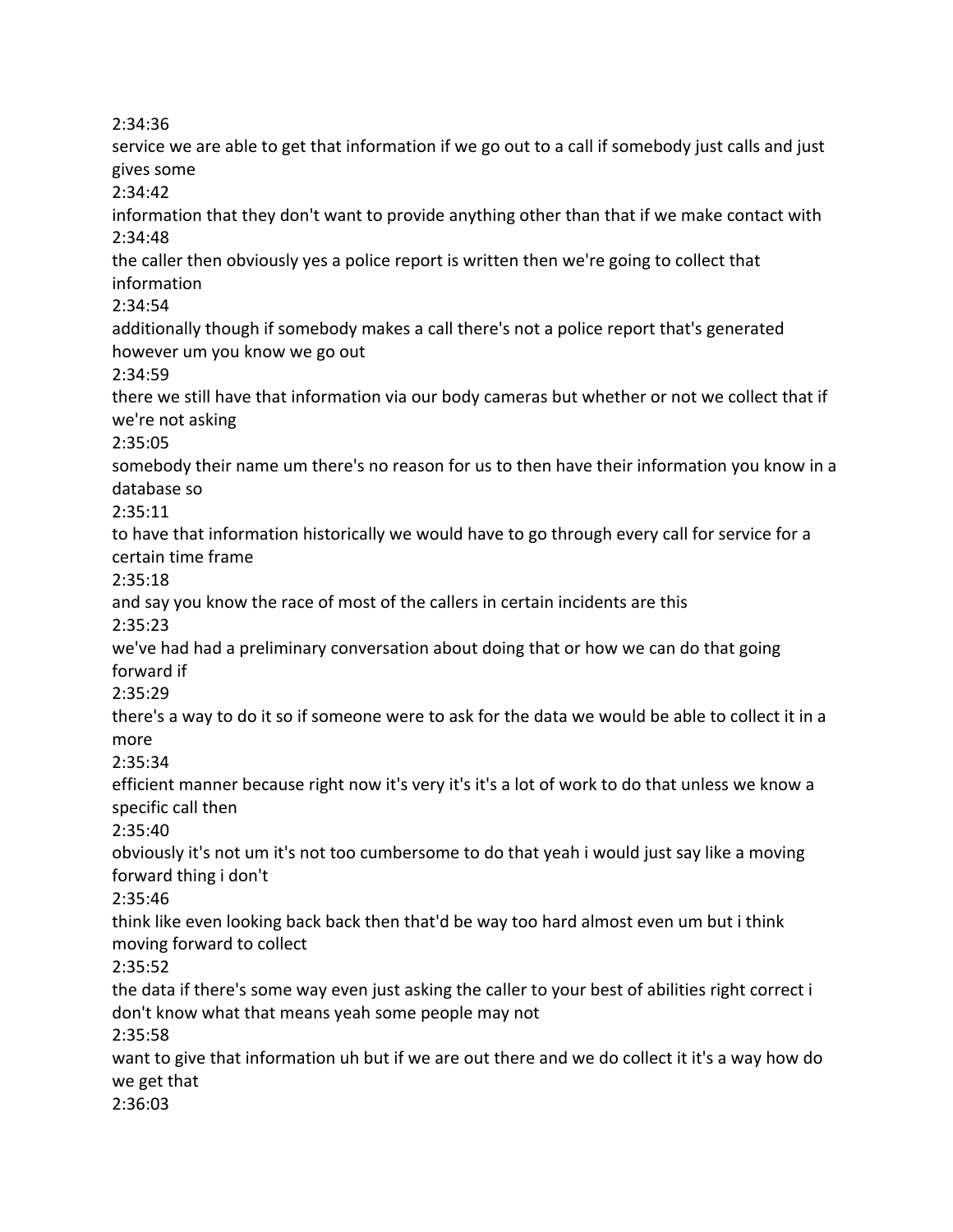2:34:36

service we are able to get that information if we go out to a call if somebody just calls and just gives some 2:34:42 information that they don't want to provide anything other than that if we make contact with 2:34:48 the caller then obviously yes a police report is written then we're going to collect that information 2:34:54 additionally though if somebody makes a call there's not a police report that's generated however um you know we go out 2:34:59 there we still have that information via our body cameras but whether or not we collect that if we're not asking 2:35:05 somebody their name um there's no reason for us to then have their information you know in a database so 2:35:11 to have that information historically we would have to go through every call for service for a certain time frame 2:35:18 and say you know the race of most of the callers in certain incidents are this 2:35:23 we've had had a preliminary conversation about doing that or how we can do that going forward if 2:35:29 there's a way to do it so if someone were to ask for the data we would be able to collect it in a more 2:35:34 efficient manner because right now it's very it's it's a lot of work to do that unless we know a specific call then 2:35:40 obviously it's not um it's not too cumbersome to do that yeah i would just say like a moving forward thing i don't 2:35:46 think like even looking back back then that'd be way too hard almost even um but i think moving forward to collect 2:35:52 the data if there's some way even just asking the caller to your best of abilities right correct i don't know what that means yeah some people may not 2:35:58 want to give that information uh but if we are out there and we do collect it it's a way how do we get that 2:36:03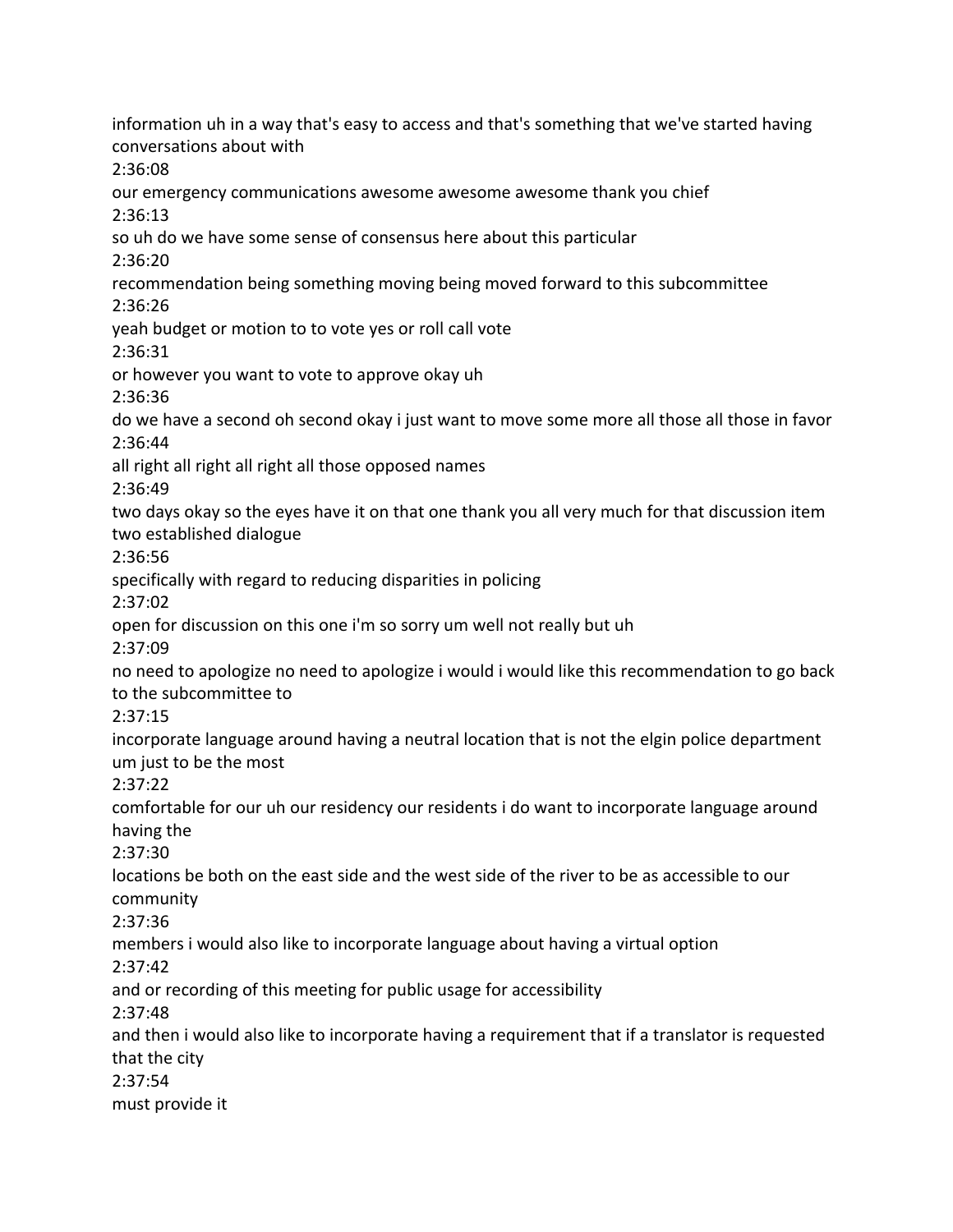information uh in a way that's easy to access and that's something that we've started having conversations about with 2:36:08 our emergency communications awesome awesome awesome thank you chief 2:36:13 so uh do we have some sense of consensus here about this particular 2:36:20 recommendation being something moving being moved forward to this subcommittee 2:36:26 yeah budget or motion to to vote yes or roll call vote 2:36:31 or however you want to vote to approve okay uh 2:36:36 do we have a second oh second okay i just want to move some more all those all those in favor 2:36:44 all right all right all right all those opposed names 2:36:49 two days okay so the eyes have it on that one thank you all very much for that discussion item two established dialogue 2:36:56 specifically with regard to reducing disparities in policing 2:37:02 open for discussion on this one i'm so sorry um well not really but uh 2:37:09 no need to apologize no need to apologize i would i would like this recommendation to go back to the subcommittee to 2:37:15 incorporate language around having a neutral location that is not the elgin police department um just to be the most 2:37:22 comfortable for our uh our residency our residents i do want to incorporate language around having the 2:37:30 locations be both on the east side and the west side of the river to be as accessible to our community 2:37:36 members i would also like to incorporate language about having a virtual option 2:37:42 and or recording of this meeting for public usage for accessibility 2:37:48 and then i would also like to incorporate having a requirement that if a translator is requested that the city 2:37:54 must provide it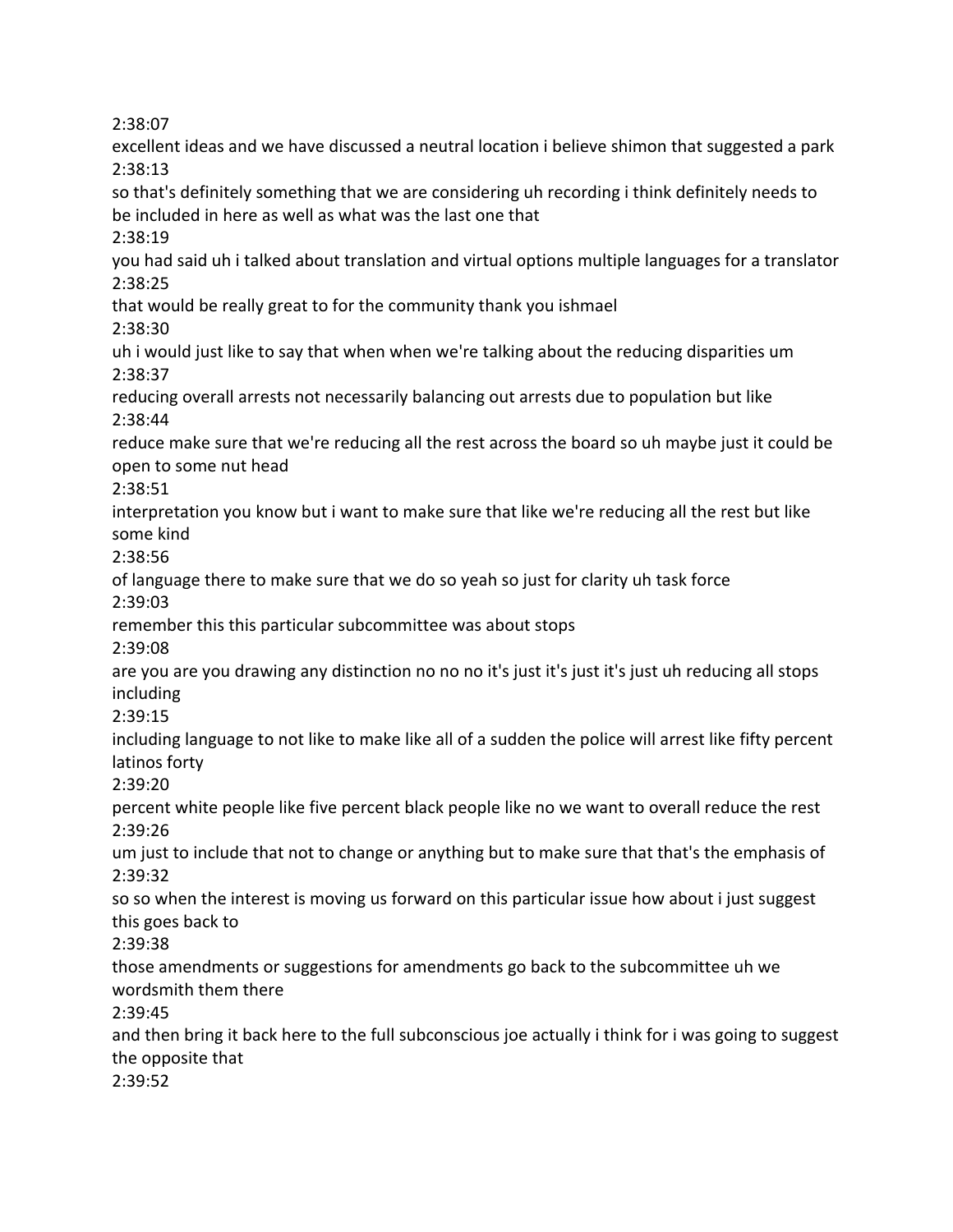2:38:07

excellent ideas and we have discussed a neutral location i believe shimon that suggested a park 2:38:13 so that's definitely something that we are considering uh recording i think definitely needs to be included in here as well as what was the last one that 2:38:19 you had said uh i talked about translation and virtual options multiple languages for a translator 2:38:25 that would be really great to for the community thank you ishmael 2:38:30 uh i would just like to say that when when we're talking about the reducing disparities um 2:38:37 reducing overall arrests not necessarily balancing out arrests due to population but like 2:38:44 reduce make sure that we're reducing all the rest across the board so uh maybe just it could be open to some nut head 2:38:51 interpretation you know but i want to make sure that like we're reducing all the rest but like some kind 2:38:56 of language there to make sure that we do so yeah so just for clarity uh task force 2:39:03 remember this this particular subcommittee was about stops 2:39:08 are you are you drawing any distinction no no no it's just it's just it's just uh reducing all stops including 2:39:15 including language to not like to make like all of a sudden the police will arrest like fifty percent latinos forty 2:39:20 percent white people like five percent black people like no we want to overall reduce the rest 2:39:26 um just to include that not to change or anything but to make sure that that's the emphasis of 2:39:32 so so when the interest is moving us forward on this particular issue how about i just suggest this goes back to 2:39:38 those amendments or suggestions for amendments go back to the subcommittee uh we wordsmith them there 2:39:45 and then bring it back here to the full subconscious joe actually i think for i was going to suggest the opposite that 2:39:52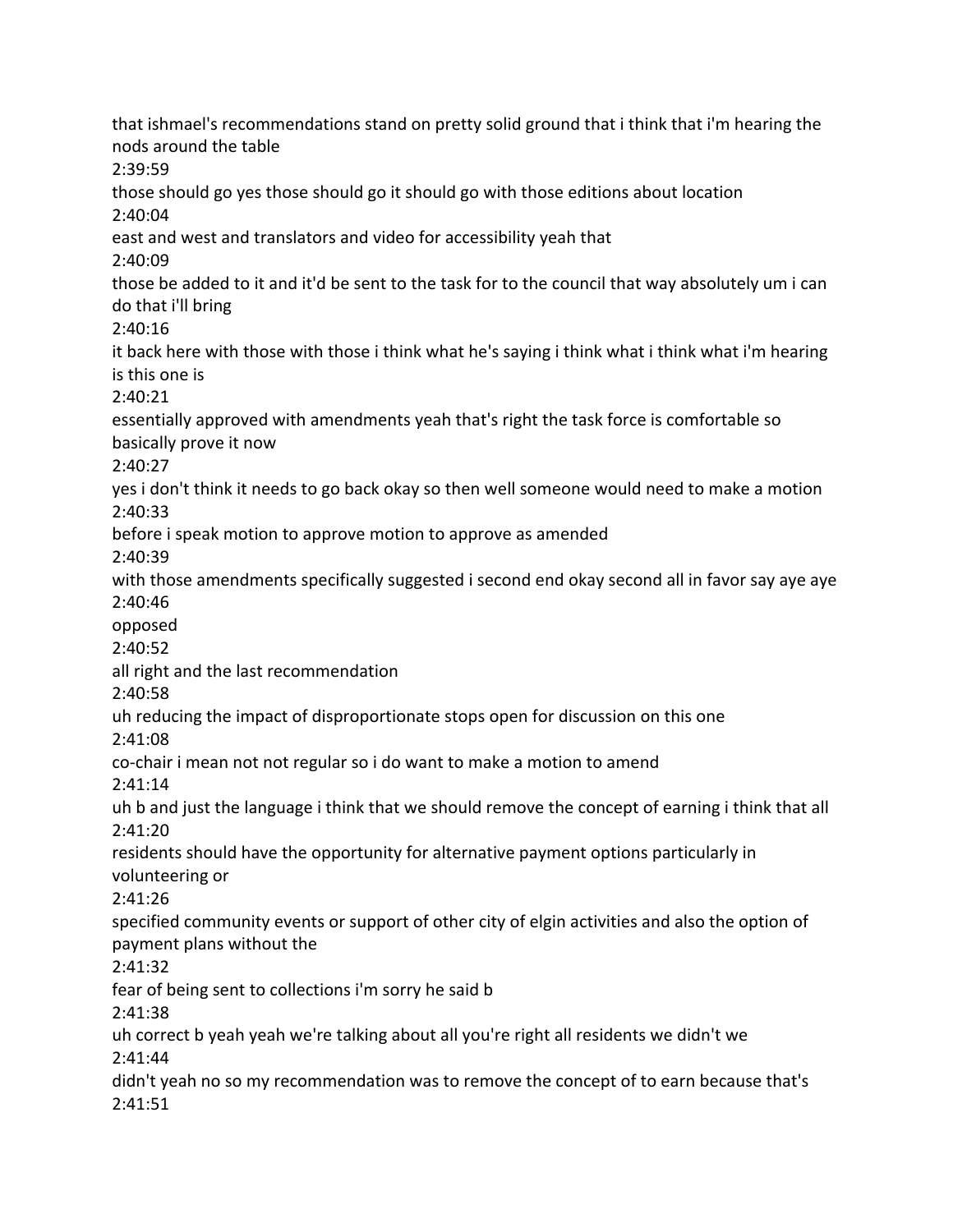that ishmael's recommendations stand on pretty solid ground that i think that i'm hearing the nods around the table 2:39:59 those should go yes those should go it should go with those editions about location 2:40:04 east and west and translators and video for accessibility yeah that 2:40:09 those be added to it and it'd be sent to the task for to the council that way absolutely um i can do that i'll bring 2:40:16 it back here with those with those i think what he's saying i think what i think what i'm hearing is this one is 2:40:21 essentially approved with amendments yeah that's right the task force is comfortable so basically prove it now 2:40:27 yes i don't think it needs to go back okay so then well someone would need to make a motion 2:40:33 before i speak motion to approve motion to approve as amended 2:40:39 with those amendments specifically suggested i second end okay second all in favor say aye aye 2:40:46 opposed 2:40:52 all right and the last recommendation 2:40:58 uh reducing the impact of disproportionate stops open for discussion on this one 2:41:08 co-chair i mean not not regular so i do want to make a motion to amend 2:41:14 uh b and just the language i think that we should remove the concept of earning i think that all 2:41:20 residents should have the opportunity for alternative payment options particularly in volunteering or 2:41:26 specified community events or support of other city of elgin activities and also the option of payment plans without the 2:41:32 fear of being sent to collections i'm sorry he said b 2:41:38 uh correct b yeah yeah we're talking about all you're right all residents we didn't we 2:41:44 didn't yeah no so my recommendation was to remove the concept of to earn because that's 2:41:51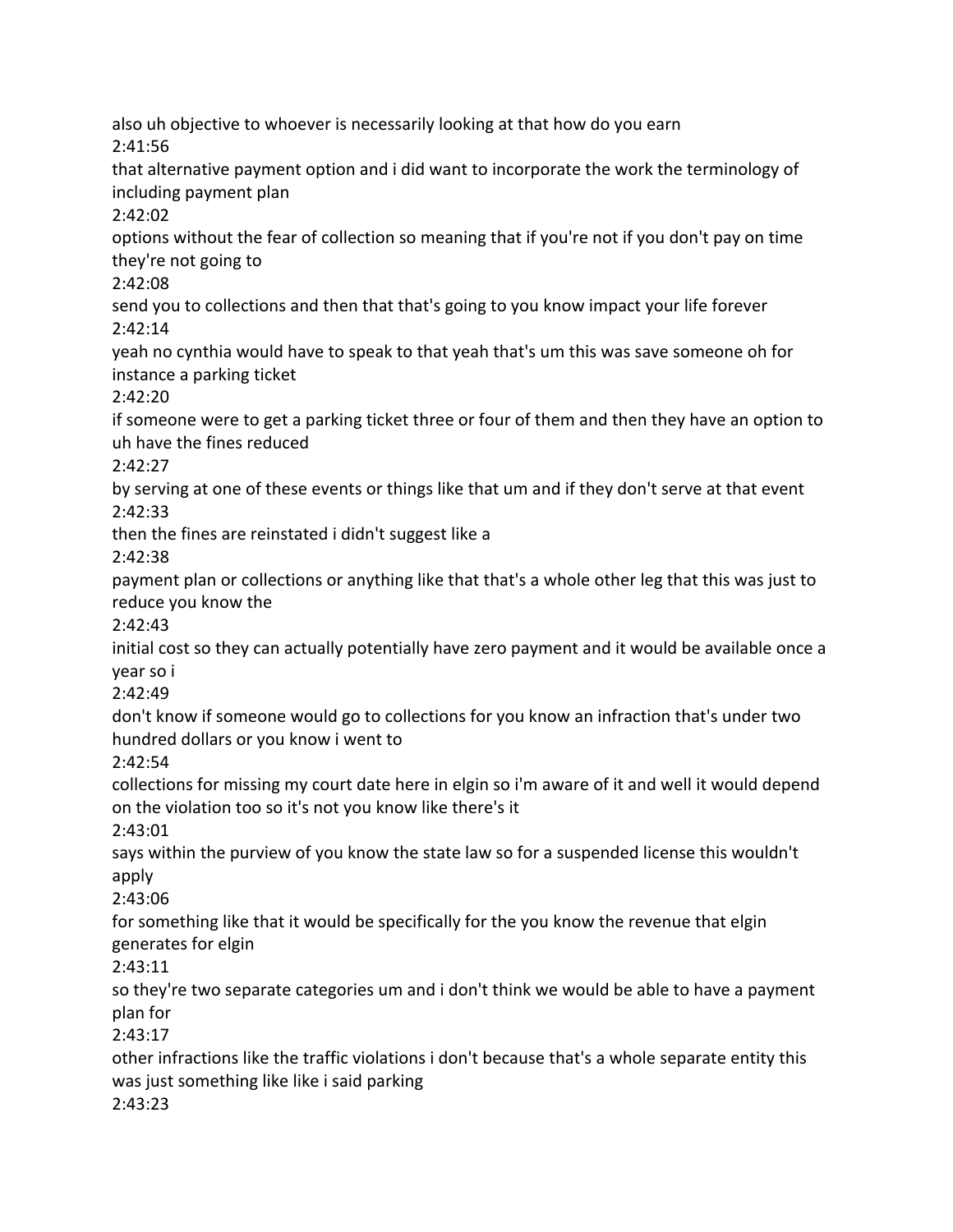also uh objective to whoever is necessarily looking at that how do you earn 2:41:56 that alternative payment option and i did want to incorporate the work the terminology of including payment plan 2:42:02 options without the fear of collection so meaning that if you're not if you don't pay on time they're not going to 2:42:08 send you to collections and then that that's going to you know impact your life forever 2:42:14 yeah no cynthia would have to speak to that yeah that's um this was save someone oh for instance a parking ticket 2:42:20 if someone were to get a parking ticket three or four of them and then they have an option to uh have the fines reduced 2:42:27 by serving at one of these events or things like that um and if they don't serve at that event 2:42:33 then the fines are reinstated i didn't suggest like a 2:42:38 payment plan or collections or anything like that that's a whole other leg that this was just to reduce you know the 2:42:43 initial cost so they can actually potentially have zero payment and it would be available once a year so i 2:42:49 don't know if someone would go to collections for you know an infraction that's under two hundred dollars or you know i went to 2:42:54 collections for missing my court date here in elgin so i'm aware of it and well it would depend on the violation too so it's not you know like there's it 2:43:01 says within the purview of you know the state law so for a suspended license this wouldn't apply 2:43:06 for something like that it would be specifically for the you know the revenue that elgin generates for elgin 2:43:11 so they're two separate categories um and i don't think we would be able to have a payment plan for 2:43:17 other infractions like the traffic violations i don't because that's a whole separate entity this was just something like like i said parking 2:43:23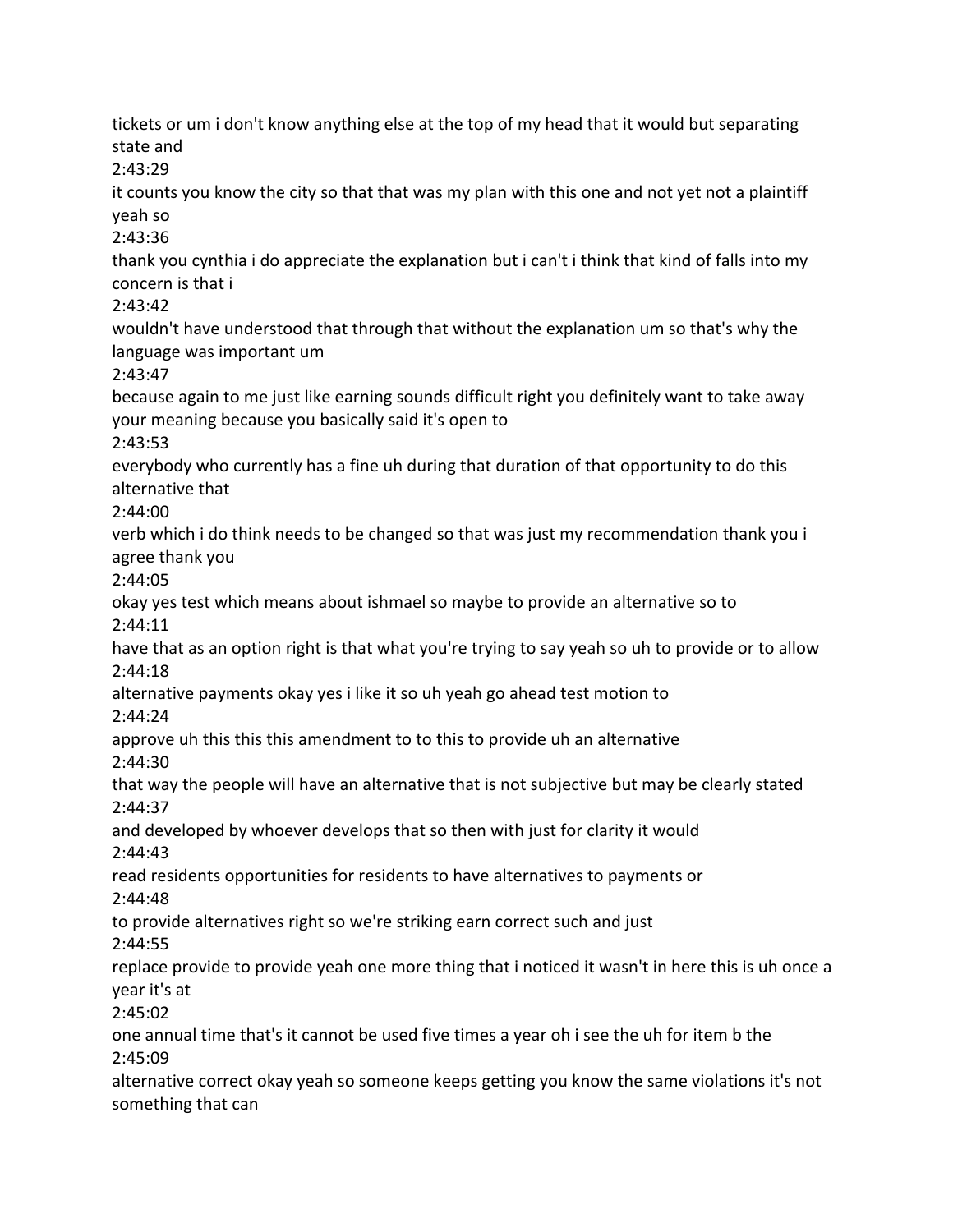2:43:29 it counts you know the city so that that was my plan with this one and not yet not a plaintiff yeah so 2:43:36 thank you cynthia i do appreciate the explanation but i can't i think that kind of falls into my concern is that i 2:43:42 wouldn't have understood that through that without the explanation um so that's why the language was important um 2:43:47 because again to me just like earning sounds difficult right you definitely want to take away your meaning because you basically said it's open to 2:43:53 everybody who currently has a fine uh during that duration of that opportunity to do this alternative that 2:44:00 verb which i do think needs to be changed so that was just my recommendation thank you i agree thank you 2:44:05 okay yes test which means about ishmael so maybe to provide an alternative so to 2:44:11 have that as an option right is that what you're trying to say yeah so uh to provide or to allow 2:44:18 alternative payments okay yes i like it so uh yeah go ahead test motion to 2:44:24 approve uh this this this amendment to to this to provide uh an alternative 2:44:30 that way the people will have an alternative that is not subjective but may be clearly stated 2:44:37 and developed by whoever develops that so then with just for clarity it would 2:44:43 read residents opportunities for residents to have alternatives to payments or 2:44:48 to provide alternatives right so we're striking earn correct such and just 2:44:55 replace provide to provide yeah one more thing that i noticed it wasn't in here this is uh once a year it's at 2:45:02 one annual time that's it cannot be used five times a year oh i see the uh for item b the 2:45:09 alternative correct okay yeah so someone keeps getting you know the same violations it's not something that can

tickets or um i don't know anything else at the top of my head that it would but separating

state and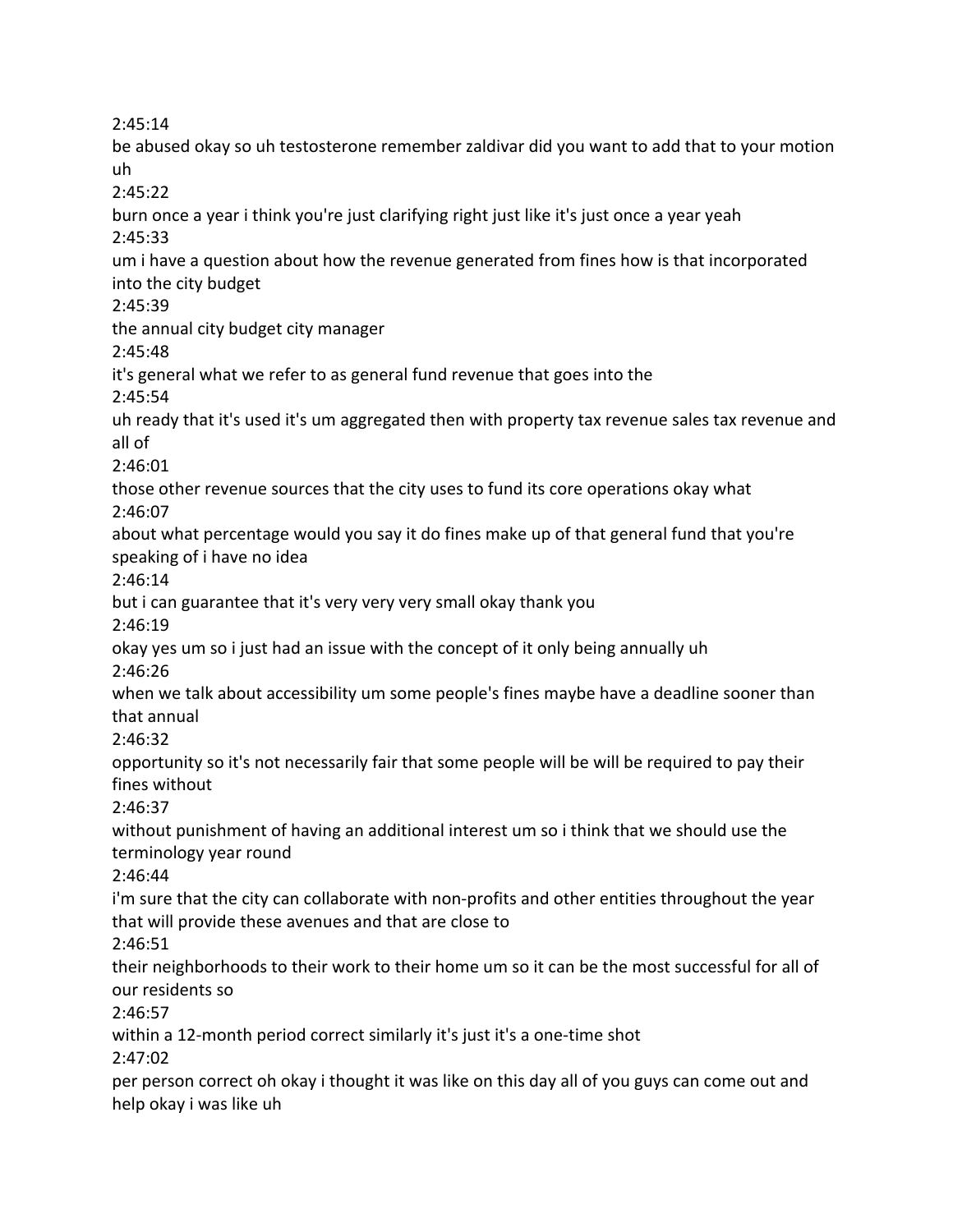2:45:14

be abused okay so uh testosterone remember zaldivar did you want to add that to your motion uh 2:45:22 burn once a year i think you're just clarifying right just like it's just once a year yeah 2:45:33 um i have a question about how the revenue generated from fines how is that incorporated into the city budget 2:45:39 the annual city budget city manager 2:45:48 it's general what we refer to as general fund revenue that goes into the 2:45:54 uh ready that it's used it's um aggregated then with property tax revenue sales tax revenue and all of 2:46:01 those other revenue sources that the city uses to fund its core operations okay what 2:46:07 about what percentage would you say it do fines make up of that general fund that you're speaking of i have no idea 2:46:14 but i can guarantee that it's very very very small okay thank you 2:46:19 okay yes um so i just had an issue with the concept of it only being annually uh 2:46:26 when we talk about accessibility um some people's fines maybe have a deadline sooner than that annual 2:46:32 opportunity so it's not necessarily fair that some people will be will be required to pay their fines without 2:46:37 without punishment of having an additional interest um so i think that we should use the terminology year round 2:46:44 i'm sure that the city can collaborate with non-profits and other entities throughout the year that will provide these avenues and that are close to 2:46:51 their neighborhoods to their work to their home um so it can be the most successful for all of our residents so 2:46:57 within a 12-month period correct similarly it's just it's a one-time shot 2:47:02 per person correct oh okay i thought it was like on this day all of you guys can come out and help okay i was like uh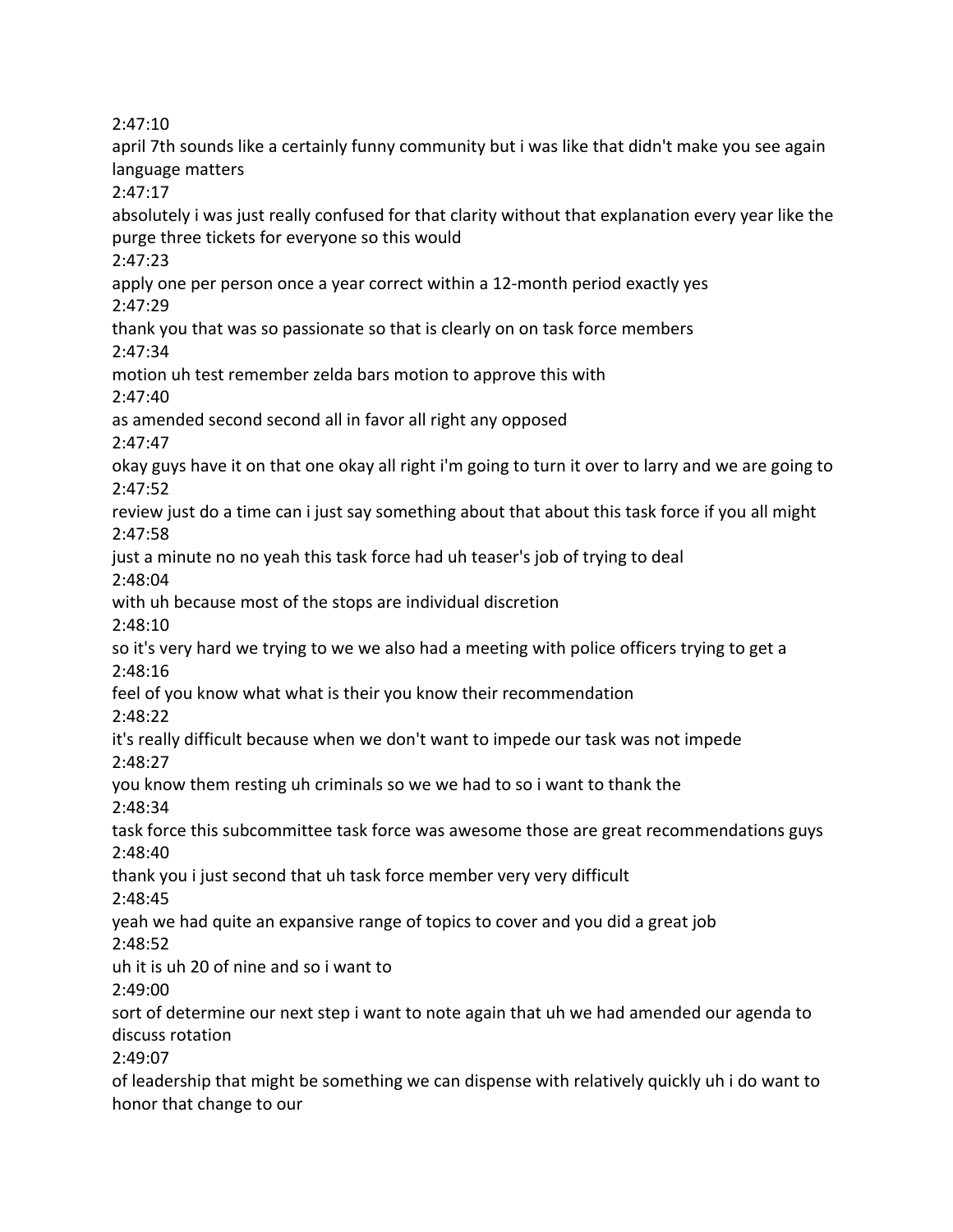2:47:10

april 7th sounds like a certainly funny community but i was like that didn't make you see again language matters

2:47:17

absolutely i was just really confused for that clarity without that explanation every year like the purge three tickets for everyone so this would

2:47:23

apply one per person once a year correct within a 12-month period exactly yes 2:47:29

thank you that was so passionate so that is clearly on on task force members

2:47:34

motion uh test remember zelda bars motion to approve this with

2:47:40

as amended second second all in favor all right any opposed

2:47:47

okay guys have it on that one okay all right i'm going to turn it over to larry and we are going to 2:47:52

review just do a time can i just say something about that about this task force if you all might 2:47:58

just a minute no no yeah this task force had uh teaser's job of trying to deal

2:48:04

with uh because most of the stops are individual discretion

2:48:10

so it's very hard we trying to we we also had a meeting with police officers trying to get a 2:48:16

feel of you know what what is their you know their recommendation

2:48:22

it's really difficult because when we don't want to impede our task was not impede 2:48:27

you know them resting uh criminals so we we had to so i want to thank the

2:48:34

task force this subcommittee task force was awesome those are great recommendations guys 2:48:40

thank you i just second that uh task force member very very difficult 2:48:45

yeah we had quite an expansive range of topics to cover and you did a great job

2:48:52

uh it is uh 20 of nine and so i want to

2:49:00

sort of determine our next step i want to note again that uh we had amended our agenda to discuss rotation

2:49:07

of leadership that might be something we can dispense with relatively quickly uh i do want to honor that change to our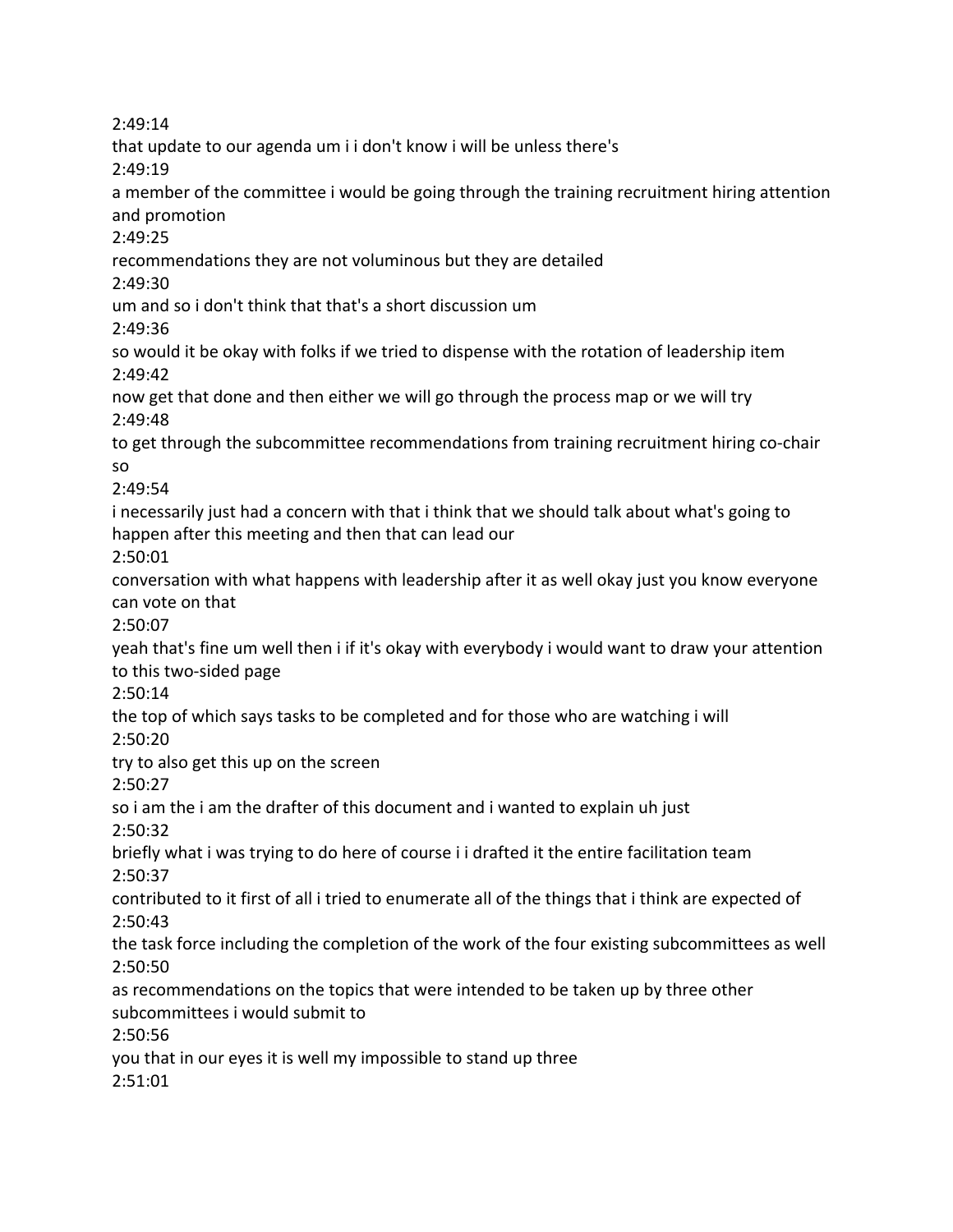2:49:14 that update to our agenda um i i don't know i will be unless there's 2:49:19 a member of the committee i would be going through the training recruitment hiring attention and promotion 2:49:25 recommendations they are not voluminous but they are detailed 2:49:30 um and so i don't think that that's a short discussion um 2:49:36 so would it be okay with folks if we tried to dispense with the rotation of leadership item 2:49:42 now get that done and then either we will go through the process map or we will try 2:49:48 to get through the subcommittee recommendations from training recruitment hiring co-chair so 2:49:54 i necessarily just had a concern with that i think that we should talk about what's going to happen after this meeting and then that can lead our 2:50:01 conversation with what happens with leadership after it as well okay just you know everyone can vote on that 2:50:07 yeah that's fine um well then i if it's okay with everybody i would want to draw your attention to this two-sided page 2:50:14 the top of which says tasks to be completed and for those who are watching i will 2:50:20 try to also get this up on the screen 2:50:27 so i am the i am the drafter of this document and i wanted to explain uh just 2:50:32 briefly what i was trying to do here of course i i drafted it the entire facilitation team 2:50:37 contributed to it first of all i tried to enumerate all of the things that i think are expected of 2:50:43 the task force including the completion of the work of the four existing subcommittees as well 2:50:50 as recommendations on the topics that were intended to be taken up by three other subcommittees i would submit to 2:50:56 you that in our eyes it is well my impossible to stand up three 2:51:01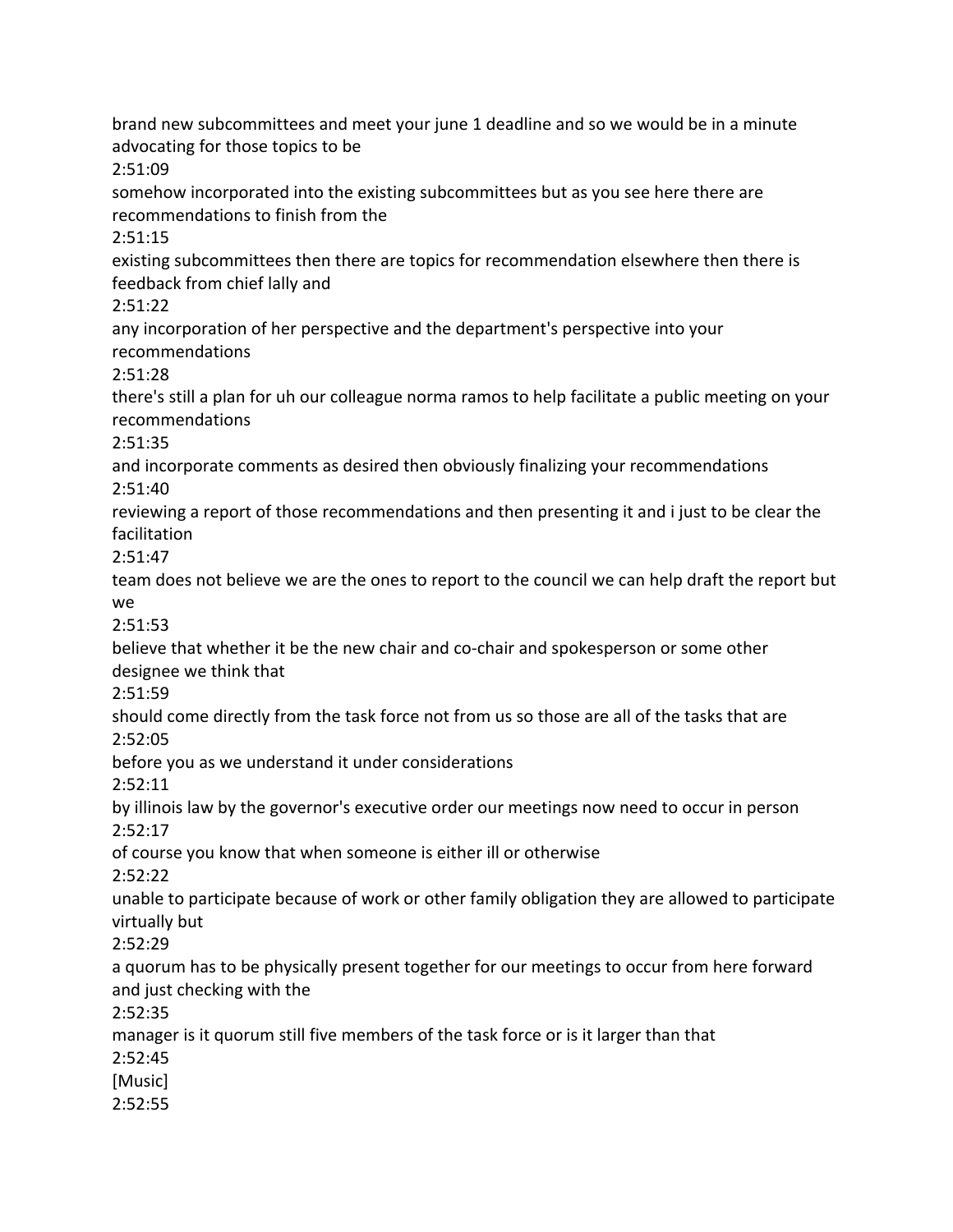brand new subcommittees and meet your june 1 deadline and so we would be in a minute advocating for those topics to be 2:51:09 somehow incorporated into the existing subcommittees but as you see here there are recommendations to finish from the 2:51:15 existing subcommittees then there are topics for recommendation elsewhere then there is feedback from chief lally and 2:51:22 any incorporation of her perspective and the department's perspective into your recommendations 2:51:28 there's still a plan for uh our colleague norma ramos to help facilitate a public meeting on your recommendations 2:51:35 and incorporate comments as desired then obviously finalizing your recommendations 2:51:40 reviewing a report of those recommendations and then presenting it and i just to be clear the facilitation 2:51:47 team does not believe we are the ones to report to the council we can help draft the report but we 2:51:53 believe that whether it be the new chair and co-chair and spokesperson or some other designee we think that 2:51:59 should come directly from the task force not from us so those are all of the tasks that are 2:52:05 before you as we understand it under considerations 2:52:11 by illinois law by the governor's executive order our meetings now need to occur in person 2:52:17 of course you know that when someone is either ill or otherwise 2:52:22 unable to participate because of work or other family obligation they are allowed to participate virtually but 2:52:29 a quorum has to be physically present together for our meetings to occur from here forward and just checking with the 2:52:35 manager is it quorum still five members of the task force or is it larger than that 2:52:45 [Music] 2:52:55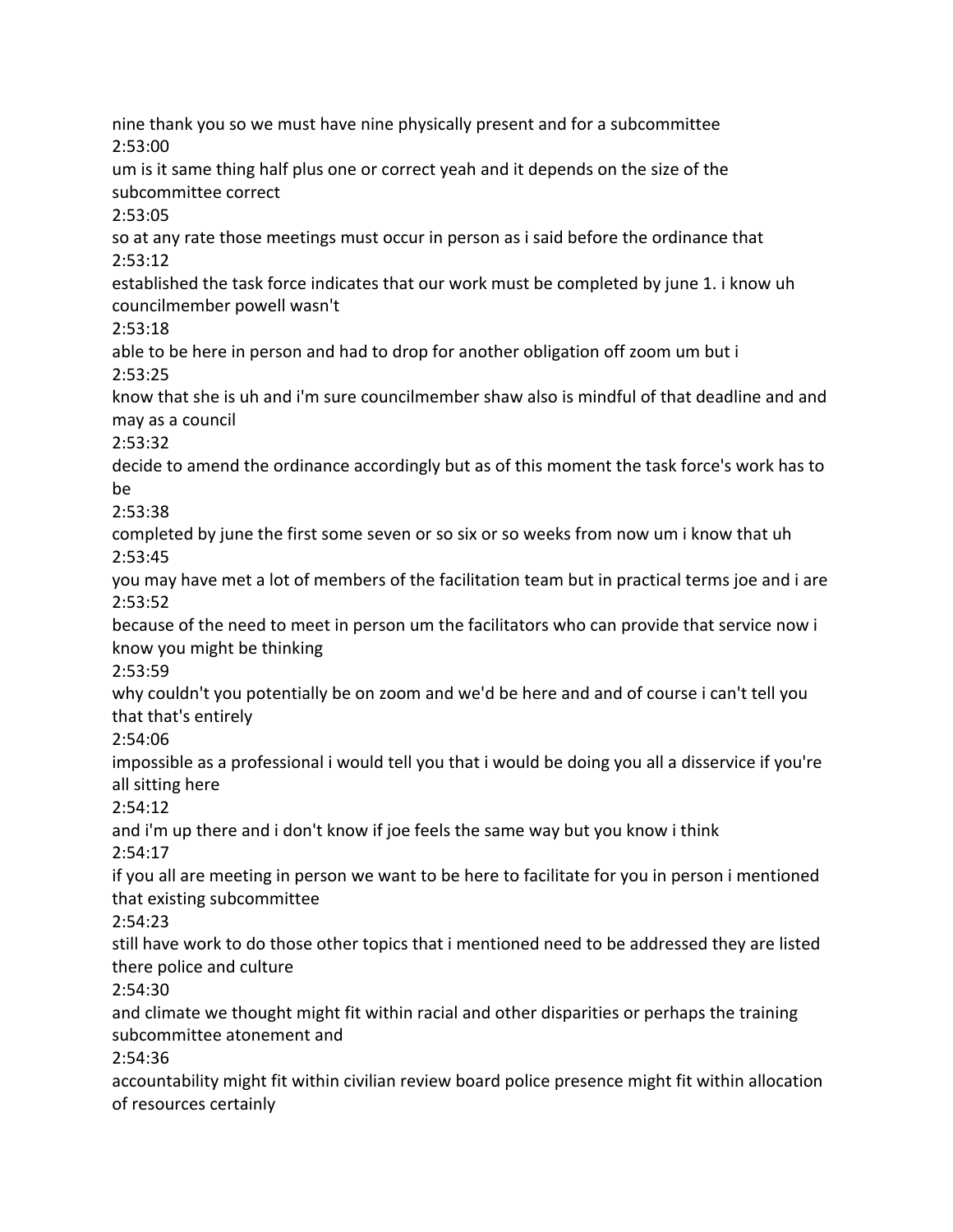nine thank you so we must have nine physically present and for a subcommittee 2:53:00 um is it same thing half plus one or correct yeah and it depends on the size of the subcommittee correct 2:53:05 so at any rate those meetings must occur in person as i said before the ordinance that 2:53:12 established the task force indicates that our work must be completed by june 1. i know uh councilmember powell wasn't 2:53:18 able to be here in person and had to drop for another obligation off zoom um but i 2:53:25 know that she is uh and i'm sure councilmember shaw also is mindful of that deadline and and may as a council 2:53:32 decide to amend the ordinance accordingly but as of this moment the task force's work has to be 2:53:38 completed by june the first some seven or so six or so weeks from now um i know that uh 2:53:45 you may have met a lot of members of the facilitation team but in practical terms joe and i are 2:53:52 because of the need to meet in person um the facilitators who can provide that service now i know you might be thinking 2:53:59 why couldn't you potentially be on zoom and we'd be here and and of course i can't tell you that that's entirely 2:54:06 impossible as a professional i would tell you that i would be doing you all a disservice if you're all sitting here 2:54:12 and i'm up there and i don't know if joe feels the same way but you know i think 2:54:17 if you all are meeting in person we want to be here to facilitate for you in person i mentioned that existing subcommittee 2:54:23 still have work to do those other topics that i mentioned need to be addressed they are listed there police and culture 2:54:30 and climate we thought might fit within racial and other disparities or perhaps the training subcommittee atonement and 2:54:36 accountability might fit within civilian review board police presence might fit within allocation of resources certainly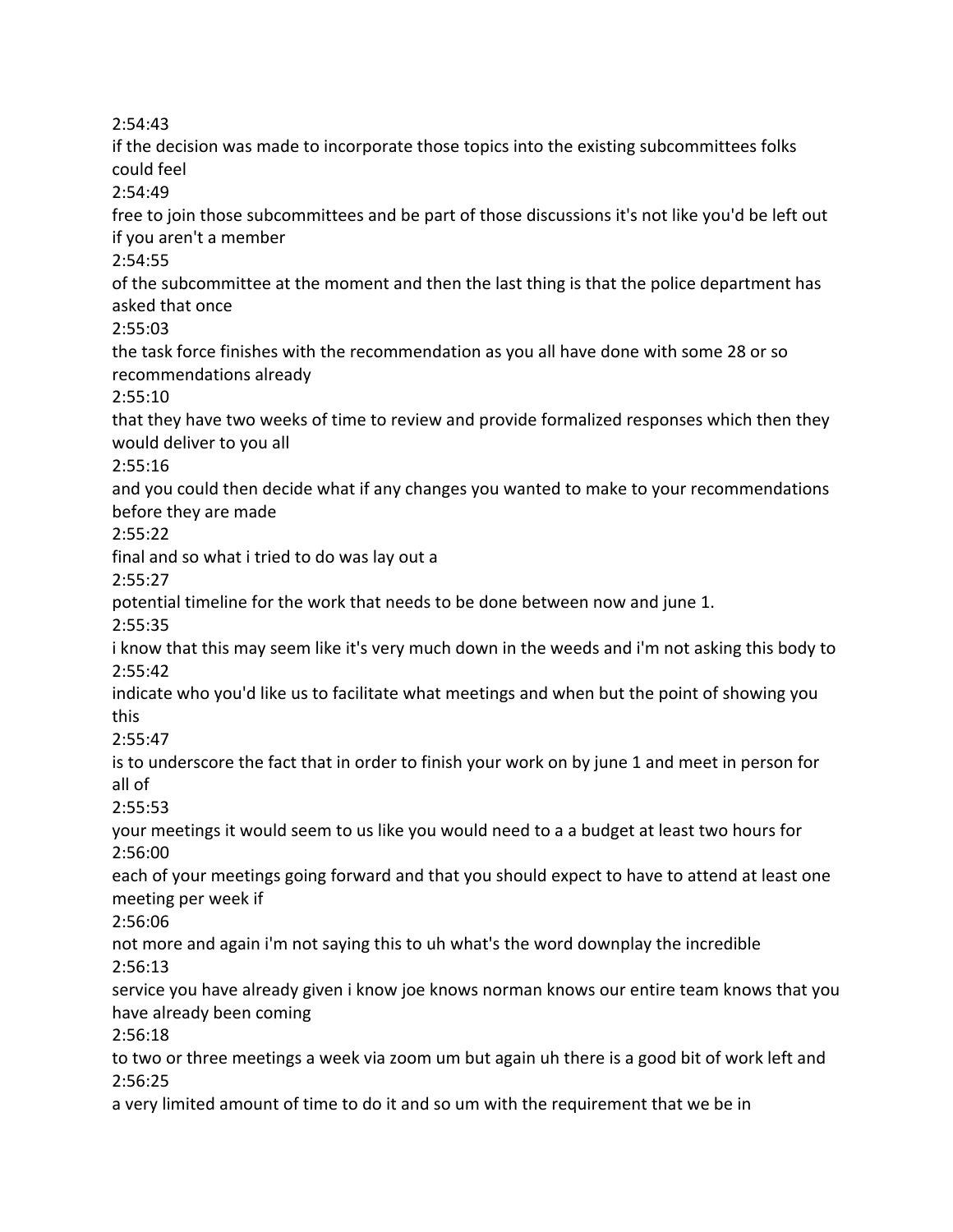2:54:43

if the decision was made to incorporate those topics into the existing subcommittees folks could feel

2:54:49

free to join those subcommittees and be part of those discussions it's not like you'd be left out if you aren't a member

2:54:55

of the subcommittee at the moment and then the last thing is that the police department has asked that once

2:55:03

the task force finishes with the recommendation as you all have done with some 28 or so recommendations already

2:55:10

that they have two weeks of time to review and provide formalized responses which then they would deliver to you all

2:55:16

and you could then decide what if any changes you wanted to make to your recommendations before they are made

2:55:22

final and so what i tried to do was lay out a

2:55:27

potential timeline for the work that needs to be done between now and june 1.

2:55:35

i know that this may seem like it's very much down in the weeds and i'm not asking this body to 2:55:42

indicate who you'd like us to facilitate what meetings and when but the point of showing you this

2:55:47

is to underscore the fact that in order to finish your work on by june 1 and meet in person for all of

2:55:53

your meetings it would seem to us like you would need to a a budget at least two hours for 2:56:00

each of your meetings going forward and that you should expect to have to attend at least one meeting per week if

2:56:06

not more and again i'm not saying this to uh what's the word downplay the incredible 2:56:13

service you have already given i know joe knows norman knows our entire team knows that you have already been coming

2:56:18

to two or three meetings a week via zoom um but again uh there is a good bit of work left and 2:56:25

a very limited amount of time to do it and so um with the requirement that we be in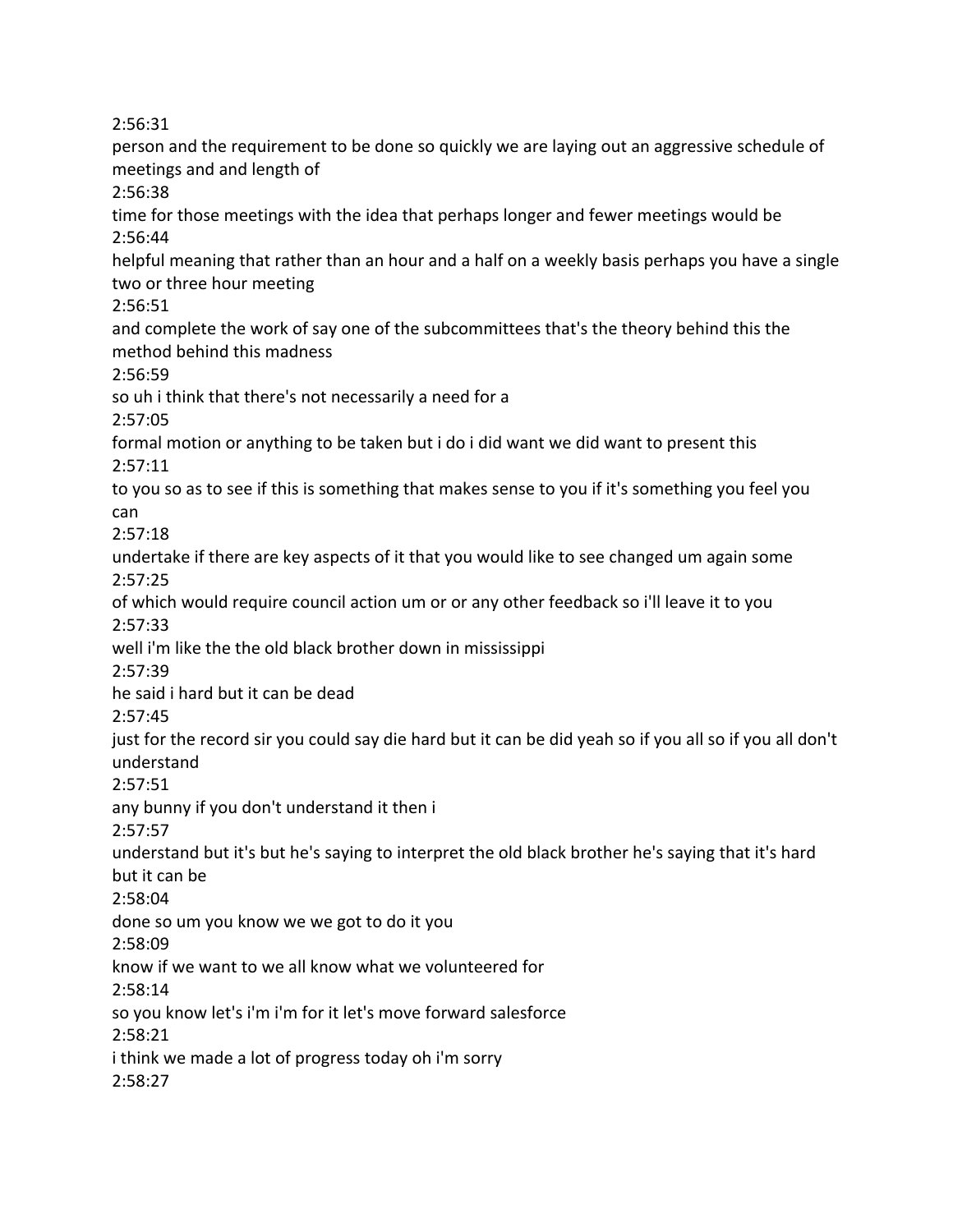2:56:31

person and the requirement to be done so quickly we are laying out an aggressive schedule of meetings and and length of 2:56:38 time for those meetings with the idea that perhaps longer and fewer meetings would be 2:56:44 helpful meaning that rather than an hour and a half on a weekly basis perhaps you have a single two or three hour meeting 2:56:51 and complete the work of say one of the subcommittees that's the theory behind this the method behind this madness 2:56:59 so uh i think that there's not necessarily a need for a 2:57:05 formal motion or anything to be taken but i do i did want we did want to present this 2:57:11 to you so as to see if this is something that makes sense to you if it's something you feel you can 2:57:18 undertake if there are key aspects of it that you would like to see changed um again some 2:57:25 of which would require council action um or or any other feedback so i'll leave it to you 2:57:33 well i'm like the the old black brother down in mississippi 2:57:39 he said i hard but it can be dead 2:57:45 just for the record sir you could say die hard but it can be did yeah so if you all so if you all don't understand 2:57:51 any bunny if you don't understand it then i 2:57:57 understand but it's but he's saying to interpret the old black brother he's saying that it's hard but it can be 2:58:04 done so um you know we we got to do it you 2:58:09 know if we want to we all know what we volunteered for 2:58:14 so you know let's i'm i'm for it let's move forward salesforce 2:58:21 i think we made a lot of progress today oh i'm sorry 2:58:27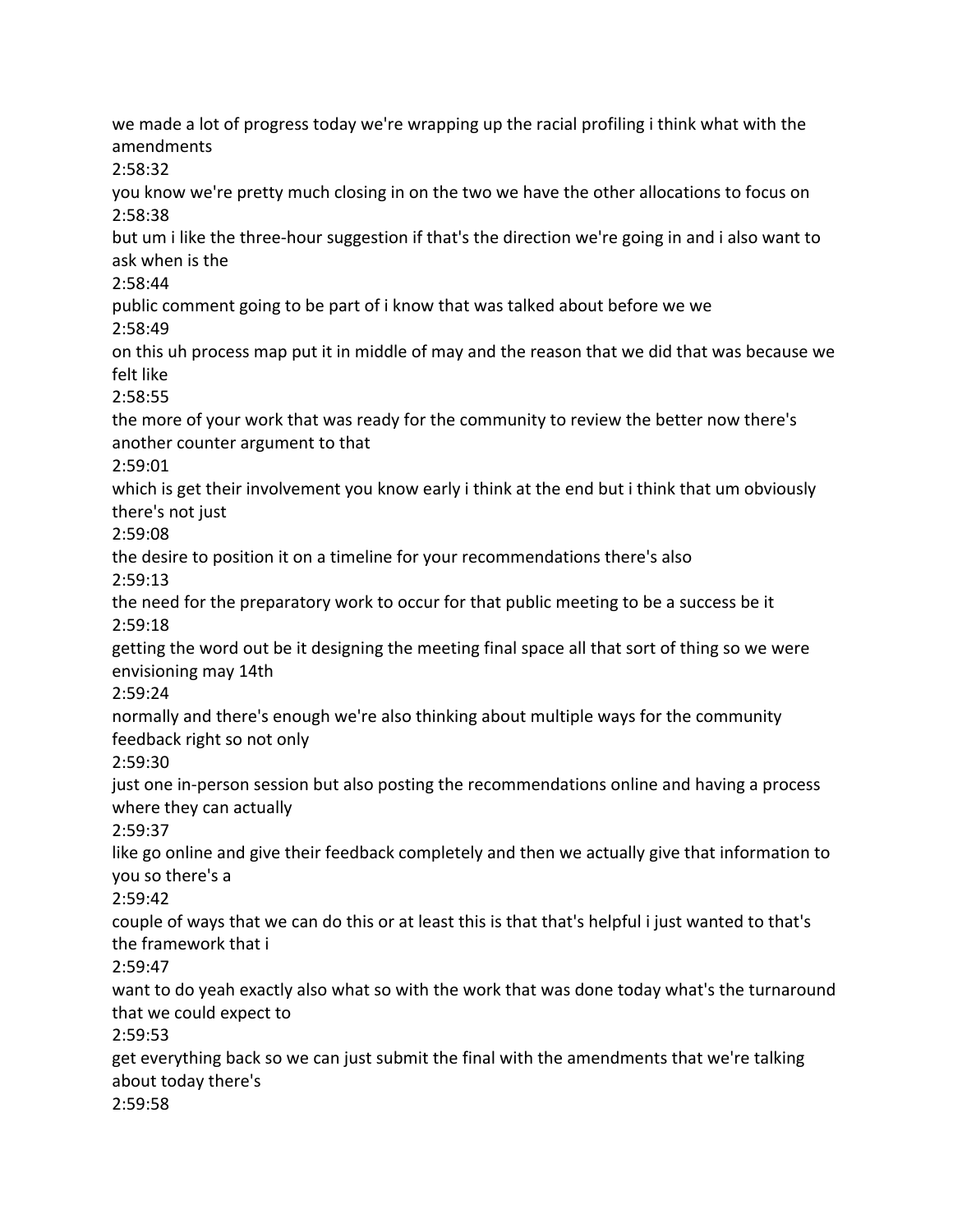we made a lot of progress today we're wrapping up the racial profiling i think what with the amendments 2:58:32 you know we're pretty much closing in on the two we have the other allocations to focus on 2:58:38 but um i like the three-hour suggestion if that's the direction we're going in and i also want to ask when is the 2:58:44 public comment going to be part of i know that was talked about before we we 2:58:49 on this uh process map put it in middle of may and the reason that we did that was because we felt like 2:58:55 the more of your work that was ready for the community to review the better now there's another counter argument to that 2:59:01 which is get their involvement you know early i think at the end but i think that um obviously there's not just 2:59:08 the desire to position it on a timeline for your recommendations there's also 2:59:13 the need for the preparatory work to occur for that public meeting to be a success be it 2:59:18 getting the word out be it designing the meeting final space all that sort of thing so we were envisioning may 14th 2:59:24 normally and there's enough we're also thinking about multiple ways for the community feedback right so not only 2:59:30 just one in-person session but also posting the recommendations online and having a process where they can actually 2:59:37 like go online and give their feedback completely and then we actually give that information to you so there's a 2:59:42 couple of ways that we can do this or at least this is that that's helpful i just wanted to that's the framework that i 2:59:47 want to do yeah exactly also what so with the work that was done today what's the turnaround that we could expect to 2:59:53 get everything back so we can just submit the final with the amendments that we're talking about today there's 2:59:58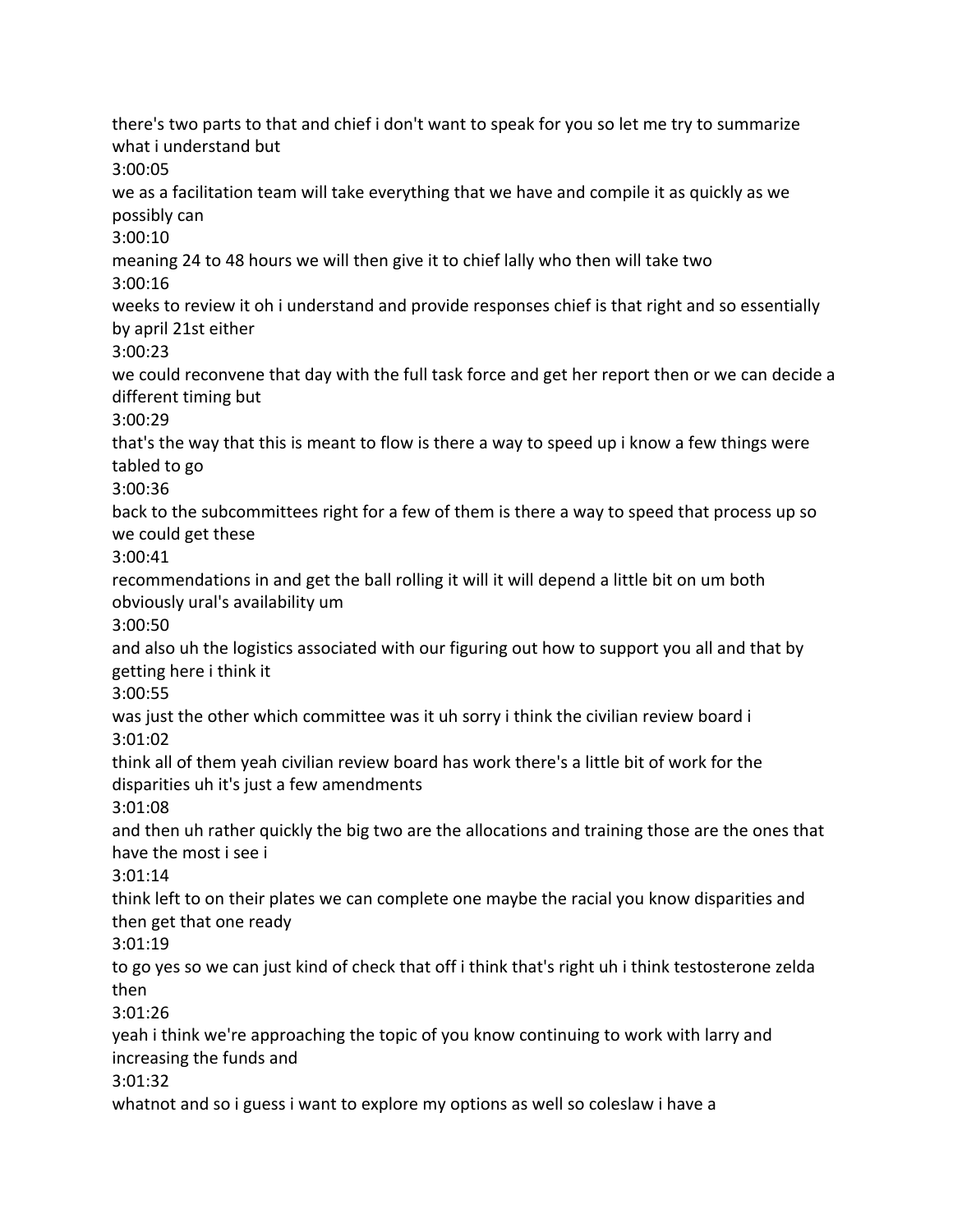there's two parts to that and chief i don't want to speak for you so let me try to summarize what i understand but 3:00:05 we as a facilitation team will take everything that we have and compile it as quickly as we possibly can 3:00:10 meaning 24 to 48 hours we will then give it to chief lally who then will take two 3:00:16 weeks to review it oh i understand and provide responses chief is that right and so essentially by april 21st either 3:00:23 we could reconvene that day with the full task force and get her report then or we can decide a different timing but 3:00:29 that's the way that this is meant to flow is there a way to speed up i know a few things were tabled to go 3:00:36 back to the subcommittees right for a few of them is there a way to speed that process up so we could get these 3:00:41 recommendations in and get the ball rolling it will it will depend a little bit on um both obviously ural's availability um 3:00:50 and also uh the logistics associated with our figuring out how to support you all and that by getting here i think it 3:00:55 was just the other which committee was it uh sorry i think the civilian review board i 3:01:02 think all of them yeah civilian review board has work there's a little bit of work for the disparities uh it's just a few amendments 3:01:08 and then uh rather quickly the big two are the allocations and training those are the ones that have the most i see i 3:01:14 think left to on their plates we can complete one maybe the racial you know disparities and then get that one ready 3:01:19 to go yes so we can just kind of check that off i think that's right uh i think testosterone zelda then 3:01:26 yeah i think we're approaching the topic of you know continuing to work with larry and increasing the funds and 3:01:32 whatnot and so i guess i want to explore my options as well so coleslaw i have a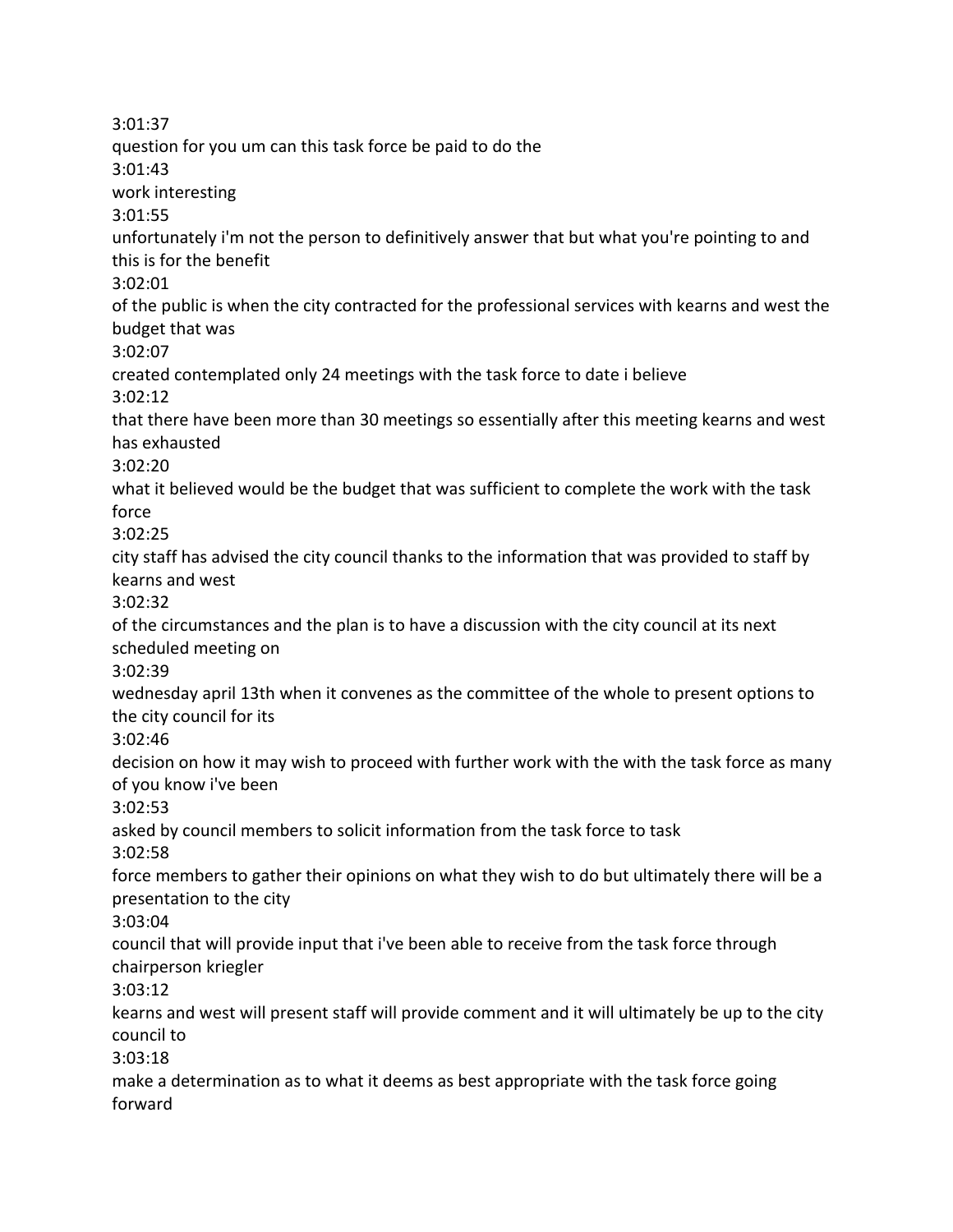3:01:37 question for you um can this task force be paid to do the 3:01:43 work interesting 3:01:55 unfortunately i'm not the person to definitively answer that but what you're pointing to and this is for the benefit 3:02:01 of the public is when the city contracted for the professional services with kearns and west the budget that was 3:02:07 created contemplated only 24 meetings with the task force to date i believe 3:02:12 that there have been more than 30 meetings so essentially after this meeting kearns and west has exhausted 3:02:20 what it believed would be the budget that was sufficient to complete the work with the task force 3:02:25 city staff has advised the city council thanks to the information that was provided to staff by kearns and west 3:02:32 of the circumstances and the plan is to have a discussion with the city council at its next scheduled meeting on 3:02:39 wednesday april 13th when it convenes as the committee of the whole to present options to the city council for its 3:02:46 decision on how it may wish to proceed with further work with the with the task force as many of you know i've been 3:02:53 asked by council members to solicit information from the task force to task 3:02:58 force members to gather their opinions on what they wish to do but ultimately there will be a presentation to the city 3:03:04 council that will provide input that i've been able to receive from the task force through chairperson kriegler 3:03:12 kearns and west will present staff will provide comment and it will ultimately be up to the city council to 3:03:18 make a determination as to what it deems as best appropriate with the task force going forward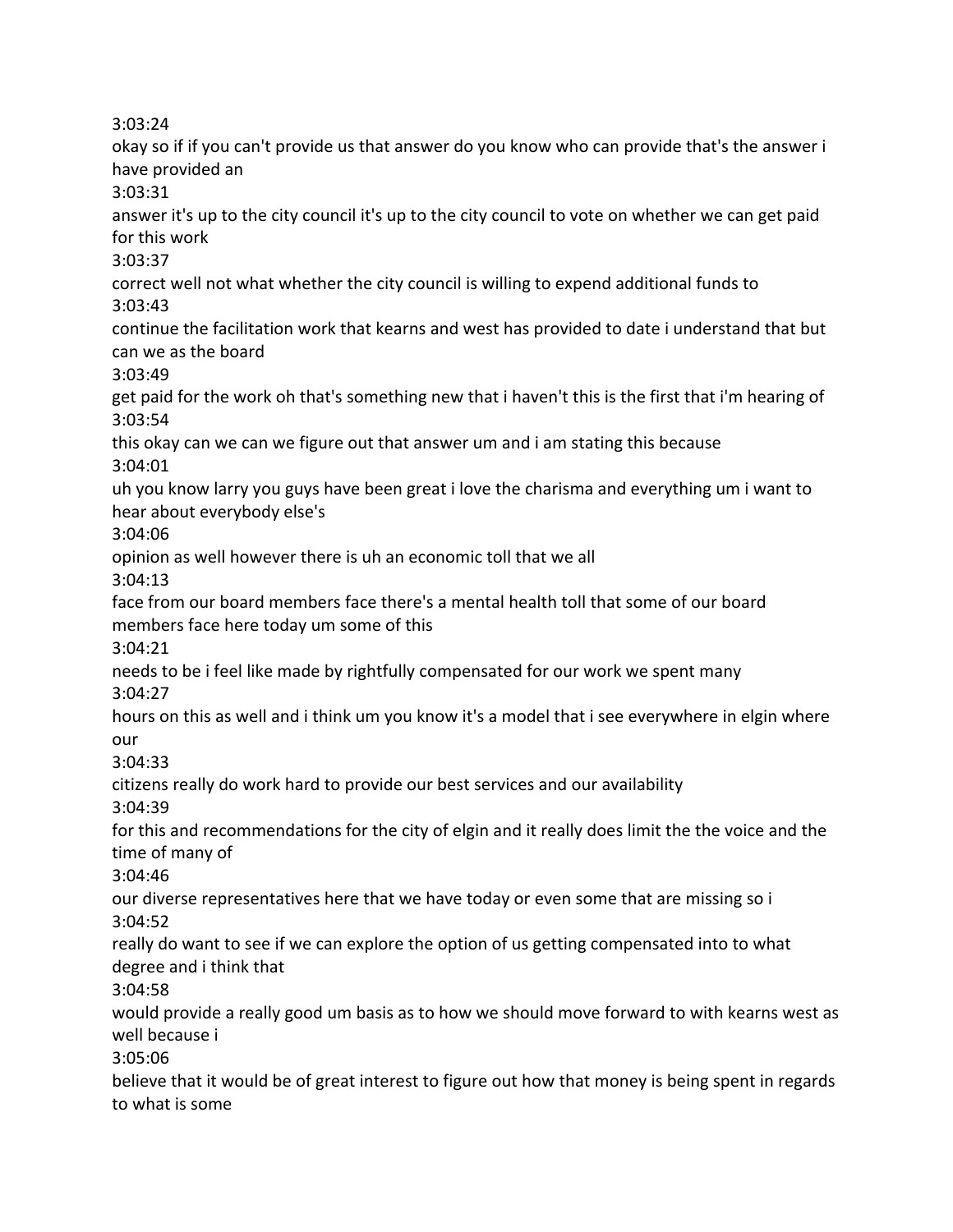3:03:24

okay so if if you can't provide us that answer do you know who can provide that's the answer i have provided an 3:03:31 answer it's up to the city council it's up to the city council to vote on whether we can get paid for this work 3:03:37 correct well not what whether the city council is willing to expend additional funds to 3:03:43 continue the facilitation work that kearns and west has provided to date i understand that but can we as the board 3:03:49 get paid for the work oh that's something new that i haven't this is the first that i'm hearing of 3:03:54 this okay can we can we figure out that answer um and i am stating this because 3:04:01 uh you know larry you guys have been great i love the charisma and everything um i want to hear about everybody else's 3:04:06 opinion as well however there is uh an economic toll that we all 3:04:13 face from our board members face there's a mental health toll that some of our board members face here today um some of this 3:04:21 needs to be i feel like made by rightfully compensated for our work we spent many 3:04:27 hours on this as well and i think um you know it's a model that i see everywhere in elgin where our 3:04:33 citizens really do work hard to provide our best services and our availability 3:04:39 for this and recommendations for the city of elgin and it really does limit the the voice and the time of many of 3:04:46 our diverse representatives here that we have today or even some that are missing so i 3:04:52 really do want to see if we can explore the option of us getting compensated into to what degree and i think that 3:04:58 would provide a really good um basis as to how we should move forward to with kearns west as well because i 3:05:06 believe that it would be of great interest to figure out how that money is being spent in regards to what is some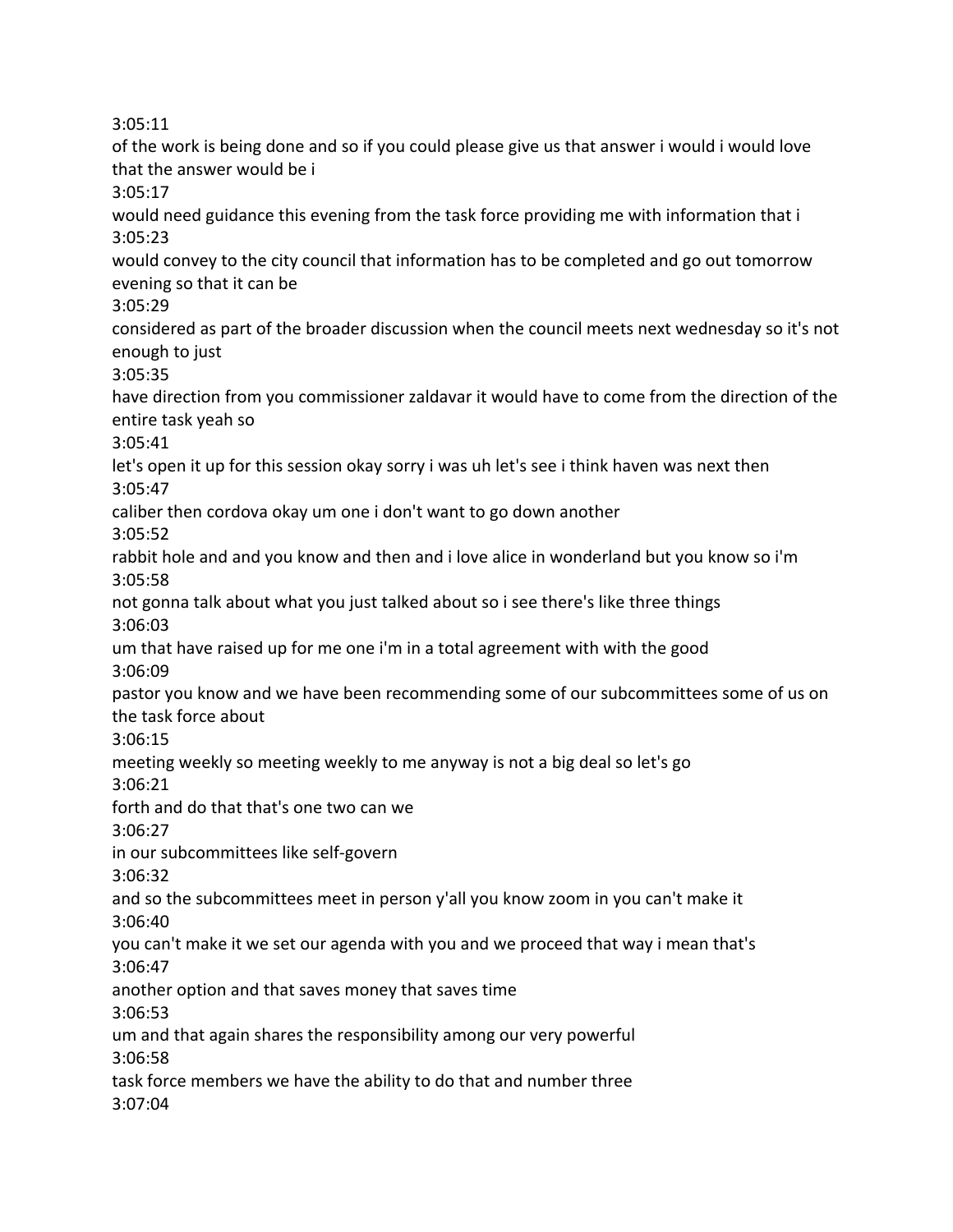3:05:11

of the work is being done and so if you could please give us that answer i would i would love that the answer would be i

3:05:17

would need guidance this evening from the task force providing me with information that i 3:05:23

would convey to the city council that information has to be completed and go out tomorrow evening so that it can be

3:05:29

considered as part of the broader discussion when the council meets next wednesday so it's not enough to just

3:05:35

have direction from you commissioner zaldavar it would have to come from the direction of the entire task yeah so

3:05:41

let's open it up for this session okay sorry i was uh let's see i think haven was next then 3:05:47

caliber then cordova okay um one i don't want to go down another

3:05:52

rabbit hole and and you know and then and i love alice in wonderland but you know so i'm 3:05:58

not gonna talk about what you just talked about so i see there's like three things 3:06:03

um that have raised up for me one i'm in a total agreement with with the good 3:06:09

pastor you know and we have been recommending some of our subcommittees some of us on the task force about

3:06:15

meeting weekly so meeting weekly to me anyway is not a big deal so let's go

3:06:21

forth and do that that's one two can we

3:06:27

in our subcommittees like self-govern

3:06:32

and so the subcommittees meet in person y'all you know zoom in you can't make it 3:06:40

you can't make it we set our agenda with you and we proceed that way i mean that's 3:06:47

another option and that saves money that saves time

3:06:53

um and that again shares the responsibility among our very powerful

3:06:58

task force members we have the ability to do that and number three 3:07:04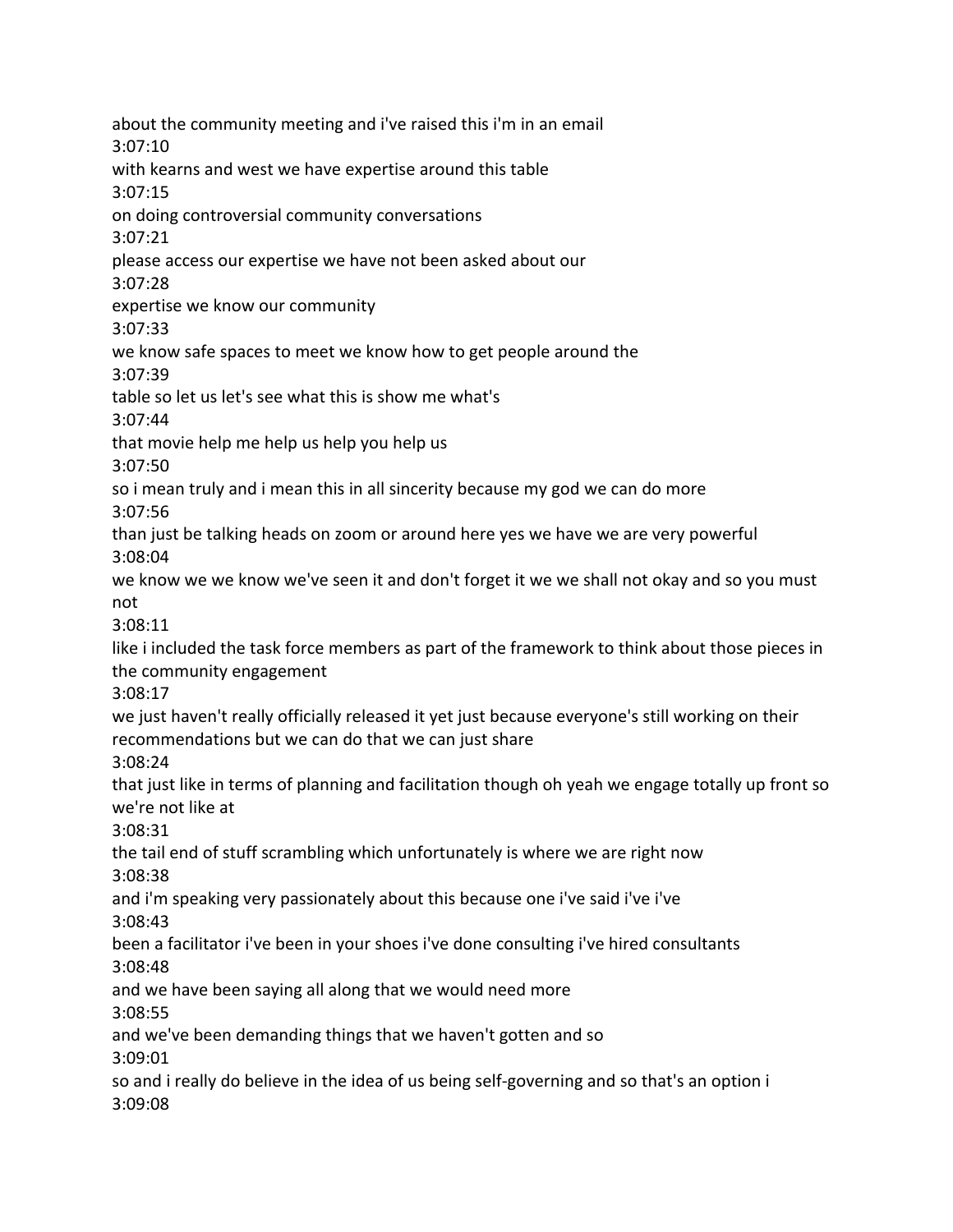about the community meeting and i've raised this i'm in an email 3:07:10 with kearns and west we have expertise around this table 3:07:15 on doing controversial community conversations 3:07:21 please access our expertise we have not been asked about our 3:07:28 expertise we know our community 3:07:33 we know safe spaces to meet we know how to get people around the 3:07:39 table so let us let's see what this is show me what's 3:07:44 that movie help me help us help you help us 3:07:50 so i mean truly and i mean this in all sincerity because my god we can do more 3:07:56 than just be talking heads on zoom or around here yes we have we are very powerful 3:08:04 we know we we know we've seen it and don't forget it we we shall not okay and so you must not 3:08:11 like i included the task force members as part of the framework to think about those pieces in the community engagement 3:08:17 we just haven't really officially released it yet just because everyone's still working on their recommendations but we can do that we can just share 3:08:24 that just like in terms of planning and facilitation though oh yeah we engage totally up front so we're not like at 3:08:31 the tail end of stuff scrambling which unfortunately is where we are right now 3:08:38 and i'm speaking very passionately about this because one i've said i've i've 3:08:43 been a facilitator i've been in your shoes i've done consulting i've hired consultants 3:08:48 and we have been saying all along that we would need more 3:08:55 and we've been demanding things that we haven't gotten and so 3:09:01 so and i really do believe in the idea of us being self-governing and so that's an option i 3:09:08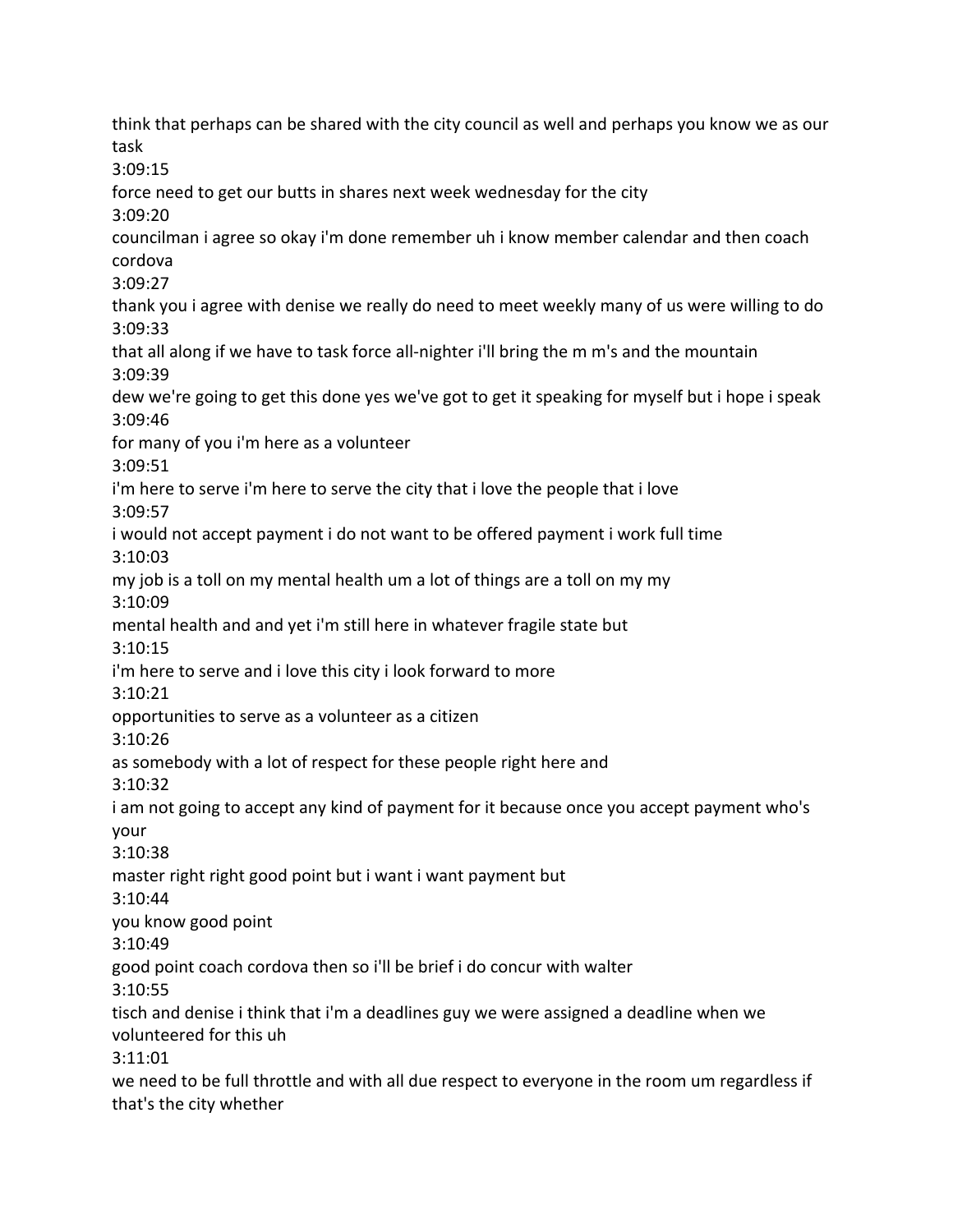think that perhaps can be shared with the city council as well and perhaps you know we as our task 3:09:15 force need to get our butts in shares next week wednesday for the city 3:09:20 councilman i agree so okay i'm done remember uh i know member calendar and then coach cordova 3:09:27 thank you i agree with denise we really do need to meet weekly many of us were willing to do 3:09:33 that all along if we have to task force all-nighter i'll bring the m m's and the mountain 3:09:39 dew we're going to get this done yes we've got to get it speaking for myself but i hope i speak 3:09:46 for many of you i'm here as a volunteer 3:09:51 i'm here to serve i'm here to serve the city that i love the people that i love 3:09:57 i would not accept payment i do not want to be offered payment i work full time 3:10:03 my job is a toll on my mental health um a lot of things are a toll on my my 3:10:09 mental health and and yet i'm still here in whatever fragile state but 3:10:15 i'm here to serve and i love this city i look forward to more 3:10:21 opportunities to serve as a volunteer as a citizen 3:10:26 as somebody with a lot of respect for these people right here and 3:10:32 i am not going to accept any kind of payment for it because once you accept payment who's your 3:10:38 master right right good point but i want i want payment but 3:10:44 you know good point 3:10:49 good point coach cordova then so i'll be brief i do concur with walter 3:10:55 tisch and denise i think that i'm a deadlines guy we were assigned a deadline when we volunteered for this uh 3:11:01 we need to be full throttle and with all due respect to everyone in the room um regardless if that's the city whether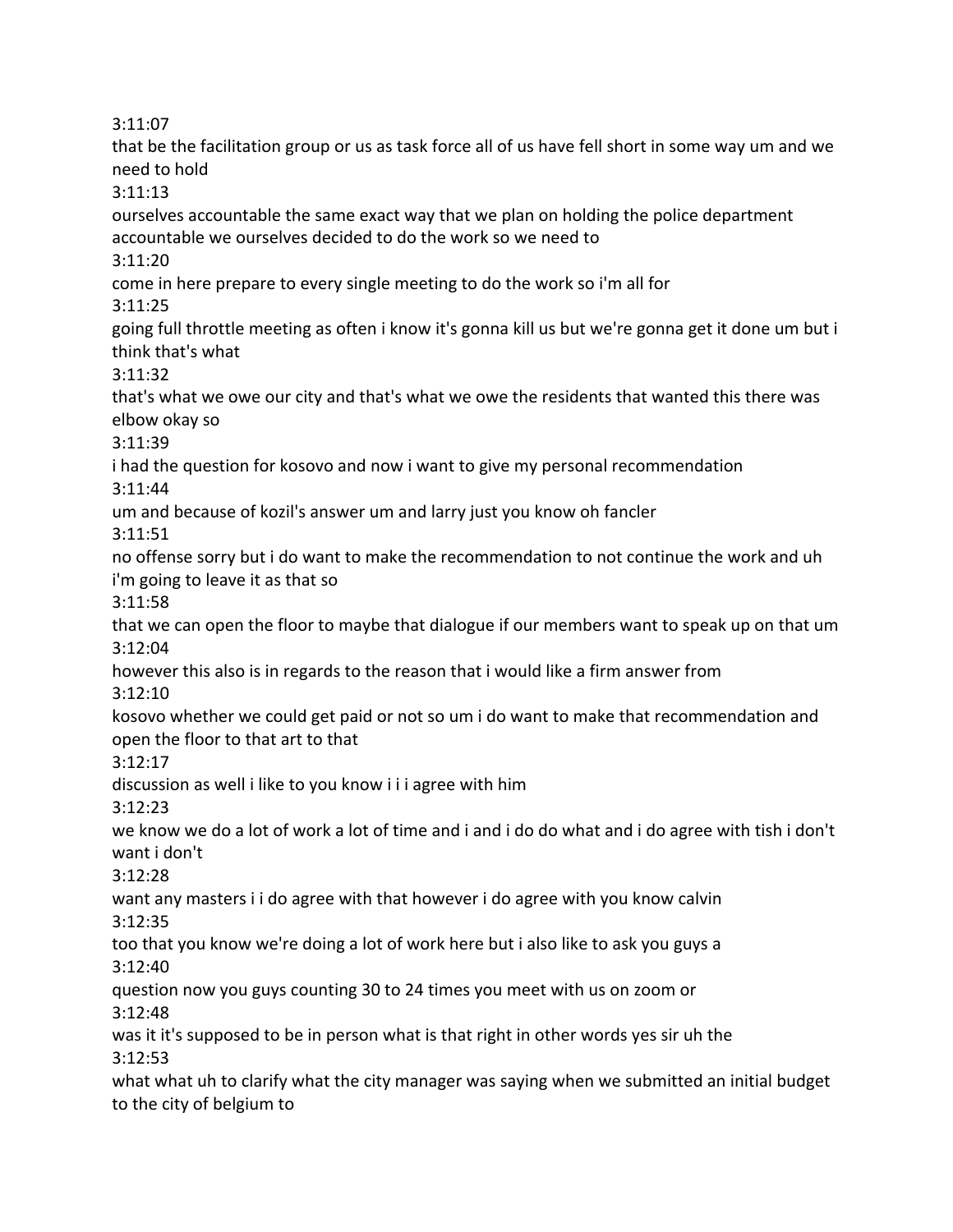3:11:07

that be the facilitation group or us as task force all of us have fell short in some way um and we need to hold

3:11:13

ourselves accountable the same exact way that we plan on holding the police department accountable we ourselves decided to do the work so we need to

3:11:20

come in here prepare to every single meeting to do the work so i'm all for

3:11:25

going full throttle meeting as often i know it's gonna kill us but we're gonna get it done um but i think that's what

3:11:32

that's what we owe our city and that's what we owe the residents that wanted this there was elbow okay so

3:11:39

i had the question for kosovo and now i want to give my personal recommendation

3:11:44

um and because of kozil's answer um and larry just you know oh fancler

3:11:51

no offense sorry but i do want to make the recommendation to not continue the work and uh i'm going to leave it as that so

3:11:58

that we can open the floor to maybe that dialogue if our members want to speak up on that um 3:12:04

however this also is in regards to the reason that i would like a firm answer from 3:12:10

kosovo whether we could get paid or not so um i do want to make that recommendation and open the floor to that art to that

3:12:17

discussion as well i like to you know i i i agree with him

3:12:23

we know we do a lot of work a lot of time and i and i do do what and i do agree with tish i don't want i don't

3:12:28

want any masters i i do agree with that however i do agree with you know calvin 3:12:35

too that you know we're doing a lot of work here but i also like to ask you guys a 3:12:40

question now you guys counting 30 to 24 times you meet with us on zoom or 3:12:48

was it it's supposed to be in person what is that right in other words yes sir uh the 3:12:53

what what uh to clarify what the city manager was saying when we submitted an initial budget to the city of belgium to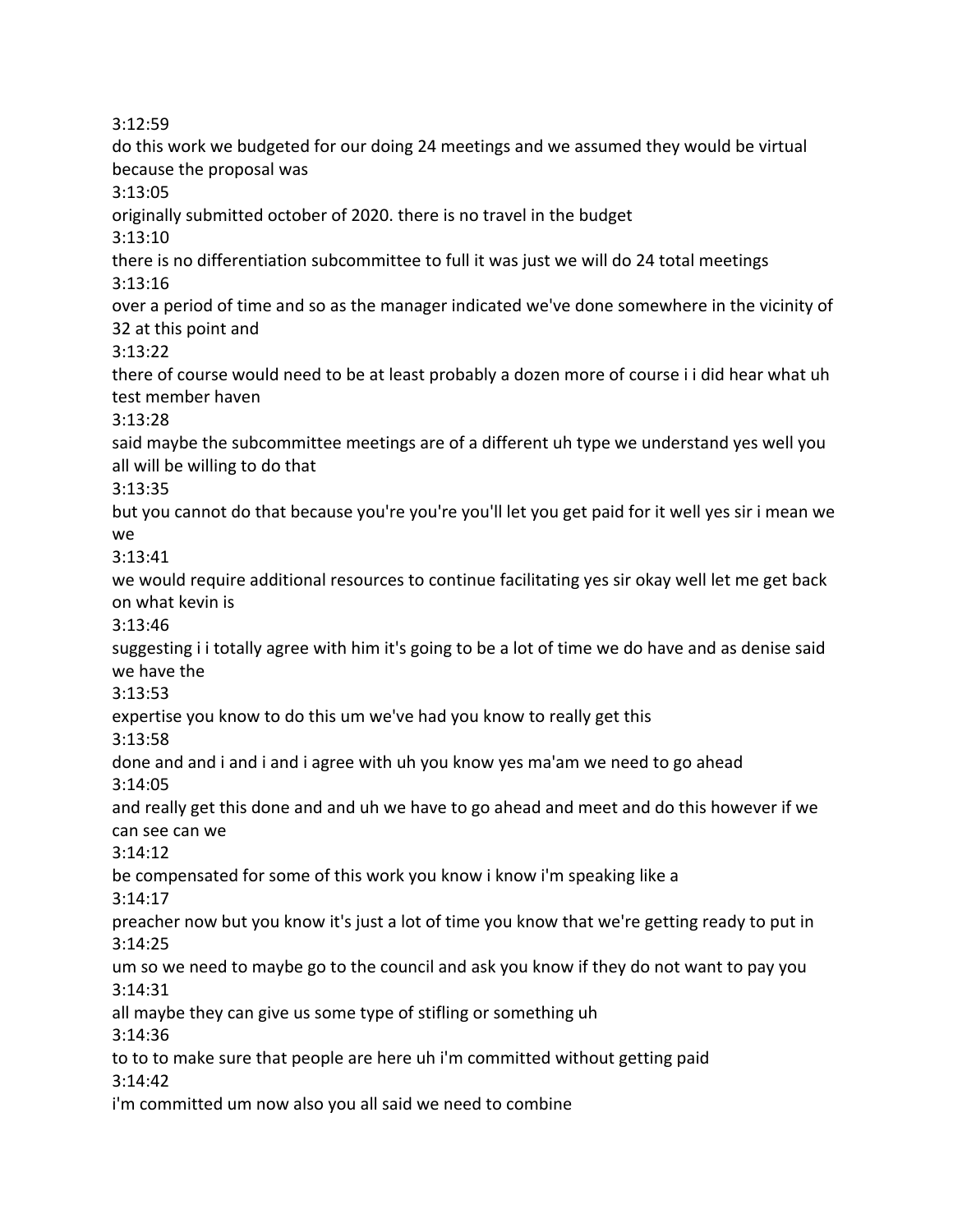3:12:59

do this work we budgeted for our doing 24 meetings and we assumed they would be virtual because the proposal was 3:13:05 originally submitted october of 2020. there is no travel in the budget 3:13:10 there is no differentiation subcommittee to full it was just we will do 24 total meetings 3:13:16 over a period of time and so as the manager indicated we've done somewhere in the vicinity of 32 at this point and 3:13:22 there of course would need to be at least probably a dozen more of course i i did hear what uh test member haven 3:13:28 said maybe the subcommittee meetings are of a different uh type we understand yes well you all will be willing to do that 3:13:35 but you cannot do that because you're you're you'll let you get paid for it well yes sir i mean we we 3:13:41 we would require additional resources to continue facilitating yes sir okay well let me get back on what kevin is 3:13:46 suggesting i i totally agree with him it's going to be a lot of time we do have and as denise said we have the 3:13:53 expertise you know to do this um we've had you know to really get this 3:13:58 done and and i and i and i agree with uh you know yes ma'am we need to go ahead 3:14:05 and really get this done and and uh we have to go ahead and meet and do this however if we can see can we 3:14:12 be compensated for some of this work you know i know i'm speaking like a 3:14:17 preacher now but you know it's just a lot of time you know that we're getting ready to put in 3:14:25 um so we need to maybe go to the council and ask you know if they do not want to pay you 3:14:31 all maybe they can give us some type of stifling or something uh 3:14:36 to to to make sure that people are here uh i'm committed without getting paid 3:14:42 i'm committed um now also you all said we need to combine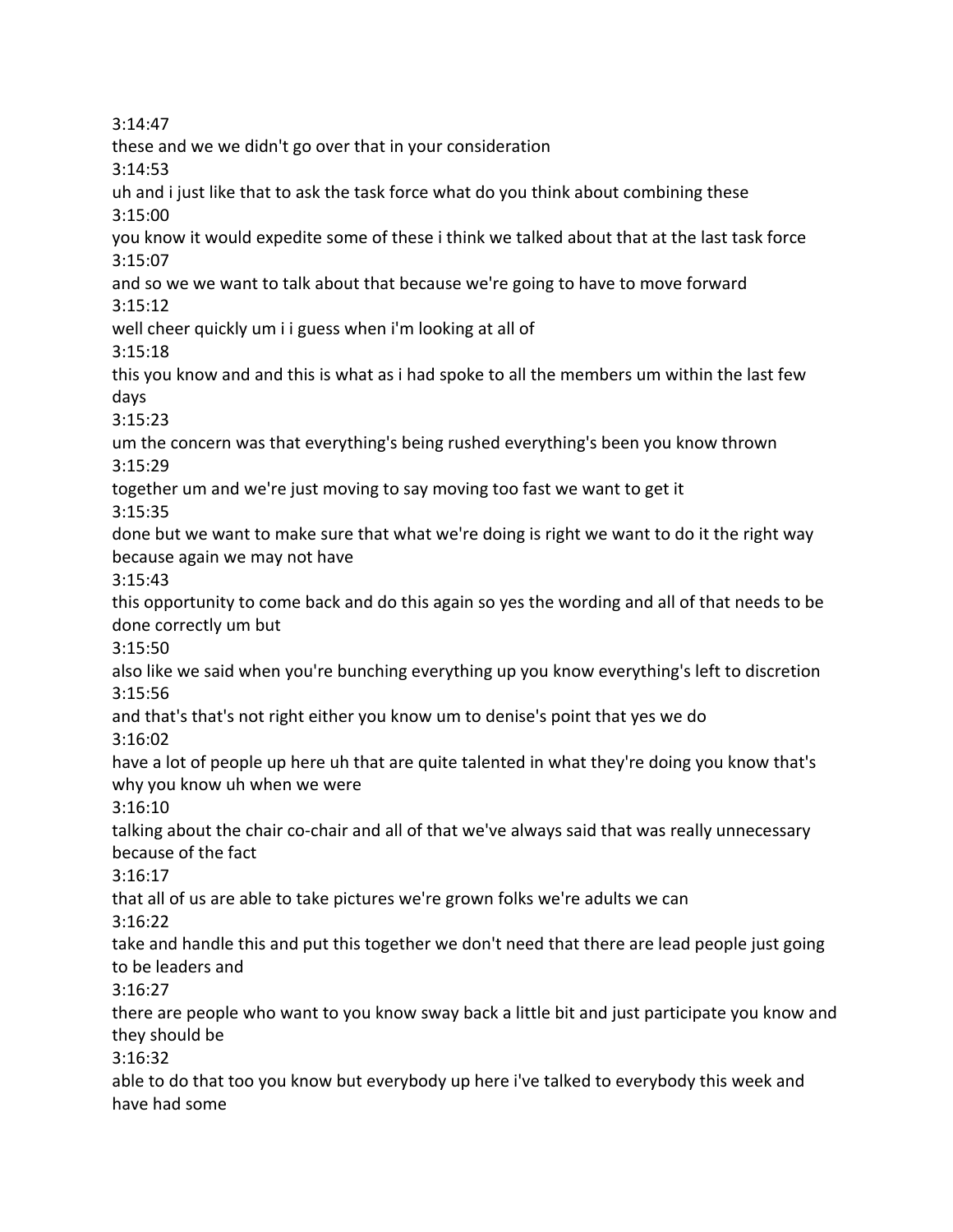3:14:47 these and we we didn't go over that in your consideration 3:14:53 uh and i just like that to ask the task force what do you think about combining these 3:15:00 you know it would expedite some of these i think we talked about that at the last task force 3:15:07 and so we we want to talk about that because we're going to have to move forward 3:15:12 well cheer quickly um i i guess when i'm looking at all of 3:15:18 this you know and and this is what as i had spoke to all the members um within the last few days 3:15:23 um the concern was that everything's being rushed everything's been you know thrown 3:15:29 together um and we're just moving to say moving too fast we want to get it 3:15:35 done but we want to make sure that what we're doing is right we want to do it the right way because again we may not have 3:15:43 this opportunity to come back and do this again so yes the wording and all of that needs to be done correctly um but 3:15:50 also like we said when you're bunching everything up you know everything's left to discretion 3:15:56 and that's that's not right either you know um to denise's point that yes we do 3:16:02 have a lot of people up here uh that are quite talented in what they're doing you know that's why you know uh when we were 3:16:10 talking about the chair co-chair and all of that we've always said that was really unnecessary because of the fact 3:16:17 that all of us are able to take pictures we're grown folks we're adults we can 3:16:22 take and handle this and put this together we don't need that there are lead people just going to be leaders and 3:16:27 there are people who want to you know sway back a little bit and just participate you know and they should be 3:16:32 able to do that too you know but everybody up here i've talked to everybody this week and have had some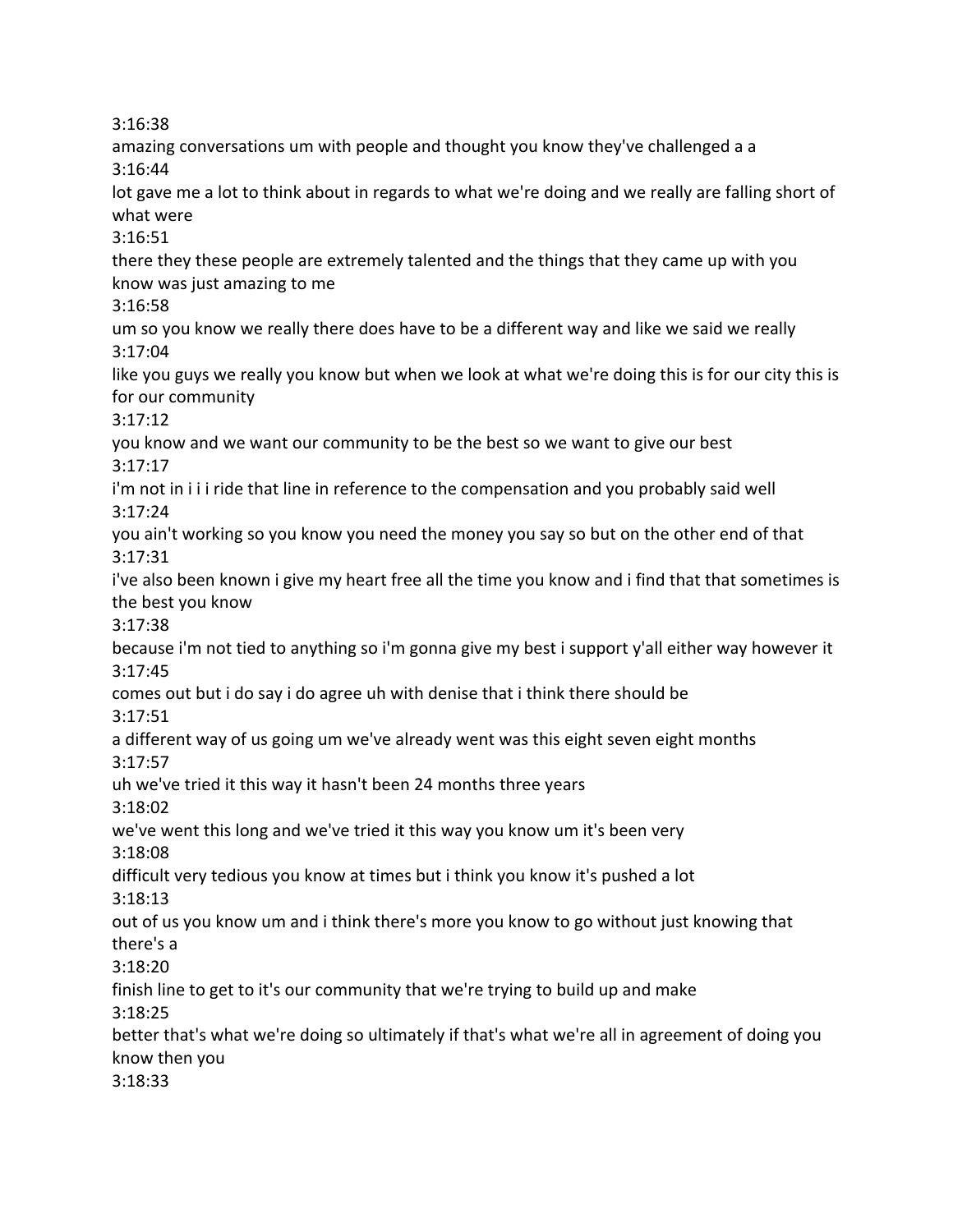3:16:38

amazing conversations um with people and thought you know they've challenged a a 3:16:44 lot gave me a lot to think about in regards to what we're doing and we really are falling short of what were 3:16:51 there they these people are extremely talented and the things that they came up with you know was just amazing to me 3:16:58 um so you know we really there does have to be a different way and like we said we really 3:17:04 like you guys we really you know but when we look at what we're doing this is for our city this is for our community 3:17:12 you know and we want our community to be the best so we want to give our best 3:17:17 i'm not in i i i ride that line in reference to the compensation and you probably said well 3:17:24 you ain't working so you know you need the money you say so but on the other end of that 3:17:31 i've also been known i give my heart free all the time you know and i find that that sometimes is the best you know 3:17:38 because i'm not tied to anything so i'm gonna give my best i support y'all either way however it 3:17:45 comes out but i do say i do agree uh with denise that i think there should be 3:17:51 a different way of us going um we've already went was this eight seven eight months 3:17:57 uh we've tried it this way it hasn't been 24 months three years 3:18:02 we've went this long and we've tried it this way you know um it's been very 3:18:08 difficult very tedious you know at times but i think you know it's pushed a lot 3:18:13 out of us you know um and i think there's more you know to go without just knowing that there's a 3:18:20 finish line to get to it's our community that we're trying to build up and make 3:18:25 better that's what we're doing so ultimately if that's what we're all in agreement of doing you know then you

3:18:33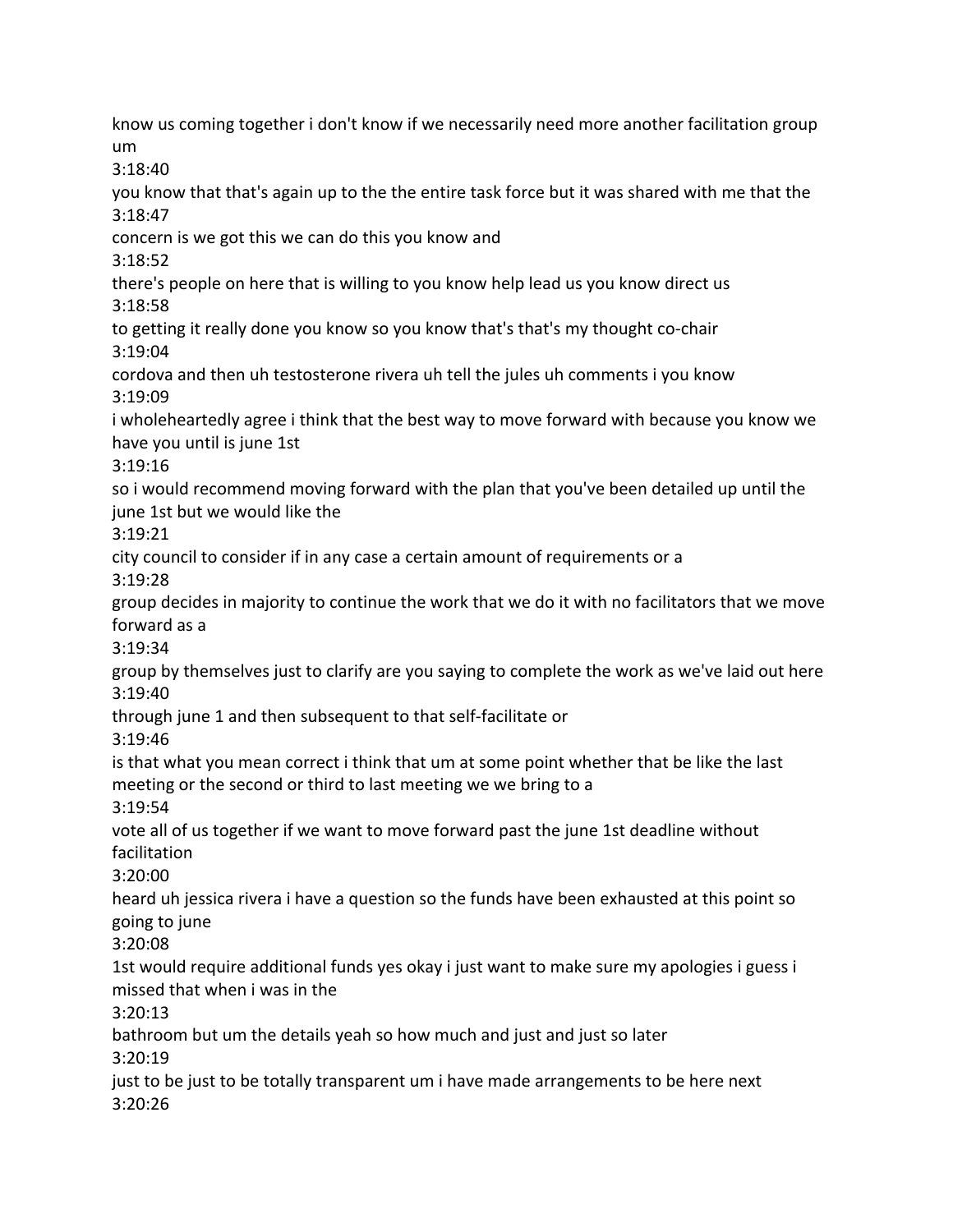know us coming together i don't know if we necessarily need more another facilitation group um 3:18:40 you know that that's again up to the the entire task force but it was shared with me that the 3:18:47 concern is we got this we can do this you know and 3:18:52 there's people on here that is willing to you know help lead us you know direct us 3:18:58 to getting it really done you know so you know that's that's my thought co-chair 3:19:04 cordova and then uh testosterone rivera uh tell the jules uh comments i you know 3:19:09 i wholeheartedly agree i think that the best way to move forward with because you know we have you until is june 1st 3:19:16 so i would recommend moving forward with the plan that you've been detailed up until the june 1st but we would like the 3:19:21 city council to consider if in any case a certain amount of requirements or a 3:19:28 group decides in majority to continue the work that we do it with no facilitators that we move forward as a 3:19:34 group by themselves just to clarify are you saying to complete the work as we've laid out here 3:19:40 through june 1 and then subsequent to that self-facilitate or 3:19:46 is that what you mean correct i think that um at some point whether that be like the last meeting or the second or third to last meeting we we bring to a 3:19:54 vote all of us together if we want to move forward past the june 1st deadline without facilitation 3:20:00 heard uh jessica rivera i have a question so the funds have been exhausted at this point so going to june 3:20:08 1st would require additional funds yes okay i just want to make sure my apologies i guess i missed that when i was in the 3:20:13 bathroom but um the details yeah so how much and just and just so later 3:20:19 just to be just to be totally transparent um i have made arrangements to be here next 3:20:26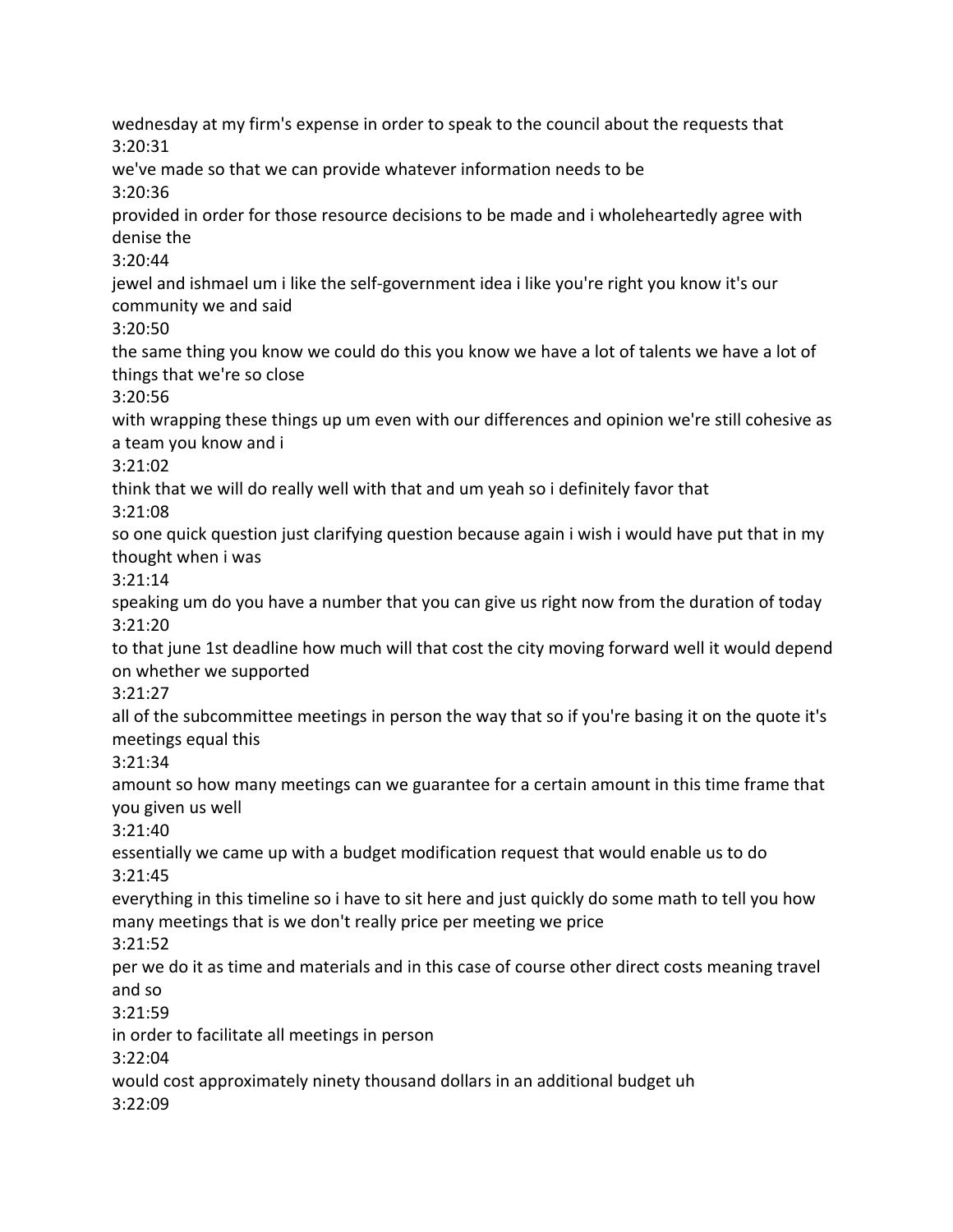wednesday at my firm's expense in order to speak to the council about the requests that 3:20:31 we've made so that we can provide whatever information needs to be 3:20:36 provided in order for those resource decisions to be made and i wholeheartedly agree with denise the 3:20:44 jewel and ishmael um i like the self-government idea i like you're right you know it's our community we and said 3:20:50 the same thing you know we could do this you know we have a lot of talents we have a lot of things that we're so close 3:20:56 with wrapping these things up um even with our differences and opinion we're still cohesive as a team you know and i 3:21:02 think that we will do really well with that and um yeah so i definitely favor that 3:21:08 so one quick question just clarifying question because again i wish i would have put that in my thought when i was 3:21:14 speaking um do you have a number that you can give us right now from the duration of today 3:21:20 to that june 1st deadline how much will that cost the city moving forward well it would depend on whether we supported 3:21:27 all of the subcommittee meetings in person the way that so if you're basing it on the quote it's meetings equal this 3:21:34 amount so how many meetings can we guarantee for a certain amount in this time frame that you given us well 3:21:40 essentially we came up with a budget modification request that would enable us to do 3:21:45 everything in this timeline so i have to sit here and just quickly do some math to tell you how many meetings that is we don't really price per meeting we price 3:21:52 per we do it as time and materials and in this case of course other direct costs meaning travel and so 3:21:59 in order to facilitate all meetings in person 3:22:04 would cost approximately ninety thousand dollars in an additional budget uh 3:22:09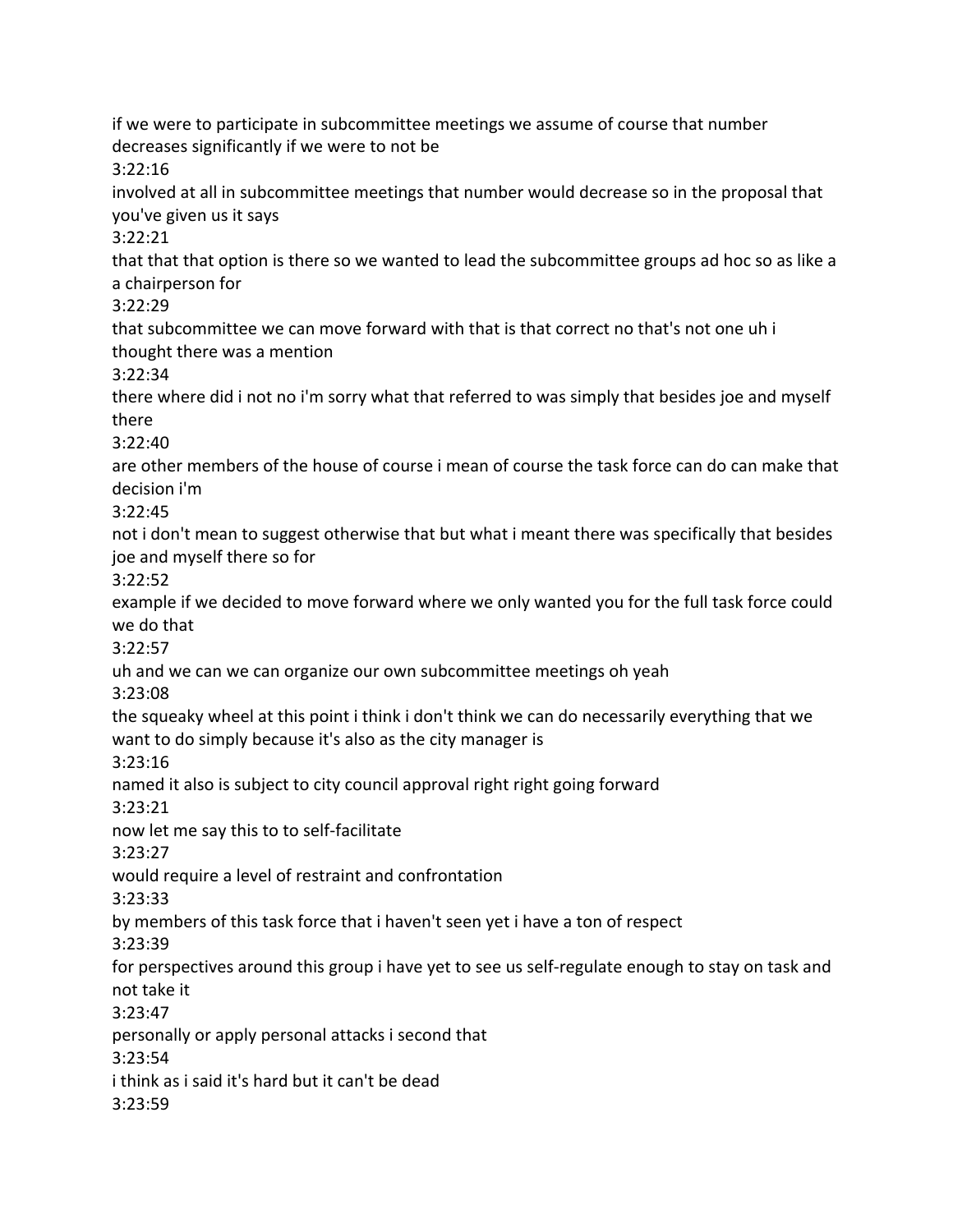if we were to participate in subcommittee meetings we assume of course that number decreases significantly if we were to not be 3:22:16 involved at all in subcommittee meetings that number would decrease so in the proposal that you've given us it says 3:22:21 that that that option is there so we wanted to lead the subcommittee groups ad hoc so as like a a chairperson for 3:22:29 that subcommittee we can move forward with that is that correct no that's not one uh i thought there was a mention 3:22:34 there where did i not no i'm sorry what that referred to was simply that besides joe and myself there 3:22:40 are other members of the house of course i mean of course the task force can do can make that decision i'm 3:22:45 not i don't mean to suggest otherwise that but what i meant there was specifically that besides joe and myself there so for 3:22:52 example if we decided to move forward where we only wanted you for the full task force could we do that 3:22:57 uh and we can we can organize our own subcommittee meetings oh yeah 3:23:08 the squeaky wheel at this point i think i don't think we can do necessarily everything that we want to do simply because it's also as the city manager is 3:23:16 named it also is subject to city council approval right right going forward 3:23:21 now let me say this to to self-facilitate 3:23:27 would require a level of restraint and confrontation 3:23:33 by members of this task force that i haven't seen yet i have a ton of respect 3:23:39 for perspectives around this group i have yet to see us self-regulate enough to stay on task and not take it 3:23:47 personally or apply personal attacks i second that 3:23:54 i think as i said it's hard but it can't be dead 3:23:59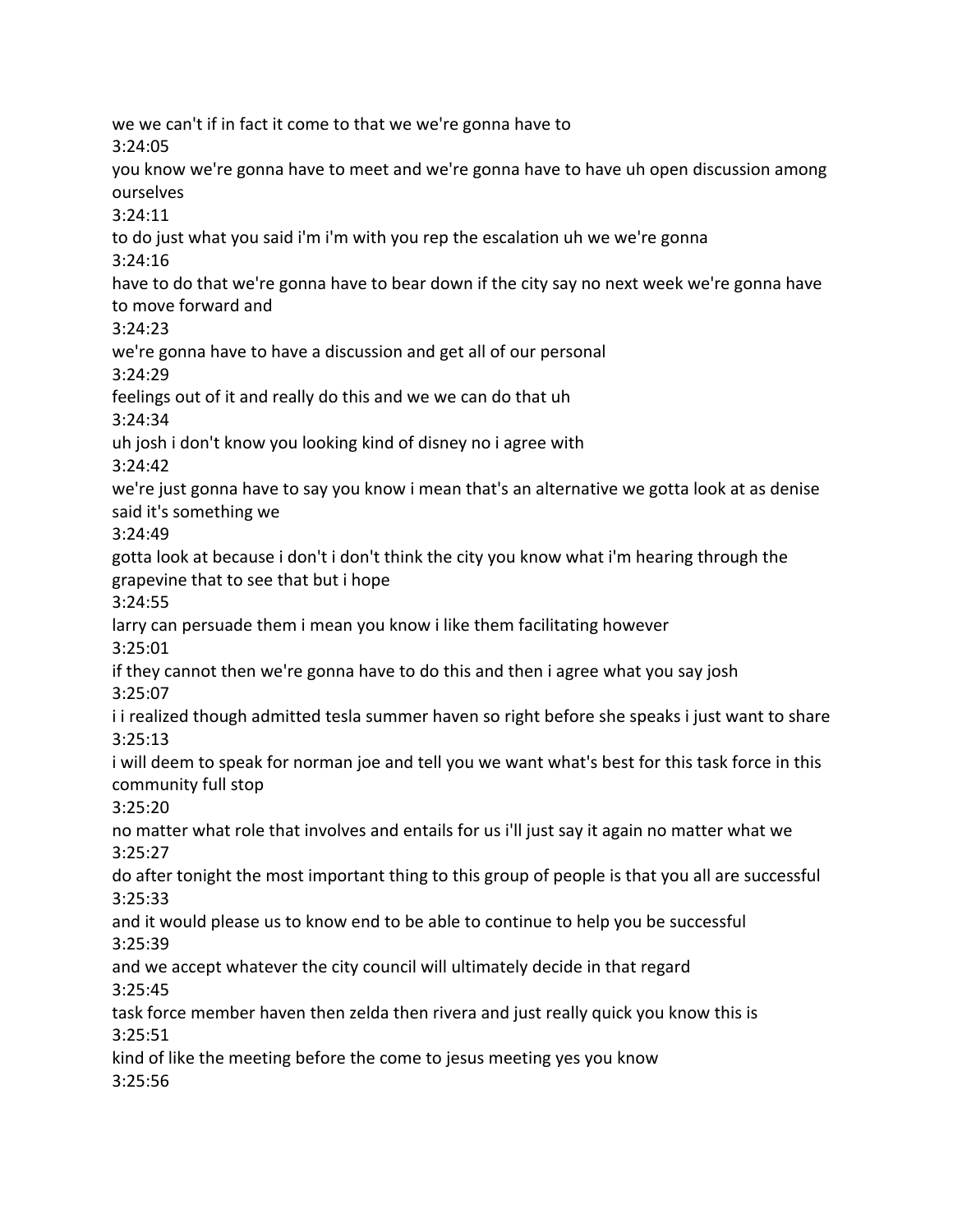we we can't if in fact it come to that we we're gonna have to 3:24:05 you know we're gonna have to meet and we're gonna have to have uh open discussion among ourselves 3:24:11 to do just what you said i'm i'm with you rep the escalation uh we we're gonna 3:24:16 have to do that we're gonna have to bear down if the city say no next week we're gonna have to move forward and 3:24:23 we're gonna have to have a discussion and get all of our personal 3:24:29 feelings out of it and really do this and we we can do that uh 3:24:34 uh josh i don't know you looking kind of disney no i agree with 3:24:42 we're just gonna have to say you know i mean that's an alternative we gotta look at as denise said it's something we 3:24:49 gotta look at because i don't i don't think the city you know what i'm hearing through the grapevine that to see that but i hope 3:24:55 larry can persuade them i mean you know i like them facilitating however 3:25:01 if they cannot then we're gonna have to do this and then i agree what you say josh 3:25:07 i i realized though admitted tesla summer haven so right before she speaks i just want to share 3:25:13 i will deem to speak for norman joe and tell you we want what's best for this task force in this community full stop 3:25:20 no matter what role that involves and entails for us i'll just say it again no matter what we 3:25:27 do after tonight the most important thing to this group of people is that you all are successful 3:25:33 and it would please us to know end to be able to continue to help you be successful 3:25:39 and we accept whatever the city council will ultimately decide in that regard 3:25:45 task force member haven then zelda then rivera and just really quick you know this is 3:25:51 kind of like the meeting before the come to jesus meeting yes you know 3:25:56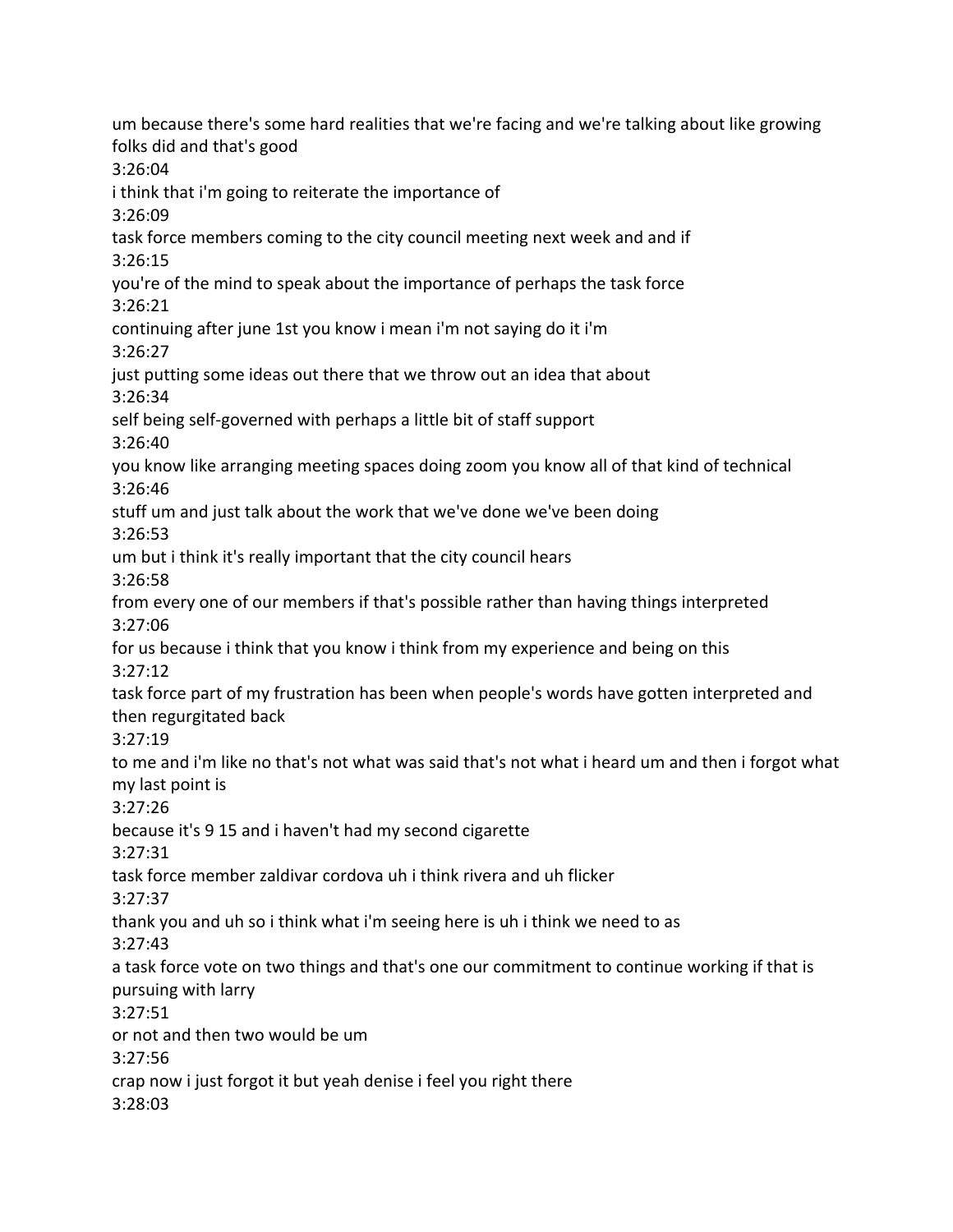um because there's some hard realities that we're facing and we're talking about like growing folks did and that's good 3:26:04 i think that i'm going to reiterate the importance of 3:26:09 task force members coming to the city council meeting next week and and if 3:26:15 you're of the mind to speak about the importance of perhaps the task force 3:26:21 continuing after june 1st you know i mean i'm not saying do it i'm 3:26:27 just putting some ideas out there that we throw out an idea that about 3:26:34 self being self-governed with perhaps a little bit of staff support 3:26:40 you know like arranging meeting spaces doing zoom you know all of that kind of technical 3:26:46 stuff um and just talk about the work that we've done we've been doing 3:26:53 um but i think it's really important that the city council hears 3:26:58 from every one of our members if that's possible rather than having things interpreted 3:27:06 for us because i think that you know i think from my experience and being on this 3:27:12 task force part of my frustration has been when people's words have gotten interpreted and then regurgitated back 3:27:19 to me and i'm like no that's not what was said that's not what i heard um and then i forgot what my last point is 3:27:26 because it's 9 15 and i haven't had my second cigarette 3:27:31 task force member zaldivar cordova uh i think rivera and uh flicker 3:27:37 thank you and uh so i think what i'm seeing here is uh i think we need to as 3:27:43 a task force vote on two things and that's one our commitment to continue working if that is pursuing with larry 3:27:51 or not and then two would be um 3:27:56 crap now i just forgot it but yeah denise i feel you right there 3:28:03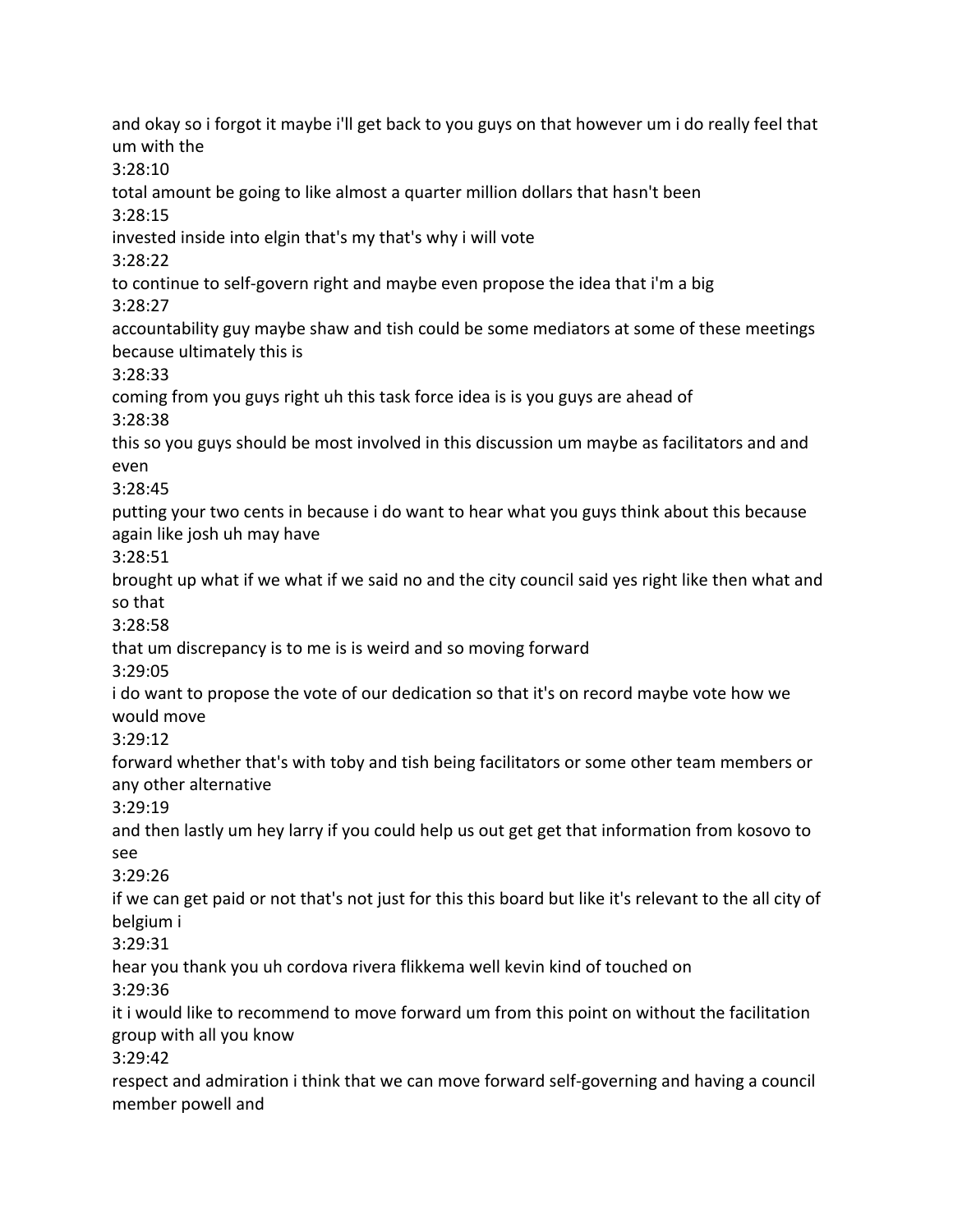and okay so i forgot it maybe i'll get back to you guys on that however um i do really feel that um with the 3:28:10 total amount be going to like almost a quarter million dollars that hasn't been 3:28:15 invested inside into elgin that's my that's why i will vote 3:28:22 to continue to self-govern right and maybe even propose the idea that i'm a big 3:28:27 accountability guy maybe shaw and tish could be some mediators at some of these meetings because ultimately this is 3:28:33 coming from you guys right uh this task force idea is is you guys are ahead of 3:28:38 this so you guys should be most involved in this discussion um maybe as facilitators and and even 3:28:45 putting your two cents in because i do want to hear what you guys think about this because again like josh uh may have 3:28:51 brought up what if we what if we said no and the city council said yes right like then what and so that 3:28:58 that um discrepancy is to me is is weird and so moving forward 3:29:05 i do want to propose the vote of our dedication so that it's on record maybe vote how we would move 3:29:12 forward whether that's with toby and tish being facilitators or some other team members or any other alternative 3:29:19 and then lastly um hey larry if you could help us out get get that information from kosovo to see 3:29:26 if we can get paid or not that's not just for this this board but like it's relevant to the all city of belgium i 3:29:31 hear you thank you uh cordova rivera flikkema well kevin kind of touched on 3:29:36 it i would like to recommend to move forward um from this point on without the facilitation group with all you know 3:29:42 respect and admiration i think that we can move forward self-governing and having a council member powell and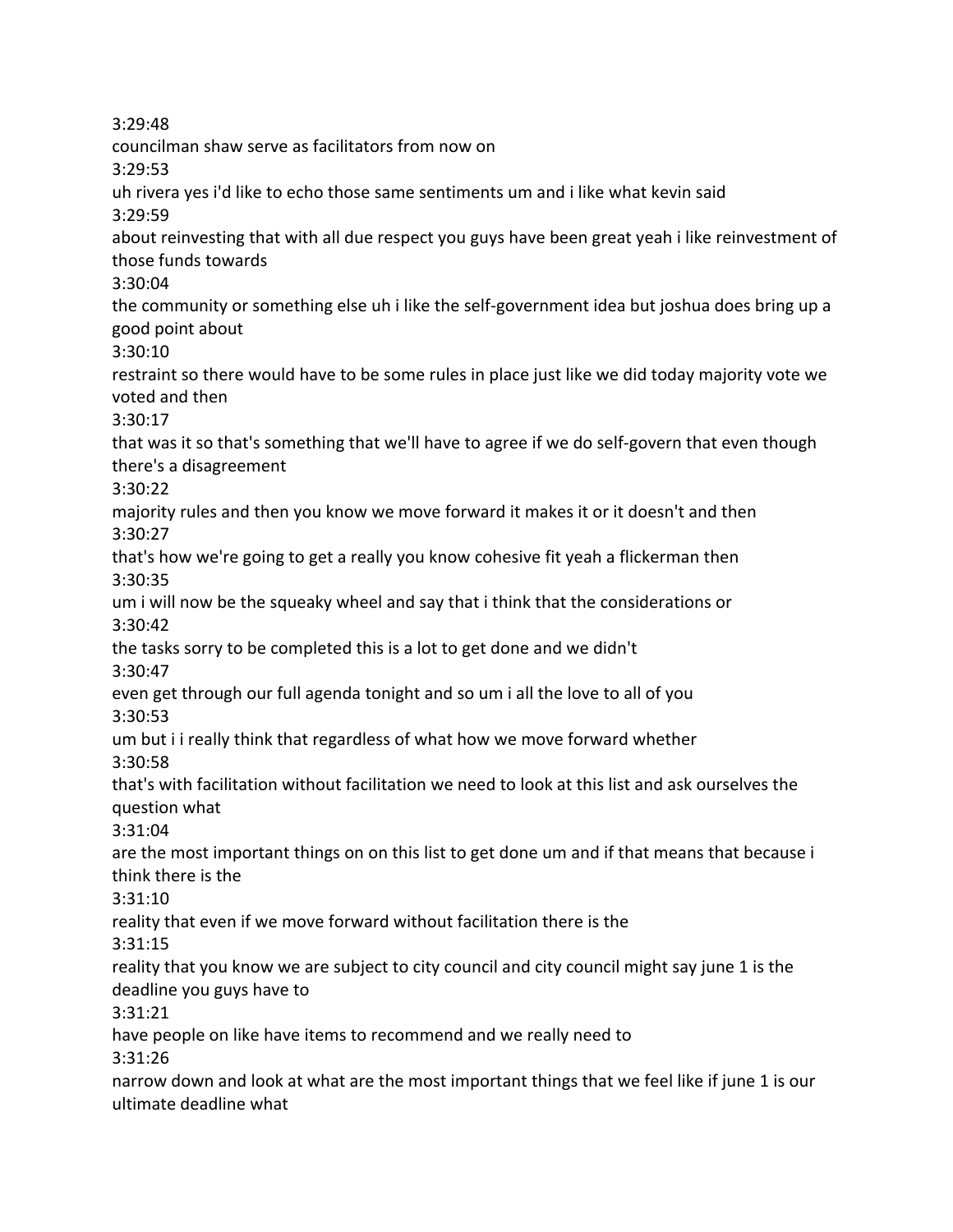3:29:48 councilman shaw serve as facilitators from now on 3:29:53 uh rivera yes i'd like to echo those same sentiments um and i like what kevin said 3:29:59 about reinvesting that with all due respect you guys have been great yeah i like reinvestment of those funds towards 3:30:04 the community or something else uh i like the self-government idea but joshua does bring up a good point about 3:30:10 restraint so there would have to be some rules in place just like we did today majority vote we voted and then 3:30:17 that was it so that's something that we'll have to agree if we do self-govern that even though there's a disagreement 3:30:22 majority rules and then you know we move forward it makes it or it doesn't and then 3:30:27 that's how we're going to get a really you know cohesive fit yeah a flickerman then 3:30:35 um i will now be the squeaky wheel and say that i think that the considerations or 3:30:42 the tasks sorry to be completed this is a lot to get done and we didn't 3:30:47 even get through our full agenda tonight and so um i all the love to all of you 3:30:53 um but i i really think that regardless of what how we move forward whether 3:30:58 that's with facilitation without facilitation we need to look at this list and ask ourselves the question what 3:31:04 are the most important things on on this list to get done um and if that means that because i think there is the 3:31:10 reality that even if we move forward without facilitation there is the 3:31:15 reality that you know we are subject to city council and city council might say june 1 is the deadline you guys have to 3:31:21 have people on like have items to recommend and we really need to 3:31:26 narrow down and look at what are the most important things that we feel like if june 1 is our ultimate deadline what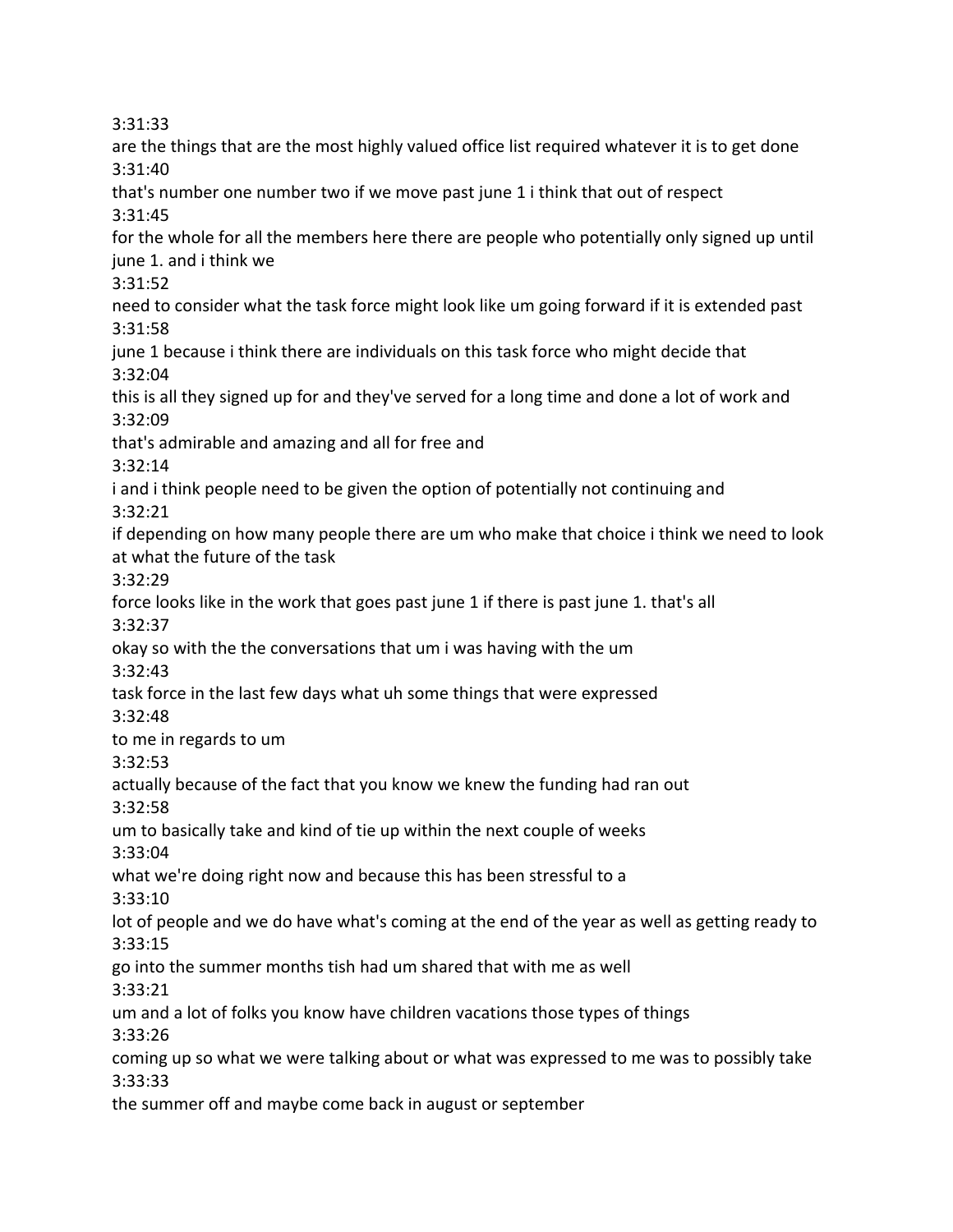3:31:33

are the things that are the most highly valued office list required whatever it is to get done 3:31:40 that's number one number two if we move past june 1 i think that out of respect 3:31:45 for the whole for all the members here there are people who potentially only signed up until june 1. and i think we 3:31:52 need to consider what the task force might look like um going forward if it is extended past 3:31:58 june 1 because i think there are individuals on this task force who might decide that 3:32:04 this is all they signed up for and they've served for a long time and done a lot of work and 3:32:09 that's admirable and amazing and all for free and 3:32:14 i and i think people need to be given the option of potentially not continuing and 3:32:21 if depending on how many people there are um who make that choice i think we need to look at what the future of the task 3:32:29 force looks like in the work that goes past june 1 if there is past june 1. that's all 3:32:37 okay so with the the conversations that um i was having with the um 3:32:43 task force in the last few days what uh some things that were expressed 3:32:48 to me in regards to um 3:32:53 actually because of the fact that you know we knew the funding had ran out 3:32:58 um to basically take and kind of tie up within the next couple of weeks 3:33:04 what we're doing right now and because this has been stressful to a 3:33:10 lot of people and we do have what's coming at the end of the year as well as getting ready to 3:33:15 go into the summer months tish had um shared that with me as well 3:33:21 um and a lot of folks you know have children vacations those types of things 3:33:26 coming up so what we were talking about or what was expressed to me was to possibly take 3:33:33 the summer off and maybe come back in august or september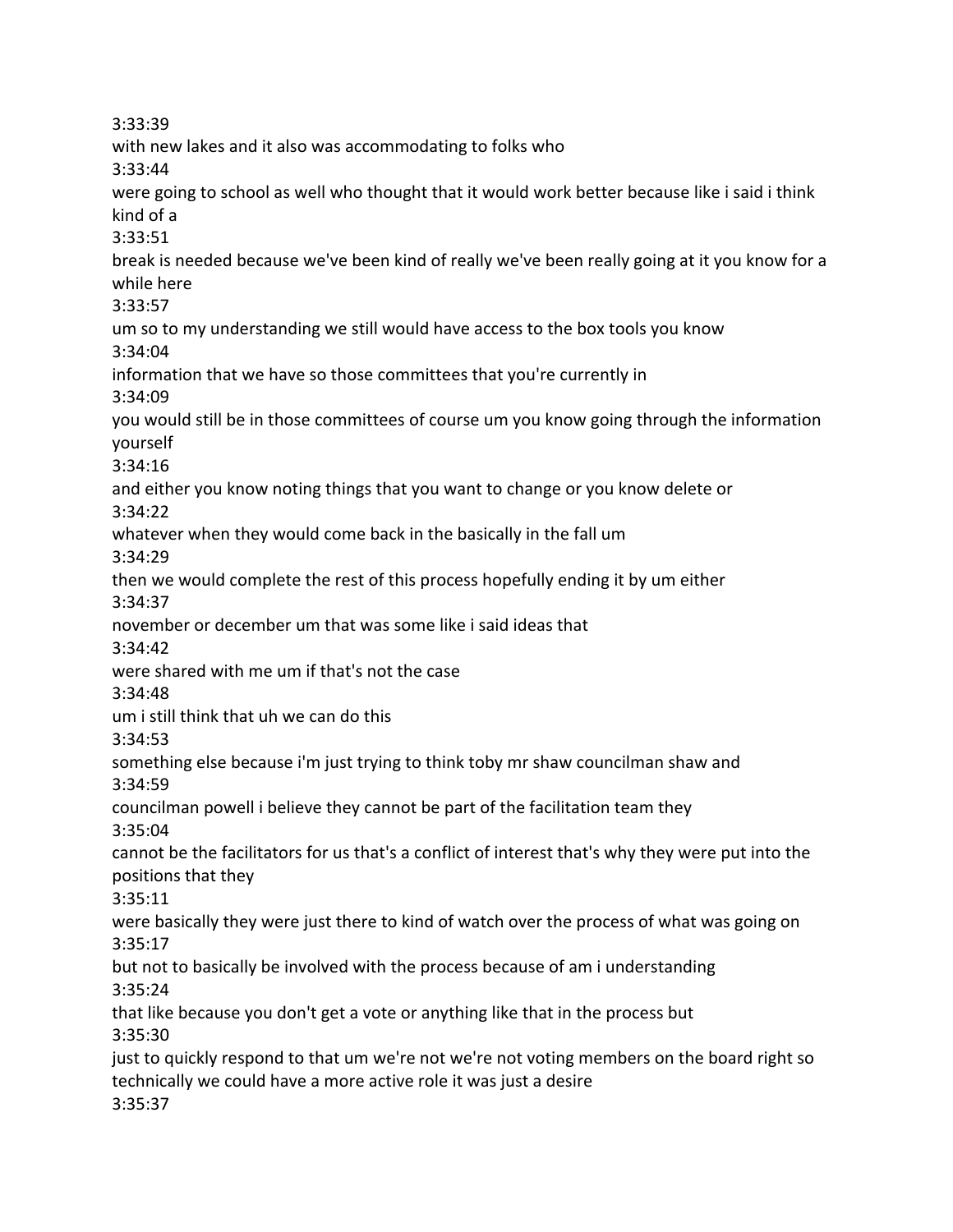3:33:39 with new lakes and it also was accommodating to folks who 3:33:44 were going to school as well who thought that it would work better because like i said i think kind of a 3:33:51 break is needed because we've been kind of really we've been really going at it you know for a while here 3:33:57 um so to my understanding we still would have access to the box tools you know 3:34:04 information that we have so those committees that you're currently in 3:34:09 you would still be in those committees of course um you know going through the information yourself 3:34:16 and either you know noting things that you want to change or you know delete or 3:34:22 whatever when they would come back in the basically in the fall um 3:34:29 then we would complete the rest of this process hopefully ending it by um either 3:34:37 november or december um that was some like i said ideas that 3:34:42 were shared with me um if that's not the case 3:34:48 um i still think that uh we can do this 3:34:53 something else because i'm just trying to think toby mr shaw councilman shaw and 3:34:59 councilman powell i believe they cannot be part of the facilitation team they 3:35:04 cannot be the facilitators for us that's a conflict of interest that's why they were put into the positions that they 3:35:11 were basically they were just there to kind of watch over the process of what was going on 3:35:17 but not to basically be involved with the process because of am i understanding 3:35:24 that like because you don't get a vote or anything like that in the process but 3:35:30 just to quickly respond to that um we're not we're not voting members on the board right so technically we could have a more active role it was just a desire 3:35:37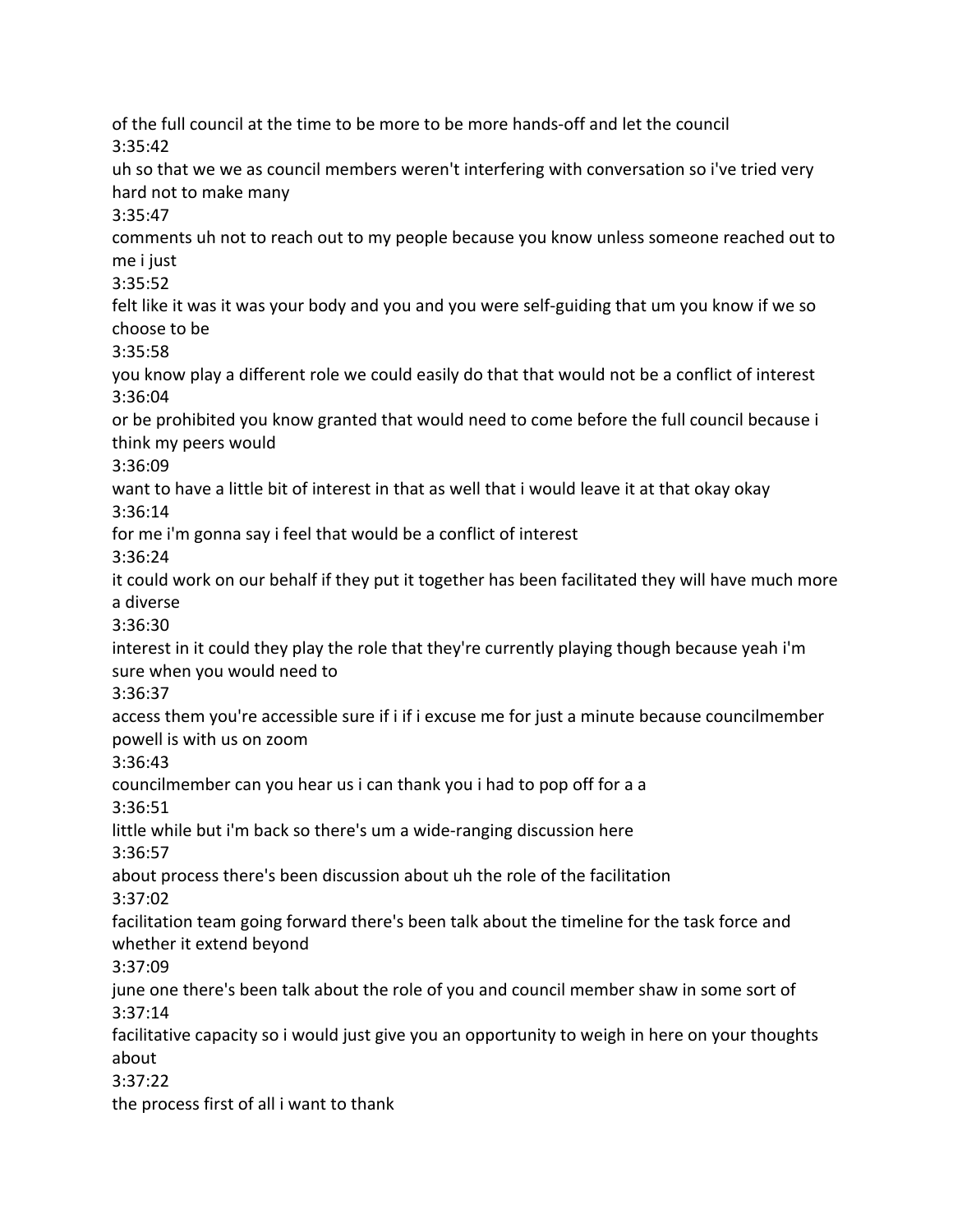of the full council at the time to be more to be more hands-off and let the council 3:35:42 uh so that we we as council members weren't interfering with conversation so i've tried very hard not to make many 3:35:47 comments uh not to reach out to my people because you know unless someone reached out to me i just 3:35:52 felt like it was it was your body and you and you were self-guiding that um you know if we so choose to be 3:35:58 you know play a different role we could easily do that that would not be a conflict of interest 3:36:04 or be prohibited you know granted that would need to come before the full council because i think my peers would 3:36:09 want to have a little bit of interest in that as well that i would leave it at that okay okay 3:36:14 for me i'm gonna say i feel that would be a conflict of interest 3:36:24 it could work on our behalf if they put it together has been facilitated they will have much more a diverse 3:36:30 interest in it could they play the role that they're currently playing though because yeah i'm sure when you would need to 3:36:37 access them you're accessible sure if i if i excuse me for just a minute because councilmember powell is with us on zoom 3:36:43 councilmember can you hear us i can thank you i had to pop off for a a 3:36:51 little while but i'm back so there's um a wide-ranging discussion here 3:36:57 about process there's been discussion about uh the role of the facilitation 3:37:02 facilitation team going forward there's been talk about the timeline for the task force and whether it extend beyond 3:37:09 june one there's been talk about the role of you and council member shaw in some sort of 3:37:14 facilitative capacity so i would just give you an opportunity to weigh in here on your thoughts about 3:37:22 the process first of all i want to thank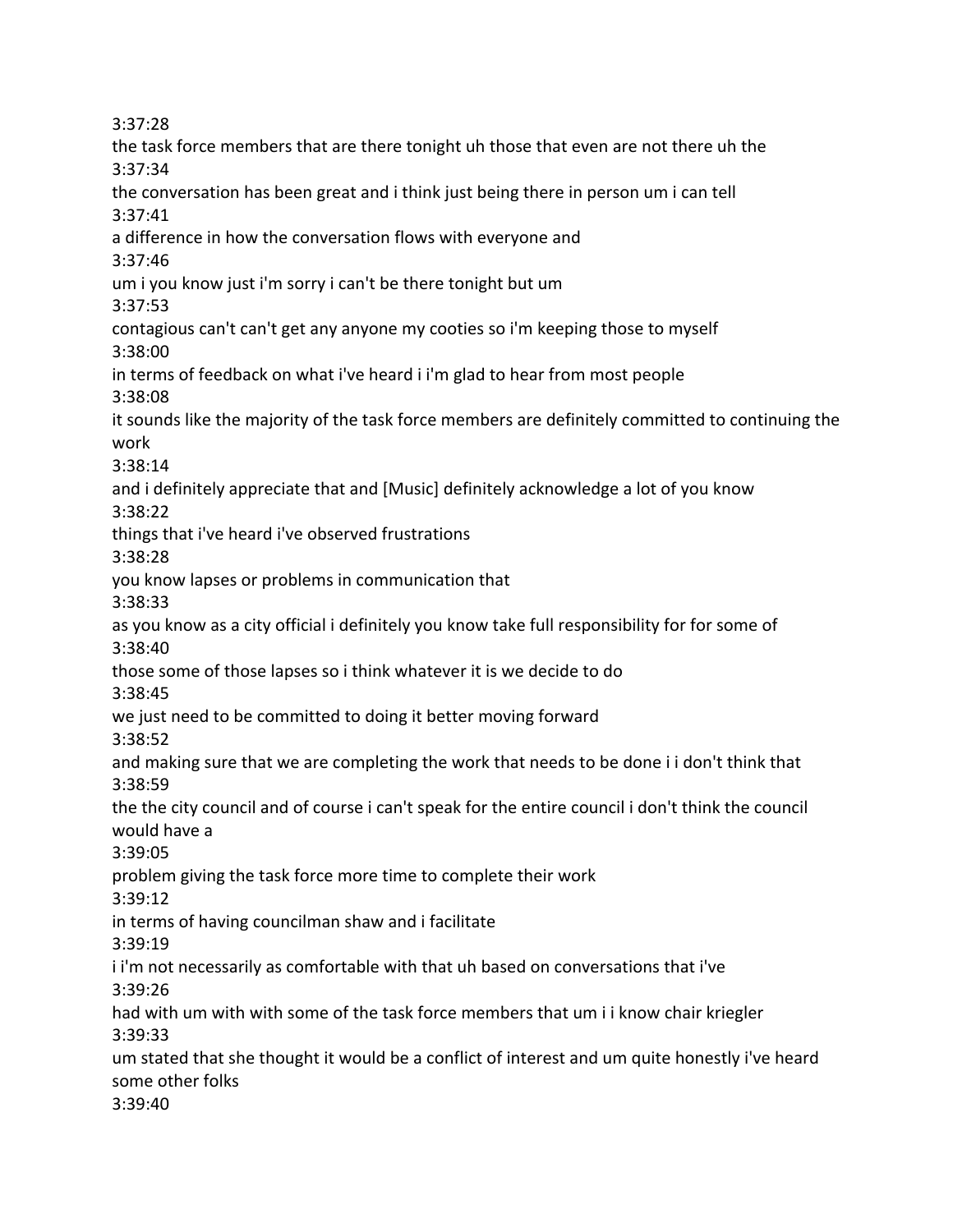3:37:28 the task force members that are there tonight uh those that even are not there uh the 3:37:34 the conversation has been great and i think just being there in person um i can tell 3:37:41 a difference in how the conversation flows with everyone and 3:37:46 um i you know just i'm sorry i can't be there tonight but um 3:37:53 contagious can't can't get any anyone my cooties so i'm keeping those to myself 3:38:00 in terms of feedback on what i've heard i i'm glad to hear from most people 3:38:08 it sounds like the majority of the task force members are definitely committed to continuing the work 3:38:14 and i definitely appreciate that and [Music] definitely acknowledge a lot of you know 3:38:22 things that i've heard i've observed frustrations 3:38:28 you know lapses or problems in communication that 3:38:33 as you know as a city official i definitely you know take full responsibility for for some of 3:38:40 those some of those lapses so i think whatever it is we decide to do 3:38:45 we just need to be committed to doing it better moving forward 3:38:52 and making sure that we are completing the work that needs to be done i i don't think that 3:38:59 the the city council and of course i can't speak for the entire council i don't think the council would have a 3:39:05 problem giving the task force more time to complete their work 3:39:12 in terms of having councilman shaw and i facilitate 3:39:19 i i'm not necessarily as comfortable with that uh based on conversations that i've 3:39:26 had with um with with some of the task force members that um i i know chair kriegler 3:39:33 um stated that she thought it would be a conflict of interest and um quite honestly i've heard some other folks 3:39:40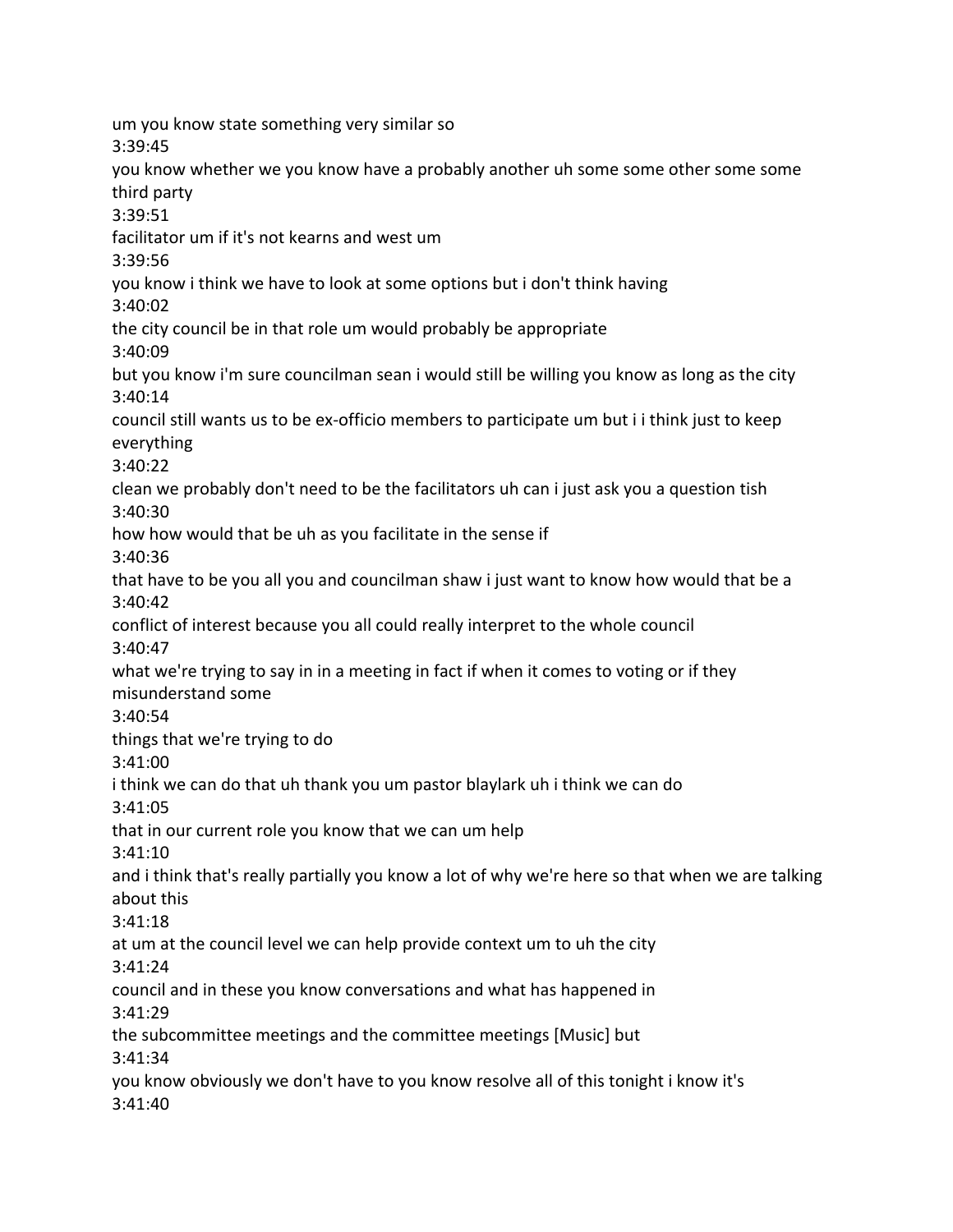um you know state something very similar so 3:39:45 you know whether we you know have a probably another uh some some other some some third party 3:39:51 facilitator um if it's not kearns and west um 3:39:56 you know i think we have to look at some options but i don't think having 3:40:02 the city council be in that role um would probably be appropriate 3:40:09 but you know i'm sure councilman sean i would still be willing you know as long as the city 3:40:14 council still wants us to be ex-officio members to participate um but i i think just to keep everything 3:40:22 clean we probably don't need to be the facilitators uh can i just ask you a question tish 3:40:30 how how would that be uh as you facilitate in the sense if 3:40:36 that have to be you all you and councilman shaw i just want to know how would that be a 3:40:42 conflict of interest because you all could really interpret to the whole council 3:40:47 what we're trying to say in in a meeting in fact if when it comes to voting or if they misunderstand some 3:40:54 things that we're trying to do 3:41:00 i think we can do that uh thank you um pastor blaylark uh i think we can do 3:41:05 that in our current role you know that we can um help 3:41:10 and i think that's really partially you know a lot of why we're here so that when we are talking about this 3:41:18 at um at the council level we can help provide context um to uh the city 3:41:24 council and in these you know conversations and what has happened in 3:41:29 the subcommittee meetings and the committee meetings [Music] but 3:41:34 you know obviously we don't have to you know resolve all of this tonight i know it's 3:41:40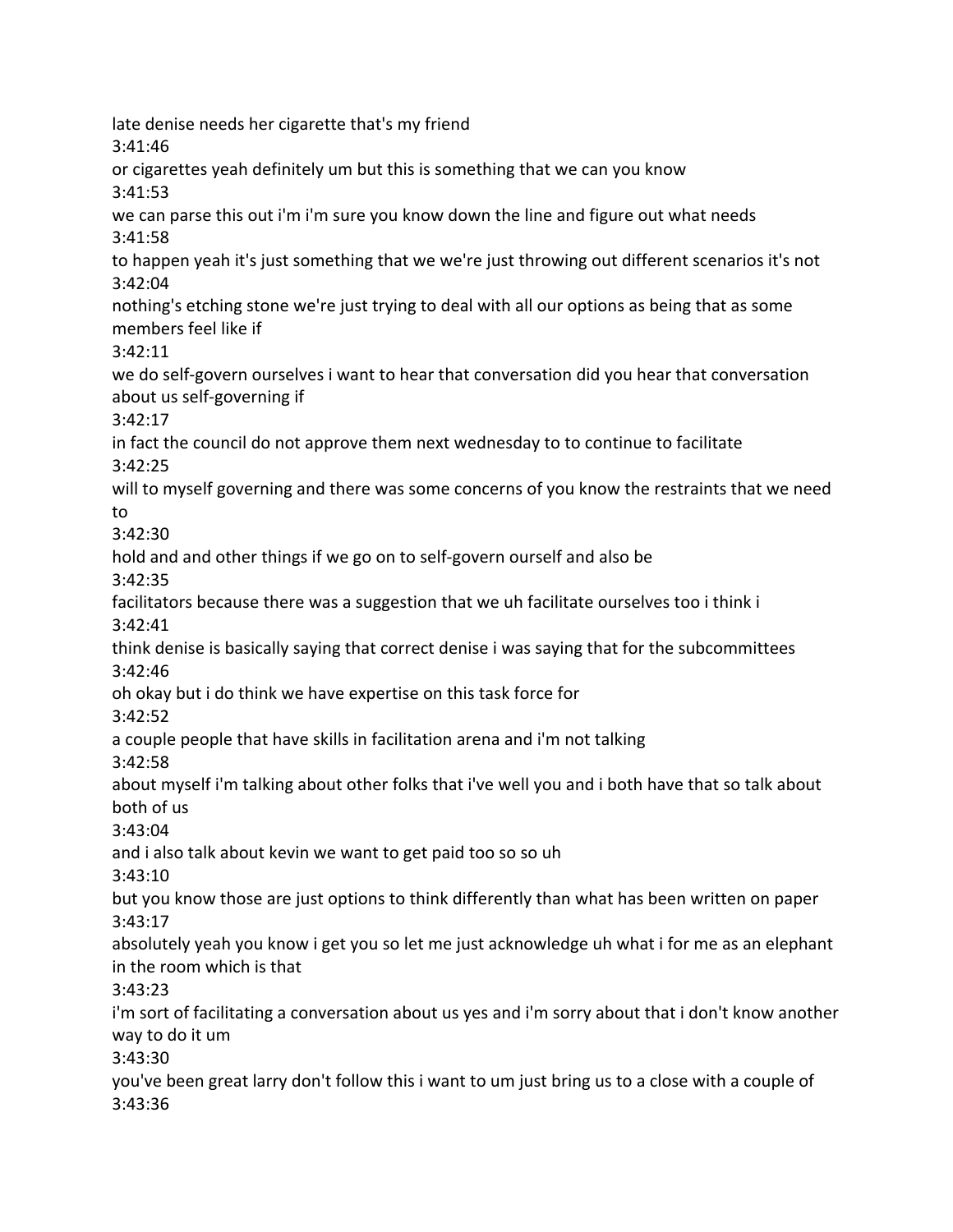late denise needs her cigarette that's my friend 3:41:46 or cigarettes yeah definitely um but this is something that we can you know 3:41:53 we can parse this out i'm i'm sure you know down the line and figure out what needs 3:41:58 to happen yeah it's just something that we we're just throwing out different scenarios it's not 3:42:04 nothing's etching stone we're just trying to deal with all our options as being that as some members feel like if 3:42:11 we do self-govern ourselves i want to hear that conversation did you hear that conversation about us self-governing if 3:42:17 in fact the council do not approve them next wednesday to to continue to facilitate 3:42:25 will to myself governing and there was some concerns of you know the restraints that we need to 3:42:30 hold and and other things if we go on to self-govern ourself and also be 3:42:35 facilitators because there was a suggestion that we uh facilitate ourselves too i think i 3:42:41 think denise is basically saying that correct denise i was saying that for the subcommittees 3:42:46 oh okay but i do think we have expertise on this task force for 3:42:52 a couple people that have skills in facilitation arena and i'm not talking 3:42:58 about myself i'm talking about other folks that i've well you and i both have that so talk about both of us 3:43:04 and i also talk about kevin we want to get paid too so so uh 3:43:10 but you know those are just options to think differently than what has been written on paper 3:43:17 absolutely yeah you know i get you so let me just acknowledge uh what i for me as an elephant in the room which is that 3:43:23 i'm sort of facilitating a conversation about us yes and i'm sorry about that i don't know another way to do it um 3:43:30 you've been great larry don't follow this i want to um just bring us to a close with a couple of 3:43:36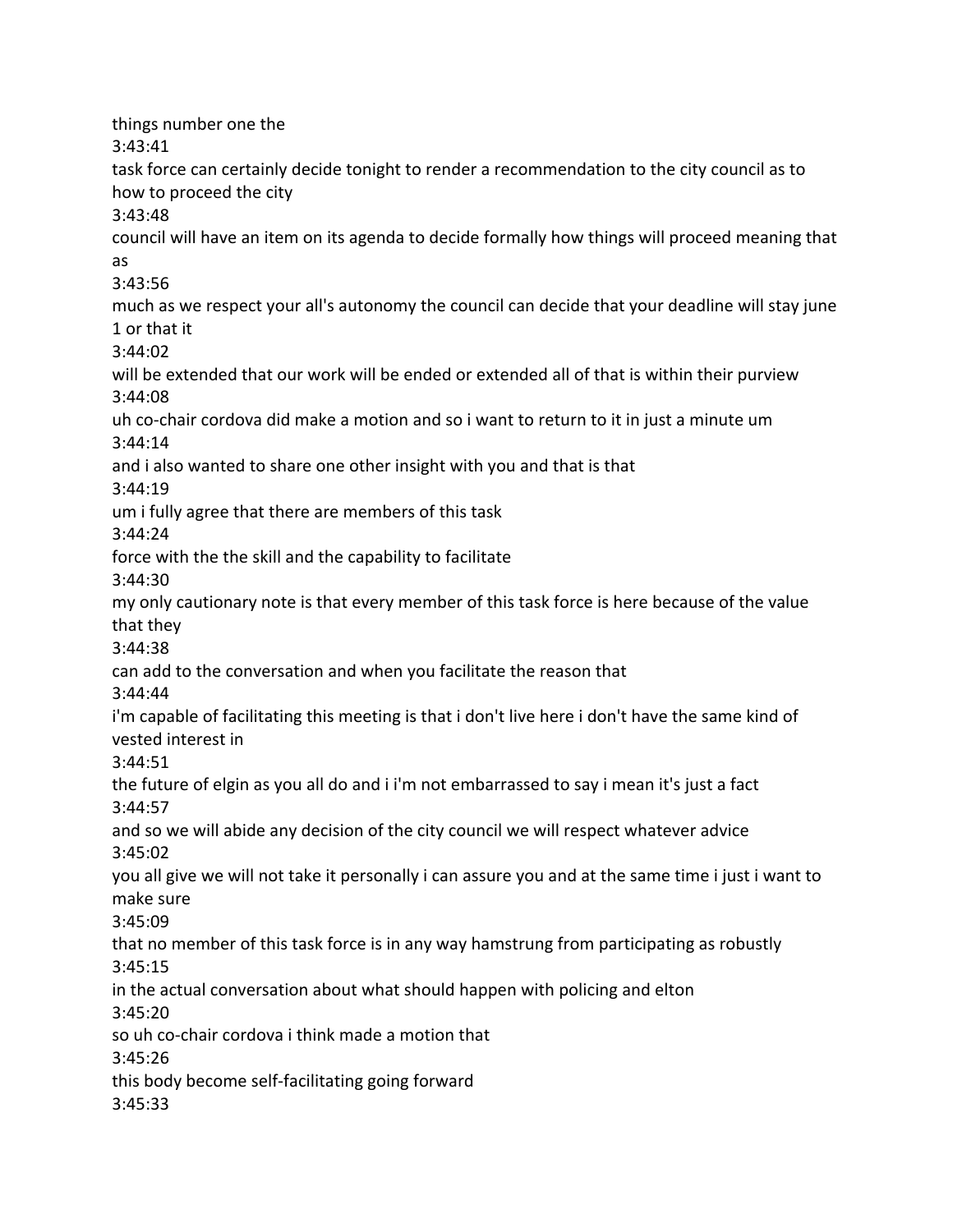things number one the 3:43:41 task force can certainly decide tonight to render a recommendation to the city council as to how to proceed the city 3:43:48 council will have an item on its agenda to decide formally how things will proceed meaning that as 3:43:56 much as we respect your all's autonomy the council can decide that your deadline will stay june 1 or that it 3:44:02 will be extended that our work will be ended or extended all of that is within their purview 3:44:08 uh co-chair cordova did make a motion and so i want to return to it in just a minute um 3:44:14 and i also wanted to share one other insight with you and that is that 3:44:19 um i fully agree that there are members of this task 3:44:24 force with the the skill and the capability to facilitate 3:44:30 my only cautionary note is that every member of this task force is here because of the value that they 3:44:38 can add to the conversation and when you facilitate the reason that 3:44:44 i'm capable of facilitating this meeting is that i don't live here i don't have the same kind of vested interest in 3:44:51 the future of elgin as you all do and i i'm not embarrassed to say i mean it's just a fact 3:44:57 and so we will abide any decision of the city council we will respect whatever advice 3:45:02 you all give we will not take it personally i can assure you and at the same time i just i want to make sure 3:45:09 that no member of this task force is in any way hamstrung from participating as robustly 3:45:15 in the actual conversation about what should happen with policing and elton 3:45:20 so uh co-chair cordova i think made a motion that 3:45:26 this body become self-facilitating going forward 3:45:33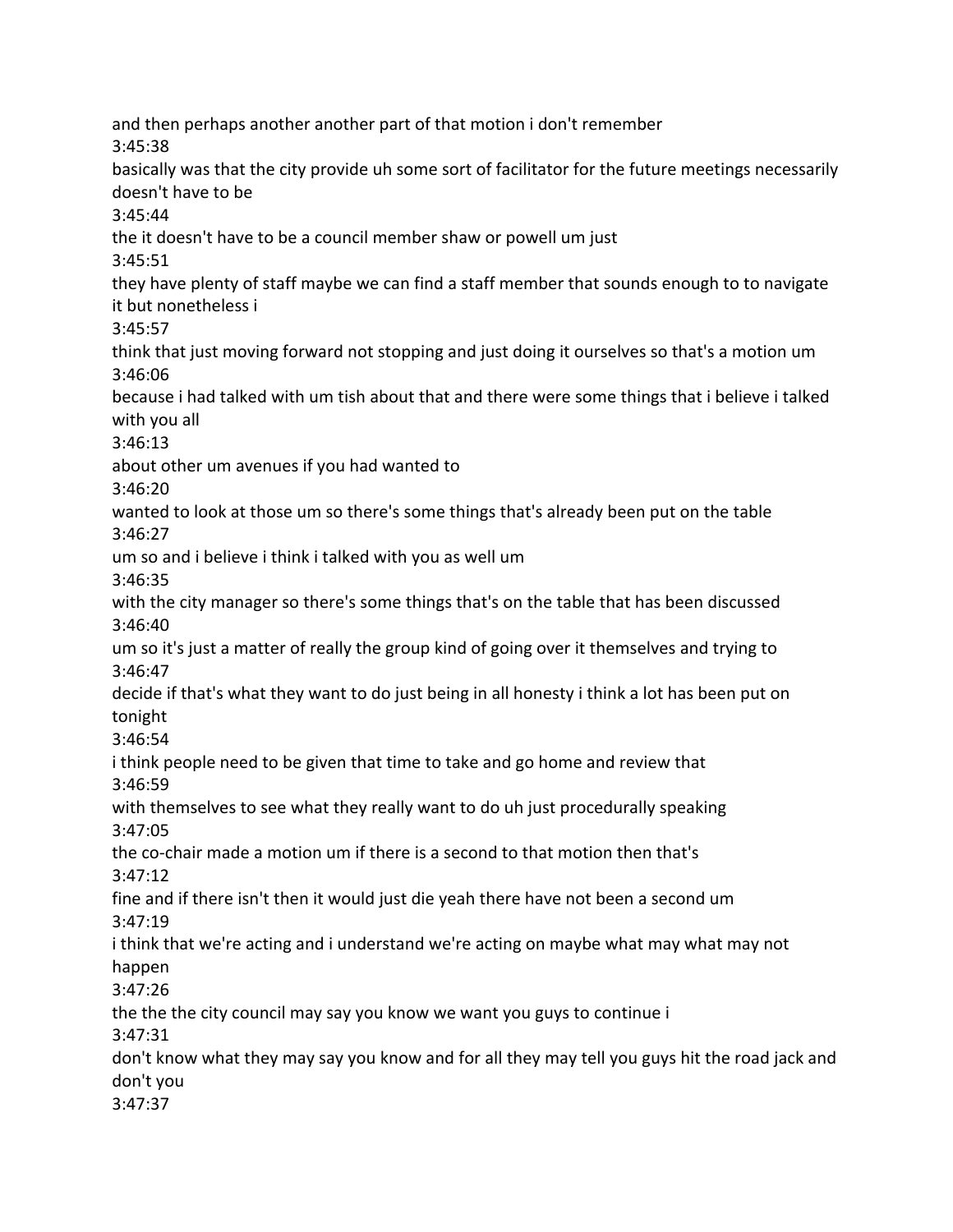and then perhaps another another part of that motion i don't remember 3:45:38 basically was that the city provide uh some sort of facilitator for the future meetings necessarily doesn't have to be 3:45:44 the it doesn't have to be a council member shaw or powell um just 3:45:51 they have plenty of staff maybe we can find a staff member that sounds enough to to navigate it but nonetheless i 3:45:57 think that just moving forward not stopping and just doing it ourselves so that's a motion um 3:46:06 because i had talked with um tish about that and there were some things that i believe i talked with you all 3:46:13 about other um avenues if you had wanted to 3:46:20 wanted to look at those um so there's some things that's already been put on the table 3:46:27 um so and i believe i think i talked with you as well um 3:46:35 with the city manager so there's some things that's on the table that has been discussed 3:46:40 um so it's just a matter of really the group kind of going over it themselves and trying to 3:46:47 decide if that's what they want to do just being in all honesty i think a lot has been put on tonight 3:46:54 i think people need to be given that time to take and go home and review that 3:46:59 with themselves to see what they really want to do uh just procedurally speaking 3:47:05 the co-chair made a motion um if there is a second to that motion then that's 3:47:12 fine and if there isn't then it would just die yeah there have not been a second um 3:47:19 i think that we're acting and i understand we're acting on maybe what may what may not happen 3:47:26 the the the city council may say you know we want you guys to continue i 3:47:31 don't know what they may say you know and for all they may tell you guys hit the road jack and don't you 3:47:37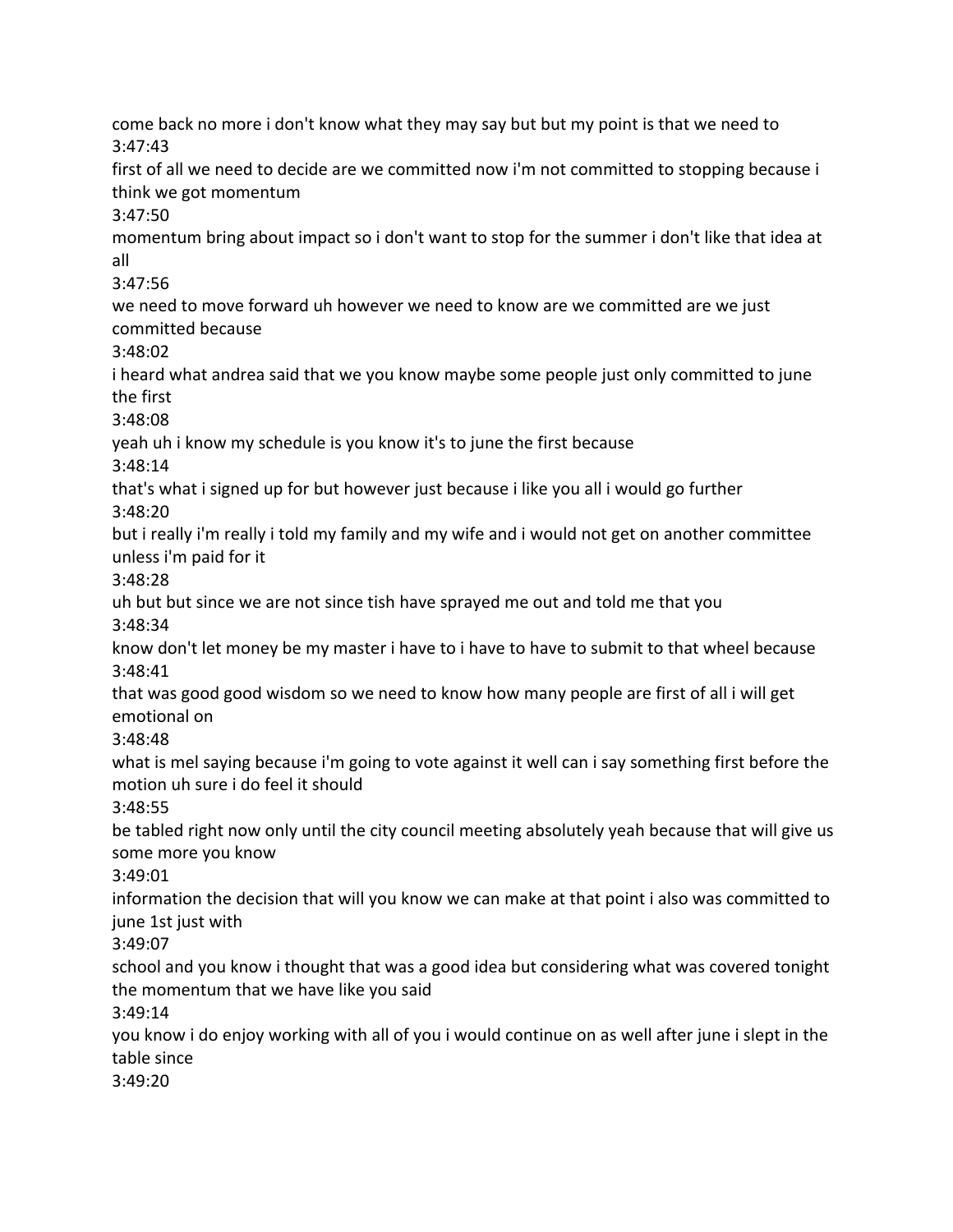come back no more i don't know what they may say but but my point is that we need to 3:47:43 first of all we need to decide are we committed now i'm not committed to stopping because i think we got momentum 3:47:50 momentum bring about impact so i don't want to stop for the summer i don't like that idea at all 3:47:56 we need to move forward uh however we need to know are we committed are we just committed because 3:48:02 i heard what andrea said that we you know maybe some people just only committed to june the first 3:48:08 yeah uh i know my schedule is you know it's to june the first because 3:48:14 that's what i signed up for but however just because i like you all i would go further 3:48:20 but i really i'm really i told my family and my wife and i would not get on another committee unless i'm paid for it 3:48:28 uh but but since we are not since tish have sprayed me out and told me that you 3:48:34 know don't let money be my master i have to i have to have to submit to that wheel because 3:48:41 that was good good wisdom so we need to know how many people are first of all i will get emotional on 3:48:48 what is mel saying because i'm going to vote against it well can i say something first before the motion uh sure i do feel it should 3:48:55 be tabled right now only until the city council meeting absolutely yeah because that will give us some more you know 3:49:01 information the decision that will you know we can make at that point i also was committed to june 1st just with 3:49:07 school and you know i thought that was a good idea but considering what was covered tonight the momentum that we have like you said 3:49:14 you know i do enjoy working with all of you i would continue on as well after june i slept in the table since 3:49:20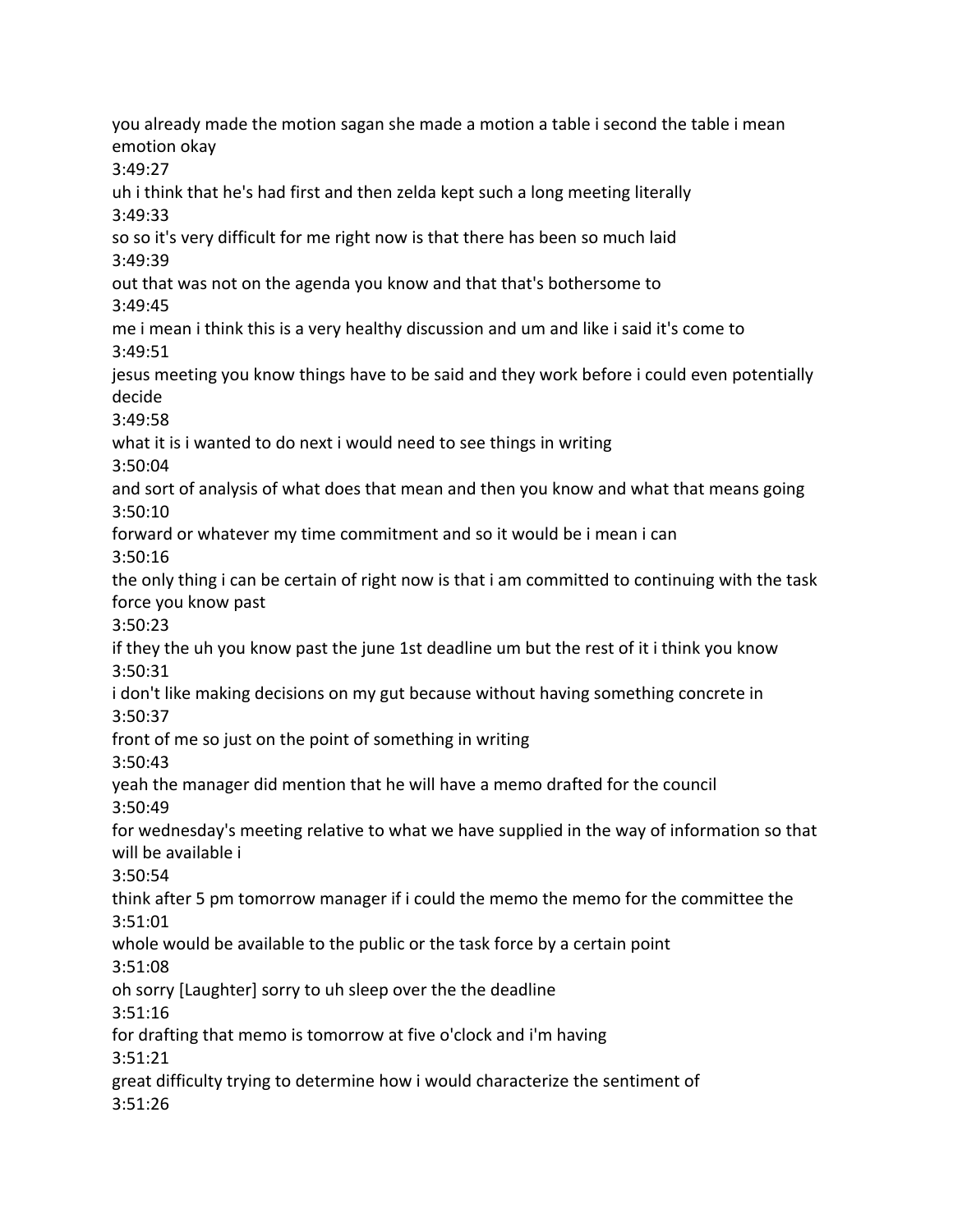you already made the motion sagan she made a motion a table i second the table i mean emotion okay 3:49:27 uh i think that he's had first and then zelda kept such a long meeting literally 3:49:33 so so it's very difficult for me right now is that there has been so much laid 3:49:39 out that was not on the agenda you know and that that's bothersome to 3:49:45 me i mean i think this is a very healthy discussion and um and like i said it's come to 3:49:51 jesus meeting you know things have to be said and they work before i could even potentially decide 3:49:58 what it is i wanted to do next i would need to see things in writing 3:50:04 and sort of analysis of what does that mean and then you know and what that means going 3:50:10 forward or whatever my time commitment and so it would be i mean i can 3:50:16 the only thing i can be certain of right now is that i am committed to continuing with the task force you know past 3:50:23 if they the uh you know past the june 1st deadline um but the rest of it i think you know 3:50:31 i don't like making decisions on my gut because without having something concrete in 3:50:37 front of me so just on the point of something in writing 3:50:43 yeah the manager did mention that he will have a memo drafted for the council 3:50:49 for wednesday's meeting relative to what we have supplied in the way of information so that will be available i 3:50:54 think after 5 pm tomorrow manager if i could the memo the memo for the committee the 3:51:01 whole would be available to the public or the task force by a certain point 3:51:08 oh sorry [Laughter] sorry to uh sleep over the the deadline 3:51:16 for drafting that memo is tomorrow at five o'clock and i'm having 3:51:21 great difficulty trying to determine how i would characterize the sentiment of 3:51:26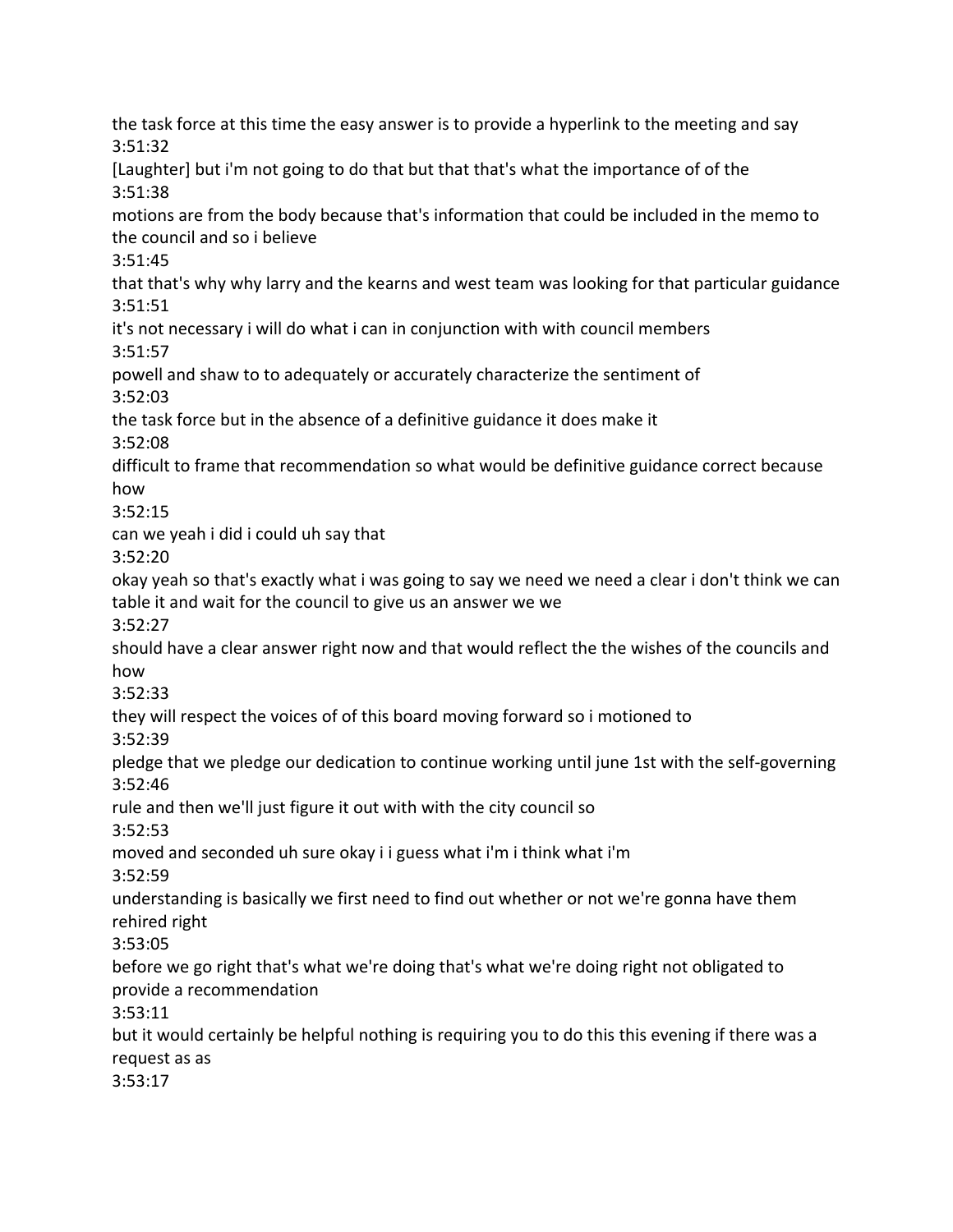the task force at this time the easy answer is to provide a hyperlink to the meeting and say 3:51:32 [Laughter] but i'm not going to do that but that that's what the importance of of the 3:51:38 motions are from the body because that's information that could be included in the memo to the council and so i believe 3:51:45 that that's why why larry and the kearns and west team was looking for that particular guidance 3:51:51 it's not necessary i will do what i can in conjunction with with council members 3:51:57 powell and shaw to to adequately or accurately characterize the sentiment of 3:52:03 the task force but in the absence of a definitive guidance it does make it 3:52:08 difficult to frame that recommendation so what would be definitive guidance correct because how 3:52:15 can we yeah i did i could uh say that 3:52:20 okay yeah so that's exactly what i was going to say we need we need a clear i don't think we can table it and wait for the council to give us an answer we we 3:52:27 should have a clear answer right now and that would reflect the the wishes of the councils and how 3:52:33 they will respect the voices of of this board moving forward so i motioned to 3:52:39 pledge that we pledge our dedication to continue working until june 1st with the self-governing 3:52:46 rule and then we'll just figure it out with with the city council so 3:52:53 moved and seconded uh sure okay i i guess what i'm i think what i'm 3:52:59 understanding is basically we first need to find out whether or not we're gonna have them rehired right 3:53:05 before we go right that's what we're doing that's what we're doing right not obligated to provide a recommendation 3:53:11 but it would certainly be helpful nothing is requiring you to do this this evening if there was a request as as 3:53:17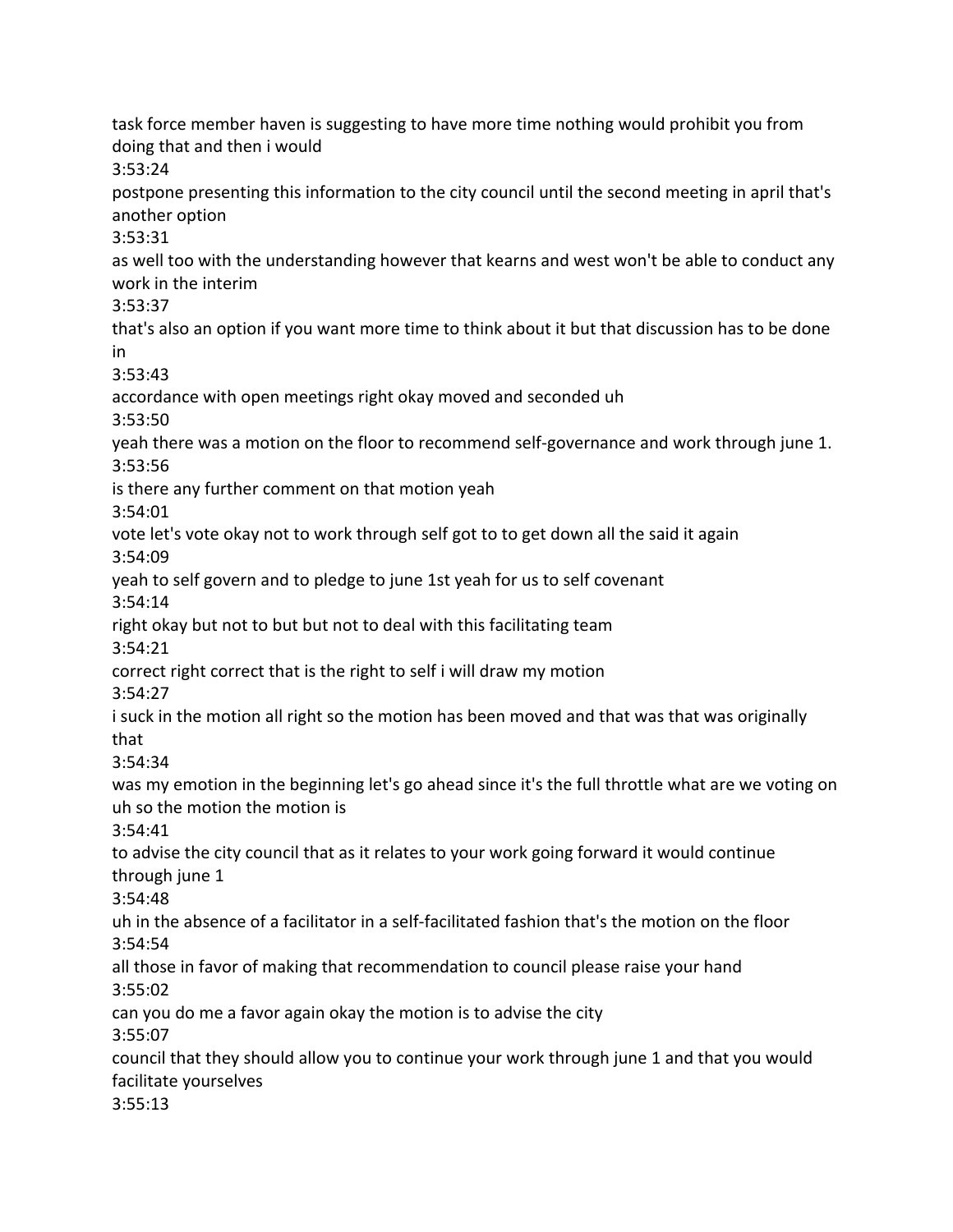task force member haven is suggesting to have more time nothing would prohibit you from doing that and then i would 3:53:24 postpone presenting this information to the city council until the second meeting in april that's another option 3:53:31 as well too with the understanding however that kearns and west won't be able to conduct any work in the interim 3:53:37 that's also an option if you want more time to think about it but that discussion has to be done in 3:53:43 accordance with open meetings right okay moved and seconded uh 3:53:50 yeah there was a motion on the floor to recommend self-governance and work through june 1. 3:53:56 is there any further comment on that motion yeah 3:54:01 vote let's vote okay not to work through self got to to get down all the said it again 3:54:09 yeah to self govern and to pledge to june 1st yeah for us to self covenant 3:54:14 right okay but not to but but not to deal with this facilitating team 3:54:21 correct right correct that is the right to self i will draw my motion 3:54:27 i suck in the motion all right so the motion has been moved and that was that was originally that 3:54:34 was my emotion in the beginning let's go ahead since it's the full throttle what are we voting on uh so the motion the motion is 3:54:41 to advise the city council that as it relates to your work going forward it would continue through june 1 3:54:48 uh in the absence of a facilitator in a self-facilitated fashion that's the motion on the floor 3:54:54 all those in favor of making that recommendation to council please raise your hand 3:55:02 can you do me a favor again okay the motion is to advise the city 3:55:07 council that they should allow you to continue your work through june 1 and that you would facilitate yourselves 3:55:13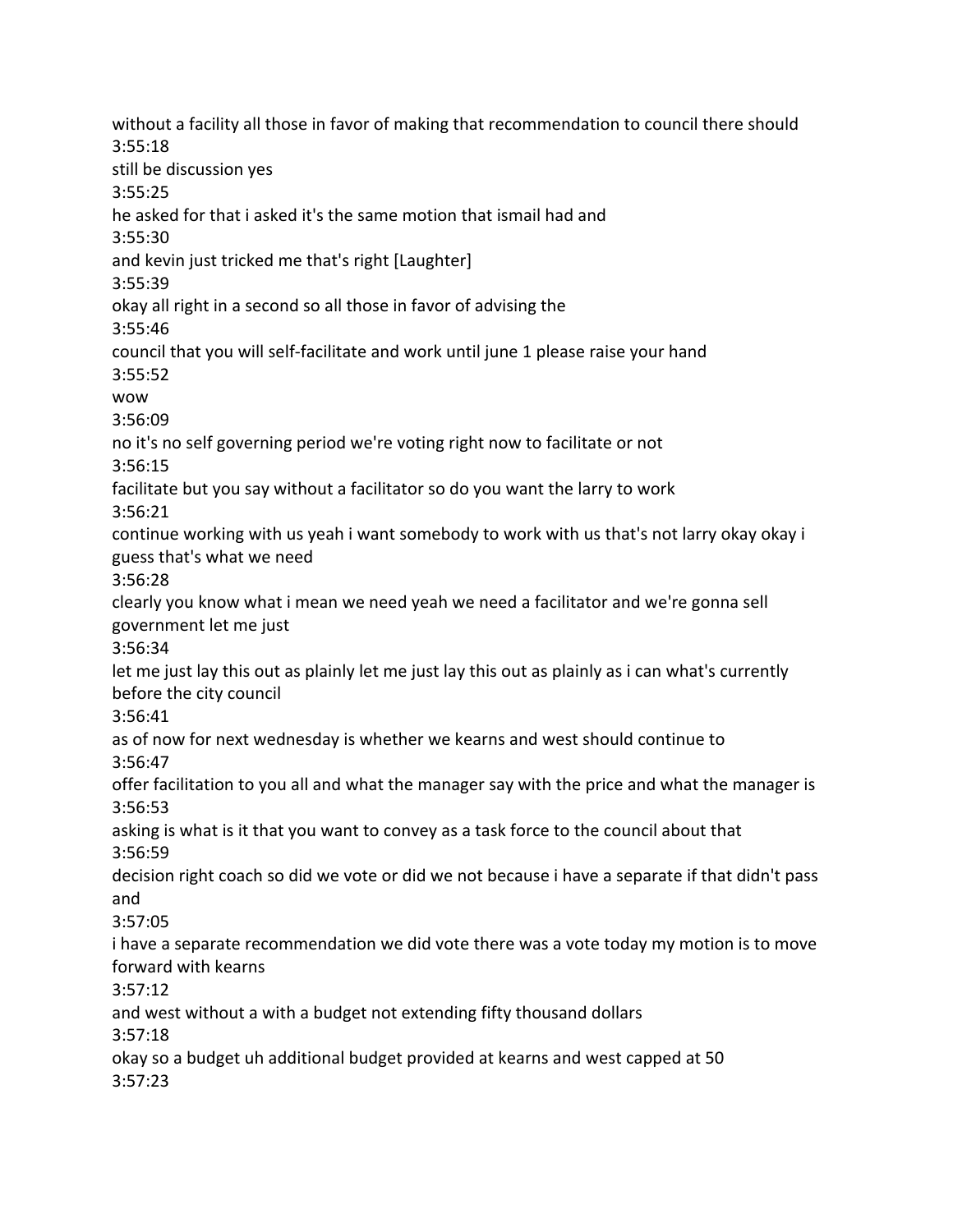without a facility all those in favor of making that recommendation to council there should 3:55:18 still be discussion yes 3:55:25 he asked for that i asked it's the same motion that ismail had and 3:55:30 and kevin just tricked me that's right [Laughter] 3:55:39 okay all right in a second so all those in favor of advising the 3:55:46 council that you will self-facilitate and work until june 1 please raise your hand 3:55:52 wow 3:56:09 no it's no self governing period we're voting right now to facilitate or not 3:56:15 facilitate but you say without a facilitator so do you want the larry to work 3:56:21 continue working with us yeah i want somebody to work with us that's not larry okay okay i guess that's what we need 3:56:28 clearly you know what i mean we need yeah we need a facilitator and we're gonna sell government let me just 3:56:34 let me just lay this out as plainly let me just lay this out as plainly as i can what's currently before the city council 3:56:41 as of now for next wednesday is whether we kearns and west should continue to 3:56:47 offer facilitation to you all and what the manager say with the price and what the manager is 3:56:53 asking is what is it that you want to convey as a task force to the council about that 3:56:59 decision right coach so did we vote or did we not because i have a separate if that didn't pass and 3:57:05 i have a separate recommendation we did vote there was a vote today my motion is to move forward with kearns 3:57:12 and west without a with a budget not extending fifty thousand dollars 3:57:18 okay so a budget uh additional budget provided at kearns and west capped at 50 3:57:23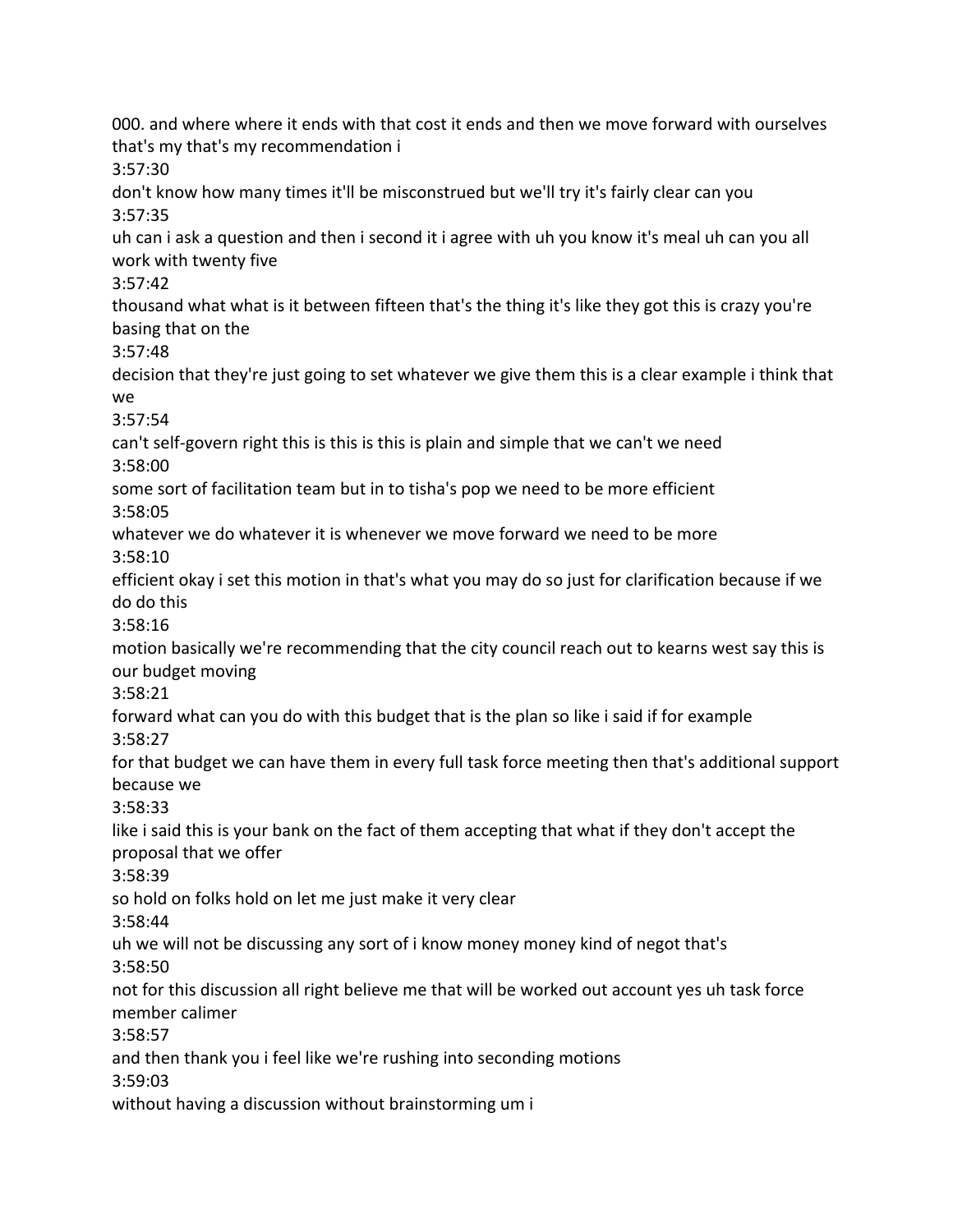000. and where where it ends with that cost it ends and then we move forward with ourselves that's my that's my recommendation i 3:57:30 don't know how many times it'll be misconstrued but we'll try it's fairly clear can you 3:57:35 uh can i ask a question and then i second it i agree with uh you know it's meal uh can you all work with twenty five 3:57:42 thousand what what is it between fifteen that's the thing it's like they got this is crazy you're basing that on the 3:57:48 decision that they're just going to set whatever we give them this is a clear example i think that we 3:57:54 can't self-govern right this is this is this is plain and simple that we can't we need 3:58:00 some sort of facilitation team but in to tisha's pop we need to be more efficient 3:58:05 whatever we do whatever it is whenever we move forward we need to be more 3:58:10 efficient okay i set this motion in that's what you may do so just for clarification because if we do do this 3:58:16 motion basically we're recommending that the city council reach out to kearns west say this is our budget moving 3:58:21 forward what can you do with this budget that is the plan so like i said if for example 3:58:27 for that budget we can have them in every full task force meeting then that's additional support because we 3:58:33 like i said this is your bank on the fact of them accepting that what if they don't accept the proposal that we offer 3:58:39 so hold on folks hold on let me just make it very clear 3:58:44 uh we will not be discussing any sort of i know money money kind of negot that's 3:58:50 not for this discussion all right believe me that will be worked out account yes uh task force member calimer 3:58:57 and then thank you i feel like we're rushing into seconding motions 3:59:03 without having a discussion without brainstorming um i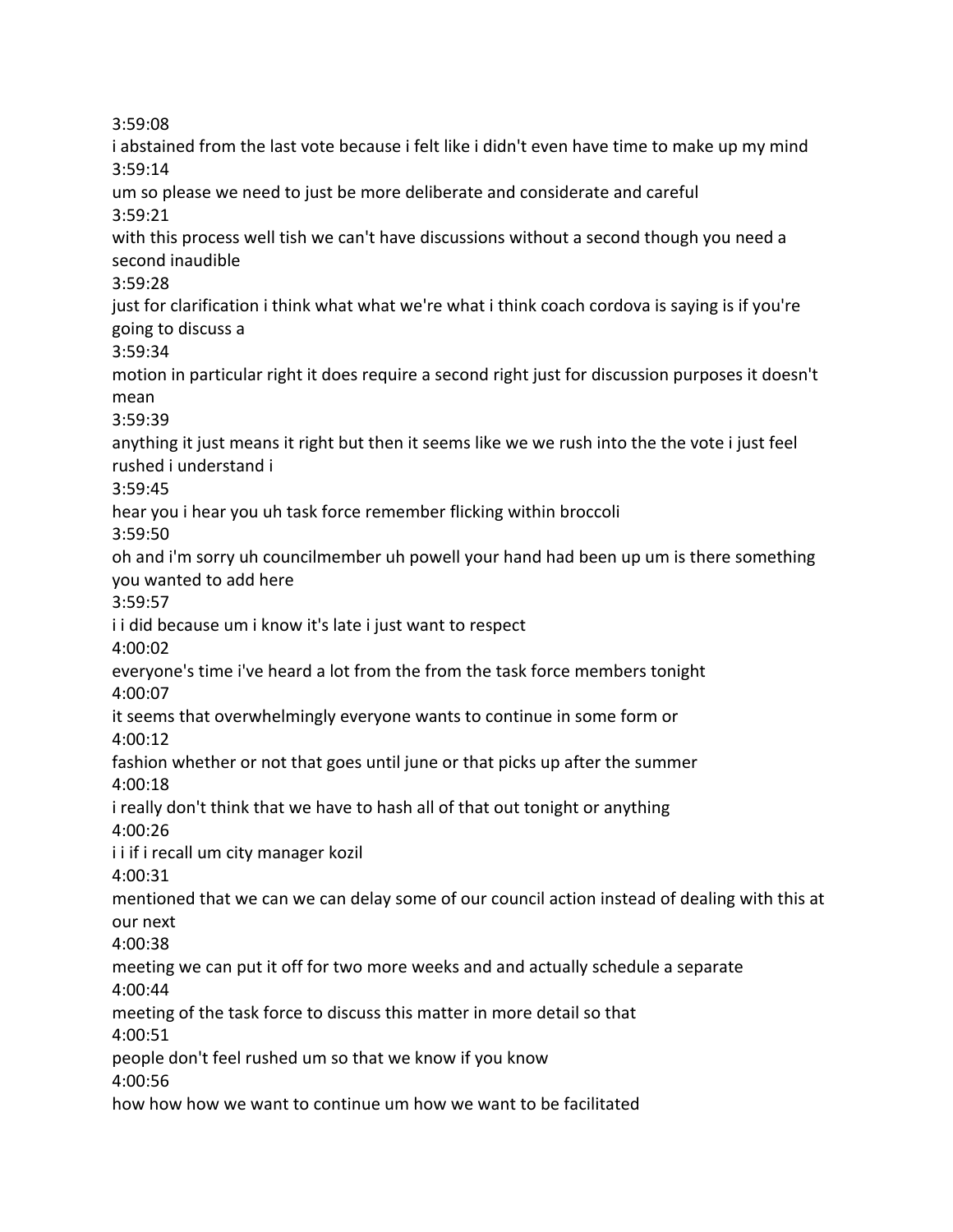3:59:08 i abstained from the last vote because i felt like i didn't even have time to make up my mind 3:59:14 um so please we need to just be more deliberate and considerate and careful 3:59:21 with this process well tish we can't have discussions without a second though you need a second inaudible 3:59:28 just for clarification i think what what we're what i think coach cordova is saying is if you're going to discuss a 3:59:34 motion in particular right it does require a second right just for discussion purposes it doesn't mean 3:59:39 anything it just means it right but then it seems like we we rush into the the vote i just feel rushed i understand i 3:59:45 hear you i hear you uh task force remember flicking within broccoli 3:59:50 oh and i'm sorry uh councilmember uh powell your hand had been up um is there something you wanted to add here 3:59:57 i i did because um i know it's late i just want to respect 4:00:02 everyone's time i've heard a lot from the from the task force members tonight 4:00:07 it seems that overwhelmingly everyone wants to continue in some form or 4:00:12 fashion whether or not that goes until june or that picks up after the summer 4:00:18 i really don't think that we have to hash all of that out tonight or anything 4:00:26 i i if i recall um city manager kozil 4:00:31 mentioned that we can we can delay some of our council action instead of dealing with this at our next 4:00:38 meeting we can put it off for two more weeks and and actually schedule a separate 4:00:44 meeting of the task force to discuss this matter in more detail so that 4:00:51 people don't feel rushed um so that we know if you know 4:00:56 how how how we want to continue um how we want to be facilitated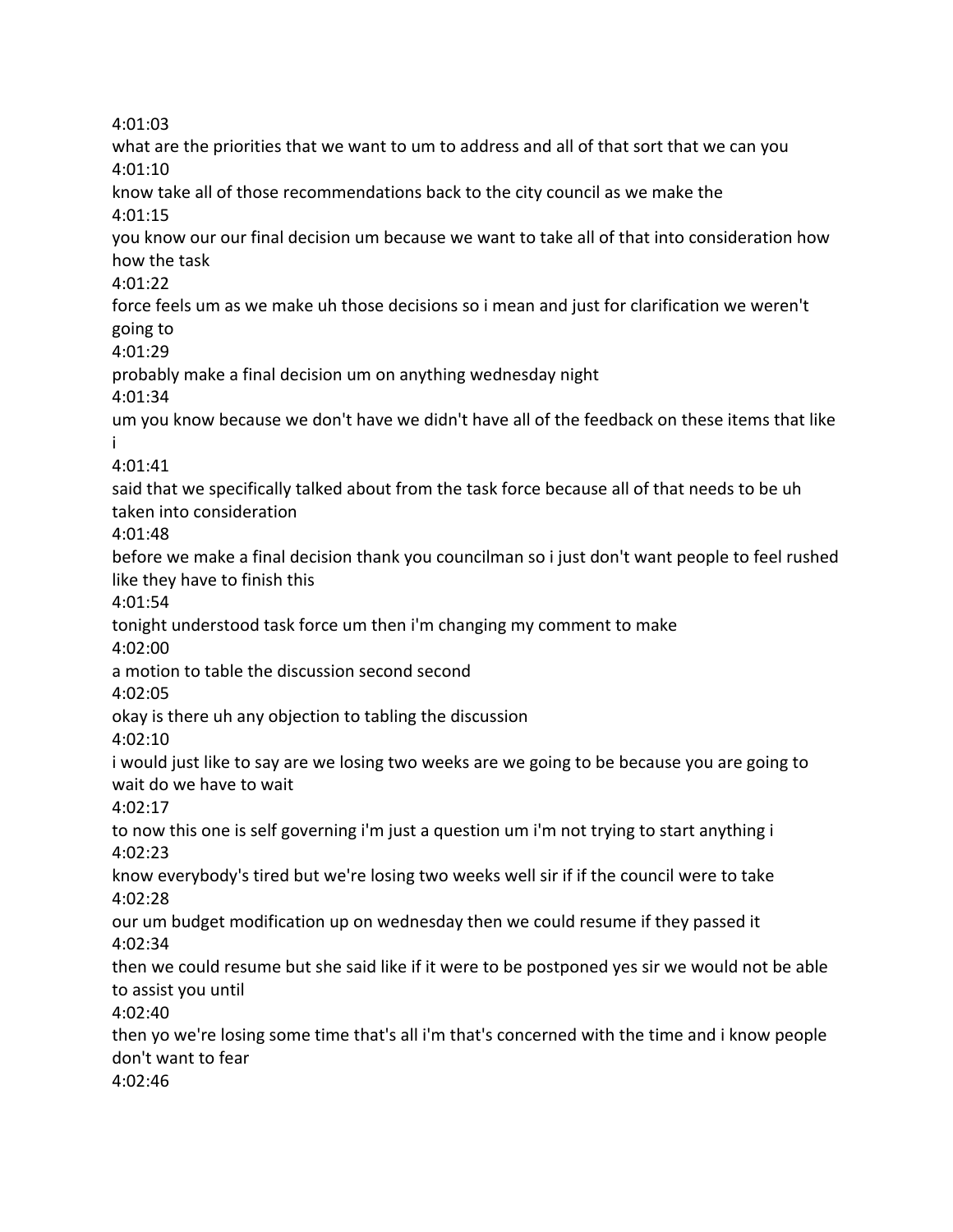4:01:03 what are the priorities that we want to um to address and all of that sort that we can you 4:01:10 know take all of those recommendations back to the city council as we make the 4:01:15 you know our our final decision um because we want to take all of that into consideration how how the task 4:01:22 force feels um as we make uh those decisions so i mean and just for clarification we weren't going to 4:01:29 probably make a final decision um on anything wednesday night 4:01:34 um you know because we don't have we didn't have all of the feedback on these items that like i 4:01:41 said that we specifically talked about from the task force because all of that needs to be uh taken into consideration 4:01:48 before we make a final decision thank you councilman so i just don't want people to feel rushed like they have to finish this 4:01:54 tonight understood task force um then i'm changing my comment to make 4:02:00 a motion to table the discussion second second 4:02:05 okay is there uh any objection to tabling the discussion 4:02:10 i would just like to say are we losing two weeks are we going to be because you are going to wait do we have to wait 4:02:17 to now this one is self governing i'm just a question um i'm not trying to start anything i 4:02:23 know everybody's tired but we're losing two weeks well sir if if the council were to take 4:02:28 our um budget modification up on wednesday then we could resume if they passed it 4:02:34 then we could resume but she said like if it were to be postponed yes sir we would not be able to assist you until 4:02:40 then yo we're losing some time that's all i'm that's concerned with the time and i know people don't want to fear 4:02:46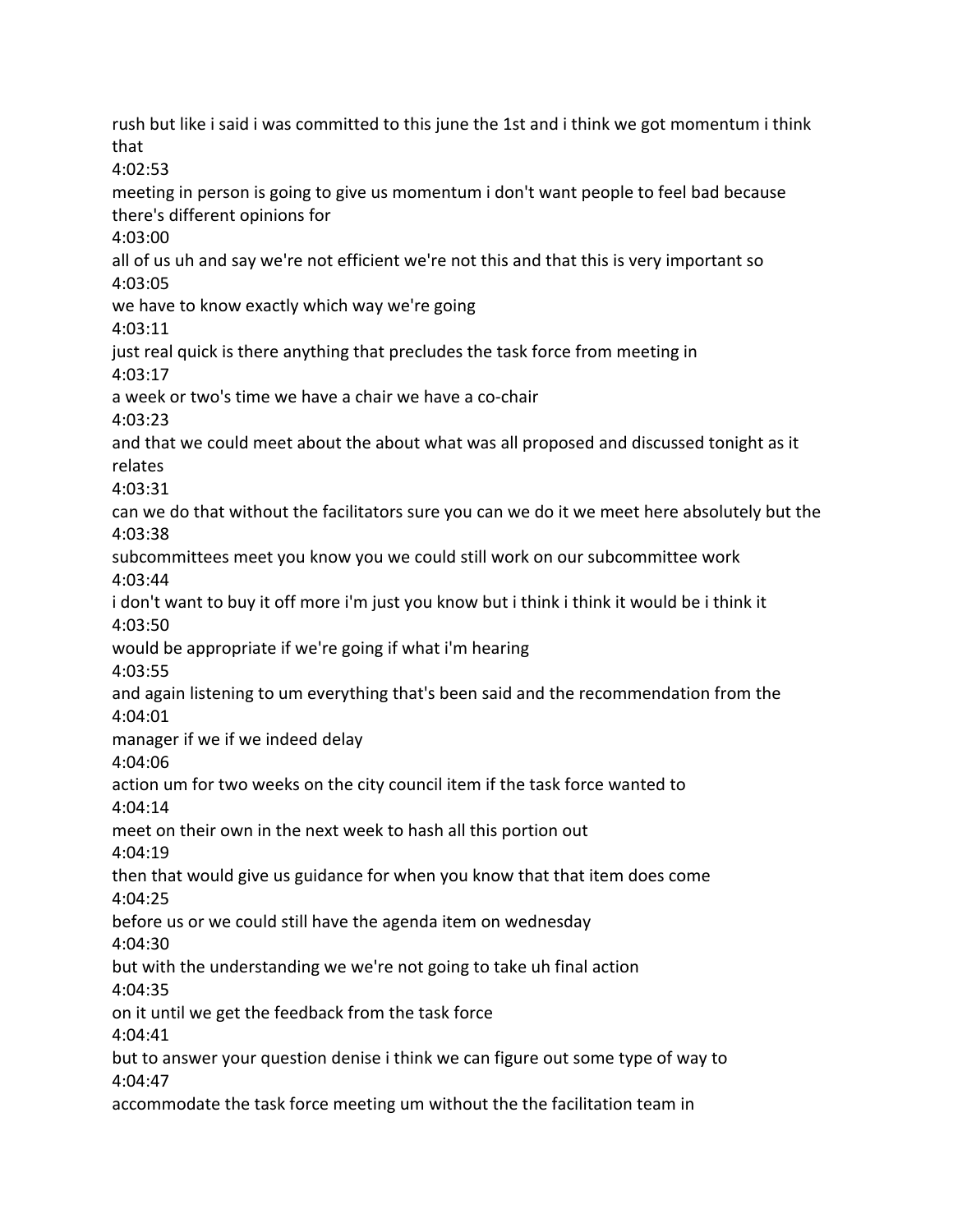rush but like i said i was committed to this june the 1st and i think we got momentum i think that 4:02:53 meeting in person is going to give us momentum i don't want people to feel bad because there's different opinions for 4:03:00 all of us uh and say we're not efficient we're not this and that this is very important so 4:03:05 we have to know exactly which way we're going 4:03:11 just real quick is there anything that precludes the task force from meeting in 4:03:17 a week or two's time we have a chair we have a co-chair 4:03:23 and that we could meet about the about what was all proposed and discussed tonight as it relates 4:03:31 can we do that without the facilitators sure you can we do it we meet here absolutely but the 4:03:38 subcommittees meet you know you we could still work on our subcommittee work 4:03:44 i don't want to buy it off more i'm just you know but i think i think it would be i think it 4:03:50 would be appropriate if we're going if what i'm hearing 4:03:55 and again listening to um everything that's been said and the recommendation from the 4:04:01 manager if we if we indeed delay 4:04:06 action um for two weeks on the city council item if the task force wanted to 4:04:14 meet on their own in the next week to hash all this portion out 4:04:19 then that would give us guidance for when you know that that item does come 4:04:25 before us or we could still have the agenda item on wednesday 4:04:30 but with the understanding we we're not going to take uh final action 4:04:35 on it until we get the feedback from the task force 4:04:41 but to answer your question denise i think we can figure out some type of way to 4:04:47 accommodate the task force meeting um without the the facilitation team in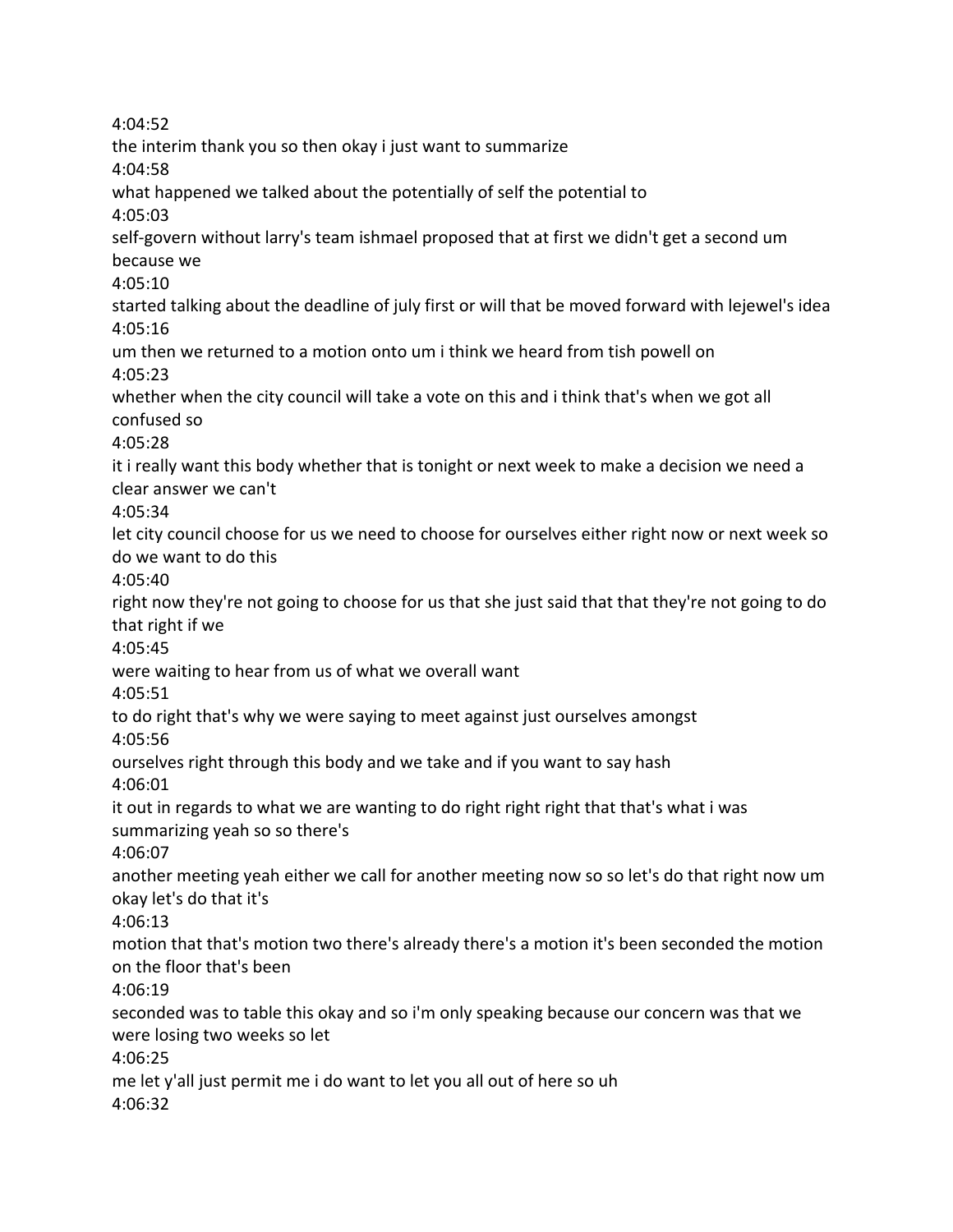4:04:52 the interim thank you so then okay i just want to summarize 4:04:58 what happened we talked about the potentially of self the potential to 4:05:03 self-govern without larry's team ishmael proposed that at first we didn't get a second um because we 4:05:10 started talking about the deadline of july first or will that be moved forward with lejewel's idea 4:05:16 um then we returned to a motion onto um i think we heard from tish powell on 4:05:23 whether when the city council will take a vote on this and i think that's when we got all confused so 4:05:28 it i really want this body whether that is tonight or next week to make a decision we need a clear answer we can't 4:05:34 let city council choose for us we need to choose for ourselves either right now or next week so do we want to do this 4:05:40 right now they're not going to choose for us that she just said that that they're not going to do that right if we 4:05:45 were waiting to hear from us of what we overall want 4:05:51 to do right that's why we were saying to meet against just ourselves amongst 4:05:56 ourselves right through this body and we take and if you want to say hash 4:06:01 it out in regards to what we are wanting to do right right right that that's what i was summarizing yeah so so there's 4:06:07 another meeting yeah either we call for another meeting now so so let's do that right now um okay let's do that it's 4:06:13 motion that that's motion two there's already there's a motion it's been seconded the motion on the floor that's been 4:06:19 seconded was to table this okay and so i'm only speaking because our concern was that we were losing two weeks so let 4:06:25 me let y'all just permit me i do want to let you all out of here so uh 4:06:32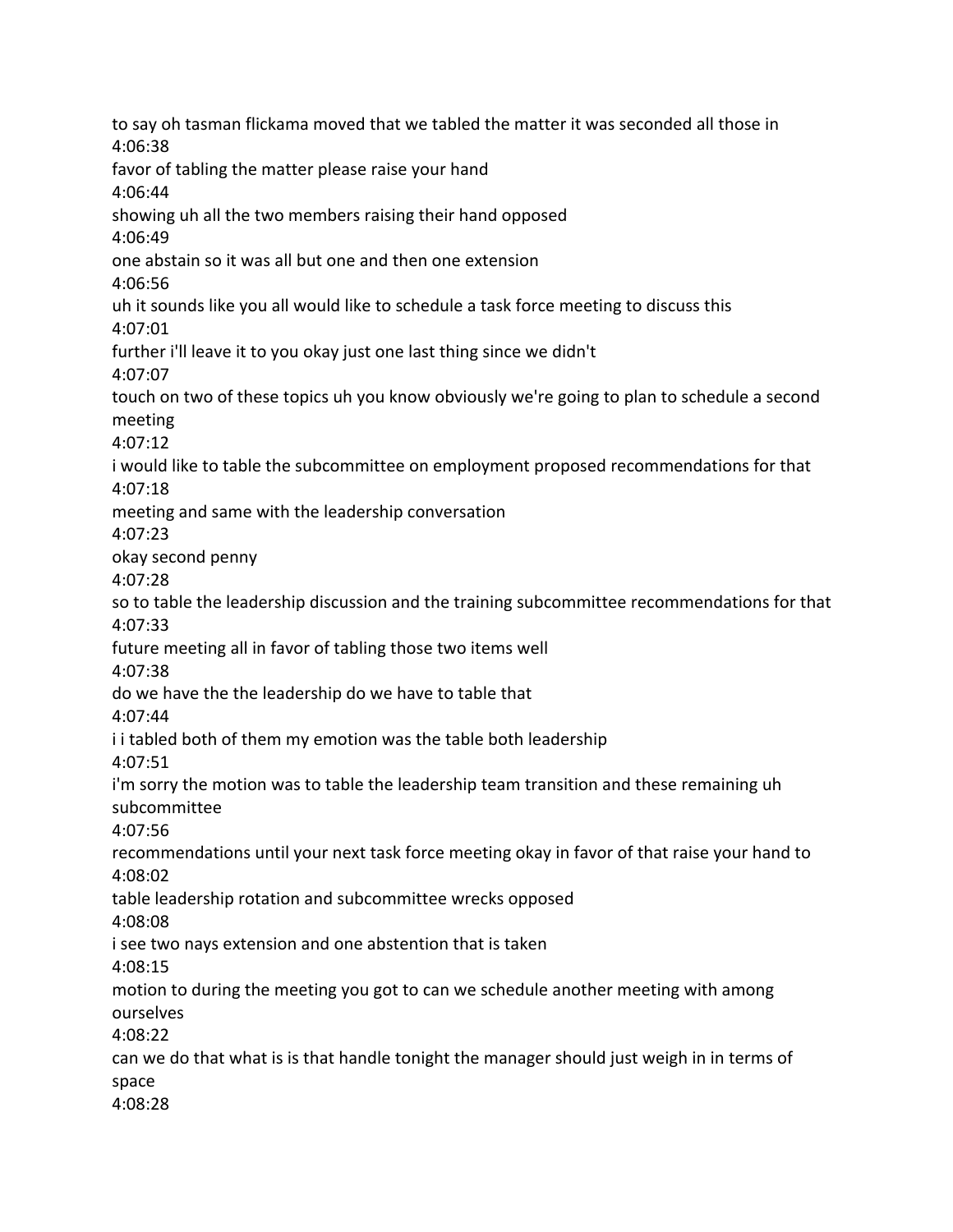to say oh tasman flickama moved that we tabled the matter it was seconded all those in 4:06:38 favor of tabling the matter please raise your hand 4:06:44 showing uh all the two members raising their hand opposed 4:06:49 one abstain so it was all but one and then one extension 4:06:56 uh it sounds like you all would like to schedule a task force meeting to discuss this 4:07:01 further i'll leave it to you okay just one last thing since we didn't 4:07:07 touch on two of these topics uh you know obviously we're going to plan to schedule a second meeting 4:07:12 i would like to table the subcommittee on employment proposed recommendations for that 4:07:18 meeting and same with the leadership conversation 4:07:23 okay second penny 4:07:28 so to table the leadership discussion and the training subcommittee recommendations for that 4:07:33 future meeting all in favor of tabling those two items well 4:07:38 do we have the the leadership do we have to table that 4:07:44 i i tabled both of them my emotion was the table both leadership 4:07:51 i'm sorry the motion was to table the leadership team transition and these remaining uh subcommittee 4:07:56 recommendations until your next task force meeting okay in favor of that raise your hand to 4:08:02 table leadership rotation and subcommittee wrecks opposed 4:08:08 i see two nays extension and one abstention that is taken 4:08:15 motion to during the meeting you got to can we schedule another meeting with among ourselves 4:08:22 can we do that what is is that handle tonight the manager should just weigh in in terms of space 4:08:28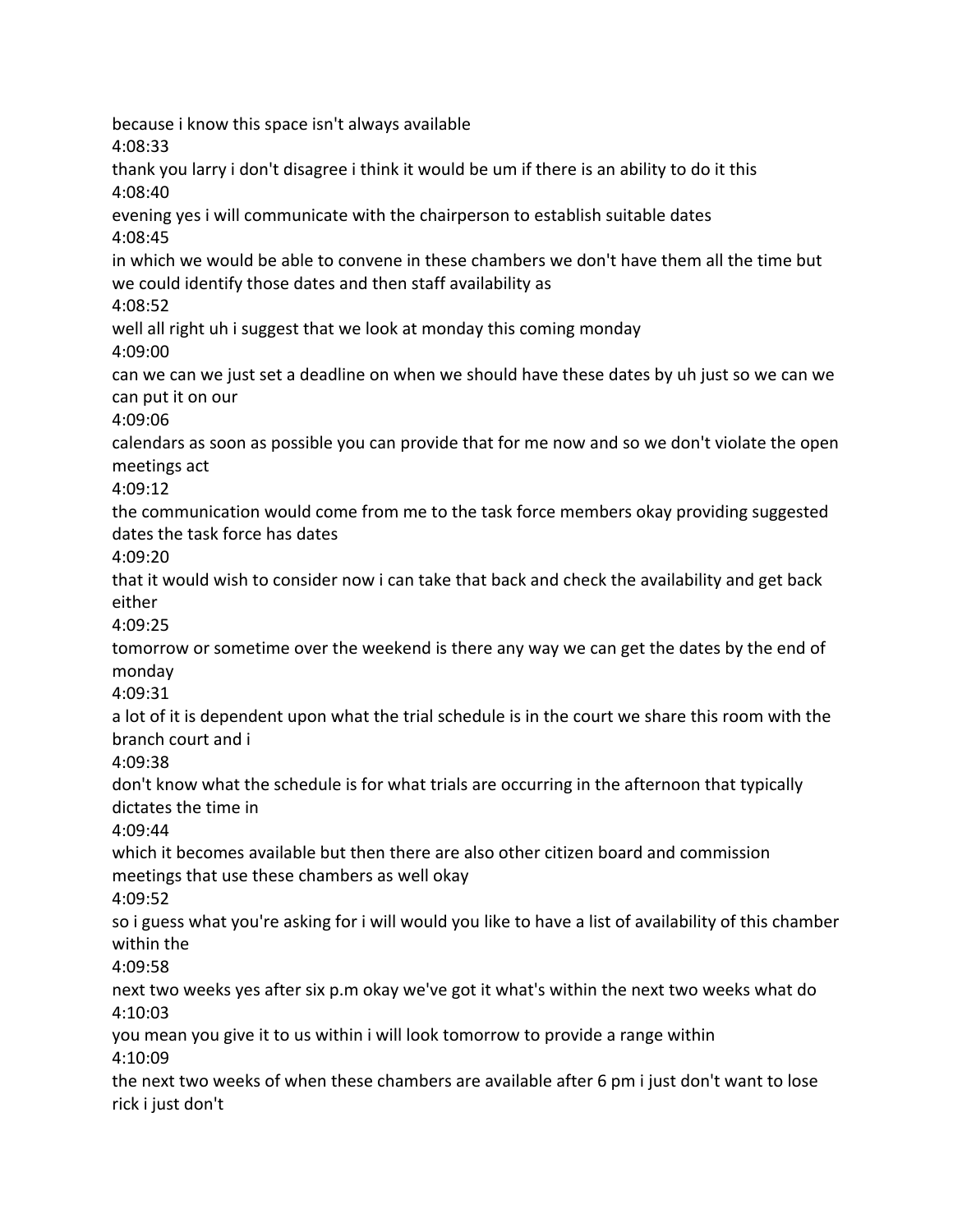because i know this space isn't always available 4:08:33 thank you larry i don't disagree i think it would be um if there is an ability to do it this 4:08:40 evening yes i will communicate with the chairperson to establish suitable dates 4:08:45 in which we would be able to convene in these chambers we don't have them all the time but we could identify those dates and then staff availability as 4:08:52 well all right uh i suggest that we look at monday this coming monday 4:09:00 can we can we just set a deadline on when we should have these dates by uh just so we can we can put it on our 4:09:06 calendars as soon as possible you can provide that for me now and so we don't violate the open meetings act 4:09:12 the communication would come from me to the task force members okay providing suggested dates the task force has dates 4:09:20 that it would wish to consider now i can take that back and check the availability and get back either 4:09:25 tomorrow or sometime over the weekend is there any way we can get the dates by the end of monday 4:09:31 a lot of it is dependent upon what the trial schedule is in the court we share this room with the branch court and i 4:09:38 don't know what the schedule is for what trials are occurring in the afternoon that typically dictates the time in 4:09:44 which it becomes available but then there are also other citizen board and commission meetings that use these chambers as well okay 4:09:52 so i guess what you're asking for i will would you like to have a list of availability of this chamber within the 4:09:58 next two weeks yes after six p.m okay we've got it what's within the next two weeks what do 4:10:03 you mean you give it to us within i will look tomorrow to provide a range within 4:10:09 the next two weeks of when these chambers are available after 6 pm i just don't want to lose rick i just don't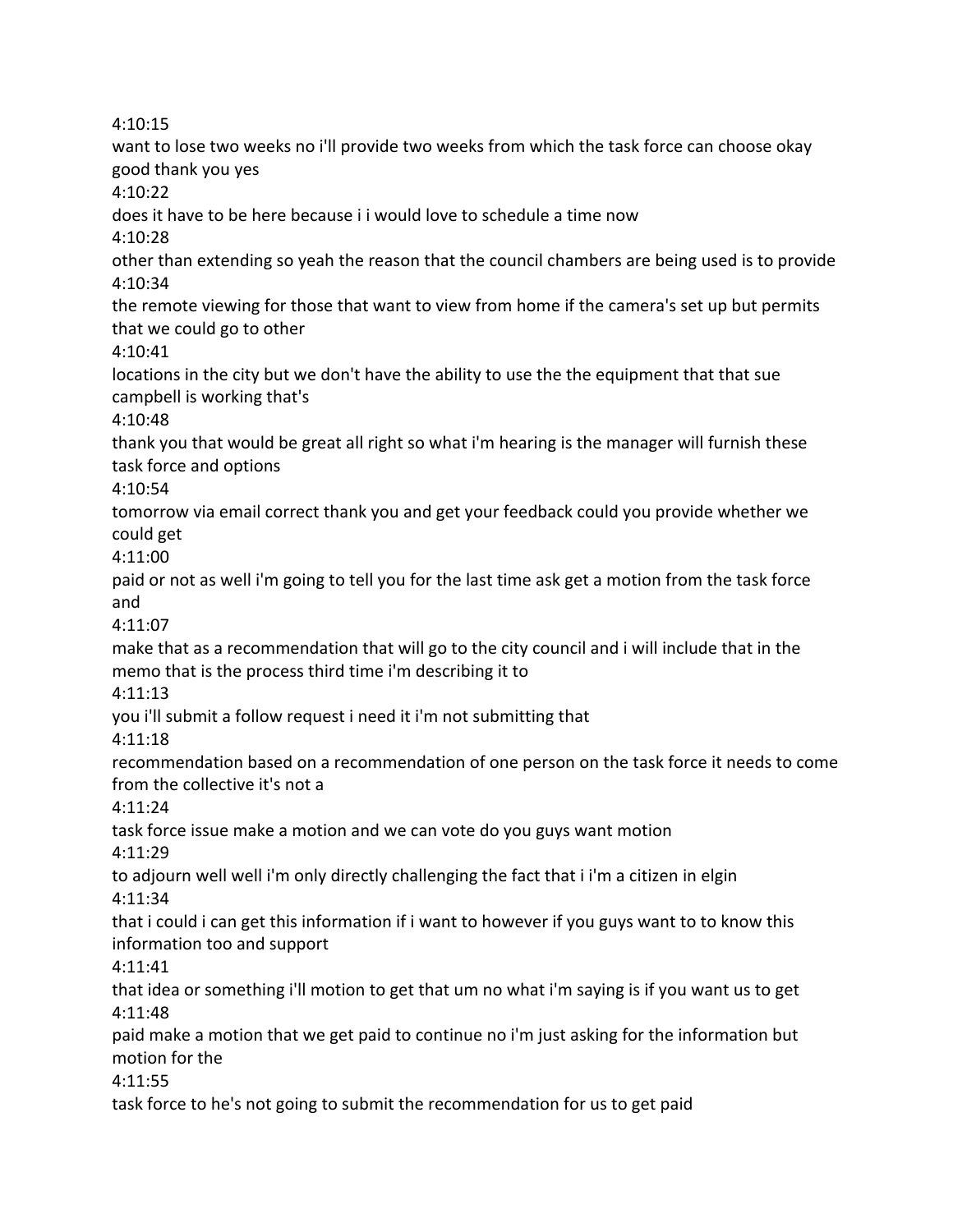4:10:15

want to lose two weeks no i'll provide two weeks from which the task force can choose okay good thank you yes 4:10:22 does it have to be here because i i would love to schedule a time now 4:10:28 other than extending so yeah the reason that the council chambers are being used is to provide 4:10:34 the remote viewing for those that want to view from home if the camera's set up but permits that we could go to other 4:10:41 locations in the city but we don't have the ability to use the the equipment that that sue campbell is working that's 4:10:48 thank you that would be great all right so what i'm hearing is the manager will furnish these task force and options 4:10:54 tomorrow via email correct thank you and get your feedback could you provide whether we could get 4:11:00 paid or not as well i'm going to tell you for the last time ask get a motion from the task force and 4:11:07 make that as a recommendation that will go to the city council and i will include that in the memo that is the process third time i'm describing it to 4:11:13 you i'll submit a follow request i need it i'm not submitting that 4:11:18 recommendation based on a recommendation of one person on the task force it needs to come from the collective it's not a 4:11:24 task force issue make a motion and we can vote do you guys want motion 4:11:29 to adjourn well well i'm only directly challenging the fact that i i'm a citizen in elgin 4:11:34 that i could i can get this information if i want to however if you guys want to to know this information too and support 4:11:41 that idea or something i'll motion to get that um no what i'm saying is if you want us to get 4:11:48 paid make a motion that we get paid to continue no i'm just asking for the information but motion for the 4:11:55 task force to he's not going to submit the recommendation for us to get paid